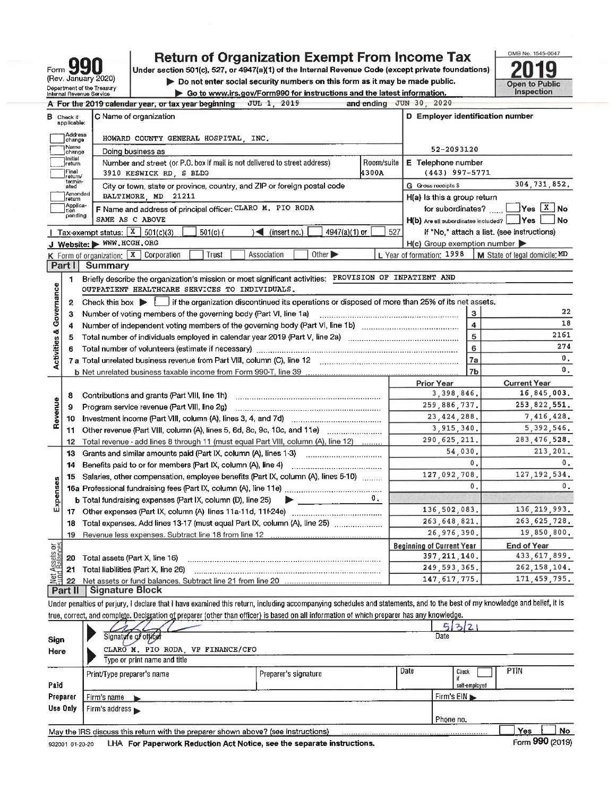| Form 990                                               |
|--------------------------------------------------------|
| (Rev. January 2020)                                    |
| Department of the Treasury<br>Internal Revenue Service |

## **Return of Organization Exempt From Income Tax**

Under section 501(c), 527, or 4947(a)(1) of the Internal Revenue Code (except private foundations) Do not enter social security numbers on this form as it may be made public. Go to www.irs.gov/Form990 for instructions and the latest information.



|                         |                                  | A For the 2019 calendar year, or tax year beginning<br>$JUL$ 1, 2019                                                                                                 |                | and ending $JUN$ 30, 2020                           |                                                           |
|-------------------------|----------------------------------|----------------------------------------------------------------------------------------------------------------------------------------------------------------------|----------------|-----------------------------------------------------|-----------------------------------------------------------|
|                         | <b>B</b> Check if<br>applicable: | C Name of organization                                                                                                                                               |                | D Employer identification number                    |                                                           |
|                         | Address<br>change                | HOWARD COUNTY GENERAL HOSPITAL, INC.                                                                                                                                 |                |                                                     |                                                           |
|                         | Name<br>change                   | Doing business as                                                                                                                                                    | 52-2093120     |                                                     |                                                           |
|                         | Initial<br>return                | E Telephone number                                                                                                                                                   |                |                                                     |                                                           |
|                         | Final<br>return/                 | $(443)$ 997-5771                                                                                                                                                     |                |                                                     |                                                           |
|                         | termin-<br>ated                  | G Gross receipts \$                                                                                                                                                  | 304, 731, 852. |                                                     |                                                           |
|                         | Amended<br>return                | H(a) Is this a group return                                                                                                                                          |                |                                                     |                                                           |
|                         | Applica-<br>tion                 | F Name and address of principal officer: CLARO M. PIO RODA                                                                                                           |                |                                                     | for subordinates? $\Box$ Yes $X$ No                       |
|                         | pending                          | SAME AS C ABOVE                                                                                                                                                      |                | H(b) Are all subordinates included? _____Yes        | <b>No</b>                                                 |
|                         |                                  | $4947(a)(1)$ or<br>  Tax-exempt status: $X$ 501(c)(3)<br>$\mathcal{A}$ (insert no.)<br>$501(c)$ (                                                                    | 527            |                                                     | If "No," attach a list. (see instructions)                |
|                         |                                  | J Website: WWW.HCGH.ORG                                                                                                                                              |                | $H(c)$ Group exemption number $\blacktriangleright$ |                                                           |
|                         |                                  | K Form of organization: X Corporation<br>Other $\blacktriangleright$<br>Trust<br>Association                                                                         |                |                                                     | L Year of formation: 1998   M State of legal domicile: MD |
|                         | Part I                           | <b>Summary</b>                                                                                                                                                       |                |                                                     |                                                           |
|                         | 1                                | Briefly describe the organization's mission or most significant activities:                                                                                          |                | PROVISION OF INPATIENT AND                          |                                                           |
| Governance              |                                  | OUTPATIENT HEALTHCARE SERVICES TO INDIVIDUALS.                                                                                                                       |                |                                                     |                                                           |
|                         | $\mathbf{2}$                     | Check this box if the organization discontinued its operations or disposed of more than 25% of its net assets.                                                       |                |                                                     |                                                           |
|                         | 3                                | Number of voting members of the governing body (Part VI, line 1a)                                                                                                    | 3              | 22                                                  |                                                           |
|                         | 4                                |                                                                                                                                                                      | 4              | 18                                                  |                                                           |
|                         | 5                                |                                                                                                                                                                      | 5              | 2161                                                |                                                           |
|                         | 6                                |                                                                                                                                                                      | 6              | 274                                                 |                                                           |
| <b>Activities &amp;</b> |                                  | 7 a Total unrelated business revenue from Part VIII, column (C), line 12 [11] [2] [2] [2] [2] [2] [2] [2] [2] [                                                      |                | 7a                                                  | 0.                                                        |
|                         |                                  |                                                                                                                                                                      |                | 7 <sub>b</sub>                                      | 0.                                                        |
|                         |                                  |                                                                                                                                                                      |                | <b>Prior Year</b>                                   | <b>Current Year</b>                                       |
|                         | 8                                | Contributions and grants (Part VIII, line 1h)                                                                                                                        | 3,398,846.     | 16,845,003.                                         |                                                           |
|                         | 9                                | Program service revenue (Part VIII, line 2g)                                                                                                                         |                | 259,886,737.                                        | 253,822,551.                                              |
| Revenue                 | 10                               |                                                                                                                                                                      |                | 23, 424, 288.                                       | 7,416,428.                                                |
|                         | 11                               |                                                                                                                                                                      |                | 3,915,340.                                          | 5, 392, 546.                                              |
|                         | 12                               | Total revenue - add lines 8 through 11 (must equal Part VIII, column (A), line 12)                                                                                   |                | 290, 625, 211.                                      | 283, 476, 528.                                            |
|                         | 13                               | Grants and similar amounts paid (Part IX, column (A), lines 1-3)                                                                                                     |                | 54,030.                                             | 213, 201.                                                 |
|                         | 14                               | Benefits paid to or for members (Part IX, column (A), line 4)<br>                                                                                                    |                | 0.                                                  | 0.                                                        |
|                         | 15                               | Salaries, other compensation, employee benefits (Part IX, column (A), lines 5-10)                                                                                    |                | 127.092.708.                                        | 127, 192, 534.                                            |
| Expenses                |                                  |                                                                                                                                                                      |                | $\mathbf{0}$ .                                      | $0$ .                                                     |
|                         |                                  | <b>b</b> Total fundraising expenses (Part IX, column (D), line 25)<br>$\blacktriangleright$ $\_\_$                                                                   |                |                                                     |                                                           |
|                         |                                  |                                                                                                                                                                      |                | 136,502,083.                                        | 136, 219, 993.                                            |
|                         | 18                               |                                                                                                                                                                      | 263, 648, 821. | 263, 625, 728.                                      |                                                           |
|                         | 19                               |                                                                                                                                                                      |                | 26,976,390.                                         | 19,850,800.                                               |
| <b>bis</b>              |                                  |                                                                                                                                                                      |                | <b>Beginning of Current Year</b>                    | <b>End of Year</b>                                        |
| Assets<br>I Ralano      | 20                               | Total assets (Part X, line 16)                                                                                                                                       |                | 397, 211, 140.                                      | 433, 617, 899.                                            |
|                         |                                  | 21 Total liabilities (Part X, line 26)                                                                                                                               |                | 249, 593, 365.                                      | 262, 158, 104.                                            |
| <u>bit</u>              | 22                               |                                                                                                                                                                      |                | 147, 617, 775.                                      | 171,459,795.                                              |
|                         |                                  | Part II   Signature Block                                                                                                                                            |                |                                                     |                                                           |
|                         |                                  | the demonstrated and results are an interested the contract including accompanying achieving a shadulo and of the most of the heat of my knowledge and belief. It is |                |                                                     |                                                           |

Under penalties of perjury, I declare that I have examined this return, including accompanying schedules and statements, and to the best of true, correct, and complete. Declaration of preparer (other than officer) is based on all information of which preparer has any knowledge.

| Sign<br>Here | Signature of officer<br>CLARO M. PIO RODA VP FINANCE/CFO<br>Type or print name and title |                      |      | 532<br>Date            |             |     |    |
|--------------|------------------------------------------------------------------------------------------|----------------------|------|------------------------|-------------|-----|----|
| Paid         | Print/Type preparer's name                                                               | Preparer's signature | Date | Check<br>self-employed | <b>PTIN</b> |     |    |
| Preparer     | Firm's name                                                                              |                      |      | Firm's $EIN$           |             |     |    |
| Use Only     | Firm's address $\blacktriangleright$                                                     |                      |      |                        |             |     |    |
|              |                                                                                          |                      |      | Phone no.              |             |     |    |
|              | May the IRS discuss this return with the preparer shown above? (see instructions)        |                      |      |                        |             | Yes | No |

LHA For Paperwork Reduction Act Notice, see the separate instructions. 932001 01-20-20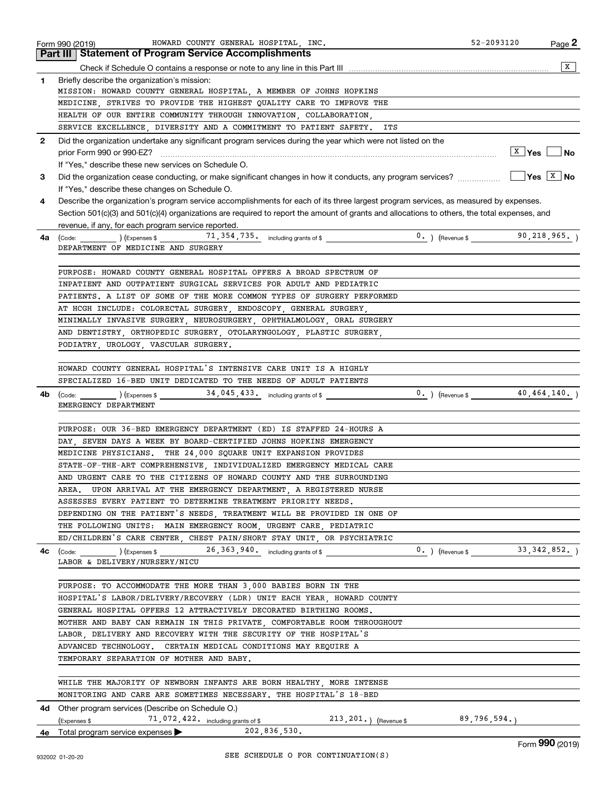|              | HOWARD COUNTY GENERAL HOSPITAL, INC.<br>Form 990 (2019)                                                                                      | 52-2093120<br>Page 2              |
|--------------|----------------------------------------------------------------------------------------------------------------------------------------------|-----------------------------------|
|              | <b>Part III   Statement of Program Service Accomplishments</b>                                                                               |                                   |
|              |                                                                                                                                              | X                                 |
| 1.           | Briefly describe the organization's mission:                                                                                                 |                                   |
|              | MISSION: HOWARD COUNTY GENERAL HOSPITAL, A MEMBER OF JOHNS HOPKINS                                                                           |                                   |
|              | MEDICINE, STRIVES TO PROVIDE THE HIGHEST QUALITY CARE TO IMPROVE THE                                                                         |                                   |
|              | HEALTH OF OUR ENTIRE COMMUNITY THROUGH INNOVATION, COLLABORATION,                                                                            |                                   |
|              | SERVICE EXCELLENCE, DIVERSITY AND A COMMITMENT TO PATIENT SAFETY.<br>ITS                                                                     |                                   |
| $\mathbf{2}$ | Did the organization undertake any significant program services during the year which were not listed on the                                 |                                   |
|              | prior Form 990 or 990-EZ?                                                                                                                    | $ X $ Yes $ $ No                  |
|              | If "Yes," describe these new services on Schedule O.                                                                                         |                                   |
| З.           |                                                                                                                                              |                                   |
|              | If "Yes," describe these changes on Schedule O.                                                                                              |                                   |
| 4            | Describe the organization's program service accomplishments for each of its three largest program services, as measured by expenses.         |                                   |
|              | Section 501(c)(3) and 501(c)(4) organizations are required to report the amount of grants and allocations to others, the total expenses, and |                                   |
|              | revenue, if any, for each program service reported.                                                                                          |                                   |
| 4a l         | $\left(\text{Code:}\right)$ $\left(\text{Expenses} \right)$ $\left(71,354,735 \right)$ including grants of \$                                | $0.$ ) (Revenue \$ 90, 218, 965.) |
|              | DEPARTMENT OF MEDICINE AND SURGERY                                                                                                           |                                   |
|              |                                                                                                                                              |                                   |
|              | PURPOSE: HOWARD COUNTY GENERAL HOSPITAL OFFERS A BROAD SPECTRUM OF                                                                           |                                   |
|              | INPATIENT AND OUTPATIENT SURGICAL SERVICES FOR ADULT AND PEDIATRIC                                                                           |                                   |
|              | PATIENTS. A LIST OF SOME OF THE MORE COMMON TYPES OF SURGERY PERFORMED                                                                       |                                   |
|              | AT HCGH INCLUDE: COLORECTAL SURGERY, ENDOSCOPY, GENERAL SURGERY,                                                                             |                                   |
|              | MINIMALLY INVASIVE SURGERY, NEUROSURGERY, OPHTHALMOLOGY, ORAL SURGERY                                                                        |                                   |
|              | AND DENTISTRY, ORTHOPEDIC SURGERY, OTOLARYNGOLOGY, PLASTIC SURGERY,                                                                          |                                   |
|              | PODIATRY, UROLOGY, VASCULAR SURGERY.                                                                                                         |                                   |
|              |                                                                                                                                              |                                   |
|              | HOWARD COUNTY GENERAL HOSPITAL'S INTENSIVE CARE UNIT IS A HIGHLY                                                                             |                                   |
|              | SPECIALIZED 16-BED UNIT DEDICATED TO THE NEEDS OF ADULT PATIENTS                                                                             |                                   |
| 4b           | $\text{(Code:)}$ $\text{(Fxpenses $} \quad 34,045,433.}$ including grants of \$                                                              | $0.$ (Revenue \$ 40,464,140.)     |
|              | EMERGENCY DEPARTMENT                                                                                                                         |                                   |
|              |                                                                                                                                              |                                   |
|              | PURPOSE: OUR 36-BED EMERGENCY DEPARTMENT (ED) IS STAFFED 24-HOURS A                                                                          |                                   |
|              | DAY, SEVEN DAYS A WEEK BY BOARD-CERTIFIED JOHNS HOPKINS EMERGENCY                                                                            |                                   |
|              | MEDICINE PHYSICIANS. THE 24,000 SQUARE UNIT EXPANSION PROVIDES                                                                               |                                   |
|              | STATE-OF-THE-ART COMPREHENSIVE, INDIVIDUALIZED EMERGENCY MEDICAL CARE                                                                        |                                   |
|              | AND URGENT CARE TO THE CITIZENS OF HOWARD COUNTY AND THE SURROUNDING                                                                         |                                   |
|              | AREA. UPON ARRIVAL AT THE EMERGENCY DEPARTMENT, A REGISTERED NURSE                                                                           |                                   |
|              | ASSESSES EVERY PATIENT TO DETERMINE TREATMENT PRIORITY NEEDS.                                                                                |                                   |
|              | DEPENDING ON THE PATIENT'S NEEDS, TREATMENT WILL BE PROVIDED IN ONE OF                                                                       |                                   |
|              | THE FOLLOWING UNITS: MAIN EMERGENCY ROOM, URGENT CARE, PEDIATRIC                                                                             |                                   |
|              | ED/CHILDREN'S CARE CENTER, CHEST PAIN/SHORT STAY UNIT, OR PSYCHIATRIC                                                                        |                                   |
|              | <b>4c</b> (Code: ) (Expenses \$ 26, 363, 940. including grants of \$                                                                         | $0.$ (Revenue \$ 33, 342, 852.)   |
|              | LABOR & DELIVERY/NURSERY/NICU                                                                                                                |                                   |
|              |                                                                                                                                              |                                   |
|              | PURPOSE: TO ACCOMMODATE THE MORE THAN 3,000 BABIES BORN IN THE                                                                               |                                   |
|              | HOSPITAL'S LABOR/DELIVERY/RECOVERY (LDR) UNIT EACH YEAR HOWARD COUNTY                                                                        |                                   |
|              | GENERAL HOSPITAL OFFERS 12 ATTRACTIVELY DECORATED BIRTHING ROOMS.                                                                            |                                   |
|              | MOTHER AND BABY CAN REMAIN IN THIS PRIVATE, COMFORTABLE ROOM THROUGHOUT                                                                      |                                   |
|              | LABOR, DELIVERY AND RECOVERY WITH THE SECURITY OF THE HOSPITAL'S                                                                             |                                   |
|              | ADVANCED TECHNOLOGY. CERTAIN MEDICAL CONDITIONS MAY REQUIRE A                                                                                |                                   |
|              | TEMPORARY SEPARATION OF MOTHER AND BABY.                                                                                                     |                                   |
|              |                                                                                                                                              |                                   |
|              | WHILE THE MAJORITY OF NEWBORN INFANTS ARE BORN HEALTHY, MORE INTENSE                                                                         |                                   |
|              | MONITORING AND CARE ARE SOMETIMES NECESSARY. THE HOSPITAL'S 18-BED                                                                           |                                   |
|              | 4d Other program services (Describe on Schedule O.)                                                                                          |                                   |
|              | $213, 201.$ ) (Revenue \$89,796,594.)<br>71,072,422. including grants of \$<br>(Expenses \$                                                  |                                   |
|              | 4e Total program service expenses > 202,836,530.                                                                                             |                                   |
|              |                                                                                                                                              | $000 \times 10^{-7}$              |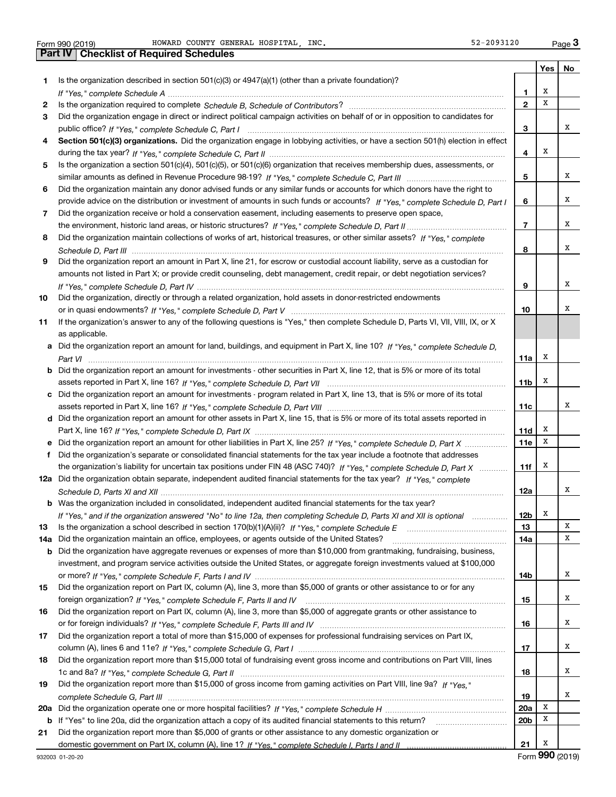Form 990 (2019) Page **3Part IV Checklist of Required Schedules** HOWARD COUNTY GENERAL HOSPITAL, INC. SEPTED SERVICES AND SERVICE SERVICES

|     |                                                                                                                                  |                 | Yes | No              |
|-----|----------------------------------------------------------------------------------------------------------------------------------|-----------------|-----|-----------------|
| 1   | Is the organization described in section $501(c)(3)$ or $4947(a)(1)$ (other than a private foundation)?                          |                 |     |                 |
|     |                                                                                                                                  | 1.              | X   |                 |
| 2   |                                                                                                                                  | $\overline{2}$  | x   |                 |
| 3   | Did the organization engage in direct or indirect political campaign activities on behalf of or in opposition to candidates for  |                 |     |                 |
|     |                                                                                                                                  | 3               |     | х               |
|     | Section 501(c)(3) organizations. Did the organization engage in lobbying activities, or have a section 501(h) election in effect |                 |     |                 |
|     |                                                                                                                                  | 4               | х   |                 |
| 5   | Is the organization a section 501(c)(4), 501(c)(5), or 501(c)(6) organization that receives membership dues, assessments, or     |                 |     |                 |
|     |                                                                                                                                  | 5               |     | x               |
| 6   | Did the organization maintain any donor advised funds or any similar funds or accounts for which donors have the right to        |                 |     |                 |
|     | provide advice on the distribution or investment of amounts in such funds or accounts? If "Yes," complete Schedule D, Part I     | 6               |     | х               |
| 7   | Did the organization receive or hold a conservation easement, including easements to preserve open space,                        |                 |     |                 |
|     |                                                                                                                                  | $\overline{7}$  |     | х               |
| 8   | Did the organization maintain collections of works of art, historical treasures, or other similar assets? If "Yes," complete     |                 |     |                 |
|     |                                                                                                                                  | 8               |     | х               |
| 9   | Did the organization report an amount in Part X, line 21, for escrow or custodial account liability, serve as a custodian for    |                 |     |                 |
|     | amounts not listed in Part X; or provide credit counseling, debt management, credit repair, or debt negotiation services?        |                 |     |                 |
|     |                                                                                                                                  | 9               |     | х               |
| 10  | Did the organization, directly or through a related organization, hold assets in donor-restricted endowments                     |                 |     |                 |
|     |                                                                                                                                  | 10              |     | х               |
| 11  | If the organization's answer to any of the following questions is "Yes," then complete Schedule D, Parts VI, VII, VIII, IX, or X |                 |     |                 |
|     | as applicable.                                                                                                                   |                 |     |                 |
| a   | Did the organization report an amount for land, buildings, and equipment in Part X, line 10? If "Yes," complete Schedule D,      |                 |     |                 |
|     |                                                                                                                                  | 11a             | Х   |                 |
|     | Did the organization report an amount for investments - other securities in Part X, line 12, that is 5% or more of its total     |                 |     |                 |
|     |                                                                                                                                  | 11 <sub>b</sub> | Х   |                 |
| c   | Did the organization report an amount for investments - program related in Part X, line 13, that is 5% or more of its total      |                 |     |                 |
|     |                                                                                                                                  | 11c             |     | х               |
|     | d Did the organization report an amount for other assets in Part X, line 15, that is 5% or more of its total assets reported in  |                 |     |                 |
|     |                                                                                                                                  | 11d             | х   |                 |
|     |                                                                                                                                  | 11e             | X   |                 |
|     | Did the organization's separate or consolidated financial statements for the tax year include a footnote that addresses          |                 |     |                 |
|     | the organization's liability for uncertain tax positions under FIN 48 (ASC 740)? If "Yes," complete Schedule D, Part X           | 11f             | х   |                 |
|     | 12a Did the organization obtain separate, independent audited financial statements for the tax year? If "Yes." complete          |                 |     |                 |
|     |                                                                                                                                  | 12a             |     | х               |
|     | <b>b</b> Was the organization included in consolidated, independent audited financial statements for the tax year?               |                 |     |                 |
|     | If "Yes," and if the organization answered "No" to line 12a, then completing Schedule D, Parts XI and XII is optional metallion  | 12b             | A   |                 |
| 13  |                                                                                                                                  | 13              |     | X               |
| 14a | Did the organization maintain an office, employees, or agents outside of the United States?                                      | 14a             |     | х               |
| b   | Did the organization have aggregate revenues or expenses of more than \$10,000 from grantmaking, fundraising, business,          |                 |     |                 |
|     | investment, and program service activities outside the United States, or aggregate foreign investments valued at \$100,000       |                 |     |                 |
|     |                                                                                                                                  | 14b             |     | х               |
| 15  | Did the organization report on Part IX, column (A), line 3, more than \$5,000 of grants or other assistance to or for any        |                 |     |                 |
|     |                                                                                                                                  | 15              |     | х               |
| 16  | Did the organization report on Part IX, column (A), line 3, more than \$5,000 of aggregate grants or other assistance to         |                 |     |                 |
|     |                                                                                                                                  | 16              |     | х               |
| 17  | Did the organization report a total of more than \$15,000 of expenses for professional fundraising services on Part IX,          |                 |     |                 |
|     |                                                                                                                                  | 17              |     | х               |
| 18  | Did the organization report more than \$15,000 total of fundraising event gross income and contributions on Part VIII, lines     |                 |     |                 |
|     |                                                                                                                                  | 18              |     | х               |
| 19  | Did the organization report more than \$15,000 of gross income from gaming activities on Part VIII, line 9a? If "Yes."           |                 |     |                 |
|     |                                                                                                                                  | 19              |     | х               |
| 20a |                                                                                                                                  | 20a             | Х   |                 |
| b   | If "Yes" to line 20a, did the organization attach a copy of its audited financial statements to this return?                     | 20 <sub>b</sub> | X   |                 |
| 21  | Did the organization report more than \$5,000 of grants or other assistance to any domestic organization or                      |                 |     |                 |
|     |                                                                                                                                  | 21              | Х   |                 |
|     | 932003 01-20-20                                                                                                                  |                 |     | Form 990 (2019) |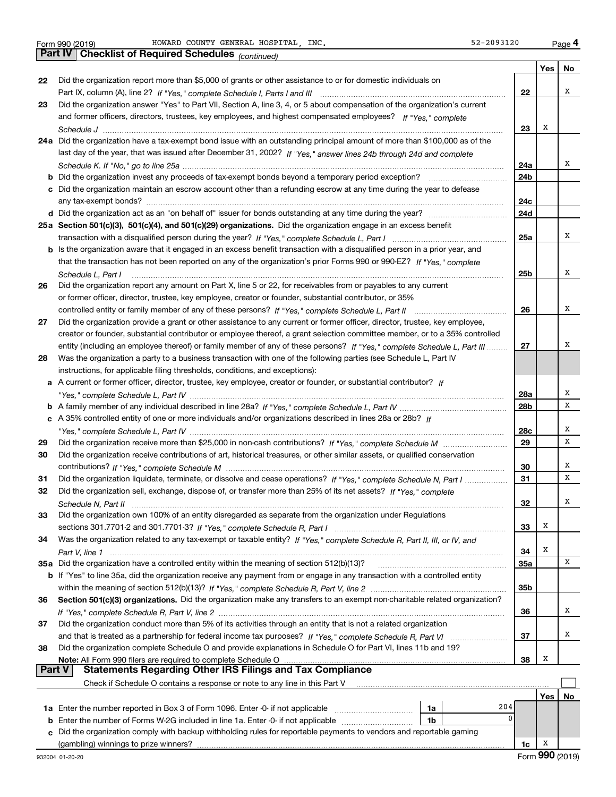*(continued)*

|    |                                                                                                                              |     | Yes | No |
|----|------------------------------------------------------------------------------------------------------------------------------|-----|-----|----|
| 22 | Did the organization report more than \$5,000 of grants or other assistance to or for domestic individuals on                |     |     |    |
|    |                                                                                                                              | 22  |     | х  |
| 23 | Did the organization answer "Yes" to Part VII, Section A, line 3, 4, or 5 about compensation of the organization's current   |     |     |    |
|    | and former officers, directors, trustees, key employees, and highest compensated employees? If "Yes," complete               |     |     |    |
|    |                                                                                                                              | 23  | х   |    |
|    | 24a Did the organization have a tax-exempt bond issue with an outstanding principal amount of more than \$100,000 as of the  |     |     |    |
|    | last day of the year, that was issued after December 31, 2002? If "Yes," answer lines 24b through 24d and complete           |     |     |    |
|    |                                                                                                                              | 24a |     | x  |
| b  | Did the organization invest any proceeds of tax-exempt bonds beyond a temporary period exception? [[[[[[[[[[[                | 24b |     |    |
|    | c Did the organization maintain an escrow account other than a refunding escrow at any time during the year to defease       |     |     |    |
|    |                                                                                                                              | 24c |     |    |
|    |                                                                                                                              | 24d |     |    |
|    | 25a Section 501(c)(3), 501(c)(4), and 501(c)(29) organizations. Did the organization engage in an excess benefit             |     |     |    |
|    |                                                                                                                              | 25a |     | x  |
|    | b Is the organization aware that it engaged in an excess benefit transaction with a disqualified person in a prior year, and |     |     |    |
|    | that the transaction has not been reported on any of the organization's prior Forms 990 or 990-EZ? If "Yes," complete        |     |     |    |
|    | Schedule L. Part I                                                                                                           | 25b |     | x  |
| 26 | Did the organization report any amount on Part X, line 5 or 22, for receivables from or payables to any current              |     |     |    |
|    | or former officer, director, trustee, key employee, creator or founder, substantial contributor, or 35%                      |     |     |    |
|    |                                                                                                                              | 26  |     | x  |
| 27 | Did the organization provide a grant or other assistance to any current or former officer, director, trustee, key employee,  |     |     |    |
|    | creator or founder, substantial contributor or employee thereof, a grant selection committee member, or to a 35% controlled  |     |     |    |
|    | entity (including an employee thereof) or family member of any of these persons? If "Yes," complete Schedule L, Part III     | 27  |     | x  |
| 28 | Was the organization a party to a business transaction with one of the following parties (see Schedule L, Part IV            |     |     |    |
|    | instructions, for applicable filing thresholds, conditions, and exceptions):                                                 |     |     |    |
| а  | A current or former officer, director, trustee, key employee, creator or founder, or substantial contributor? If             |     |     |    |
|    |                                                                                                                              | 28a |     | x  |
|    |                                                                                                                              | 28b |     | х  |
|    | c A 35% controlled entity of one or more individuals and/or organizations described in lines 28a or 28b? If                  |     |     |    |
|    |                                                                                                                              | 28c |     | x  |
| 29 |                                                                                                                              | 29  |     | х  |
| 30 | Did the organization receive contributions of art, historical treasures, or other similar assets, or qualified conservation  |     |     |    |
|    |                                                                                                                              | 30  |     | x  |
| 31 | Did the organization liquidate, terminate, or dissolve and cease operations? If "Yes," complete Schedule N, Part I           | 31  |     | х  |
| 32 | Did the organization sell, exchange, dispose of, or transfer more than 25% of its net assets? If "Yes," complete             |     |     |    |
|    |                                                                                                                              | 32  |     | x  |
| 33 | Did the organization own 100% of an entity disregarded as separate from the organization under Regulations                   |     |     |    |
|    |                                                                                                                              | 33  | х   |    |
| 34 | Was the organization related to any tax-exempt or taxable entity? If "Yes," complete Schedule R, Part II, III, or IV, and    |     |     |    |
|    |                                                                                                                              | 34  | х   |    |
|    | 35a Did the organization have a controlled entity within the meaning of section 512(b)(13)?                                  | 35a |     | x  |
|    | b If "Yes" to line 35a, did the organization receive any payment from or engage in any transaction with a controlled entity  |     |     |    |
|    |                                                                                                                              | 35b |     |    |
| 36 | Section 501(c)(3) organizations. Did the organization make any transfers to an exempt non-charitable related organization?   |     |     |    |
|    |                                                                                                                              | 36  |     | х  |
| 37 | Did the organization conduct more than 5% of its activities through an entity that is not a related organization             |     |     |    |
|    |                                                                                                                              | 37  |     | х  |
| 38 | Did the organization complete Schedule O and provide explanations in Schedule O for Part VI, lines 11b and 19?               |     |     |    |
|    |                                                                                                                              | 38  | х   |    |
|    | <b>Statements Regarding Other IRS Filings and Tax Compliance</b><br><b>Part V</b>                                            |     |     |    |
|    | Check if Schedule O contains a response or note to any line in this Part V                                                   |     |     |    |
|    |                                                                                                                              |     | Yes | No |
|    | 204<br>1a Enter the number reported in Box 3 of Form 1096. Enter -0- if not applicable<br>1a                                 |     |     |    |
| b  | 0<br>Enter the number of Forms W-2G included in line 1a. Enter -0- if not applicable<br>1b                                   |     |     |    |
|    | c Did the organization comply with backup withholding rules for reportable payments to vendors and reportable gaming         |     |     |    |

(gambling) winnings to prize winners?

**1c**X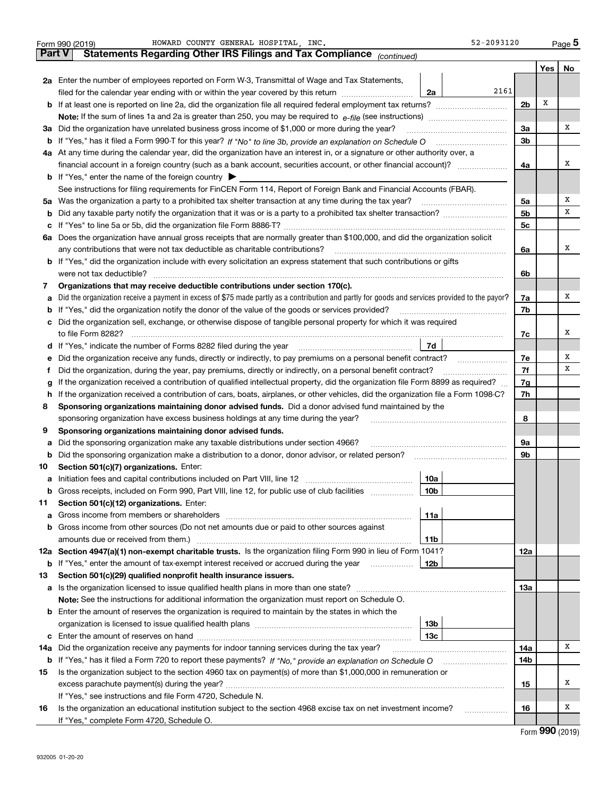|     | HOWARD COUNTY GENERAL HOSPITAL INC.<br>Form 990 (2019)                                                                                          | 52-2093120     |       | Page 5 |  |  |  |  |  |  |  |  |
|-----|-------------------------------------------------------------------------------------------------------------------------------------------------|----------------|-------|--------|--|--|--|--|--|--|--|--|
|     | Part V<br>Statements Regarding Other IRS Filings and Tax Compliance (continued)                                                                 |                |       |        |  |  |  |  |  |  |  |  |
|     |                                                                                                                                                 |                | Yes   | No     |  |  |  |  |  |  |  |  |
|     | 2a Enter the number of employees reported on Form W-3, Transmittal of Wage and Tax Statements,                                                  |                |       |        |  |  |  |  |  |  |  |  |
|     | 2161<br>filed for the calendar year ending with or within the year covered by this return<br>2a                                                 |                |       |        |  |  |  |  |  |  |  |  |
|     |                                                                                                                                                 |                |       |        |  |  |  |  |  |  |  |  |
|     |                                                                                                                                                 |                |       |        |  |  |  |  |  |  |  |  |
| За  | Did the organization have unrelated business gross income of \$1,000 or more during the year?                                                   |                |       |        |  |  |  |  |  |  |  |  |
| b   |                                                                                                                                                 |                |       |        |  |  |  |  |  |  |  |  |
|     | 4a At any time during the calendar year, did the organization have an interest in, or a signature or other authority over, a                    |                |       |        |  |  |  |  |  |  |  |  |
|     | financial account in a foreign country (such as a bank account, securities account, or other financial account)?                                | 4a             |       | X      |  |  |  |  |  |  |  |  |
|     | <b>b</b> If "Yes," enter the name of the foreign country $\triangleright$                                                                       |                |       |        |  |  |  |  |  |  |  |  |
|     | See instructions for filing requirements for FinCEN Form 114, Report of Foreign Bank and Financial Accounts (FBAR).                             |                |       |        |  |  |  |  |  |  |  |  |
| 5a  | Was the organization a party to a prohibited tax shelter transaction at any time during the tax year?                                           | 5a             |       | х      |  |  |  |  |  |  |  |  |
| b   |                                                                                                                                                 | 5 <sub>b</sub> |       | х      |  |  |  |  |  |  |  |  |
| с   |                                                                                                                                                 | 5с             |       |        |  |  |  |  |  |  |  |  |
|     | 6a Does the organization have annual gross receipts that are normally greater than \$100,000, and did the organization solicit                  |                |       |        |  |  |  |  |  |  |  |  |
|     | any contributions that were not tax deductible as charitable contributions?                                                                     | 6a             |       | х      |  |  |  |  |  |  |  |  |
|     | <b>b</b> If "Yes," did the organization include with every solicitation an express statement that such contributions or gifts                   |                |       |        |  |  |  |  |  |  |  |  |
|     |                                                                                                                                                 | 6b             |       |        |  |  |  |  |  |  |  |  |
| 7   | Organizations that may receive deductible contributions under section 170(c).                                                                   |                |       |        |  |  |  |  |  |  |  |  |
| a   | Did the organization receive a payment in excess of \$75 made partly as a contribution and partly for goods and services provided to the payor? | 7a             |       | х      |  |  |  |  |  |  |  |  |
| b   | If "Yes," did the organization notify the donor of the value of the goods or services provided?                                                 | 7b             |       |        |  |  |  |  |  |  |  |  |
| с   | Did the organization sell, exchange, or otherwise dispose of tangible personal property for which it was required                               |                |       |        |  |  |  |  |  |  |  |  |
|     |                                                                                                                                                 | 7c             |       | x      |  |  |  |  |  |  |  |  |
| d   | 7d                                                                                                                                              |                |       |        |  |  |  |  |  |  |  |  |
| е   | Did the organization receive any funds, directly or indirectly, to pay premiums on a personal benefit contract?                                 | 7e             |       | х      |  |  |  |  |  |  |  |  |
| f   | Did the organization, during the year, pay premiums, directly or indirectly, on a personal benefit contract?                                    | 7f             |       | х      |  |  |  |  |  |  |  |  |
| g   | If the organization received a contribution of qualified intellectual property, did the organization file Form 8899 as required?                | 7g             |       |        |  |  |  |  |  |  |  |  |
| h.  | If the organization received a contribution of cars, boats, airplanes, or other vehicles, did the organization file a Form 1098-C?              |                |       |        |  |  |  |  |  |  |  |  |
| 8   | Sponsoring organizations maintaining donor advised funds. Did a donor advised fund maintained by the                                            |                |       |        |  |  |  |  |  |  |  |  |
|     | sponsoring organization have excess business holdings at any time during the year?                                                              | 8              |       |        |  |  |  |  |  |  |  |  |
| 9   | Sponsoring organizations maintaining donor advised funds.                                                                                       |                |       |        |  |  |  |  |  |  |  |  |
| a   | Did the sponsoring organization make any taxable distributions under section 4966?                                                              | 9a             |       |        |  |  |  |  |  |  |  |  |
| b   | Did the sponsoring organization make a distribution to a donor, donor advisor, or related person?                                               | 9b             |       |        |  |  |  |  |  |  |  |  |
| 10  | Section 501(c)(7) organizations. Enter:                                                                                                         |                |       |        |  |  |  |  |  |  |  |  |
| а   | 10a<br>Initiation fees and capital contributions included on Part VIII, line 12 [100] [100] [100] [100] [100] [100] [                           |                |       |        |  |  |  |  |  |  |  |  |
|     | 10 <sub>b</sub><br>Gross receipts, included on Form 990, Part VIII, line 12, for public use of club facilities                                  |                |       |        |  |  |  |  |  |  |  |  |
| 11  | Section 501(c)(12) organizations. Enter:                                                                                                        |                |       |        |  |  |  |  |  |  |  |  |
| a   | Gross income from members or shareholders<br>11a                                                                                                |                |       |        |  |  |  |  |  |  |  |  |
| b   | Gross income from other sources (Do not net amounts due or paid to other sources against                                                        |                |       |        |  |  |  |  |  |  |  |  |
|     | 11 <sub>b</sub>                                                                                                                                 |                |       |        |  |  |  |  |  |  |  |  |
|     | 12a Section 4947(a)(1) non-exempt charitable trusts. Is the organization filing Form 990 in lieu of Form 1041?                                  | 12a            |       |        |  |  |  |  |  |  |  |  |
|     | 12b<br><b>b</b> If "Yes," enter the amount of tax-exempt interest received or accrued during the year <i>manument</i>                           |                |       |        |  |  |  |  |  |  |  |  |
| 13  | Section 501(c)(29) qualified nonprofit health insurance issuers.                                                                                |                |       |        |  |  |  |  |  |  |  |  |
| а   | Is the organization licensed to issue qualified health plans in more than one state?                                                            | 13a            |       |        |  |  |  |  |  |  |  |  |
|     | Note: See the instructions for additional information the organization must report on Schedule O.                                               |                |       |        |  |  |  |  |  |  |  |  |
| b   | Enter the amount of reserves the organization is required to maintain by the states in which the                                                |                |       |        |  |  |  |  |  |  |  |  |
|     | 13 <sub>b</sub>                                                                                                                                 |                |       |        |  |  |  |  |  |  |  |  |
| c   | 13 <sub>c</sub>                                                                                                                                 |                |       |        |  |  |  |  |  |  |  |  |
| 14a | Did the organization receive any payments for indoor tanning services during the tax year?                                                      | 14a            |       | х      |  |  |  |  |  |  |  |  |
|     | <b>b</b> If "Yes," has it filed a Form 720 to report these payments? If "No," provide an explanation on Schedule O                              | 14b            |       |        |  |  |  |  |  |  |  |  |
| 15  | Is the organization subject to the section 4960 tax on payment(s) of more than \$1,000,000 in remuneration or                                   |                |       |        |  |  |  |  |  |  |  |  |
|     |                                                                                                                                                 | 15             |       | х      |  |  |  |  |  |  |  |  |
|     | If "Yes," see instructions and file Form 4720, Schedule N.                                                                                      |                |       |        |  |  |  |  |  |  |  |  |
| 16  | Is the organization an educational institution subject to the section 4968 excise tax on net investment income?                                 | 16             |       | x      |  |  |  |  |  |  |  |  |
|     | If "Yes," complete Form 4720, Schedule O.                                                                                                       |                | ⊶ ∩∩∩ |        |  |  |  |  |  |  |  |  |

Form (2019) **990**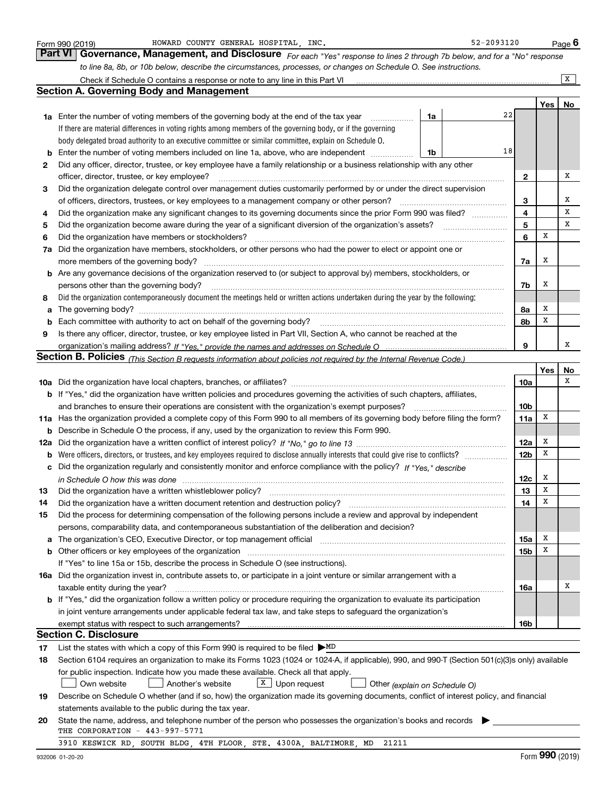|     | HOWARD COUNTY GENERAL HOSPITAL, INC.<br>Form 990 (2019)                                                                                          |    | 52-2093120 |                 |     | <u>Page</u> 6 |  |  |  |  |  |  |
|-----|--------------------------------------------------------------------------------------------------------------------------------------------------|----|------------|-----------------|-----|---------------|--|--|--|--|--|--|
|     | <b>Part VI   Governance, Management, and Disclosure</b> For each "Yes" response to lines 2 through 7b below, and for a "No" response             |    |            |                 |     |               |  |  |  |  |  |  |
|     | to line 8a, 8b, or 10b below, describe the circumstances, processes, or changes on Schedule O. See instructions.                                 |    |            |                 |     |               |  |  |  |  |  |  |
|     | Check if Schedule O contains a response or note to any line in this Part VI                                                                      |    |            |                 |     | X             |  |  |  |  |  |  |
|     | <b>Section A. Governing Body and Management</b>                                                                                                  |    |            |                 |     |               |  |  |  |  |  |  |
|     |                                                                                                                                                  |    |            |                 | Yes | No            |  |  |  |  |  |  |
|     | 1a Enter the number of voting members of the governing body at the end of the tax year<br>.                                                      | 1a | 22         |                 |     |               |  |  |  |  |  |  |
|     | If there are material differences in voting rights among members of the governing body, or if the governing                                      |    |            |                 |     |               |  |  |  |  |  |  |
|     | body delegated broad authority to an executive committee or similar committee, explain on Schedule O.                                            |    |            |                 |     |               |  |  |  |  |  |  |
| b   | Enter the number of voting members included on line 1a, above, who are independent                                                               | 1b | 18         |                 |     |               |  |  |  |  |  |  |
| 2   | Did any officer, director, trustee, or key employee have a family relationship or a business relationship with any other                         |    |            |                 |     |               |  |  |  |  |  |  |
|     | officer, director, trustee, or key employee?                                                                                                     |    |            | 2               |     | Х             |  |  |  |  |  |  |
| 3   | Did the organization delegate control over management duties customarily performed by or under the direct supervision                            |    |            |                 |     |               |  |  |  |  |  |  |
|     | of officers, directors, trustees, or key employees to a management company or other person?                                                      |    |            |                 |     |               |  |  |  |  |  |  |
| 4   | Did the organization make any significant changes to its governing documents since the prior Form 990 was filed?                                 |    |            |                 |     |               |  |  |  |  |  |  |
| 5   |                                                                                                                                                  |    |            | 5               |     | X             |  |  |  |  |  |  |
| 6   | Did the organization have members or stockholders?                                                                                               |    |            | 6               | х   |               |  |  |  |  |  |  |
| 7a  | Did the organization have members, stockholders, or other persons who had the power to elect or appoint one or                                   |    |            |                 |     |               |  |  |  |  |  |  |
|     | more members of the governing body?                                                                                                              |    |            | 7a              | х   |               |  |  |  |  |  |  |
| b   | Are any governance decisions of the organization reserved to (or subject to approval by) members, stockholders, or                               |    |            |                 |     |               |  |  |  |  |  |  |
|     | persons other than the governing body?                                                                                                           |    |            | 7b              | x   |               |  |  |  |  |  |  |
| 8   | Did the organization contemporaneously document the meetings held or written actions undertaken during the year by the following:                |    |            |                 |     |               |  |  |  |  |  |  |
| a   |                                                                                                                                                  |    |            | 8a              | х   |               |  |  |  |  |  |  |
| b   | Each committee with authority to act on behalf of the governing body?                                                                            |    |            | 8b              | x   |               |  |  |  |  |  |  |
| 9   | Is there any officer, director, trustee, or key employee listed in Part VII, Section A, who cannot be reached at the                             |    |            |                 |     |               |  |  |  |  |  |  |
| 9   |                                                                                                                                                  |    |            |                 |     |               |  |  |  |  |  |  |
|     | Section B. Policies <sub>(This</sub> Section B requests information about policies not required by the Internal Revenue Code.)                   |    |            |                 |     |               |  |  |  |  |  |  |
|     |                                                                                                                                                  |    |            |                 | Yes | No            |  |  |  |  |  |  |
|     |                                                                                                                                                  |    |            | 10a             |     | x             |  |  |  |  |  |  |
|     | b If "Yes," did the organization have written policies and procedures governing the activities of such chapters, affiliates,                     |    |            |                 |     |               |  |  |  |  |  |  |
|     | and branches to ensure their operations are consistent with the organization's exempt purposes?                                                  |    |            | 10 <sub>b</sub> |     |               |  |  |  |  |  |  |
| 11a | Has the organization provided a complete copy of this Form 990 to all members of its governing body before filing the form?                      |    |            | 11a             | X   |               |  |  |  |  |  |  |
| b   | Describe in Schedule O the process, if any, used by the organization to review this Form 990.                                                    |    |            |                 |     |               |  |  |  |  |  |  |
| 12a |                                                                                                                                                  |    |            | 12a             | х   |               |  |  |  |  |  |  |
| b   | Were officers, directors, or trustees, and key employees required to disclose annually interests that could give rise to conflicts?              |    |            | 12 <sub>b</sub> | x   |               |  |  |  |  |  |  |
| с   | Did the organization regularly and consistently monitor and enforce compliance with the policy? If "Yes." describe                               |    |            |                 |     |               |  |  |  |  |  |  |
|     | in Schedule O how this was done manufactured and continuum control of the state of the state of the state of t                                   |    |            | 12c             | x   |               |  |  |  |  |  |  |
|     |                                                                                                                                                  |    |            | 13              | X   |               |  |  |  |  |  |  |
| 14  | Did the organization have a written document retention and destruction policy?                                                                   |    |            | 14              | х   |               |  |  |  |  |  |  |
| 15  | Did the process for determining compensation of the following persons include a review and approval by independent                               |    |            |                 |     |               |  |  |  |  |  |  |
|     | persons, comparability data, and contemporaneous substantiation of the deliberation and decision?                                                |    |            |                 |     |               |  |  |  |  |  |  |
|     | The organization's CEO, Executive Director, or top management official                                                                           |    |            | 15a             | х   |               |  |  |  |  |  |  |
| b   | Other officers or key employees of the organization                                                                                              |    |            | 15b             | x   |               |  |  |  |  |  |  |
|     | If "Yes" to line 15a or 15b, describe the process in Schedule O (see instructions).                                                              |    |            |                 |     |               |  |  |  |  |  |  |
|     | <b>16a</b> Did the organization invest in, contribute assets to, or participate in a joint venture or similar arrangement with a                 |    |            |                 |     |               |  |  |  |  |  |  |
|     | taxable entity during the year?                                                                                                                  |    |            | 16a             |     | Х             |  |  |  |  |  |  |
|     | b If "Yes," did the organization follow a written policy or procedure requiring the organization to evaluate its participation                   |    |            |                 |     |               |  |  |  |  |  |  |
|     | in joint venture arrangements under applicable federal tax law, and take steps to safeguard the organization's                                   |    |            |                 |     |               |  |  |  |  |  |  |
|     | exempt status with respect to such arrangements?<br><b>Section C. Disclosure</b>                                                                 |    |            | 16b             |     |               |  |  |  |  |  |  |
|     |                                                                                                                                                  |    |            |                 |     |               |  |  |  |  |  |  |
| 17  | List the states with which a copy of this Form 990 is required to be filed $\triangleright$ MD                                                   |    |            |                 |     |               |  |  |  |  |  |  |
| 18  | Section 6104 requires an organization to make its Forms 1023 (1024 or 1024-A, if applicable), 990, and 990-T (Section 501(c)(3)s only) available |    |            |                 |     |               |  |  |  |  |  |  |
|     | for public inspection. Indicate how you made these available. Check all that apply.                                                              |    |            |                 |     |               |  |  |  |  |  |  |
|     | $X$ Upon request<br>Own website<br>Another's website<br>Other (explain on Schedule O)                                                            |    |            |                 |     |               |  |  |  |  |  |  |
| 19  | Describe on Schedule O whether (and if so, how) the organization made its governing documents, conflict of interest policy, and financial        |    |            |                 |     |               |  |  |  |  |  |  |
|     | statements available to the public during the tax year.                                                                                          |    |            |                 |     |               |  |  |  |  |  |  |
| 20  | State the name, address, and telephone number of the person who possesses the organization's books and records<br>THE CORPORATION - 443-997-5771 |    |            |                 |     |               |  |  |  |  |  |  |
|     | 3910 KESWICK RD, SOUTH BLDG, 4TH FLOOR, STE. 4300A, BALTIMORE, MD 21211                                                                          |    |            |                 |     |               |  |  |  |  |  |  |
|     |                                                                                                                                                  |    |            |                 |     |               |  |  |  |  |  |  |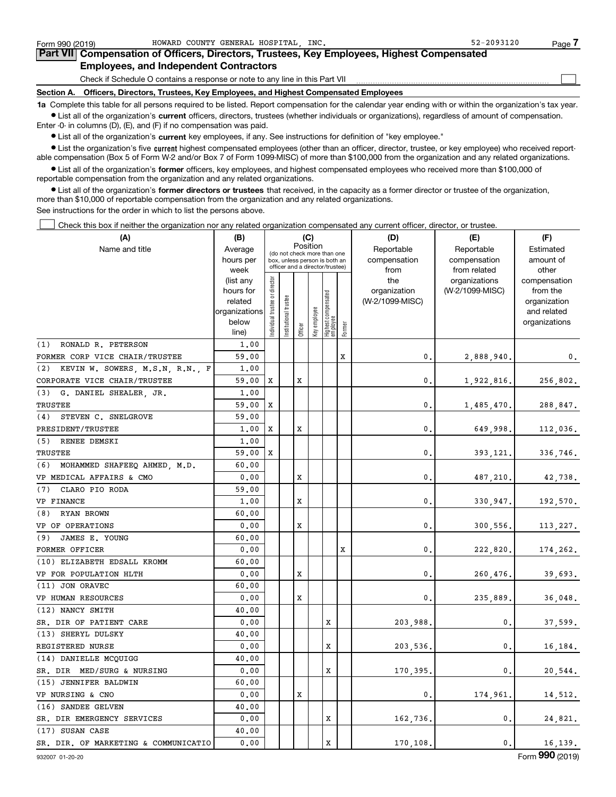$\mathcal{L}^{\text{max}}$ 

| Form 990 (2019) |                                               | HOWARD COUNTY GENERAL HOSPITAL INC. |  | $52 - 2093120$                                                                             | Page ' |
|-----------------|-----------------------------------------------|-------------------------------------|--|--------------------------------------------------------------------------------------------|--------|
|                 |                                               |                                     |  | Part VII Compensation of Officers, Directors, Trustees, Key Employees, Highest Compensated |        |
|                 | <b>Employees, and Independent Contractors</b> |                                     |  |                                                                                            |        |

Check if Schedule O contains a response or note to any line in this Part VII

**Section A. Officers, Directors, Trustees, Key Employees, and Highest Compensated Employees**

**1a**  Complete this table for all persons required to be listed. Report compensation for the calendar year ending with or within the organization's tax year. **•** List all of the organization's current officers, directors, trustees (whether individuals or organizations), regardless of amount of compensation.

Enter -0- in columns (D), (E), and (F) if no compensation was paid.

 $\bullet$  List all of the organization's  $\,$ current key employees, if any. See instructions for definition of "key employee."

**•** List the organization's five current highest compensated employees (other than an officer, director, trustee, or key employee) who received reportable compensation (Box 5 of Form W-2 and/or Box 7 of Form 1099-MISC) of more than \$100,000 from the organization and any related organizations.

**•** List all of the organization's former officers, key employees, and highest compensated employees who received more than \$100,000 of reportable compensation from the organization and any related organizations.

**former directors or trustees**  ¥ List all of the organization's that received, in the capacity as a former director or trustee of the organization, more than \$10,000 of reportable compensation from the organization and any related organizations.

See instructions for the order in which to list the persons above.

**(A)**

Check this box if neither the organization nor any related organization compensated any current officer, director, or trustee.  $\mathcal{L}^{\text{max}}$ 

| (A)                                    | (B)               |                               |                                                                  |         | (C)          |                                 |        | (D)             | (E)                           | (F)                   |
|----------------------------------------|-------------------|-------------------------------|------------------------------------------------------------------|---------|--------------|---------------------------------|--------|-----------------|-------------------------------|-----------------------|
| Name and title                         | Average           |                               | Position<br>(do not check more than one                          |         |              |                                 |        | Reportable      | Reportable                    | Estimated             |
|                                        | hours per         |                               | box, unless person is both an<br>officer and a director/trustee) |         |              |                                 |        | compensation    | compensation                  | amount of             |
|                                        | week<br>(list any |                               |                                                                  |         |              |                                 |        | from<br>the     | from related<br>organizations | other<br>compensation |
|                                        | hours for         |                               |                                                                  |         |              |                                 |        | organization    | (W-2/1099-MISC)               | from the              |
|                                        | related           |                               | trustee                                                          |         |              |                                 |        | (W-2/1099-MISC) |                               | organization          |
|                                        | organizations     |                               |                                                                  |         |              |                                 |        |                 |                               | and related           |
|                                        | below             | ndividual trustee or director | Institutional t                                                  |         | Key employee | Highest compensated<br>employee |        |                 |                               | organizations         |
|                                        | line)             |                               |                                                                  | Officer |              |                                 | Former |                 |                               |                       |
| (1)<br>RONALD R. PETERSON              | 1,00              |                               |                                                                  |         |              |                                 |        |                 |                               |                       |
| FORMER CORP VICE CHAIR/TRUSTEE         | 59.00             |                               |                                                                  |         |              |                                 | x      | 0.              | 2,888,940.                    | $\mathbf 0$ .         |
| KEVIN W. SOWERS, M.S.N, R.N., F<br>(2) | 1,00              |                               |                                                                  |         |              |                                 |        |                 |                               |                       |
| CORPORATE VICE CHAIR/TRUSTEE           | 59.00             | х                             |                                                                  | x       |              |                                 |        | 0.              | 1,922,816.                    | 256,802.              |
| (3) G. DANIEL SHEALER JR.              | 1,00              |                               |                                                                  |         |              |                                 |        |                 |                               |                       |
| TRUSTEE                                | 59.00             | X                             |                                                                  |         |              |                                 |        | 0.              | 1,485,470.                    | 288,847.              |
| (4)<br>STEVEN C. SNELGROVE             | 59.00             |                               |                                                                  |         |              |                                 |        |                 |                               |                       |
| PRESIDENT/TRUSTEE                      | 1,00              | X                             |                                                                  | X       |              |                                 |        | 0.              | 649,998.                      | 112,036.              |
| (5) RENEE DEMSKI                       | 1.00              |                               |                                                                  |         |              |                                 |        |                 |                               |                       |
| TRUSTEE                                | 59.00             | X                             |                                                                  |         |              |                                 |        | 0.              | 393,121.                      | 336,746.              |
| (6)<br>MOHAMMED SHAFEEQ AHMED, M.D.    | 60.00             |                               |                                                                  |         |              |                                 |        |                 |                               |                       |
| VP MEDICAL AFFAIRS & CMO               | 0.00              |                               |                                                                  | X       |              |                                 |        | $\mathbf{0}$    | 487,210.                      | 42,738.               |
| (7) CLARO PIO RODA                     | 59.00             |                               |                                                                  |         |              |                                 |        |                 |                               |                       |
| VP FINANCE                             | 1.00              |                               |                                                                  | X       |              |                                 |        | $\mathbf{0}$    | 330,947.                      | 192,570.              |
| (8) RYAN BROWN                         | 60.00             |                               |                                                                  |         |              |                                 |        |                 |                               |                       |
| VP OF OPERATIONS                       | 0.00              |                               |                                                                  | X       |              |                                 |        | $\mathbf{0}$ .  | 300,556.                      | 113,227.              |
| (9)<br>JAMES E. YOUNG                  | 60.00             |                               |                                                                  |         |              |                                 |        |                 |                               |                       |
| FORMER OFFICER                         | 0.00              |                               |                                                                  |         |              |                                 | Χ      | 0.              | 222,820.                      | 174,262.              |
| (10) ELIZABETH EDSALL KROMM            | 60.00             |                               |                                                                  |         |              |                                 |        |                 |                               |                       |
| VP FOR POPULATION HLTH                 | 0.00              |                               |                                                                  | X       |              |                                 |        | 0.              | 260,476.                      | 39,693.               |
| (11) JON ORAVEC                        | 60.00             |                               |                                                                  |         |              |                                 |        |                 |                               |                       |
| VP HUMAN RESOURCES                     | 0.00              |                               |                                                                  | X       |              |                                 |        | 0.              | 235,889.                      | 36,048.               |
| (12) NANCY SMITH                       | 40.00             |                               |                                                                  |         |              |                                 |        |                 |                               |                       |
| SR. DIR OF PATIENT CARE                | 0.00              |                               |                                                                  |         |              | x                               |        | 203,988.        | 0.                            | 37,599.               |
| (13) SHERYL DULSKY                     | 40.00             |                               |                                                                  |         |              |                                 |        |                 |                               |                       |
| REGISTERED NURSE                       | 0.00              |                               |                                                                  |         |              | x                               |        | 203,536.        | 0.                            | 16,184.               |
| (14) DANIELLE MCQUIGG                  | 40.00             |                               |                                                                  |         |              |                                 |        |                 |                               |                       |
| SR. DIR MED/SURG & NURSING             | 0.00              |                               |                                                                  |         |              | x                               |        | 170,395         | 0.                            | 20,544.               |
| (15) JENNIFER BALDWIN                  | 60.00             |                               |                                                                  |         |              |                                 |        |                 |                               |                       |
| VP NURSING & CNO                       | 0.00              |                               |                                                                  | X       |              |                                 |        | 0.              | 174,961.                      | 14,512.               |
| (16) SANDEE GELVEN                     | 40.00             |                               |                                                                  |         |              |                                 |        |                 |                               |                       |
| SR. DIR EMERGENCY SERVICES             | 0.00              |                               |                                                                  |         |              | x                               |        | 162,736.        | 0.                            | 24,821.               |
| (17) SUSAN CASE                        | 40.00             |                               |                                                                  |         |              |                                 |        |                 |                               |                       |
| SR. DIR. OF MARKETING & COMMUNICATIO   | 0.00              |                               |                                                                  |         |              | X                               |        | 170.108.        | 0.                            | 16, 139.              |
|                                        |                   |                               |                                                                  |         |              |                                 |        |                 |                               |                       |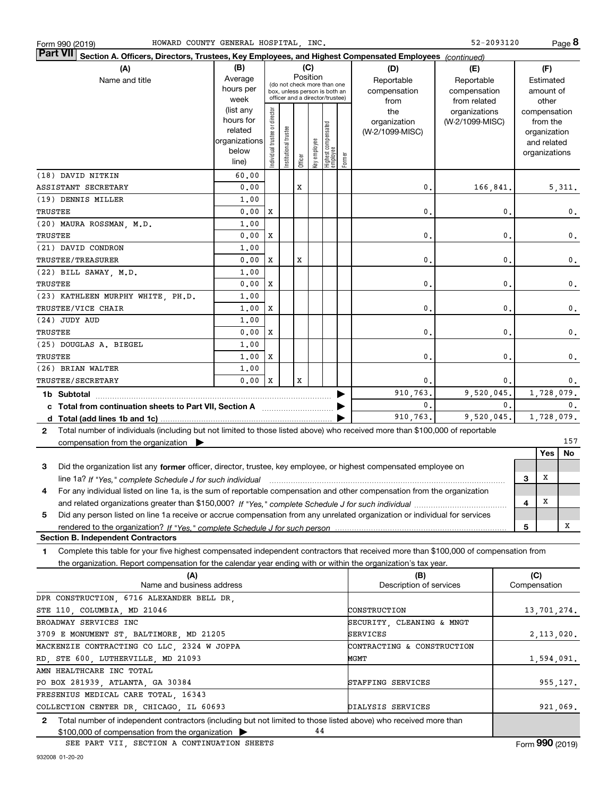| HOWARD COUNTY GENERAL HOSPITAL, INC.<br>Form 990 (2019)                                                                                              |                                                                                                        |                               |                      |         |                 |                                                                                                 |        |                                                | 52-2093120                                       |    |                                                                                   | Page 8           |
|------------------------------------------------------------------------------------------------------------------------------------------------------|--------------------------------------------------------------------------------------------------------|-------------------------------|----------------------|---------|-----------------|-------------------------------------------------------------------------------------------------|--------|------------------------------------------------|--------------------------------------------------|----|-----------------------------------------------------------------------------------|------------------|
| <b>Part VII</b>                                                                                                                                      | Section A. Officers, Directors, Trustees, Key Employees, and Highest Compensated Employees (continued) |                               |                      |         |                 |                                                                                                 |        |                                                |                                                  |    |                                                                                   |                  |
| (A)<br>Name and title                                                                                                                                | (B)<br>Average<br>hours per<br>week                                                                    |                               |                      |         | (C)<br>Position | (do not check more than one<br>box, unless person is both an<br>officer and a director/trustee) |        | (D)<br>Reportable<br>compensation              | (E)<br>Reportable<br>compensation                |    | (F)<br>Estimated<br>amount of                                                     |                  |
|                                                                                                                                                      | (list any<br>hours for<br>related<br>organizations<br>below<br>line)                                   | ndividual trustee or director | nstitutional trustee | Officer | (ey employee    | Highest compensated<br>employee                                                                 | Former | from<br>the<br>organization<br>(W-2/1099-MISC) | from related<br>organizations<br>(W-2/1099-MISC) |    | other<br>compensation<br>from the<br>organization<br>and related<br>organizations |                  |
| (18) DAVID NITKIN                                                                                                                                    | 60.00                                                                                                  |                               |                      |         |                 |                                                                                                 |        |                                                |                                                  |    |                                                                                   |                  |
| ASSISTANT SECRETARY                                                                                                                                  | 0.00                                                                                                   |                               |                      | x       |                 |                                                                                                 |        | 0.                                             | 166,841.                                         |    |                                                                                   | 5, 311.          |
| (19) DENNIS MILLER<br>TRUSTEE                                                                                                                        | 1,00<br>0.00                                                                                           | X                             |                      |         |                 |                                                                                                 |        | 0.                                             |                                                  | 0. |                                                                                   | 0.               |
| (20) MAURA ROSSMAN, M.D.                                                                                                                             | 1,00                                                                                                   |                               |                      |         |                 |                                                                                                 |        |                                                |                                                  |    |                                                                                   |                  |
| TRUSTEE                                                                                                                                              | 0.00                                                                                                   | X                             |                      |         |                 |                                                                                                 |        | 0.                                             |                                                  | 0. |                                                                                   | 0.               |
| (21) DAVID CONDRON                                                                                                                                   | 1,00                                                                                                   |                               |                      |         |                 |                                                                                                 |        |                                                |                                                  |    |                                                                                   |                  |
| <b>TRUSTEE/TREASURER</b><br>(22) BILL SAWAY, M.D.                                                                                                    | 0.00<br>1,00                                                                                           | x                             |                      | x       |                 |                                                                                                 |        | 0.                                             |                                                  | 0. |                                                                                   | 0.               |
| TRUSTEE                                                                                                                                              | 0.00                                                                                                   | x                             |                      |         |                 |                                                                                                 |        | 0.                                             |                                                  | 0. |                                                                                   | 0.               |
| (23) KATHLEEN MURPHY WHITE, PH.D.                                                                                                                    | 1,00                                                                                                   |                               |                      |         |                 |                                                                                                 |        |                                                |                                                  |    |                                                                                   |                  |
| TRUSTEE/VICE CHAIR                                                                                                                                   | 1,00                                                                                                   | X                             |                      |         |                 |                                                                                                 |        | 0.                                             |                                                  | 0. |                                                                                   | 0.               |
| (24) JUDY AUD                                                                                                                                        | 1,00                                                                                                   |                               |                      |         |                 |                                                                                                 |        |                                                |                                                  |    |                                                                                   |                  |
| TRUSTEE                                                                                                                                              | 0.00                                                                                                   | X                             |                      |         |                 |                                                                                                 |        | 0.                                             |                                                  | 0. |                                                                                   | 0.               |
| (25) DOUGLAS A. BIEGEL                                                                                                                               | 1,00                                                                                                   |                               |                      |         |                 |                                                                                                 |        |                                                |                                                  |    |                                                                                   |                  |
| TRUSTEE                                                                                                                                              | 1,00                                                                                                   | X                             |                      |         |                 |                                                                                                 |        | 0.                                             |                                                  | 0. |                                                                                   | 0.               |
| (26) BRIAN WALTER                                                                                                                                    | 1.00                                                                                                   |                               |                      |         |                 |                                                                                                 |        |                                                |                                                  |    |                                                                                   |                  |
| <b>TRUSTEE/SECRETARY</b>                                                                                                                             | 0.00                                                                                                   | X                             |                      | x       |                 |                                                                                                 |        | 0.                                             |                                                  | 0. |                                                                                   | $0$ .            |
| 1b Subtotal                                                                                                                                          |                                                                                                        |                               |                      |         |                 |                                                                                                 | ▶      | 910,763.                                       | 9,520,045.                                       |    |                                                                                   | 1,728,079.       |
|                                                                                                                                                      |                                                                                                        |                               |                      |         |                 |                                                                                                 |        | 0.<br>910,763.                                 | 9,520,045.                                       | 0. |                                                                                   | 0.<br>1,728,079. |
| Total number of individuals (including but not limited to those listed above) who received more than \$100,000 of reportable<br>2                    |                                                                                                        |                               |                      |         |                 |                                                                                                 |        |                                                |                                                  |    |                                                                                   |                  |
| compensation from the organization $\blacktriangleright$                                                                                             |                                                                                                        |                               |                      |         |                 |                                                                                                 |        |                                                |                                                  |    |                                                                                   | 157              |
|                                                                                                                                                      |                                                                                                        |                               |                      |         |                 |                                                                                                 |        |                                                |                                                  |    | Yes                                                                               | No               |
| Did the organization list any former officer, director, trustee, key employee, or highest compensated employee on<br>3                               |                                                                                                        |                               |                      |         |                 |                                                                                                 |        |                                                |                                                  |    |                                                                                   |                  |
| line 1a? If "Yes," complete Schedule J for such individual manufactured contained and the line 1a? If "Yes," complete Schedule J for such individual |                                                                                                        |                               |                      |         |                 |                                                                                                 |        |                                                |                                                  |    | х<br>З                                                                            |                  |
| For any individual listed on line 1a, is the sum of reportable compensation and other compensation from the organization<br>4                        |                                                                                                        |                               |                      |         |                 |                                                                                                 |        |                                                |                                                  |    | х<br>4                                                                            |                  |
| Did any person listed on line 1a receive or accrue compensation from any unrelated organization or individual for services<br>5                      |                                                                                                        |                               |                      |         |                 |                                                                                                 |        |                                                |                                                  |    |                                                                                   |                  |
|                                                                                                                                                      |                                                                                                        |                               |                      |         |                 |                                                                                                 |        |                                                |                                                  |    | 5                                                                                 | х                |
| <b>Section B. Independent Contractors</b>                                                                                                            |                                                                                                        |                               |                      |         |                 |                                                                                                 |        |                                                |                                                  |    |                                                                                   |                  |
| Complete this table for your five highest compensated independent contractors that received more than \$100,000 of compensation from<br>1            |                                                                                                        |                               |                      |         |                 |                                                                                                 |        |                                                |                                                  |    |                                                                                   |                  |
| the organization. Report compensation for the calendar year ending with or within the organization's tax year.                                       |                                                                                                        |                               |                      |         |                 |                                                                                                 |        |                                                |                                                  |    |                                                                                   |                  |
| (A)<br>Name and business address                                                                                                                     |                                                                                                        |                               |                      |         |                 |                                                                                                 |        | (B)<br>Description of services                 |                                                  |    | (C)<br>Compensation                                                               |                  |
| DPR CONSTRUCTION, 6716 ALEXANDER BELL DR,                                                                                                            |                                                                                                        |                               |                      |         |                 |                                                                                                 |        |                                                |                                                  |    |                                                                                   |                  |
| STE 110, COLUMBIA, MD 21046                                                                                                                          |                                                                                                        |                               |                      |         |                 |                                                                                                 |        | CONSTRUCTION                                   |                                                  |    |                                                                                   | 13,701,274.      |
|                                                                                                                                                      | BROADWAY SERVICES INC<br>SECURITY, CLEANING & MNGT                                                     |                               |                      |         |                 |                                                                                                 |        |                                                |                                                  |    |                                                                                   |                  |
| 3709 E MONUMENT ST, BALTIMORE, MD 21205<br>SERVICES<br>2,113,020.<br>MACKENZIE CONTRACTING CO LLC, 2324 W JOPPA<br>CONTRACTING & CONSTRUCTION        |                                                                                                        |                               |                      |         |                 |                                                                                                 |        |                                                |                                                  |    |                                                                                   |                  |
| RD, STE 600, LUTHERVILLE, MD 21093<br>MGMT<br>1,594,091.                                                                                             |                                                                                                        |                               |                      |         |                 |                                                                                                 |        |                                                |                                                  |    |                                                                                   |                  |
| AMN HEALTHCARE INC TOTAL                                                                                                                             |                                                                                                        |                               |                      |         |                 |                                                                                                 |        |                                                |                                                  |    |                                                                                   |                  |
| PO BOX 281939, ATLANTA, GA 30384                                                                                                                     |                                                                                                        |                               |                      |         |                 |                                                                                                 |        | STAFFING SERVICES                              |                                                  |    |                                                                                   | 955,127.         |
| FRESENIUS MEDICAL CARE TOTAL, 16343                                                                                                                  |                                                                                                        |                               |                      |         |                 |                                                                                                 |        |                                                |                                                  |    |                                                                                   |                  |
| COLLECTION CENTER DR, CHICAGO, IL 60693                                                                                                              |                                                                                                        |                               |                      |         |                 |                                                                                                 |        | DIALYSIS SERVICES                              |                                                  |    |                                                                                   | 921,069.         |
| Total number of independent contractors (including but not limited to those listed above) who received more than<br>$\mathbf{2}$                     |                                                                                                        |                               |                      |         | 44              |                                                                                                 |        |                                                |                                                  |    |                                                                                   |                  |
| \$100,000 of compensation from the organization $\blacktriangleright$                                                                                |                                                                                                        |                               |                      |         |                 |                                                                                                 |        |                                                |                                                  |    |                                                                                   |                  |

\$100,000 of compensation from the organization  $\blacktriangleright$ SEE PART VII, SECTION A CONTINUATION SHEETS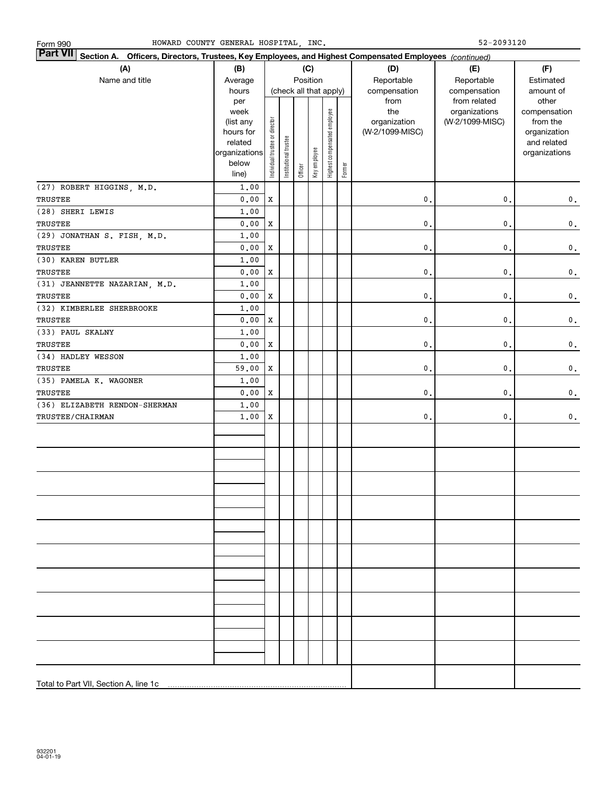| HOWARD COUNTY GENERAL HOSPITAL, INC.<br>Form 990                                                                          |                                                                                     |                                |                       |         |                                           |                              |        |                                                | 52-2093120                                       |                                                                                   |
|---------------------------------------------------------------------------------------------------------------------------|-------------------------------------------------------------------------------------|--------------------------------|-----------------------|---------|-------------------------------------------|------------------------------|--------|------------------------------------------------|--------------------------------------------------|-----------------------------------------------------------------------------------|
| <b>Part VII</b><br>Section A. Officers, Directors, Trustees, Key Employees, and Highest Compensated Employees (continued) |                                                                                     |                                |                       |         |                                           |                              |        |                                                |                                                  |                                                                                   |
| (A)<br>Name and title                                                                                                     | (B)<br>Average<br>hours                                                             |                                |                       |         | (C)<br>Position<br>(check all that apply) |                              |        | (D)<br>Reportable<br>compensation              | (E)<br>Reportable<br>compensation                | (F)<br>Estimated<br>amount of                                                     |
|                                                                                                                           | per<br>week<br>(list any<br>hours for<br>related<br>organizations<br>below<br>line) | Individual trustee or director | Institutional trustee | Officer | Key employee                              | Highest compensated employee | Former | from<br>the<br>organization<br>(W-2/1099-MISC) | from related<br>organizations<br>(W-2/1099-MISC) | other<br>compensation<br>from the<br>organization<br>and related<br>organizations |
| (27) ROBERT HIGGINS, M.D.                                                                                                 | 1.00                                                                                |                                |                       |         |                                           |                              |        |                                                |                                                  |                                                                                   |
| TRUSTEE                                                                                                                   | 0.00                                                                                | X                              |                       |         |                                           |                              |        | $\mathbf{0}$ .                                 | $\mathbf 0$ .                                    | $\mathbf 0$ .                                                                     |
| (28) SHERI LEWIS                                                                                                          | 1.00                                                                                |                                |                       |         |                                           |                              |        |                                                |                                                  |                                                                                   |
| TRUSTEE                                                                                                                   | 0.00<br>1.00                                                                        | X                              |                       |         |                                           |                              |        | $\mathbf{0}$ .                                 | $\mathbf 0$ .                                    | $\mathbf 0$ .                                                                     |
| (29) JONATHAN S. FISH, M.D.<br>TRUSTEE                                                                                    | 0.00                                                                                | X                              |                       |         |                                           |                              |        | $\mathbf{0}$ .                                 | $\mathbf 0$ .                                    | $\mathbf 0$ .                                                                     |
| (30) KAREN BUTLER                                                                                                         | 1.00                                                                                |                                |                       |         |                                           |                              |        |                                                |                                                  |                                                                                   |
| TRUSTEE                                                                                                                   | 0.00                                                                                | X                              |                       |         |                                           |                              |        | $\mathbf{0}$ .                                 | $\mathbf 0$ .                                    | $\mathbf 0$ .                                                                     |
| (31) JEANNETTE NAZARIAN, M.D.                                                                                             | 1.00                                                                                |                                |                       |         |                                           |                              |        |                                                |                                                  |                                                                                   |
| TRUSTEE                                                                                                                   | 0.00                                                                                | X                              |                       |         |                                           |                              |        | $\mathbf{0}$ .                                 | $\mathbf 0$ .                                    | $\mathbf 0$ .                                                                     |
| (32) KIMBERLEE SHERBROOKE                                                                                                 | 1.00                                                                                |                                |                       |         |                                           |                              |        |                                                |                                                  |                                                                                   |
| TRUSTEE                                                                                                                   | 0.00                                                                                | X                              |                       |         |                                           |                              |        | $\mathbf{0}$ .                                 | $\mathbf 0$ .                                    | $\mathbf 0$ .                                                                     |
| (33) PAUL SKALNY                                                                                                          | 1.00                                                                                |                                |                       |         |                                           |                              |        |                                                |                                                  |                                                                                   |
| TRUSTEE                                                                                                                   | 0.00                                                                                | X                              |                       |         |                                           |                              |        | $\mathbf{0}$ .                                 | $\mathsf{0}\,.$                                  | $\mathbf 0$ .                                                                     |
| (34) HADLEY WESSON                                                                                                        | 1.00                                                                                |                                |                       |         |                                           |                              |        |                                                |                                                  |                                                                                   |
| TRUSTEE                                                                                                                   | 59.00                                                                               | x                              |                       |         |                                           |                              |        | $\mathbf{0}$ .                                 | $\mathbf 0$ .                                    | $\mathbf 0$ .                                                                     |
| (35) PAMELA K. WAGONER                                                                                                    | 1.00                                                                                |                                |                       |         |                                           |                              |        |                                                |                                                  |                                                                                   |
| TRUSTEE                                                                                                                   | 0.00                                                                                | X                              |                       |         |                                           |                              |        | $\mathbf{0}$ .                                 | 0.                                               | $\mathbf 0$ .                                                                     |
| (36) ELIZABETH RENDON-SHERMAN                                                                                             | 1.00                                                                                |                                |                       |         |                                           |                              |        |                                                |                                                  |                                                                                   |
| <b>TRUSTEE/CHAIRMAN</b>                                                                                                   | 1.00                                                                                | x                              |                       |         |                                           |                              |        | $\mathbf{0}$ .                                 | $\mathbf 0$ .                                    | $\mathbf 0$ .                                                                     |
|                                                                                                                           |                                                                                     |                                |                       |         |                                           |                              |        |                                                |                                                  |                                                                                   |
|                                                                                                                           |                                                                                     |                                |                       |         |                                           |                              |        |                                                |                                                  |                                                                                   |
|                                                                                                                           |                                                                                     |                                |                       |         |                                           |                              |        |                                                |                                                  |                                                                                   |
|                                                                                                                           |                                                                                     |                                |                       |         |                                           |                              |        |                                                |                                                  |                                                                                   |
|                                                                                                                           |                                                                                     |                                |                       |         |                                           |                              |        |                                                |                                                  |                                                                                   |
|                                                                                                                           |                                                                                     |                                |                       |         |                                           |                              |        |                                                |                                                  |                                                                                   |
|                                                                                                                           |                                                                                     |                                |                       |         |                                           |                              |        |                                                |                                                  |                                                                                   |
|                                                                                                                           |                                                                                     |                                |                       |         |                                           |                              |        |                                                |                                                  |                                                                                   |
|                                                                                                                           |                                                                                     |                                |                       |         |                                           |                              |        |                                                |                                                  |                                                                                   |
|                                                                                                                           |                                                                                     |                                |                       |         |                                           |                              |        |                                                |                                                  |                                                                                   |
|                                                                                                                           |                                                                                     |                                |                       |         |                                           |                              |        |                                                |                                                  |                                                                                   |
|                                                                                                                           |                                                                                     |                                |                       |         |                                           |                              |        |                                                |                                                  |                                                                                   |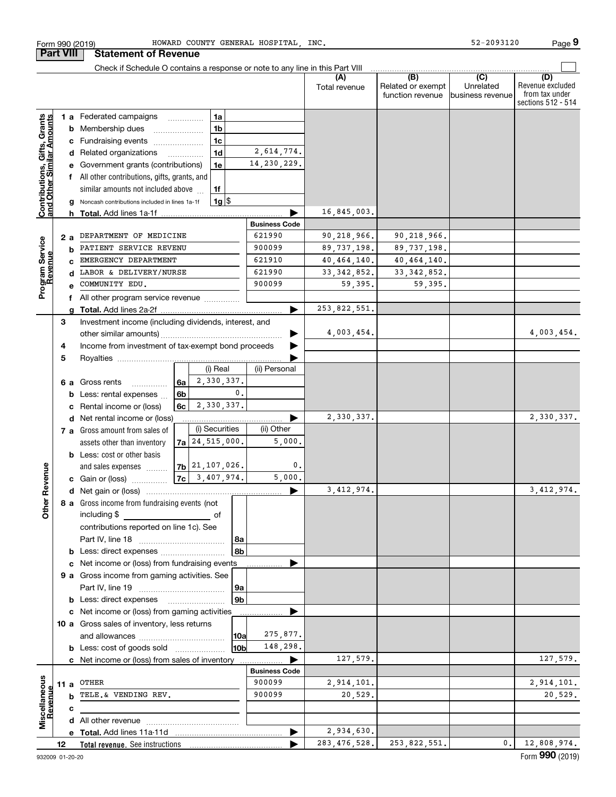|                                                           |      | Check if Schedule O contains a response or note to any line in this Part VIII                     |                      |                |                                              |                                      |                                                                 |
|-----------------------------------------------------------|------|---------------------------------------------------------------------------------------------------|----------------------|----------------|----------------------------------------------|--------------------------------------|-----------------------------------------------------------------|
|                                                           |      |                                                                                                   |                      | Total revenue  | (B)<br>Related or exempt<br>function revenue | (C)<br>Unrelated<br>business revenue | (D)<br>Revenue excluded<br>from tax under<br>sections 512 - 514 |
|                                                           |      | 1 a Federated campaigns<br>1a                                                                     |                      |                |                                              |                                      |                                                                 |
|                                                           |      | 1 <sub>b</sub><br>Membership dues<br>b                                                            |                      |                |                                              |                                      |                                                                 |
|                                                           |      | Fundraising events<br>1c<br>с                                                                     |                      |                |                                              |                                      |                                                                 |
|                                                           |      | 1 <sub>d</sub><br>d Related organizations<br>$\overline{\phantom{a}}$                             | 2,614,774.           |                |                                              |                                      |                                                                 |
|                                                           |      | Government grants (contributions)<br>1e                                                           | 14, 230, 229.        |                |                                              |                                      |                                                                 |
|                                                           |      | f All other contributions, gifts, grants, and                                                     |                      |                |                                              |                                      |                                                                 |
|                                                           |      | similar amounts not included above<br>1f                                                          |                      |                |                                              |                                      |                                                                 |
|                                                           |      | $1g$ $\frac{1}{3}$<br>Noncash contributions included in lines 1a-1f<br>g                          |                      |                |                                              |                                      |                                                                 |
| Contributions, Gifts, Grants<br>and Other Similar Amounts |      | h Total. Add lines 1a-1f                                                                          |                      | 16,845,003.    |                                              |                                      |                                                                 |
|                                                           |      |                                                                                                   | <b>Business Code</b> |                |                                              |                                      |                                                                 |
|                                                           | 2 a  | DEPARTMENT OF MEDICINE                                                                            | 621990               | 90,218,966.    | 90,218,966.                                  |                                      |                                                                 |
|                                                           |      | PATIENT SERVICE REVENU<br>b                                                                       | 900099               | 89, 737, 198.  | 89, 737, 198.                                |                                      |                                                                 |
|                                                           |      | EMERGENCY DEPARTMENT                                                                              | 621910               | 40, 464, 140.  | 40,464,140.                                  |                                      |                                                                 |
| Program Service<br>Revenue                                |      | LABOR & DELIVERY/NURSE<br>d                                                                       | 621990               | 33, 342, 852.  | 33, 342, 852.                                |                                      |                                                                 |
|                                                           |      | COMMUNITY EDU.                                                                                    | 900099               | 59,395.        | 59,395.                                      |                                      |                                                                 |
|                                                           | f    | All other program service revenue                                                                 |                      |                |                                              |                                      |                                                                 |
|                                                           |      | a                                                                                                 |                      | 253,822,551.   |                                              |                                      |                                                                 |
|                                                           | 3    | Investment income (including dividends, interest, and                                             |                      |                |                                              |                                      |                                                                 |
|                                                           |      |                                                                                                   |                      | 4,003,454.     |                                              |                                      | 4,003,454.                                                      |
|                                                           | 4    | Income from investment of tax-exempt bond proceeds                                                |                      |                |                                              |                                      |                                                                 |
|                                                           | 5    |                                                                                                   |                      |                |                                              |                                      |                                                                 |
|                                                           |      | (i) Real                                                                                          | (ii) Personal        |                |                                              |                                      |                                                                 |
|                                                           | 6а   | 2,330,337.<br>6a<br>Gross rents                                                                   |                      |                |                                              |                                      |                                                                 |
|                                                           |      | 6b<br>Less: rental expenses                                                                       | $\mathbf{0}$ .       |                |                                              |                                      |                                                                 |
|                                                           |      | 2,330,337.<br>6c<br>Rental income or (loss)                                                       |                      |                |                                              |                                      |                                                                 |
|                                                           |      | Net rental income or (loss)<br>d                                                                  |                      | 2,330,337.     |                                              |                                      | 2,330,337.                                                      |
|                                                           |      | (i) Securities<br>7 a Gross amount from sales of                                                  | (ii) Other           |                |                                              |                                      |                                                                 |
|                                                           |      | $7a$ 24, 515, 000.<br>assets other than inventory                                                 | 5,000.               |                |                                              |                                      |                                                                 |
|                                                           |      | <b>b</b> Less: cost or other basis                                                                |                      |                |                                              |                                      |                                                                 |
| ther Revenue                                              |      | 7b 21, 107, 026.<br>and sales expenses                                                            | 0.                   |                |                                              |                                      |                                                                 |
|                                                           |      | $7c \mid 3,407,974.$<br><b>c</b> Gain or (loss) $\ldots$                                          | 5,000.               |                |                                              |                                      |                                                                 |
|                                                           |      |                                                                                                   |                      | 3, 412, 974.   |                                              |                                      | 3, 412, 974.                                                    |
|                                                           |      | 8 a Gross income from fundraising events (not                                                     |                      |                |                                              |                                      |                                                                 |
| 0                                                         |      | including \$<br><u> 1980 - Johann Barbara, martxa al</u><br>оt                                    |                      |                |                                              |                                      |                                                                 |
|                                                           |      | contributions reported on line 1c). See                                                           |                      |                |                                              |                                      |                                                                 |
|                                                           |      |                                                                                                   | l 8a                 |                |                                              |                                      |                                                                 |
|                                                           |      | Less: direct expenses<br>b                                                                        | 8b                   |                |                                              |                                      |                                                                 |
|                                                           |      | Net income or (loss) from fundraising events<br>с<br>9 a Gross income from gaming activities. See |                      |                |                                              |                                      |                                                                 |
|                                                           |      |                                                                                                   | 9a                   |                |                                              |                                      |                                                                 |
|                                                           |      | b                                                                                                 | 9 <sub>b</sub>       |                |                                              |                                      |                                                                 |
|                                                           |      | Net income or (loss) from gaming activities<br>с                                                  |                      |                |                                              |                                      |                                                                 |
|                                                           |      | 10 a Gross sales of inventory, less returns                                                       |                      |                |                                              |                                      |                                                                 |
|                                                           |      |                                                                                                   | 275,877.<br>10a      |                |                                              |                                      |                                                                 |
|                                                           |      | <b>b</b> Less: cost of goods sold                                                                 | 148,298.<br>10b      |                |                                              |                                      |                                                                 |
|                                                           |      | c Net income or (loss) from sales of inventory                                                    |                      | 127,579.       |                                              |                                      | 127,579.                                                        |
|                                                           |      |                                                                                                   | <b>Business Code</b> |                |                                              |                                      |                                                                 |
| Miscellaneous<br>Revenue                                  | 11 a | OTHER                                                                                             | 900099               | 2,914,101.     |                                              |                                      | 2,914,101.                                                      |
|                                                           |      | TELE.& VENDING REV.<br>b                                                                          | 900099               | 20,529.        |                                              |                                      | 20,529.                                                         |
|                                                           |      | с                                                                                                 |                      |                |                                              |                                      |                                                                 |
|                                                           |      |                                                                                                   |                      |                |                                              |                                      |                                                                 |
|                                                           |      |                                                                                                   |                      | 2,934,630.     |                                              |                                      |                                                                 |
|                                                           | 12   | Total revenue. See instructions                                                                   |                      | 283, 476, 528. | 253,822,551.                                 | $\mathbf{0}$ .                       | 12,808,974.                                                     |

Form 990 (2019) Page

HOWARD COUNTY GENERAL HOSPITAL, INC. 52-2093120

**Part VIII Statement of Revenue**

**9**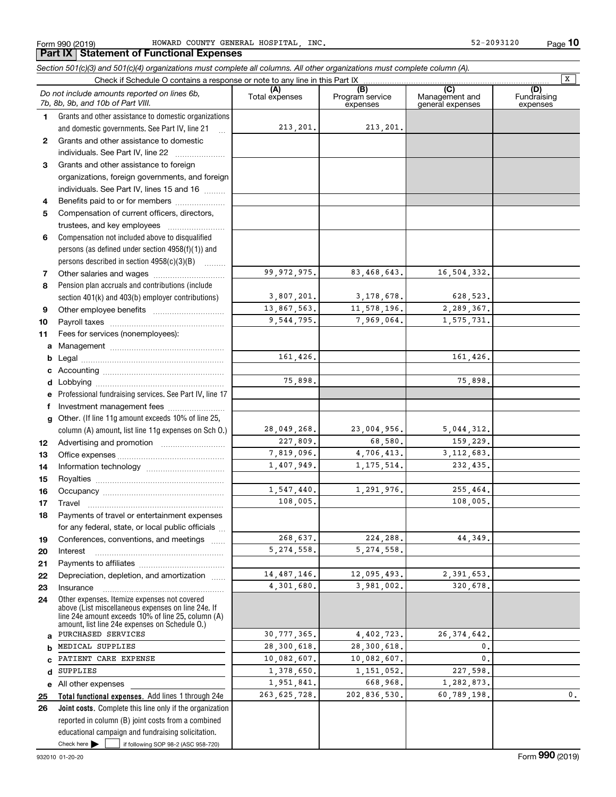Form 990 (2019) HOWARD COUNTY GENERAL HOSPITAL, INC. 52-2093120 Page

**10**

#### **Total functional expenses.**  Add lines 1 through 24e **(A)**<br>Total expenses **(B) (C) (D) 123** Grants and other assistance to foreign **456** Compensation not included above to disqualified **7891011abcdefg12131415161718192021222324abcde25***Section 501(c)(3) and 501(c)(4) organizations must complete all columns. All other organizations must complete column (A).* Grants and other assistance to domestic organizations and domestic governments. See Part IV, line 21 persons (as defined under section 4958(f)(1)) and persons described in section 4958(c)(3)(B)  $\quad \ldots \ldots \ldots$ Pension plan accruals and contributions (include section 401(k) and 403(b) employer contributions) Professional fundraising services. See Part IV, line 17 Other. (If line 11g amount exceeds 10% of line 25, column (A) amount, list line 11g expenses on Sch O.) Other expenses. Itemize expenses not covered above (List miscellaneous expenses on line 24e. If line 24e amount exceeds 10% of line 25, column (A) amount, list line 24e expenses on Schedule O.) Check if Schedule O contains a response or note to any line in this Part IX (C) (C) (C) (C) (C) (C) Program service expensesManagement and general expenses Fundraising expensesGrants and other assistance to domestic individuals. See Part IV, line 22 ~~~~~~~ organizations, foreign governments, and foreign individuals. See Part IV, lines 15 and 16  $\ldots$ Benefits paid to or for members .................... Compensation of current officers, directors, trustees, and key employees  $\ldots$   $\ldots$   $\ldots$   $\ldots$ Other salaries and wages ~~~~~~~~~~ Other employee benefits ~~~~~~~~~~ Payroll taxes ~~~~~~~~~~~~~~~~ Fees for services (nonemployees): Management ~~~~~~~~~~~~~~~~ Legal ~~~~~~~~~~~~~~~~~~~~Accounting ~~~~~~~~~~~~~~~~~ Lobbying ~~~~~~~~~~~~~~~~~~ lnvestment management fees ....................... Advertising and promotion \_\_\_\_\_\_\_\_\_\_\_\_\_\_\_\_\_\_\_ Office expenses ~~~~~~~~~~~~~~~ Information technology ~~~~~~~~~~~ Royalties ~~~~~~~~~~~~~~~~~~ Occupancy ~~~~~~~~~~~~~~~~~ Travel ……………………………………………… Payments of travel or entertainment expenses for any federal, state, or local public officials ... Conferences, conventions, and meetings Interest Payments to affiliates ~~~~~~~~~~~~ Depreciation, depletion, and amortization  $\,\,\ldots\,\,$ Insurance~~~~~~~~~~~~~~~~~All other expenses *Do not include amounts reported on lines 6b, 7b, 8b, 9b, and 10b of Part VIII.* **Part IX Statement of Functional Expenses**  $\boxed{\mathbf{X}}$ 213,201. 99,972,975. 3,807,201. 13,867,563. 9,544,795. 161,426. 75,898. 28,049,268. 227,809. 7,819,096. 1,407,949. 1,547,440. 108,005. 268,637. 5,274,558. 14,487,146. 4,301,680. 30,777,365. 28,300,618. 10,082,607. 1,378,650. 1,951,841. 263,625,728. 213,201. 83,468,643. 16,504,332. 3,178,678. 628,523. 11,578,196. 2,289,367. 7,969,064. 1,575,731. 161,426. 75,898. 23,004,956. 5,044,312. 68,580. 159,229. 4,706,413. 3,112,683. 1,175,514. 232,435. 1,291,976. 255,464. 108,005. 224,288. 44,349. 5,274,558. 12,095,493. 2,391,653. 3,981,002. 320,678. 4,402,723. 26,374,642. 28,300,618. 0. 10,082,607. 0. 1,151,052. 227,598. 668,968. 1,282,873. 202,836,530. 60,789,198. 0. PURCHASED SERVICES MEDICAL SUPPLIES PATIENT CARE EXPENSE **SUPPLIES**

Check here  $\bullet$  if following SOP 98-2 (ASC 958-720) **Joint costs.** Complete this line only if the organization **26**reported in column (B) joint costs from a combined educational campaign and fundraising solicitation. Check here  $\blacktriangleright$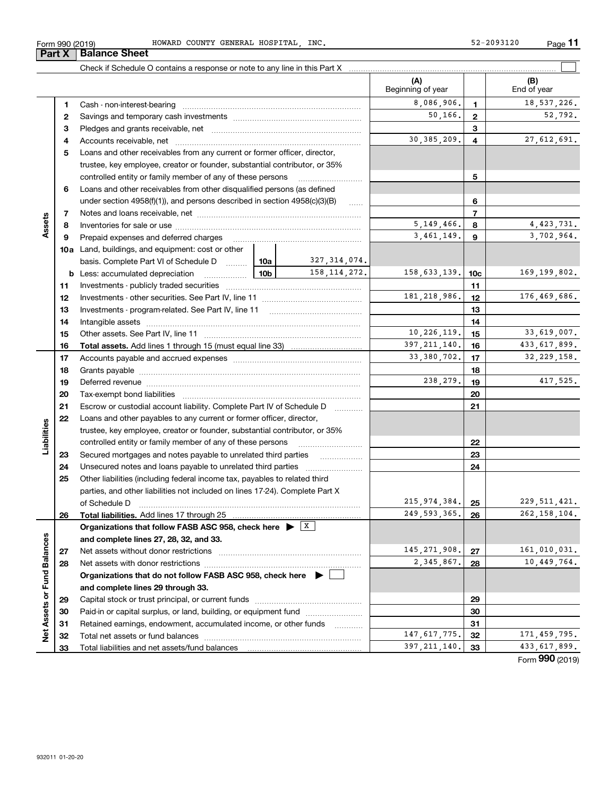| 2093120<br><b>TNO</b><br>HOSPITAL<br>HOWARD<br>COUNTY<br>GENERAI<br>$ \sim$<br>990 (2019)<br>∴orm<br>ے ر<br>ᅩᡗ | Page |  |
|----------------------------------------------------------------------------------------------------------------|------|--|
|----------------------------------------------------------------------------------------------------------------|------|--|



|                             |    |                                                                                            |                |                | (A)<br>Beginning of year |               | (B)<br>End of year |
|-----------------------------|----|--------------------------------------------------------------------------------------------|----------------|----------------|--------------------------|---------------|--------------------|
|                             | 1. |                                                                                            |                |                | 8,086,906.               | 1.            | 18,537,226.        |
|                             | 2  |                                                                                            |                | 50, 166.       | $\mathbf{2}$             | 52,792.       |                    |
|                             | з  |                                                                                            |                | 3              |                          |               |                    |
|                             | 4  |                                                                                            |                |                | 30, 385, 209.            | 4             | 27,612,691.        |
|                             | 5  | Loans and other receivables from any current or former officer, director,                  |                |                |                          |               |                    |
|                             |    | trustee, key employee, creator or founder, substantial contributor, or 35%                 |                |                |                          |               |                    |
|                             |    | controlled entity or family member of any of these persons                                 |                |                |                          | 5             |                    |
|                             | 6  | Loans and other receivables from other disqualified persons (as defined                    |                |                |                          |               |                    |
|                             |    | under section $4958(f)(1)$ , and persons described in section $4958(c)(3)(B)$              |                |                |                          | 6             |                    |
|                             | 7  |                                                                                            |                |                |                          | 7             |                    |
| Assets                      | 8  |                                                                                            |                |                | 5, 149, 466.             | 8             | 4,423,731.         |
|                             | 9  | Prepaid expenses and deferred charges                                                      |                |                | 3,461,149.               | 9             | 3,702,964.         |
|                             |    | <b>10a</b> Land, buildings, and equipment: cost or other                                   |                |                |                          |               |                    |
|                             |    | basis. Complete Part VI of Schedule D  10a                                                 |                | 327, 314, 074. |                          |               |                    |
|                             |    | <b>b</b> Less: accumulated depreciation <b>contains a large 10b</b>                        |                | 158, 114, 272. | 158,633,139.             | 10c           | 169,199,802.       |
|                             | 11 |                                                                                            |                |                |                          | 11            |                    |
|                             | 12 |                                                                                            |                |                | 181, 218, 986.           | 12            | 176,469,686.       |
|                             | 13 | Investments - program-related. See Part IV, line 11                                        |                |                |                          | 13            |                    |
|                             | 14 |                                                                                            |                |                |                          | 14            |                    |
|                             | 15 |                                                                                            |                |                | 10,226,119.              | 15            | 33,619,007.        |
|                             | 16 |                                                                                            | 397, 211, 140. | 16             | 433, 617, 899.           |               |                    |
|                             | 17 |                                                                                            |                | 33, 380, 702.  | 17                       | 32, 229, 158. |                    |
|                             | 18 |                                                                                            |                |                |                          | 18            |                    |
|                             | 19 |                                                                                            |                |                | 238,279.                 | 19            | 417,525.           |
|                             | 20 |                                                                                            |                |                |                          | 20            |                    |
|                             | 21 | Escrow or custodial account liability. Complete Part IV of Schedule D                      |                | .              |                          | 21            |                    |
|                             | 22 | Loans and other payables to any current or former officer, director,                       |                |                |                          |               |                    |
| Liabilities                 |    | trustee, key employee, creator or founder, substantial contributor, or 35%                 |                |                |                          |               |                    |
|                             |    | controlled entity or family member of any of these persons                                 |                |                |                          | 22            |                    |
|                             | 23 | Secured mortgages and notes payable to unrelated third parties                             |                | .              |                          | 23            |                    |
|                             | 24 |                                                                                            |                |                |                          | 24            |                    |
|                             | 25 | Other liabilities (including federal income tax, payables to related third                 |                |                |                          |               |                    |
|                             |    | parties, and other liabilities not included on lines 17-24). Complete Part X               |                |                |                          |               |                    |
|                             |    | of Schedule D                                                                              |                |                | 215,974,384.             | 25            | 229, 511, 421.     |
|                             | 26 | Total liabilities. Add lines 17 through 25                                                 |                |                | 249,593,365.             | 26            | 262, 158, 104.     |
|                             |    | Organizations that follow FASB ASC 958, check here $\blacktriangleright \lfloor X \rfloor$ |                |                |                          |               |                    |
|                             |    | and complete lines 27, 28, 32, and 33.                                                     |                |                |                          |               |                    |
|                             | 27 | Net assets without donor restrictions                                                      | 145, 271, 908. | 27             | 161,010,031.             |               |                    |
|                             | 28 |                                                                                            |                |                | 2,345,867.               | 28            | 10,449,764.        |
|                             |    | Organizations that do not follow FASB ASC 958, check here $\blacktriangleright$            |                |                |                          |               |                    |
|                             |    | and complete lines 29 through 33.                                                          |                |                |                          |               |                    |
|                             | 29 |                                                                                            |                |                |                          | 29            |                    |
|                             | 30 | Paid-in or capital surplus, or land, building, or equipment fund                           |                |                |                          | 30            |                    |
| Net Assets or Fund Balances | 31 | Retained earnings, endowment, accumulated income, or other funds                           |                | .              |                          | 31            |                    |
|                             | 32 |                                                                                            |                |                | 147, 617, 775.           | 32            | 171,459,795.       |
|                             | 33 |                                                                                            |                |                | 397, 211, 140.           | 33            | 433,617,899.       |

Form (2019) **990**

## **Part X Balance Sheet**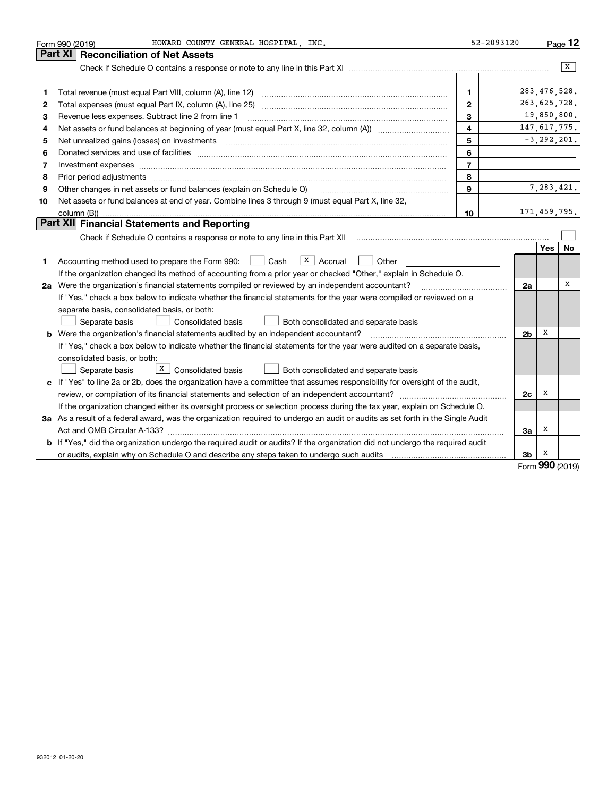|    | HOWARD COUNTY GENERAL HOSPITAL, INC.<br>Form 990 (2019)                                                                                                                                                                                                                                                                                                                                                                                                                 | 52-2093120              |                |             | Page 12         |
|----|-------------------------------------------------------------------------------------------------------------------------------------------------------------------------------------------------------------------------------------------------------------------------------------------------------------------------------------------------------------------------------------------------------------------------------------------------------------------------|-------------------------|----------------|-------------|-----------------|
|    | <b>Part XI</b><br><b>Reconciliation of Net Assets</b>                                                                                                                                                                                                                                                                                                                                                                                                                   |                         |                |             |                 |
|    |                                                                                                                                                                                                                                                                                                                                                                                                                                                                         |                         |                |             | x               |
|    |                                                                                                                                                                                                                                                                                                                                                                                                                                                                         |                         |                |             |                 |
| 1  | Total revenue (must equal Part VIII, column (A), line 12)                                                                                                                                                                                                                                                                                                                                                                                                               | $\mathbf{1}$            | 283, 476, 528. |             |                 |
| 2  |                                                                                                                                                                                                                                                                                                                                                                                                                                                                         | $\mathbf{2}$            | 263, 625, 728. |             |                 |
| 3  | Revenue less expenses. Subtract line 2 from line 1                                                                                                                                                                                                                                                                                                                                                                                                                      | 3                       |                | 19,850,800. |                 |
| 4  |                                                                                                                                                                                                                                                                                                                                                                                                                                                                         | $\overline{\mathbf{4}}$ |                |             | 147, 617, 775.  |
| 5  | Net unrealized gains (losses) on investments                                                                                                                                                                                                                                                                                                                                                                                                                            | 5                       |                |             | $-3, 292, 201.$ |
| 6  |                                                                                                                                                                                                                                                                                                                                                                                                                                                                         | 6                       |                |             |                 |
| 7  | Investment expenses www.communication.com/www.communication.com/www.communication.com/www.com                                                                                                                                                                                                                                                                                                                                                                           | $\overline{7}$          |                |             |                 |
| 8  | Prior period adjustments<br>$\begin{minipage}{0.5\textwidth} \begin{tabular}{ l l l } \hline \multicolumn{1}{ l l l } \hline \multicolumn{1}{ l l } \multicolumn{1}{ l } \multicolumn{1}{ l } \multicolumn{1}{ l } \multicolumn{1}{ l } \multicolumn{1}{ l } \multicolumn{1}{ l } \multicolumn{1}{ l } \multicolumn{1}{ l } \multicolumn{1}{ l } \multicolumn{1}{ l } \multicolumn{1}{ l } \multicolumn{1}{ l } \multicolumn{1}{ l } \multicolumn{1}{ l } \multicolumn$ | 8                       |                |             |                 |
| 9  | Other changes in net assets or fund balances (explain on Schedule O)                                                                                                                                                                                                                                                                                                                                                                                                    | 9                       |                |             | 7,283,421.      |
| 10 | Net assets or fund balances at end of year. Combine lines 3 through 9 (must equal Part X, line 32,                                                                                                                                                                                                                                                                                                                                                                      |                         |                |             |                 |
|    |                                                                                                                                                                                                                                                                                                                                                                                                                                                                         | 10                      | 171,459,795.   |             |                 |
|    | Part XII Financial Statements and Reporting                                                                                                                                                                                                                                                                                                                                                                                                                             |                         |                |             |                 |
|    |                                                                                                                                                                                                                                                                                                                                                                                                                                                                         |                         |                |             |                 |
|    |                                                                                                                                                                                                                                                                                                                                                                                                                                                                         |                         |                | Yes         | No              |
| 1  | $\overline{X}$ Accrual<br>Accounting method used to prepare the Form 990: [130] Cash<br>Other                                                                                                                                                                                                                                                                                                                                                                           |                         |                |             |                 |
|    | If the organization changed its method of accounting from a prior year or checked "Other," explain in Schedule O.                                                                                                                                                                                                                                                                                                                                                       |                         |                |             |                 |
|    | 2a Were the organization's financial statements compiled or reviewed by an independent accountant?                                                                                                                                                                                                                                                                                                                                                                      |                         | 2a             |             | х               |
|    | If "Yes," check a box below to indicate whether the financial statements for the year were compiled or reviewed on a                                                                                                                                                                                                                                                                                                                                                    |                         |                |             |                 |
|    | separate basis, consolidated basis, or both:                                                                                                                                                                                                                                                                                                                                                                                                                            |                         |                |             |                 |
|    | Separate basis<br>Consolidated basis<br>Both consolidated and separate basis                                                                                                                                                                                                                                                                                                                                                                                            |                         |                |             |                 |
|    | <b>b</b> Were the organization's financial statements audited by an independent accountant?                                                                                                                                                                                                                                                                                                                                                                             |                         | 2b             | х           |                 |
|    | If "Yes," check a box below to indicate whether the financial statements for the year were audited on a separate basis,                                                                                                                                                                                                                                                                                                                                                 |                         |                |             |                 |
|    | consolidated basis, or both:                                                                                                                                                                                                                                                                                                                                                                                                                                            |                         |                |             |                 |
|    | $X$ Consolidated basis<br>Separate basis<br>Both consolidated and separate basis                                                                                                                                                                                                                                                                                                                                                                                        |                         |                |             |                 |
|    | c If "Yes" to line 2a or 2b, does the organization have a committee that assumes responsibility for oversight of the audit,                                                                                                                                                                                                                                                                                                                                             |                         |                |             |                 |
|    |                                                                                                                                                                                                                                                                                                                                                                                                                                                                         |                         | 2c             | х           |                 |
|    | If the organization changed either its oversight process or selection process during the tax year, explain on Schedule O.                                                                                                                                                                                                                                                                                                                                               |                         |                |             |                 |
|    | 3a As a result of a federal award, was the organization required to undergo an audit or audits as set forth in the Single Audit                                                                                                                                                                                                                                                                                                                                         |                         |                |             |                 |
|    | Act and OMB Circular A-133?                                                                                                                                                                                                                                                                                                                                                                                                                                             |                         | 3a             | х           |                 |
|    | b If "Yes," did the organization undergo the required audit or audits? If the organization did not undergo the required audit                                                                                                                                                                                                                                                                                                                                           |                         |                |             |                 |
|    |                                                                                                                                                                                                                                                                                                                                                                                                                                                                         |                         | 3b             | х           |                 |

Form (2019) **990**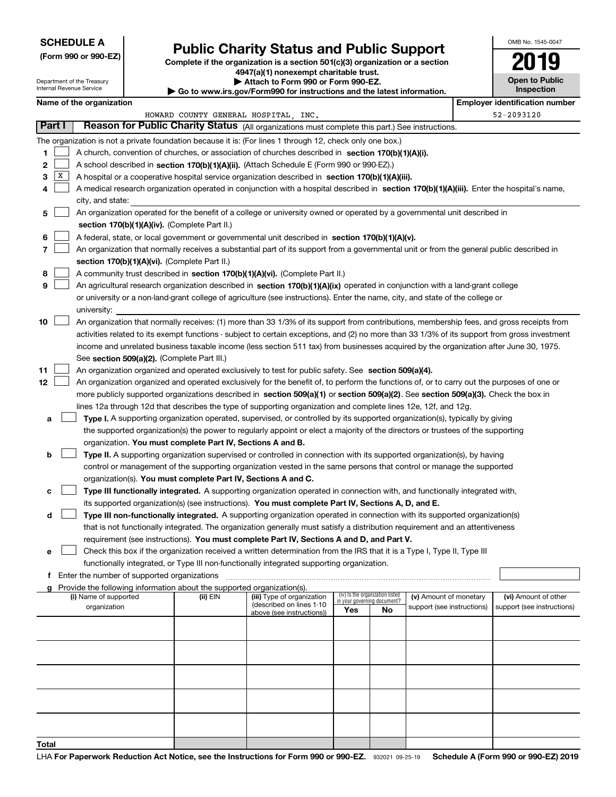### **SCHEDULE A**

Department of the Treasury Internal Revenue Service

**(Form 990 or 990-EZ)**

# **Public Charity Status and Public Support**

**Complete if the organization is a section 501(c)(3) organization or a section 4947(a)(1) nonexempt charitable trust. | Attach to Form 990 or Form 990-EZ.** 

| <b>P</b> AUGUI IV I VIIII 330 VI I VIIII 330-LL.                         |  |
|--------------------------------------------------------------------------|--|
| ► Go to www.irs.gov/Form990 for instructions and the latest information. |  |
|                                                                          |  |

| <b>Open to Public</b><br>Inspection |
|-------------------------------------|

OMB No. 1545-0047

|        | Name of the organization<br><b>Employer identification number</b>                                                                       |                                                                                                                                               |          |                            |     |                                   |                            |            |                            |
|--------|-----------------------------------------------------------------------------------------------------------------------------------------|-----------------------------------------------------------------------------------------------------------------------------------------------|----------|----------------------------|-----|-----------------------------------|----------------------------|------------|----------------------------|
|        | HOWARD COUNTY GENERAL HOSPITAL, INC.<br>Reason for Public Charity Status (All organizations must complete this part.) See instructions. |                                                                                                                                               |          |                            |     |                                   |                            | 52-2093120 |                            |
| Part I |                                                                                                                                         |                                                                                                                                               |          |                            |     |                                   |                            |            |                            |
|        |                                                                                                                                         | The organization is not a private foundation because it is: (For lines 1 through 12, check only one box.)                                     |          |                            |     |                                   |                            |            |                            |
| 1      |                                                                                                                                         | A church, convention of churches, or association of churches described in section 170(b)(1)(A)(i).                                            |          |                            |     |                                   |                            |            |                            |
| 2      |                                                                                                                                         | A school described in section 170(b)(1)(A)(ii). (Attach Schedule E (Form 990 or 990-EZ).)                                                     |          |                            |     |                                   |                            |            |                            |
| 3      | X                                                                                                                                       | A hospital or a cooperative hospital service organization described in section 170(b)(1)(A)(iii).                                             |          |                            |     |                                   |                            |            |                            |
| 4      |                                                                                                                                         | A medical research organization operated in conjunction with a hospital described in section 170(b)(1)(A)(iii). Enter the hospital's name,    |          |                            |     |                                   |                            |            |                            |
|        |                                                                                                                                         | city, and state:                                                                                                                              |          |                            |     |                                   |                            |            |                            |
| 5      |                                                                                                                                         | An organization operated for the benefit of a college or university owned or operated by a governmental unit described in                     |          |                            |     |                                   |                            |            |                            |
|        |                                                                                                                                         | section 170(b)(1)(A)(iv). (Complete Part II.)                                                                                                 |          |                            |     |                                   |                            |            |                            |
| 6      |                                                                                                                                         | A federal, state, or local government or governmental unit described in section 170(b)(1)(A)(v).                                              |          |                            |     |                                   |                            |            |                            |
| 7      |                                                                                                                                         | An organization that normally receives a substantial part of its support from a governmental unit or from the general public described in     |          |                            |     |                                   |                            |            |                            |
|        |                                                                                                                                         | section 170(b)(1)(A)(vi). (Complete Part II.)                                                                                                 |          |                            |     |                                   |                            |            |                            |
| 8      |                                                                                                                                         | A community trust described in section 170(b)(1)(A)(vi). (Complete Part II.)                                                                  |          |                            |     |                                   |                            |            |                            |
| 9      |                                                                                                                                         | An agricultural research organization described in section 170(b)(1)(A)(ix) operated in conjunction with a land-grant college                 |          |                            |     |                                   |                            |            |                            |
|        |                                                                                                                                         | or university or a non-land-grant college of agriculture (see instructions). Enter the name, city, and state of the college or                |          |                            |     |                                   |                            |            |                            |
|        |                                                                                                                                         | university:                                                                                                                                   |          |                            |     |                                   |                            |            |                            |
| 10     |                                                                                                                                         | An organization that normally receives: (1) more than 33 1/3% of its support from contributions, membership fees, and gross receipts from     |          |                            |     |                                   |                            |            |                            |
|        |                                                                                                                                         | activities related to its exempt functions - subject to certain exceptions, and (2) no more than 33 1/3% of its support from gross investment |          |                            |     |                                   |                            |            |                            |
|        |                                                                                                                                         | income and unrelated business taxable income (less section 511 tax) from businesses acquired by the organization after June 30, 1975.         |          |                            |     |                                   |                            |            |                            |
|        |                                                                                                                                         | See section 509(a)(2). (Complete Part III.)                                                                                                   |          |                            |     |                                   |                            |            |                            |
| 11     |                                                                                                                                         | An organization organized and operated exclusively to test for public safety. See section 509(a)(4).                                          |          |                            |     |                                   |                            |            |                            |
| 12     |                                                                                                                                         | An organization organized and operated exclusively for the benefit of, to perform the functions of, or to carry out the purposes of one or    |          |                            |     |                                   |                            |            |                            |
|        |                                                                                                                                         | more publicly supported organizations described in section 509(a)(1) or section 509(a)(2). See section 509(a)(3). Check the box in            |          |                            |     |                                   |                            |            |                            |
|        |                                                                                                                                         | lines 12a through 12d that describes the type of supporting organization and complete lines 12e, 12f, and 12g.                                |          |                            |     |                                   |                            |            |                            |
| а      |                                                                                                                                         | Type I. A supporting organization operated, supervised, or controlled by its supported organization(s), typically by giving                   |          |                            |     |                                   |                            |            |                            |
|        |                                                                                                                                         | the supported organization(s) the power to regularly appoint or elect a majority of the directors or trustees of the supporting               |          |                            |     |                                   |                            |            |                            |
|        |                                                                                                                                         | organization. You must complete Part IV, Sections A and B.                                                                                    |          |                            |     |                                   |                            |            |                            |
| b      |                                                                                                                                         | Type II. A supporting organization supervised or controlled in connection with its supported organization(s), by having                       |          |                            |     |                                   |                            |            |                            |
|        |                                                                                                                                         | control or management of the supporting organization vested in the same persons that control or manage the supported                          |          |                            |     |                                   |                            |            |                            |
|        |                                                                                                                                         | organization(s). You must complete Part IV, Sections A and C.                                                                                 |          |                            |     |                                   |                            |            |                            |
|        |                                                                                                                                         | Type III functionally integrated. A supporting organization operated in connection with, and functionally integrated with,                    |          |                            |     |                                   |                            |            |                            |
|        |                                                                                                                                         | its supported organization(s) (see instructions). You must complete Part IV, Sections A, D, and E.                                            |          |                            |     |                                   |                            |            |                            |
| d      |                                                                                                                                         | Type III non-functionally integrated. A supporting organization operated in connection with its supported organization(s)                     |          |                            |     |                                   |                            |            |                            |
|        |                                                                                                                                         | that is not functionally integrated. The organization generally must satisfy a distribution requirement and an attentiveness                  |          |                            |     |                                   |                            |            |                            |
|        |                                                                                                                                         | requirement (see instructions). You must complete Part IV, Sections A and D, and Part V.                                                      |          |                            |     |                                   |                            |            |                            |
| е      |                                                                                                                                         | Check this box if the organization received a written determination from the IRS that it is a Type I, Type II, Type III                       |          |                            |     |                                   |                            |            |                            |
|        |                                                                                                                                         | functionally integrated, or Type III non-functionally integrated supporting organization.                                                     |          |                            |     |                                   |                            |            |                            |
|        |                                                                                                                                         | f Enter the number of supported organizations                                                                                                 |          |                            |     |                                   |                            |            |                            |
|        |                                                                                                                                         | g Provide the following information about the supported organization(s).<br>(i) Name of supported                                             | (ii) EIN | (iii) Type of organization |     | (iv) Is the organization listed   | (v) Amount of monetary     |            | (vi) Amount of other       |
|        |                                                                                                                                         | organization                                                                                                                                  |          | (described on lines 1-10   | Yes | in your governing document?<br>No | support (see instructions) |            | support (see instructions) |
|        |                                                                                                                                         |                                                                                                                                               |          | above (see instructions))  |     |                                   |                            |            |                            |
|        |                                                                                                                                         |                                                                                                                                               |          |                            |     |                                   |                            |            |                            |
|        |                                                                                                                                         |                                                                                                                                               |          |                            |     |                                   |                            |            |                            |
|        |                                                                                                                                         |                                                                                                                                               |          |                            |     |                                   |                            |            |                            |
|        |                                                                                                                                         |                                                                                                                                               |          |                            |     |                                   |                            |            |                            |
|        |                                                                                                                                         |                                                                                                                                               |          |                            |     |                                   |                            |            |                            |
|        |                                                                                                                                         |                                                                                                                                               |          |                            |     |                                   |                            |            |                            |
|        |                                                                                                                                         |                                                                                                                                               |          |                            |     |                                   |                            |            |                            |
|        |                                                                                                                                         |                                                                                                                                               |          |                            |     |                                   |                            |            |                            |
|        |                                                                                                                                         |                                                                                                                                               |          |                            |     |                                   |                            |            |                            |
| Total  |                                                                                                                                         |                                                                                                                                               |          |                            |     |                                   |                            |            |                            |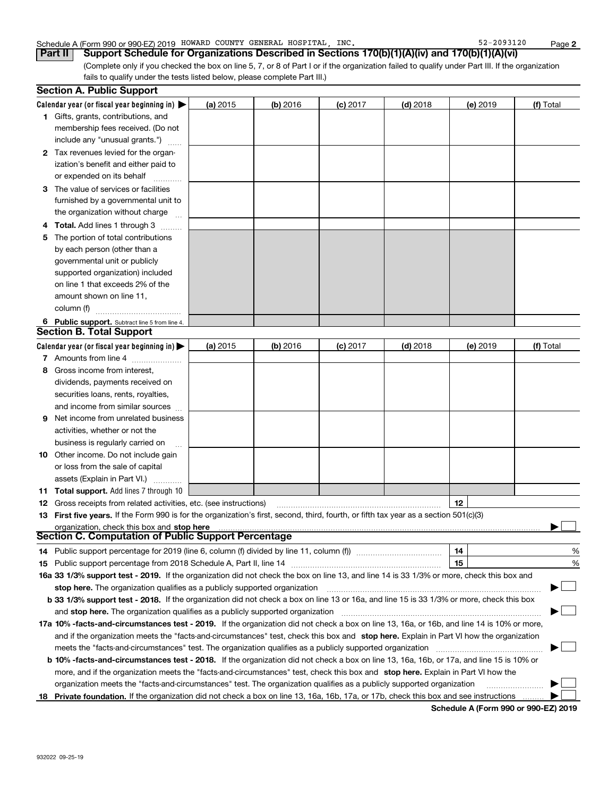#### Schedule A (Form 990 or 990-EZ) 2019 Page HOWARD COUNTY GENERAL HOSPITAL, INC. 52-2093120

(Complete only if you checked the box on line 5, 7, or 8 of Part I or if the organization failed to qualify under Part III. If the organization fails to qualify under the tests listed below, please complete Part III.) **Part II** | Support Schedule for Organizations Described in Sections 170(b)(1)(A)(iv) and 170(b)(1)(A)(vi)

|   | <b>Section A. Public Support</b>                                                                                                                                                                                               |            |            |            |            |          |           |
|---|--------------------------------------------------------------------------------------------------------------------------------------------------------------------------------------------------------------------------------|------------|------------|------------|------------|----------|-----------|
|   | Calendar year (or fiscal year beginning in) $\blacktriangleright$                                                                                                                                                              | (a) 2015   | $(b)$ 2016 | $(c)$ 2017 | $(d)$ 2018 | (e) 2019 | (f) Total |
|   | 1 Gifts, grants, contributions, and                                                                                                                                                                                            |            |            |            |            |          |           |
|   | membership fees received. (Do not                                                                                                                                                                                              |            |            |            |            |          |           |
|   | include any "unusual grants.")                                                                                                                                                                                                 |            |            |            |            |          |           |
|   | 2 Tax revenues levied for the organ-                                                                                                                                                                                           |            |            |            |            |          |           |
|   | ization's benefit and either paid to                                                                                                                                                                                           |            |            |            |            |          |           |
|   | or expended on its behalf                                                                                                                                                                                                      |            |            |            |            |          |           |
|   | 3 The value of services or facilities                                                                                                                                                                                          |            |            |            |            |          |           |
|   | furnished by a governmental unit to                                                                                                                                                                                            |            |            |            |            |          |           |
|   | the organization without charge                                                                                                                                                                                                |            |            |            |            |          |           |
| 4 | <b>Total.</b> Add lines 1 through 3                                                                                                                                                                                            |            |            |            |            |          |           |
| 5 | The portion of total contributions                                                                                                                                                                                             |            |            |            |            |          |           |
|   | by each person (other than a                                                                                                                                                                                                   |            |            |            |            |          |           |
|   | governmental unit or publicly                                                                                                                                                                                                  |            |            |            |            |          |           |
|   | supported organization) included                                                                                                                                                                                               |            |            |            |            |          |           |
|   | on line 1 that exceeds 2% of the                                                                                                                                                                                               |            |            |            |            |          |           |
|   | amount shown on line 11,                                                                                                                                                                                                       |            |            |            |            |          |           |
|   | column (f)                                                                                                                                                                                                                     |            |            |            |            |          |           |
|   | 6 Public support. Subtract line 5 from line 4.                                                                                                                                                                                 |            |            |            |            |          |           |
|   | <b>Section B. Total Support</b>                                                                                                                                                                                                |            |            |            |            |          |           |
|   | Calendar year (or fiscal year beginning in) $\blacktriangleright$                                                                                                                                                              | (a) $2015$ | (b) 2016   | $(c)$ 2017 | $(d)$ 2018 | (e) 2019 | (f) Total |
|   | 7 Amounts from line 4                                                                                                                                                                                                          |            |            |            |            |          |           |
| 8 | Gross income from interest,                                                                                                                                                                                                    |            |            |            |            |          |           |
|   | dividends, payments received on                                                                                                                                                                                                |            |            |            |            |          |           |
|   | securities loans, rents, royalties,                                                                                                                                                                                            |            |            |            |            |          |           |
|   | and income from similar sources                                                                                                                                                                                                |            |            |            |            |          |           |
| 9 | Net income from unrelated business                                                                                                                                                                                             |            |            |            |            |          |           |
|   | activities, whether or not the                                                                                                                                                                                                 |            |            |            |            |          |           |
|   | business is regularly carried on                                                                                                                                                                                               |            |            |            |            |          |           |
|   | <b>10</b> Other income. Do not include gain                                                                                                                                                                                    |            |            |            |            |          |           |
|   | or loss from the sale of capital                                                                                                                                                                                               |            |            |            |            |          |           |
|   | assets (Explain in Part VI.)                                                                                                                                                                                                   |            |            |            |            |          |           |
|   | 11 Total support. Add lines 7 through 10                                                                                                                                                                                       |            |            |            |            |          |           |
|   | <b>12</b> Gross receipts from related activities, etc. (see instructions)                                                                                                                                                      |            |            |            |            | 12       |           |
|   | 13 First five years. If the Form 990 is for the organization's first, second, third, fourth, or fifth tax year as a section 501(c)(3)                                                                                          |            |            |            |            |          |           |
|   | organization, check this box and stop here manufactured and stop here and stop here are contained and stop here are contained and stop here are contained and stop here are contained and stop here are contained and stop her |            |            |            |            |          |           |
|   | Section C. Computation of Public Support Percentage                                                                                                                                                                            |            |            |            |            |          |           |
|   | 14 Public support percentage for 2019 (line 6, column (f) divided by line 11, column (f) <i></i>                                                                                                                               |            |            |            |            | 14       | %         |
|   |                                                                                                                                                                                                                                |            |            |            |            | 15       | %         |
|   | 16a 33 1/3% support test - 2019. If the organization did not check the box on line 13, and line 14 is 33 1/3% or more, check this box and                                                                                      |            |            |            |            |          |           |
|   | stop here. The organization qualifies as a publicly supported organization                                                                                                                                                     |            |            |            |            |          | ▔▁」       |
|   | b 33 1/3% support test - 2018. If the organization did not check a box on line 13 or 16a, and line 15 is 33 1/3% or more, check this box                                                                                       |            |            |            |            |          |           |
|   | and <b>stop here.</b> The organization qualifies as a publicly supported organization                                                                                                                                          |            |            |            |            |          |           |
|   | 17a 10% -facts-and-circumstances test - 2019. If the organization did not check a box on line 13, 16a, or 16b, and line 14 is 10% or more,                                                                                     |            |            |            |            |          |           |
|   | and if the organization meets the "facts-and-circumstances" test, check this box and stop here. Explain in Part VI how the organization                                                                                        |            |            |            |            |          |           |
|   | meets the "facts-and-circumstances" test. The organization qualifies as a publicly supported organization                                                                                                                      |            |            |            |            |          |           |
|   | <b>b 10% -facts-and-circumstances test - 2018.</b> If the organization did not check a box on line 13, 16a, 16b, or 17a, and line 15 is 10% or                                                                                 |            |            |            |            |          |           |
|   | more, and if the organization meets the "facts-and-circumstances" test, check this box and stop here. Explain in Part VI how the                                                                                               |            |            |            |            |          |           |
|   | organization meets the "facts-and-circumstances" test. The organization qualifies as a publicly supported organization                                                                                                         |            |            |            |            |          |           |
|   | 18 Private foundation. If the organization did not check a box on line 13, 16a, 16b, 17a, or 17b, check this box and see instructions                                                                                          |            |            |            |            |          |           |

**Schedule A (Form 990 or 990-EZ) 2019**

**2**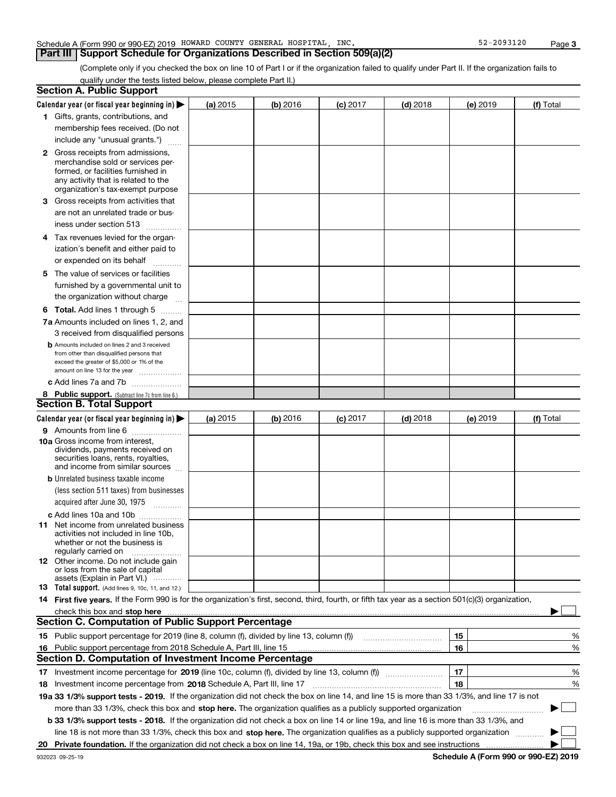#### Schedule A (Form 990 or 990-EZ) 2019 Page HOWARD COUNTY GENERAL HOSPITAL, INC. 52-2093120

### **Part III Support Schedule for Organizations Described in Section 509(a)(2)**

(Complete only if you checked the box on line 10 of Part I or if the organization failed to qualify under Part II. If the organization fails to qualify under the tests listed below, please complete Part II.)

|    | <b>Section A. Public Support</b>                                                                                                                    |          |          |            |            |          |           |
|----|-----------------------------------------------------------------------------------------------------------------------------------------------------|----------|----------|------------|------------|----------|-----------|
|    | Calendar year (or fiscal year beginning in) $\blacktriangleright$                                                                                   | (a) 2015 | (b) 2016 | $(c)$ 2017 | $(d)$ 2018 | (e) 2019 | (f) Total |
|    | 1 Gifts, grants, contributions, and                                                                                                                 |          |          |            |            |          |           |
|    | membership fees received. (Do not                                                                                                                   |          |          |            |            |          |           |
|    | include any "unusual grants.")                                                                                                                      |          |          |            |            |          |           |
|    | <b>2</b> Gross receipts from admissions,                                                                                                            |          |          |            |            |          |           |
|    | merchandise sold or services per-                                                                                                                   |          |          |            |            |          |           |
|    | formed, or facilities furnished in                                                                                                                  |          |          |            |            |          |           |
|    | any activity that is related to the<br>organization's tax-exempt purpose                                                                            |          |          |            |            |          |           |
|    | 3 Gross receipts from activities that                                                                                                               |          |          |            |            |          |           |
|    |                                                                                                                                                     |          |          |            |            |          |           |
|    | are not an unrelated trade or bus-                                                                                                                  |          |          |            |            |          |           |
|    | iness under section 513                                                                                                                             |          |          |            |            |          |           |
|    | 4 Tax revenues levied for the organ-                                                                                                                |          |          |            |            |          |           |
|    | ization's benefit and either paid to                                                                                                                |          |          |            |            |          |           |
|    | or expended on its behalf<br>.                                                                                                                      |          |          |            |            |          |           |
|    | 5 The value of services or facilities                                                                                                               |          |          |            |            |          |           |
|    | furnished by a governmental unit to                                                                                                                 |          |          |            |            |          |           |
|    | the organization without charge                                                                                                                     |          |          |            |            |          |           |
|    | <b>6 Total.</b> Add lines 1 through 5                                                                                                               |          |          |            |            |          |           |
|    | 7a Amounts included on lines 1, 2, and                                                                                                              |          |          |            |            |          |           |
|    | 3 received from disqualified persons                                                                                                                |          |          |            |            |          |           |
|    | <b>b</b> Amounts included on lines 2 and 3 received                                                                                                 |          |          |            |            |          |           |
|    | from other than disqualified persons that                                                                                                           |          |          |            |            |          |           |
|    | exceed the greater of \$5,000 or 1% of the<br>amount on line 13 for the year                                                                        |          |          |            |            |          |           |
|    | c Add lines 7a and 7b                                                                                                                               |          |          |            |            |          |           |
|    | 8 Public support. (Subtract line 7c from line 6.)                                                                                                   |          |          |            |            |          |           |
|    | <b>Section B. Total Support</b>                                                                                                                     |          |          |            |            |          |           |
|    | Calendar year (or fiscal year beginning in)                                                                                                         | (a) 2015 | (b) 2016 | $(c)$ 2017 | $(d)$ 2018 | (e) 2019 | (f) Total |
|    | 9 Amounts from line 6                                                                                                                               |          |          |            |            |          |           |
|    | <b>10a</b> Gross income from interest,                                                                                                              |          |          |            |            |          |           |
|    | dividends, payments received on                                                                                                                     |          |          |            |            |          |           |
|    | securities loans, rents, royalties,                                                                                                                 |          |          |            |            |          |           |
|    | and income from similar sources                                                                                                                     |          |          |            |            |          |           |
|    | <b>b</b> Unrelated business taxable income                                                                                                          |          |          |            |            |          |           |
|    | (less section 511 taxes) from businesses                                                                                                            |          |          |            |            |          |           |
|    | acquired after June 30, 1975 [10001]                                                                                                                |          |          |            |            |          |           |
|    | c Add lines 10a and 10b                                                                                                                             |          |          |            |            |          |           |
|    | 11 Net income from unrelated business<br>activities not included in line 10b,                                                                       |          |          |            |            |          |           |
|    | whether or not the business is                                                                                                                      |          |          |            |            |          |           |
|    | regularly carried on                                                                                                                                |          |          |            |            |          |           |
|    | <b>12</b> Other income. Do not include gain<br>or loss from the sale of capital                                                                     |          |          |            |            |          |           |
|    | assets (Explain in Part VI.)                                                                                                                        |          |          |            |            |          |           |
|    | <b>13</b> Total support. (Add lines 9, 10c, 11, and 12.)                                                                                            |          |          |            |            |          |           |
|    | 14 First five years. If the Form 990 is for the organization's first, second, third, fourth, or fifth tax year as a section 501(c)(3) organization, |          |          |            |            |          |           |
|    | check this box and stop here measurements are constructed as the state of the state of the state of the state o                                     |          |          |            |            |          |           |
|    | <b>Section C. Computation of Public Support Percentage</b>                                                                                          |          |          |            |            |          |           |
|    | 15 Public support percentage for 2019 (line 8, column (f), divided by line 13, column (f))                                                          |          |          |            |            | 15       | %         |
|    | 16 Public support percentage from 2018 Schedule A, Part III, line 15                                                                                |          |          |            |            | 16       | %         |
|    | <b>Section D. Computation of Investment Income Percentage</b>                                                                                       |          |          |            |            |          |           |
| 17 | Investment income percentage for 2019 (line 10c, column (f), divided by line 13, column (f))                                                        |          |          |            |            | 17       | %         |
|    | <b>18</b> Investment income percentage from <b>2018</b> Schedule A, Part III, line 17                                                               |          |          |            |            | 18       | %         |
|    | 19a 33 1/3% support tests - 2019. If the organization did not check the box on line 14, and line 15 is more than 33 1/3%, and line 17 is not        |          |          |            |            |          |           |
|    | more than 33 1/3%, check this box and stop here. The organization qualifies as a publicly supported organization                                    |          |          |            |            |          | ▶         |
|    | b 33 1/3% support tests - 2018. If the organization did not check a box on line 14 or line 19a, and line 16 is more than 33 1/3%, and               |          |          |            |            |          |           |
|    | line 18 is not more than 33 1/3%, check this box and stop here. The organization qualifies as a publicly supported organization                     |          |          |            |            |          |           |
| 20 |                                                                                                                                                     |          |          |            |            |          |           |
|    |                                                                                                                                                     |          |          |            |            |          |           |

**Schedule A (Form 990 or 990-EZ) 2019**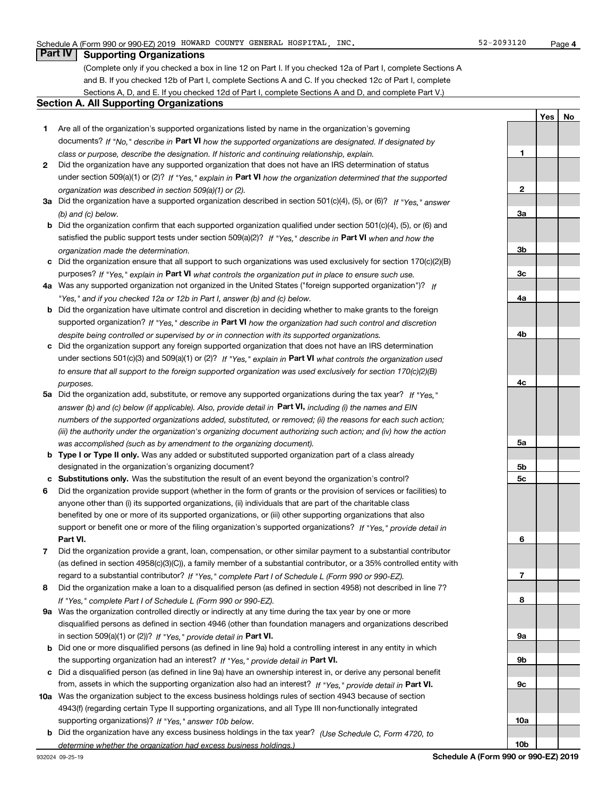**1**

**2**

**3a**

**3b**

**YesNo**

## **Part IV Supporting Organizations**

(Complete only if you checked a box in line 12 on Part I. If you checked 12a of Part I, complete Sections A and B. If you checked 12b of Part I, complete Sections A and C. If you checked 12c of Part I, complete Sections A, D, and E. If you checked 12d of Part I, complete Sections A and D, and complete Part V.)

#### **Section A. All Supporting Organizations**

- **1** Are all of the organization's supported organizations listed by name in the organization's governing documents? If "No," describe in **Part VI** how the supported organizations are designated. If designated by *class or purpose, describe the designation. If historic and continuing relationship, explain.*
- **2** Did the organization have any supported organization that does not have an IRS determination of status under section 509(a)(1) or (2)? If "Yes," explain in Part VI how the organization determined that the supported *organization was described in section 509(a)(1) or (2).*
- **3a** Did the organization have a supported organization described in section 501(c)(4), (5), or (6)? If "Yes," answer *(b) and (c) below.*
- **b** Did the organization confirm that each supported organization qualified under section 501(c)(4), (5), or (6) and satisfied the public support tests under section 509(a)(2)? If "Yes," describe in **Part VI** when and how the *organization made the determination.*
- **c**Did the organization ensure that all support to such organizations was used exclusively for section 170(c)(2)(B) purposes? If "Yes," explain in **Part VI** what controls the organization put in place to ensure such use.
- **4a***If* Was any supported organization not organized in the United States ("foreign supported organization")? *"Yes," and if you checked 12a or 12b in Part I, answer (b) and (c) below.*
- **b** Did the organization have ultimate control and discretion in deciding whether to make grants to the foreign supported organization? If "Yes," describe in **Part VI** how the organization had such control and discretion *despite being controlled or supervised by or in connection with its supported organizations.*
- **c** Did the organization support any foreign supported organization that does not have an IRS determination under sections 501(c)(3) and 509(a)(1) or (2)? If "Yes," explain in **Part VI** what controls the organization used *to ensure that all support to the foreign supported organization was used exclusively for section 170(c)(2)(B) purposes.*
- **5a***If "Yes,"* Did the organization add, substitute, or remove any supported organizations during the tax year? answer (b) and (c) below (if applicable). Also, provide detail in **Part VI,** including (i) the names and EIN *numbers of the supported organizations added, substituted, or removed; (ii) the reasons for each such action; (iii) the authority under the organization's organizing document authorizing such action; and (iv) how the action was accomplished (such as by amendment to the organizing document).*
- **b** Type I or Type II only. Was any added or substituted supported organization part of a class already designated in the organization's organizing document?
- **cSubstitutions only.**  Was the substitution the result of an event beyond the organization's control?
- **6** Did the organization provide support (whether in the form of grants or the provision of services or facilities) to **Part VI.** *If "Yes," provide detail in* support or benefit one or more of the filing organization's supported organizations? anyone other than (i) its supported organizations, (ii) individuals that are part of the charitable class benefited by one or more of its supported organizations, or (iii) other supporting organizations that also
- **7**Did the organization provide a grant, loan, compensation, or other similar payment to a substantial contributor *If "Yes," complete Part I of Schedule L (Form 990 or 990-EZ).* regard to a substantial contributor? (as defined in section 4958(c)(3)(C)), a family member of a substantial contributor, or a 35% controlled entity with
- **8** Did the organization make a loan to a disqualified person (as defined in section 4958) not described in line 7? *If "Yes," complete Part I of Schedule L (Form 990 or 990-EZ).*
- **9a** Was the organization controlled directly or indirectly at any time during the tax year by one or more in section 509(a)(1) or (2))? If "Yes," *provide detail in* <code>Part VI.</code> disqualified persons as defined in section 4946 (other than foundation managers and organizations described
- **b** Did one or more disqualified persons (as defined in line 9a) hold a controlling interest in any entity in which the supporting organization had an interest? If "Yes," provide detail in P**art VI**.
- **c**Did a disqualified person (as defined in line 9a) have an ownership interest in, or derive any personal benefit from, assets in which the supporting organization also had an interest? If "Yes," provide detail in P**art VI.**
- **10a** Was the organization subject to the excess business holdings rules of section 4943 because of section supporting organizations)? If "Yes," answer 10b below. 4943(f) (regarding certain Type II supporting organizations, and all Type III non-functionally integrated
- **b** Did the organization have any excess business holdings in the tax year? (Use Schedule C, Form 4720, to *determine whether the organization had excess business holdings.)*

**10b**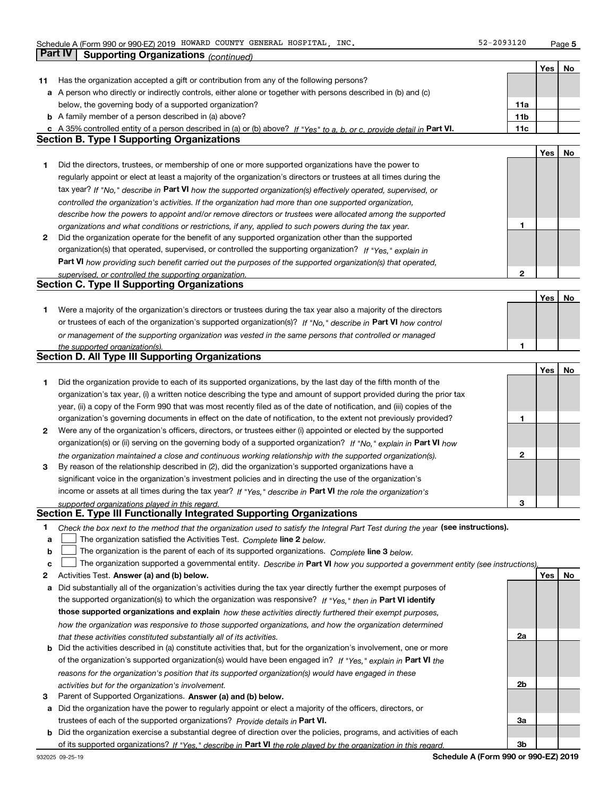**5**

|    |                                                                                                                                   |                 | Yes $ $ | No |
|----|-----------------------------------------------------------------------------------------------------------------------------------|-----------------|---------|----|
| 11 | Has the organization accepted a gift or contribution from any of the following persons?                                           |                 |         |    |
|    | a A person who directly or indirectly controls, either alone or together with persons described in (b) and (c)                    |                 |         |    |
|    | below, the governing body of a supported organization?                                                                            | 11a             |         |    |
|    | <b>b</b> A family member of a person described in (a) above?                                                                      | 11 <sub>b</sub> |         |    |
|    | c A 35% controlled entity of a person described in (a) or (b) above? If "Yes" to a, b, or c, provide detail in Part VI.           | 11c             |         |    |
|    | <b>Section B. Type I Supporting Organizations</b>                                                                                 |                 |         |    |
|    |                                                                                                                                   |                 | Yes     | No |
| 1  | Did the directors, trustees, or membership of one or more supported organizations have the power to                               |                 |         |    |
|    | regularly appoint or elect at least a majority of the organization's directors or trustees at all times during the                |                 |         |    |
|    |                                                                                                                                   |                 |         |    |
|    | tax year? If "No," describe in Part VI how the supported organization(s) effectively operated, supervised, or                     |                 |         |    |
|    | controlled the organization's activities. If the organization had more than one supported organization,                           |                 |         |    |
|    | describe how the powers to appoint and/or remove directors or trustees were allocated among the supported                         |                 |         |    |
|    | organizations and what conditions or restrictions, if any, applied to such powers during the tax year.                            | 1               |         |    |
| 2  | Did the organization operate for the benefit of any supported organization other than the supported                               |                 |         |    |
|    | organization(s) that operated, supervised, or controlled the supporting organization? If "Yes," explain in                        |                 |         |    |
|    | Part VI how providing such benefit carried out the purposes of the supported organization(s) that operated,                       |                 |         |    |
|    | supervised, or controlled the supporting organization.                                                                            | $\mathbf{2}$    |         |    |
|    | <b>Section C. Type II Supporting Organizations</b>                                                                                |                 |         |    |
|    |                                                                                                                                   |                 | Yes     | No |
| 1  | Were a majority of the organization's directors or trustees during the tax year also a majority of the directors                  |                 |         |    |
|    | or trustees of each of the organization's supported organization(s)? If "No," describe in Part VI how control                     |                 |         |    |
|    | or management of the supporting organization was vested in the same persons that controlled or managed                            |                 |         |    |
|    | the supported organization(s).                                                                                                    | 1               |         |    |
|    | <b>Section D. All Type III Supporting Organizations</b>                                                                           |                 |         |    |
|    |                                                                                                                                   |                 | Yes     | No |
| 1  | Did the organization provide to each of its supported organizations, by the last day of the fifth month of the                    |                 |         |    |
|    | organization's tax year, (i) a written notice describing the type and amount of support provided during the prior tax             |                 |         |    |
|    | year, (ii) a copy of the Form 990 that was most recently filed as of the date of notification, and (iii) copies of the            |                 |         |    |
|    | organization's governing documents in effect on the date of notification, to the extent not previously provided?                  | 1               |         |    |
| 2  | Were any of the organization's officers, directors, or trustees either (i) appointed or elected by the supported                  |                 |         |    |
|    | organization(s) or (ii) serving on the governing body of a supported organization? If "No," explain in Part VI how                |                 |         |    |
|    | the organization maintained a close and continuous working relationship with the supported organization(s).                       | 2               |         |    |
| 3  | By reason of the relationship described in (2), did the organization's supported organizations have a                             |                 |         |    |
|    |                                                                                                                                   |                 |         |    |
|    | significant voice in the organization's investment policies and in directing the use of the organization's                        |                 |         |    |
|    | income or assets at all times during the tax year? If "Yes," describe in Part VI the role the organization's                      |                 |         |    |
|    | supported organizations played in this regard.                                                                                    | З               |         |    |
|    | Section E. Type III Functionally Integrated Supporting Organizations                                                              |                 |         |    |
| 1. | Check the box next to the method that the organization used to satisfy the Integral Part Test during the year (see instructions). |                 |         |    |
| a  | The organization satisfied the Activities Test. Complete line 2 below.                                                            |                 |         |    |
| b  | The organization is the parent of each of its supported organizations. Complete line 3 below.                                     |                 |         |    |
| c  | The organization supported a governmental entity. Describe in Part VI how you supported a government entity (see instructions),   |                 |         |    |
| 2  | Activities Test. Answer (a) and (b) below.                                                                                        |                 | Yes     | No |
| a  | Did substantially all of the organization's activities during the tax year directly further the exempt purposes of                |                 |         |    |
|    | the supported organization(s) to which the organization was responsive? If "Yes," then in Part VI identify                        |                 |         |    |
|    | those supported organizations and explain how these activities directly furthered their exempt purposes,                          |                 |         |    |
|    | how the organization was responsive to those supported organizations, and how the organization determined                         |                 |         |    |
|    | that these activities constituted substantially all of its activities.                                                            | 2a              |         |    |
|    | <b>b</b> Did the activities described in (a) constitute activities that, but for the organization's involvement, one or more      |                 |         |    |
|    | of the organization's supported organization(s) would have been engaged in? If "Yes," explain in Part VI the                      |                 |         |    |
|    | reasons for the organization's position that its supported organization(s) would have engaged in these                            |                 |         |    |
|    | activities but for the organization's involvement.                                                                                | 2b              |         |    |
| з  | Parent of Supported Organizations. Answer (a) and (b) below.                                                                      |                 |         |    |
|    | a Did the organization have the power to regularly appoint or elect a majority of the officers, directors, or                     |                 |         |    |
|    |                                                                                                                                   | За              |         |    |
|    | trustees of each of the supported organizations? Provide details in Part VI.                                                      |                 |         |    |
|    | <b>b</b> Did the organization exercise a substantial degree of direction over the policies, programs, and activities of each      |                 |         |    |
|    | of its supported organizations? If "Yes," describe in Part VI the role played by the organization in this regard.                 | 3 <sub>b</sub>  |         |    |

**Schedule A (Form 990 or 990-EZ) 2019**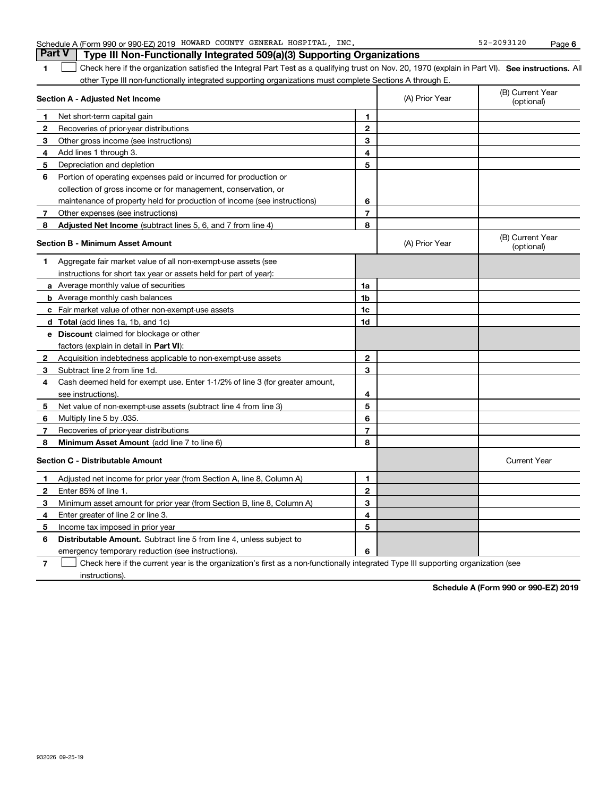|  | Part V   Type III Non-Functionally Integrated 509(a)(3) Supporting Organizations |
|--|----------------------------------------------------------------------------------|
|  |                                                                                  |

**1**1 Check here if the organization satisfied the Integral Part Test as a qualifying trust on Nov. 20, 1970 (explain in Part VI). See instructions. All other Type III non-functionally integrated supporting organizations must complete Sections A through E.

|              | Section A - Adjusted Net Income                                              | (A) Prior Year | (B) Current Year<br>(optional) |                                |
|--------------|------------------------------------------------------------------------------|----------------|--------------------------------|--------------------------------|
| 1            | Net short-term capital gain                                                  | 1              |                                |                                |
| $\mathbf{2}$ | Recoveries of prior-year distributions                                       | $\overline{2}$ |                                |                                |
| 3            | Other gross income (see instructions)                                        | 3              |                                |                                |
| 4            | Add lines 1 through 3.                                                       | 4              |                                |                                |
| 5            | Depreciation and depletion                                                   | 5              |                                |                                |
| 6            | Portion of operating expenses paid or incurred for production or             |                |                                |                                |
|              | collection of gross income or for management, conservation, or               |                |                                |                                |
|              | maintenance of property held for production of income (see instructions)     | 6              |                                |                                |
| 7            | Other expenses (see instructions)                                            | $\overline{7}$ |                                |                                |
| 8            | Adjusted Net Income (subtract lines 5, 6, and 7 from line 4)                 | 8              |                                |                                |
|              | <b>Section B - Minimum Asset Amount</b>                                      |                | (A) Prior Year                 | (B) Current Year<br>(optional) |
| 1.           | Aggregate fair market value of all non-exempt-use assets (see                |                |                                |                                |
|              | instructions for short tax year or assets held for part of year):            |                |                                |                                |
|              | a Average monthly value of securities                                        | 1a             |                                |                                |
|              | <b>b</b> Average monthly cash balances                                       | 1 <sub>b</sub> |                                |                                |
|              | c Fair market value of other non-exempt-use assets                           | 1c             |                                |                                |
|              | <b>d</b> Total (add lines 1a, 1b, and 1c)                                    | 1d             |                                |                                |
|              | e Discount claimed for blockage or other                                     |                |                                |                                |
|              | factors (explain in detail in Part VI):                                      |                |                                |                                |
| $\mathbf{2}$ | Acquisition indebtedness applicable to non-exempt-use assets                 | $\mathbf{2}$   |                                |                                |
| 3            | Subtract line 2 from line 1d.                                                | 3              |                                |                                |
| 4            | Cash deemed held for exempt use. Enter 1-1/2% of line 3 (for greater amount, |                |                                |                                |
|              | see instructions).                                                           | 4              |                                |                                |
| 5.           | Net value of non-exempt-use assets (subtract line 4 from line 3)             | 5              |                                |                                |
| 6            | Multiply line 5 by .035.                                                     | 6              |                                |                                |
| 7            | Recoveries of prior-year distributions                                       | $\overline{7}$ |                                |                                |
| 8            | Minimum Asset Amount (add line 7 to line 6)                                  | 8              |                                |                                |
|              | <b>Section C - Distributable Amount</b>                                      |                |                                | <b>Current Year</b>            |
| 1            | Adjusted net income for prior year (from Section A, line 8, Column A)        | 1              |                                |                                |
| 2            | Enter 85% of line 1.                                                         | $\overline{2}$ |                                |                                |
| 3            | Minimum asset amount for prior year (from Section B, line 8, Column A)       | 3              |                                |                                |
| 4            | Enter greater of line 2 or line 3.                                           | 4              |                                |                                |
| 5            | Income tax imposed in prior year                                             | 5              |                                |                                |
| 6            | Distributable Amount. Subtract line 5 from line 4, unless subject to         |                |                                |                                |
|              | emergency temporary reduction (see instructions).                            | 6              |                                |                                |
|              |                                                                              |                |                                |                                |

**7**Check here if the current year is the organization's first as a non-functionally integrated Type III supporting organization (see instructions).

**Schedule A (Form 990 or 990-EZ) 2019**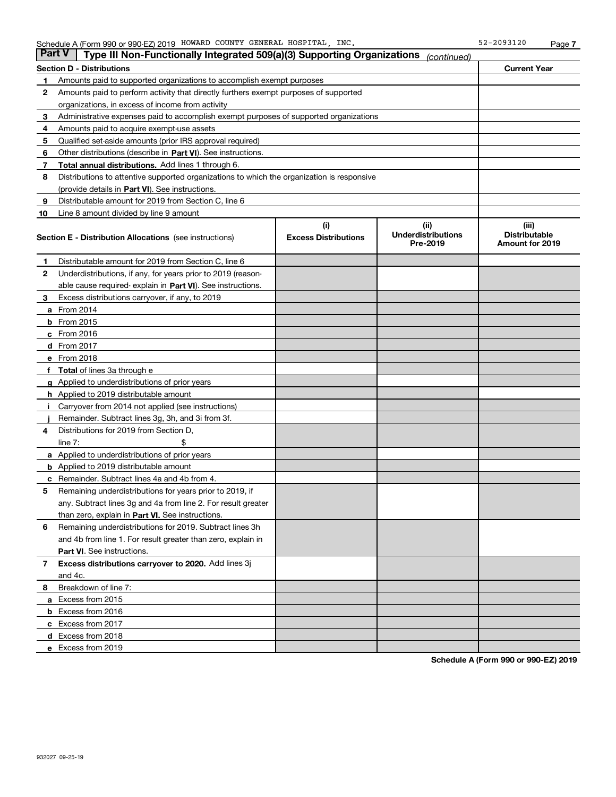| <b>Part V</b> | Type III Non-Functionally Integrated 509(a)(3) Supporting Organizations                    |                             | (continued)                           |                                                |  |  |  |  |
|---------------|--------------------------------------------------------------------------------------------|-----------------------------|---------------------------------------|------------------------------------------------|--|--|--|--|
|               | <b>Section D - Distributions</b>                                                           |                             |                                       | <b>Current Year</b>                            |  |  |  |  |
| 1             | Amounts paid to supported organizations to accomplish exempt purposes                      |                             |                                       |                                                |  |  |  |  |
| 2             | Amounts paid to perform activity that directly furthers exempt purposes of supported       |                             |                                       |                                                |  |  |  |  |
|               | organizations, in excess of income from activity                                           |                             |                                       |                                                |  |  |  |  |
| 3             | Administrative expenses paid to accomplish exempt purposes of supported organizations      |                             |                                       |                                                |  |  |  |  |
| 4             | Amounts paid to acquire exempt-use assets                                                  |                             |                                       |                                                |  |  |  |  |
| 5             | Qualified set-aside amounts (prior IRS approval required)                                  |                             |                                       |                                                |  |  |  |  |
| 6             | Other distributions (describe in Part VI). See instructions.                               |                             |                                       |                                                |  |  |  |  |
| 7             | Total annual distributions. Add lines 1 through 6.                                         |                             |                                       |                                                |  |  |  |  |
| 8             | Distributions to attentive supported organizations to which the organization is responsive |                             |                                       |                                                |  |  |  |  |
|               | (provide details in Part VI). See instructions.                                            |                             |                                       |                                                |  |  |  |  |
| 9             | Distributable amount for 2019 from Section C, line 6                                       |                             |                                       |                                                |  |  |  |  |
| 10            | Line 8 amount divided by line 9 amount                                                     |                             |                                       |                                                |  |  |  |  |
|               |                                                                                            | (i)                         | (iii)                                 | (iii)                                          |  |  |  |  |
|               | <b>Section E - Distribution Allocations</b> (see instructions)                             | <b>Excess Distributions</b> | <b>Underdistributions</b><br>Pre-2019 | <b>Distributable</b><br><b>Amount for 2019</b> |  |  |  |  |
| 1             | Distributable amount for 2019 from Section C, line 6                                       |                             |                                       |                                                |  |  |  |  |
| 2             | Underdistributions, if any, for years prior to 2019 (reason-                               |                             |                                       |                                                |  |  |  |  |
|               | able cause required-explain in Part VI). See instructions.                                 |                             |                                       |                                                |  |  |  |  |
| 3             | Excess distributions carryover, if any, to 2019                                            |                             |                                       |                                                |  |  |  |  |
|               | <b>a</b> From 2014                                                                         |                             |                                       |                                                |  |  |  |  |
|               | <b>b</b> From 2015                                                                         |                             |                                       |                                                |  |  |  |  |
|               | $c$ From 2016                                                                              |                             |                                       |                                                |  |  |  |  |
|               | <b>d</b> From 2017                                                                         |                             |                                       |                                                |  |  |  |  |
|               | e From 2018                                                                                |                             |                                       |                                                |  |  |  |  |
| f             | <b>Total</b> of lines 3a through e                                                         |                             |                                       |                                                |  |  |  |  |
|               | <b>g</b> Applied to underdistributions of prior years                                      |                             |                                       |                                                |  |  |  |  |
|               | <b>h</b> Applied to 2019 distributable amount                                              |                             |                                       |                                                |  |  |  |  |
|               | Carryover from 2014 not applied (see instructions)                                         |                             |                                       |                                                |  |  |  |  |
|               | Remainder. Subtract lines 3g, 3h, and 3i from 3f.                                          |                             |                                       |                                                |  |  |  |  |
| 4             | Distributions for 2019 from Section D,                                                     |                             |                                       |                                                |  |  |  |  |
|               | line $7:$                                                                                  |                             |                                       |                                                |  |  |  |  |
|               | a Applied to underdistributions of prior years                                             |                             |                                       |                                                |  |  |  |  |
|               | <b>b</b> Applied to 2019 distributable amount                                              |                             |                                       |                                                |  |  |  |  |
| c             | Remainder. Subtract lines 4a and 4b from 4.                                                |                             |                                       |                                                |  |  |  |  |
| 5             | Remaining underdistributions for years prior to 2019, if                                   |                             |                                       |                                                |  |  |  |  |
|               | any. Subtract lines 3g and 4a from line 2. For result greater                              |                             |                                       |                                                |  |  |  |  |
|               | than zero, explain in Part VI. See instructions.                                           |                             |                                       |                                                |  |  |  |  |
| 6             | Remaining underdistributions for 2019. Subtract lines 3h                                   |                             |                                       |                                                |  |  |  |  |
|               | and 4b from line 1. For result greater than zero, explain in                               |                             |                                       |                                                |  |  |  |  |
|               | Part VI. See instructions.                                                                 |                             |                                       |                                                |  |  |  |  |
| 7             | Excess distributions carryover to 2020. Add lines 3j                                       |                             |                                       |                                                |  |  |  |  |
|               | and 4c.                                                                                    |                             |                                       |                                                |  |  |  |  |
| 8             | Breakdown of line 7:                                                                       |                             |                                       |                                                |  |  |  |  |
|               | a Excess from 2015                                                                         |                             |                                       |                                                |  |  |  |  |
|               | <b>b</b> Excess from 2016                                                                  |                             |                                       |                                                |  |  |  |  |
|               | c Excess from 2017                                                                         |                             |                                       |                                                |  |  |  |  |
|               | d Excess from 2018                                                                         |                             |                                       |                                                |  |  |  |  |
|               | e Excess from 2019                                                                         |                             |                                       |                                                |  |  |  |  |

**Schedule A (Form 990 or 990-EZ) 2019**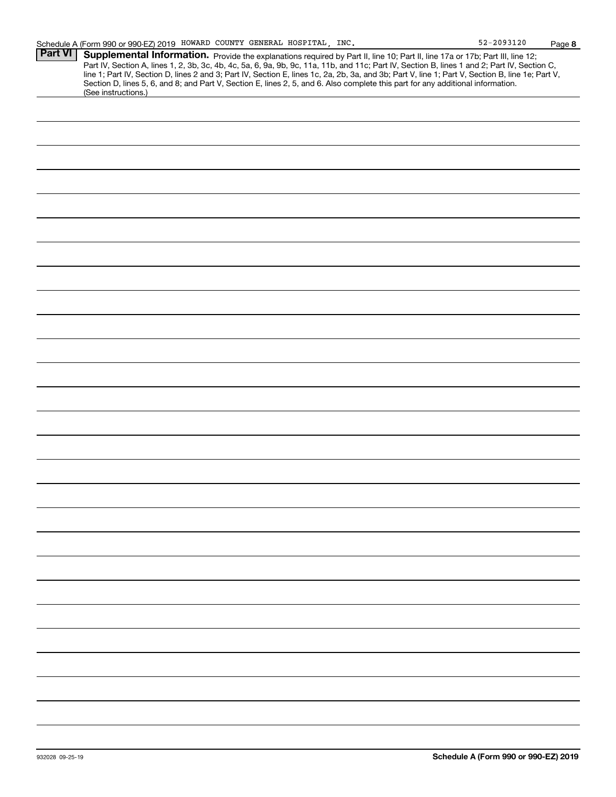**8**

| Part VI | Supplemental Information. Provide the explanations required by Part II, line 10; Part II, line 17a or 17b; Part III, line 12;<br>Part IV, Section A, lines 1, 2, 3b, 3c, 4b, 4c, 5a, 6, 9a, 9b, 9c, 11a, 11b, and 11c; Part IV, Section B, lines 1 and 2; Part IV, Section C,<br>line 1; Part IV, Section D, lines 2 and 3; Part IV, Section E, lines 1c, 2a, 2b, 3a, and 3b; Part V, line 1; Part V, Section B, line 1e; Part V, |  |  |  |  |
|---------|-----------------------------------------------------------------------------------------------------------------------------------------------------------------------------------------------------------------------------------------------------------------------------------------------------------------------------------------------------------------------------------------------------------------------------------|--|--|--|--|
|         | Section D, lines 5, 6, and 8; and Part V, Section E, lines 2, 5, and 6. Also complete this part for any additional information.<br>(See instructions.)                                                                                                                                                                                                                                                                            |  |  |  |  |
|         |                                                                                                                                                                                                                                                                                                                                                                                                                                   |  |  |  |  |
|         |                                                                                                                                                                                                                                                                                                                                                                                                                                   |  |  |  |  |
|         |                                                                                                                                                                                                                                                                                                                                                                                                                                   |  |  |  |  |
|         |                                                                                                                                                                                                                                                                                                                                                                                                                                   |  |  |  |  |
|         |                                                                                                                                                                                                                                                                                                                                                                                                                                   |  |  |  |  |
|         |                                                                                                                                                                                                                                                                                                                                                                                                                                   |  |  |  |  |
|         |                                                                                                                                                                                                                                                                                                                                                                                                                                   |  |  |  |  |
|         |                                                                                                                                                                                                                                                                                                                                                                                                                                   |  |  |  |  |
|         |                                                                                                                                                                                                                                                                                                                                                                                                                                   |  |  |  |  |
|         |                                                                                                                                                                                                                                                                                                                                                                                                                                   |  |  |  |  |
|         |                                                                                                                                                                                                                                                                                                                                                                                                                                   |  |  |  |  |
|         |                                                                                                                                                                                                                                                                                                                                                                                                                                   |  |  |  |  |
|         |                                                                                                                                                                                                                                                                                                                                                                                                                                   |  |  |  |  |
|         |                                                                                                                                                                                                                                                                                                                                                                                                                                   |  |  |  |  |
|         |                                                                                                                                                                                                                                                                                                                                                                                                                                   |  |  |  |  |
|         |                                                                                                                                                                                                                                                                                                                                                                                                                                   |  |  |  |  |
|         |                                                                                                                                                                                                                                                                                                                                                                                                                                   |  |  |  |  |
|         |                                                                                                                                                                                                                                                                                                                                                                                                                                   |  |  |  |  |
|         |                                                                                                                                                                                                                                                                                                                                                                                                                                   |  |  |  |  |
|         |                                                                                                                                                                                                                                                                                                                                                                                                                                   |  |  |  |  |
|         |                                                                                                                                                                                                                                                                                                                                                                                                                                   |  |  |  |  |
|         |                                                                                                                                                                                                                                                                                                                                                                                                                                   |  |  |  |  |
|         |                                                                                                                                                                                                                                                                                                                                                                                                                                   |  |  |  |  |
|         |                                                                                                                                                                                                                                                                                                                                                                                                                                   |  |  |  |  |
|         |                                                                                                                                                                                                                                                                                                                                                                                                                                   |  |  |  |  |
|         |                                                                                                                                                                                                                                                                                                                                                                                                                                   |  |  |  |  |
|         |                                                                                                                                                                                                                                                                                                                                                                                                                                   |  |  |  |  |
|         |                                                                                                                                                                                                                                                                                                                                                                                                                                   |  |  |  |  |
|         |                                                                                                                                                                                                                                                                                                                                                                                                                                   |  |  |  |  |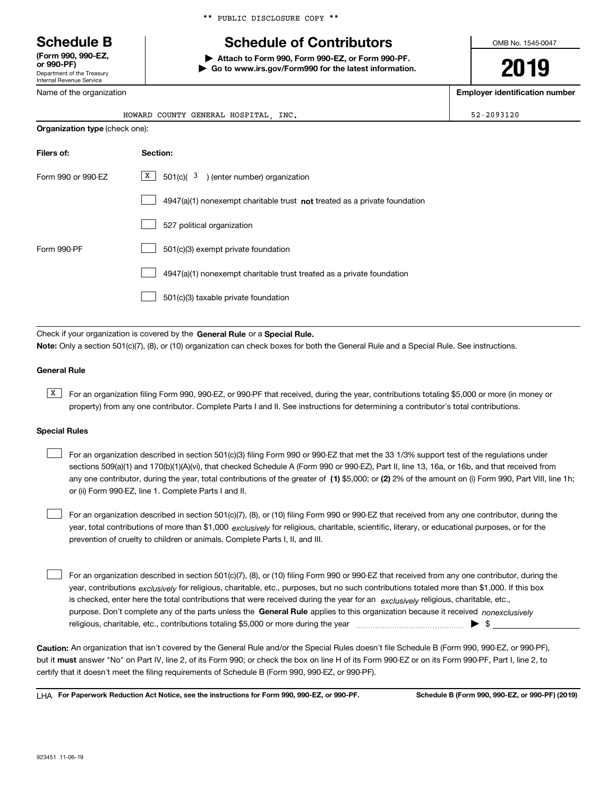Department of the Treasury Internal Revenue Service **(Form 990, 990-EZ, or 990-PF)**

\*\* PUBLIC DISCLOSURE COPY \*\*

# **Schedule B Schedule of Contributors**

**| Attach to Form 990, Form 990-EZ, or Form 990-PF. | Go to www.irs.gov/Form990 for the latest information.** OMB No. 1545-0047

**2019**

**Employer identification number**

| Name of the organization |
|--------------------------|

| INC.<br>HOWARD COUNTY GENERAL HOSPITAL | $52 - 2093120$ |
|----------------------------------------|----------------|
| Organization type (check one):         |                |

| Filers of:         | Section:                                                                    |
|--------------------|-----------------------------------------------------------------------------|
| Form 990 or 990-EZ | X  <br>$501(c)$ $3$ ) (enter number) organization                           |
|                    | $4947(a)(1)$ nonexempt charitable trust not treated as a private foundation |
|                    | 527 political organization                                                  |
| Form 990-PF        | 501(c)(3) exempt private foundation                                         |
|                    | 4947(a)(1) nonexempt charitable trust treated as a private foundation       |
|                    | 501(c)(3) taxable private foundation                                        |

Check if your organization is covered by the **General Rule** or a **Special Rule. Note:**  Only a section 501(c)(7), (8), or (10) organization can check boxes for both the General Rule and a Special Rule. See instructions.

#### **General Rule**

 $\overline{X}$  For an organization filing Form 990, 990-EZ, or 990-PF that received, during the year, contributions totaling \$5,000 or more (in money or property) from any one contributor. Complete Parts I and II. See instructions for determining a contributor's total contributions.

#### **Special Rules**

any one contributor, during the year, total contributions of the greater of  $\,$  (1) \$5,000; or **(2)** 2% of the amount on (i) Form 990, Part VIII, line 1h; For an organization described in section 501(c)(3) filing Form 990 or 990-EZ that met the 33 1/3% support test of the regulations under sections 509(a)(1) and 170(b)(1)(A)(vi), that checked Schedule A (Form 990 or 990-EZ), Part II, line 13, 16a, or 16b, and that received from or (ii) Form 990-EZ, line 1. Complete Parts I and II.  $\mathcal{L}^{\text{max}}$ 

year, total contributions of more than \$1,000 *exclusively* for religious, charitable, scientific, literary, or educational purposes, or for the For an organization described in section 501(c)(7), (8), or (10) filing Form 990 or 990-EZ that received from any one contributor, during the prevention of cruelty to children or animals. Complete Parts I, II, and III.  $\mathcal{L}^{\text{max}}$ 

purpose. Don't complete any of the parts unless the **General Rule** applies to this organization because it received *nonexclusively* year, contributions <sub>exclusively</sub> for religious, charitable, etc., purposes, but no such contributions totaled more than \$1,000. If this box is checked, enter here the total contributions that were received during the year for an  $\;$ exclusively religious, charitable, etc., For an organization described in section 501(c)(7), (8), or (10) filing Form 990 or 990-EZ that received from any one contributor, during the religious, charitable, etc., contributions totaling \$5,000 or more during the year  $\Box$ — $\Box$  =  $\Box$  $\mathcal{L}^{\text{max}}$ 

**Caution:**  An organization that isn't covered by the General Rule and/or the Special Rules doesn't file Schedule B (Form 990, 990-EZ, or 990-PF),  **must** but it answer "No" on Part IV, line 2, of its Form 990; or check the box on line H of its Form 990-EZ or on its Form 990-PF, Part I, line 2, to certify that it doesn't meet the filing requirements of Schedule B (Form 990, 990-EZ, or 990-PF).

**For Paperwork Reduction Act Notice, see the instructions for Form 990, 990-EZ, or 990-PF. Schedule B (Form 990, 990-EZ, or 990-PF) (2019)** LHA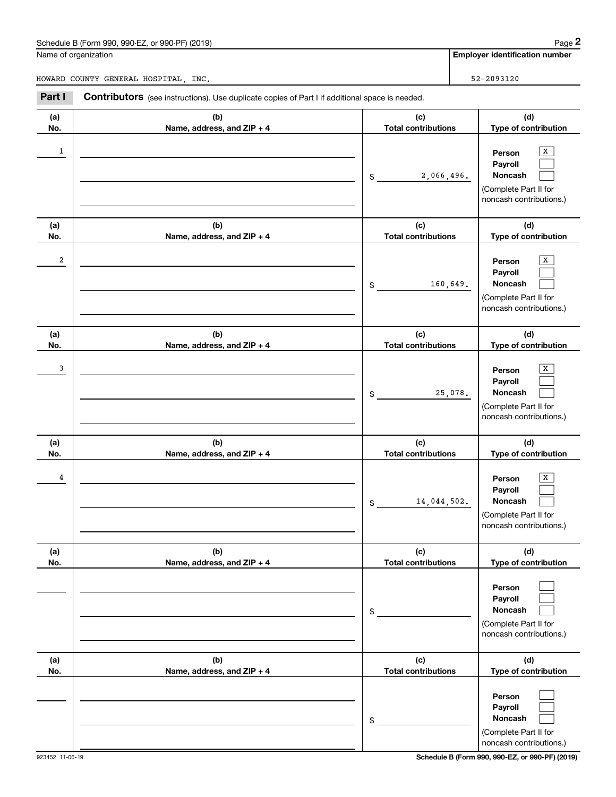## Schedule B (Form 990, 990-EZ, or 990-PF) (2019) Page 2

|                | Schedule B (Form 990, 990-EZ, or 990-PF) (2019)                                                       |                                   | Page 2                                                                                           |
|----------------|-------------------------------------------------------------------------------------------------------|-----------------------------------|--------------------------------------------------------------------------------------------------|
|                | Name of organization                                                                                  |                                   | <b>Employer identification number</b>                                                            |
|                | HOWARD COUNTY GENERAL HOSPITAL, INC.                                                                  |                                   | 52-2093120                                                                                       |
| Part I         | <b>Contributors</b> (see instructions). Use duplicate copies of Part I if additional space is needed. |                                   |                                                                                                  |
| (a)<br>No.     | (b)<br>Name, address, and ZIP + 4                                                                     | (c)<br><b>Total contributions</b> | (d)<br>Type of contribution                                                                      |
| 1              |                                                                                                       | 2,066,496.<br>\$                  | X<br>Person<br>Payroll<br>Noncash<br>(Complete Part II for<br>noncash contributions.)            |
| (a)<br>No.     | (b)<br>Name, address, and ZIP + 4                                                                     | (c)<br><b>Total contributions</b> | (d)<br>Type of contribution                                                                      |
| $\overline{c}$ |                                                                                                       | 160,649.<br>\$                    | X<br>Person<br>Payroll<br>Noncash<br>(Complete Part II for<br>noncash contributions.)            |
| (a)<br>No.     | (b)<br>Name, address, and ZIP + 4                                                                     | (c)<br><b>Total contributions</b> | (d)<br>Type of contribution                                                                      |
| 3              |                                                                                                       | \$                                | x<br>Person<br>Payroll<br>Noncash<br>25,078.<br>(Complete Part II for<br>noncash contributions.) |
| (a)<br>No.     | (b)<br>Name, address, and ZIP + 4                                                                     | (c)<br><b>Total contributions</b> | (d)<br>Type of contribution                                                                      |
| 4              |                                                                                                       | 14,044,502.<br>\$                 | х<br>Person<br>Payroll<br>Noncash<br>(Complete Part II for<br>noncash contributions.)            |
| (a)<br>No.     | (b)<br>Name, address, and ZIP + 4                                                                     | (c)<br><b>Total contributions</b> | (d)<br>Type of contribution                                                                      |
|                |                                                                                                       | \$                                | Person<br>Payroll<br>Noncash<br>(Complete Part II for<br>noncash contributions.)                 |
| (a)<br>No.     | (b)<br>Name, address, and ZIP + 4                                                                     | (c)<br><b>Total contributions</b> | (d)<br>Type of contribution                                                                      |
|                |                                                                                                       | \$                                | Person<br>Payroll<br>Noncash<br>(Complete Part II for<br>noncash contributions.)                 |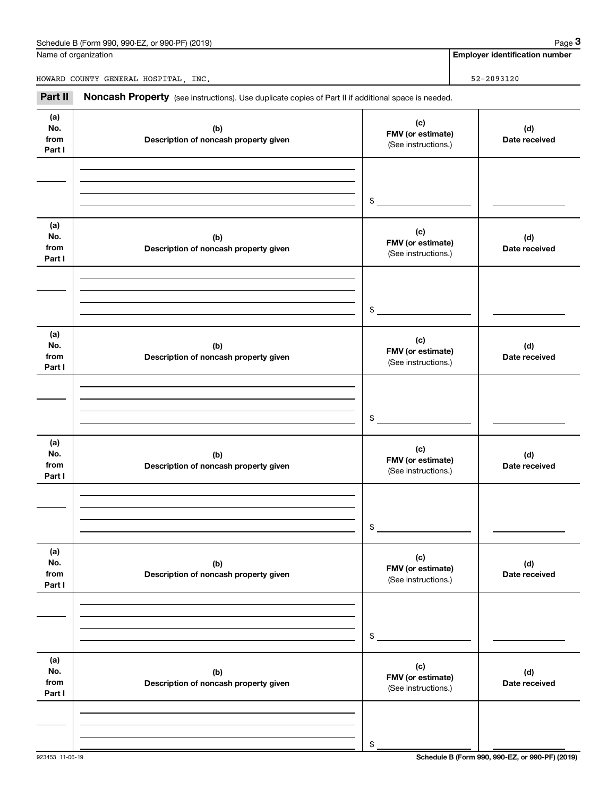## Schedule B (Form 990, 990-EZ, or 990-PF) (2019) Page 3

|                              | Schedule B (Form 990, 990-EZ, or 990-PF) (2019)                                                     |                                                 | Page 3                                |
|------------------------------|-----------------------------------------------------------------------------------------------------|-------------------------------------------------|---------------------------------------|
|                              | Name of organization                                                                                |                                                 | <b>Employer identification number</b> |
|                              | HOWARD COUNTY GENERAL HOSPITAL, INC.                                                                |                                                 | $52 - 2093120$                        |
| Part II                      | Noncash Property (see instructions). Use duplicate copies of Part II if additional space is needed. |                                                 |                                       |
| (a)<br>No.<br>from<br>Part I | (b)<br>Description of noncash property given                                                        | (c)<br>FMV (or estimate)<br>(See instructions.) | (d)<br>Date received                  |
|                              |                                                                                                     | \$                                              |                                       |
| (a)<br>No.<br>from<br>Part I | (b)<br>Description of noncash property given                                                        | (c)<br>FMV (or estimate)<br>(See instructions.) | (d)<br>Date received                  |
|                              |                                                                                                     | \$                                              |                                       |
| (a)<br>No.<br>from<br>Part I | (b)<br>Description of noncash property given                                                        | (c)<br>FMV (or estimate)<br>(See instructions.) | (d)<br>Date received                  |
|                              |                                                                                                     | \$                                              |                                       |
| (a)<br>No.<br>from<br>Part I | (b)<br>Description of noncash property given                                                        | (c)<br>FMV (or estimate)<br>(See instructions.) | (d)<br>Date received                  |
|                              |                                                                                                     | \$                                              |                                       |
| (a)<br>No.<br>from<br>Part I | (b)<br>Description of noncash property given                                                        | (c)<br>FMV (or estimate)<br>(See instructions.) | (d)<br>Date received                  |
|                              |                                                                                                     | \$                                              |                                       |
| (a)<br>No.<br>from<br>Part I | (b)<br>Description of noncash property given                                                        | (c)<br>FMV (or estimate)<br>(See instructions.) | (d)<br>Date received                  |
|                              |                                                                                                     | \$                                              |                                       |

923453 11-06-19 **Schedule B (Form 990, 990-EZ, or 990-PF) (2019)**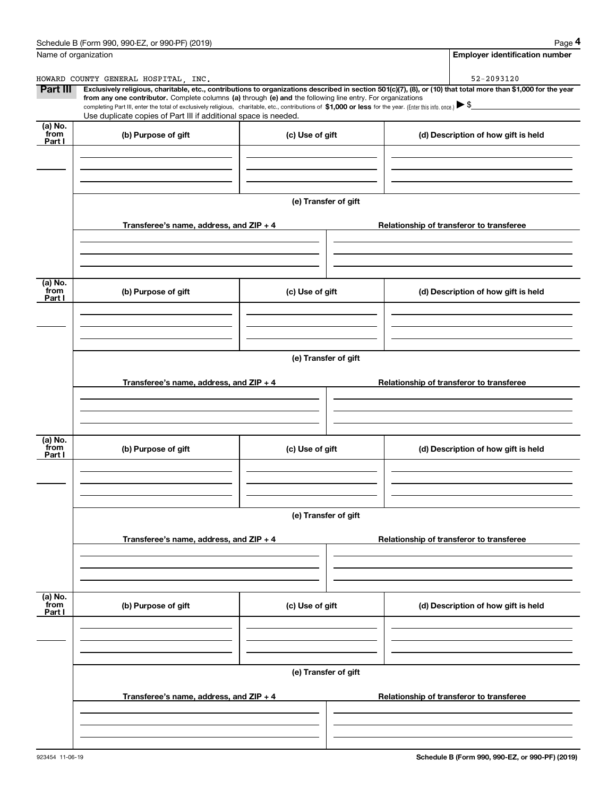|                           | Schedule B (Form 990, 990-EZ, or 990-PF) (2019)                                                                                                              |                      | Page 4                                                                                                                                                         |  |  |  |  |
|---------------------------|--------------------------------------------------------------------------------------------------------------------------------------------------------------|----------------------|----------------------------------------------------------------------------------------------------------------------------------------------------------------|--|--|--|--|
|                           | Name of organization                                                                                                                                         |                      | <b>Employer identification number</b>                                                                                                                          |  |  |  |  |
|                           | HOWARD COUNTY GENERAL HOSPITAL, INC.                                                                                                                         |                      | 52-2093120                                                                                                                                                     |  |  |  |  |
| Part III                  | from any one contributor. Complete columns (a) through (e) and the following line entry. For organizations                                                   |                      | Exclusively religious, charitable, etc., contributions to organizations described in section 501(c)(7), (8), or (10) that total more than \$1,000 for the year |  |  |  |  |
|                           | completing Part III, enter the total of exclusively religious, charitable, etc., contributions of \$1,000 or less for the year. (Enter this info. once.) \\$ |                      |                                                                                                                                                                |  |  |  |  |
| (a) No.                   | Use duplicate copies of Part III if additional space is needed.                                                                                              |                      |                                                                                                                                                                |  |  |  |  |
| from<br>Part I            | (b) Purpose of gift                                                                                                                                          | (c) Use of gift      | (d) Description of how gift is held                                                                                                                            |  |  |  |  |
|                           |                                                                                                                                                              |                      |                                                                                                                                                                |  |  |  |  |
|                           |                                                                                                                                                              |                      |                                                                                                                                                                |  |  |  |  |
|                           |                                                                                                                                                              |                      |                                                                                                                                                                |  |  |  |  |
|                           |                                                                                                                                                              | (e) Transfer of gift |                                                                                                                                                                |  |  |  |  |
|                           |                                                                                                                                                              |                      |                                                                                                                                                                |  |  |  |  |
|                           | Transferee's name, address, and ZIP + 4                                                                                                                      |                      | Relationship of transferor to transferee                                                                                                                       |  |  |  |  |
|                           |                                                                                                                                                              |                      |                                                                                                                                                                |  |  |  |  |
|                           |                                                                                                                                                              |                      |                                                                                                                                                                |  |  |  |  |
|                           |                                                                                                                                                              |                      |                                                                                                                                                                |  |  |  |  |
| (a) No.<br>from           | (b) Purpose of gift                                                                                                                                          | (c) Use of gift      | (d) Description of how gift is held                                                                                                                            |  |  |  |  |
| Part I                    |                                                                                                                                                              |                      |                                                                                                                                                                |  |  |  |  |
|                           |                                                                                                                                                              |                      |                                                                                                                                                                |  |  |  |  |
|                           |                                                                                                                                                              |                      |                                                                                                                                                                |  |  |  |  |
|                           |                                                                                                                                                              |                      |                                                                                                                                                                |  |  |  |  |
|                           | (e) Transfer of gift                                                                                                                                         |                      |                                                                                                                                                                |  |  |  |  |
|                           | Transferee's name, address, and ZIP + 4                                                                                                                      |                      | Relationship of transferor to transferee                                                                                                                       |  |  |  |  |
|                           |                                                                                                                                                              |                      |                                                                                                                                                                |  |  |  |  |
|                           |                                                                                                                                                              |                      |                                                                                                                                                                |  |  |  |  |
|                           |                                                                                                                                                              |                      |                                                                                                                                                                |  |  |  |  |
| (a) No.<br>from           |                                                                                                                                                              |                      |                                                                                                                                                                |  |  |  |  |
| Part I                    | (b) Purpose of gift                                                                                                                                          | (c) Use of gift      | (d) Description of how gift is held                                                                                                                            |  |  |  |  |
|                           |                                                                                                                                                              |                      |                                                                                                                                                                |  |  |  |  |
|                           |                                                                                                                                                              |                      |                                                                                                                                                                |  |  |  |  |
|                           |                                                                                                                                                              |                      |                                                                                                                                                                |  |  |  |  |
|                           |                                                                                                                                                              | (e) Transfer of gift |                                                                                                                                                                |  |  |  |  |
|                           |                                                                                                                                                              |                      |                                                                                                                                                                |  |  |  |  |
|                           | Transferee's name, address, and $ZIP + 4$                                                                                                                    |                      | Relationship of transferor to transferee                                                                                                                       |  |  |  |  |
|                           |                                                                                                                                                              |                      |                                                                                                                                                                |  |  |  |  |
|                           |                                                                                                                                                              |                      |                                                                                                                                                                |  |  |  |  |
|                           |                                                                                                                                                              |                      |                                                                                                                                                                |  |  |  |  |
| (a) No.<br>from<br>Part I | (b) Purpose of gift                                                                                                                                          | (c) Use of gift      | (d) Description of how gift is held                                                                                                                            |  |  |  |  |
|                           |                                                                                                                                                              |                      |                                                                                                                                                                |  |  |  |  |
|                           |                                                                                                                                                              |                      |                                                                                                                                                                |  |  |  |  |
|                           |                                                                                                                                                              |                      |                                                                                                                                                                |  |  |  |  |
|                           |                                                                                                                                                              | (e) Transfer of gift |                                                                                                                                                                |  |  |  |  |
|                           |                                                                                                                                                              |                      |                                                                                                                                                                |  |  |  |  |
|                           | Transferee's name, address, and $ZIP + 4$                                                                                                                    |                      | Relationship of transferor to transferee                                                                                                                       |  |  |  |  |
|                           |                                                                                                                                                              |                      |                                                                                                                                                                |  |  |  |  |
|                           |                                                                                                                                                              |                      |                                                                                                                                                                |  |  |  |  |
|                           |                                                                                                                                                              |                      |                                                                                                                                                                |  |  |  |  |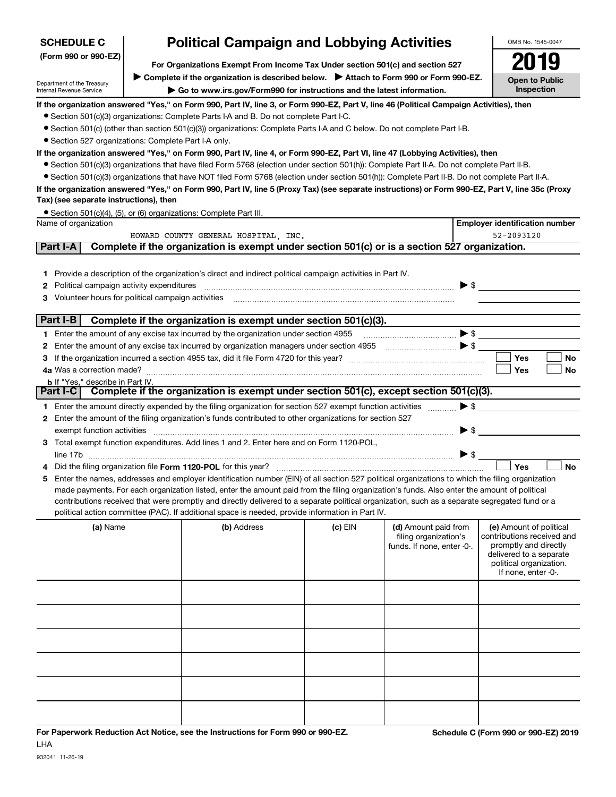| <b>SCHEDULE C</b>                                                                                     | OMB No. 1545-0047                                                                                                                       |                                                                                                                                                                                                                                                                                                |         |                                                                             |                                                                                                                                                             |  |  |  |  |
|-------------------------------------------------------------------------------------------------------|-----------------------------------------------------------------------------------------------------------------------------------------|------------------------------------------------------------------------------------------------------------------------------------------------------------------------------------------------------------------------------------------------------------------------------------------------|---------|-----------------------------------------------------------------------------|-------------------------------------------------------------------------------------------------------------------------------------------------------------|--|--|--|--|
| (Form 990 or 990-EZ)<br>For Organizations Exempt From Income Tax Under section 501(c) and section 527 |                                                                                                                                         |                                                                                                                                                                                                                                                                                                |         |                                                                             |                                                                                                                                                             |  |  |  |  |
|                                                                                                       | ► Complete if the organization is described below. ► Attach to Form 990 or Form 990-EZ.                                                 |                                                                                                                                                                                                                                                                                                |         |                                                                             |                                                                                                                                                             |  |  |  |  |
| Department of the Treasury<br>Internal Revenue Service                                                | <b>Open to Public</b><br>Inspection                                                                                                     |                                                                                                                                                                                                                                                                                                |         |                                                                             |                                                                                                                                                             |  |  |  |  |
|                                                                                                       | If the organization answered "Yes," on Form 990, Part IV, line 3, or Form 990-EZ, Part V, line 46 (Political Campaign Activities), then |                                                                                                                                                                                                                                                                                                |         |                                                                             |                                                                                                                                                             |  |  |  |  |
|                                                                                                       |                                                                                                                                         | • Section 501(c)(3) organizations: Complete Parts I-A and B. Do not complete Part I-C.                                                                                                                                                                                                         |         |                                                                             |                                                                                                                                                             |  |  |  |  |
| • Section 527 organizations: Complete Part I-A only.                                                  |                                                                                                                                         | • Section 501(c) (other than section 501(c)(3)) organizations: Complete Parts I-A and C below. Do not complete Part I-B.                                                                                                                                                                       |         |                                                                             |                                                                                                                                                             |  |  |  |  |
|                                                                                                       |                                                                                                                                         | If the organization answered "Yes," on Form 990, Part IV, line 4, or Form 990-EZ, Part VI, line 47 (Lobbying Activities), then                                                                                                                                                                 |         |                                                                             |                                                                                                                                                             |  |  |  |  |
|                                                                                                       |                                                                                                                                         | • Section 501(c)(3) organizations that have filed Form 5768 (election under section 501(h)): Complete Part II-A. Do not complete Part II-B.                                                                                                                                                    |         |                                                                             |                                                                                                                                                             |  |  |  |  |
|                                                                                                       |                                                                                                                                         | • Section 501(c)(3) organizations that have NOT filed Form 5768 (election under section 501(h)): Complete Part II-B. Do not complete Part II-A.                                                                                                                                                |         |                                                                             |                                                                                                                                                             |  |  |  |  |
| Tax) (see separate instructions), then                                                                |                                                                                                                                         | If the organization answered "Yes," on Form 990, Part IV, line 5 (Proxy Tax) (see separate instructions) or Form 990-EZ, Part V, line 35c (Proxy                                                                                                                                               |         |                                                                             |                                                                                                                                                             |  |  |  |  |
|                                                                                                       |                                                                                                                                         | • Section 501(c)(4), (5), or (6) organizations: Complete Part III.                                                                                                                                                                                                                             |         |                                                                             |                                                                                                                                                             |  |  |  |  |
| Name of organization                                                                                  |                                                                                                                                         | HOWARD COUNTY GENERAL HOSPITAL, INC.                                                                                                                                                                                                                                                           |         |                                                                             | <b>Employer identification number</b><br>52-2093120                                                                                                         |  |  |  |  |
| Part I-A                                                                                              |                                                                                                                                         | Complete if the organization is exempt under section 501(c) or is a section 527 organization.                                                                                                                                                                                                  |         |                                                                             |                                                                                                                                                             |  |  |  |  |
|                                                                                                       |                                                                                                                                         |                                                                                                                                                                                                                                                                                                |         |                                                                             |                                                                                                                                                             |  |  |  |  |
| 1.                                                                                                    |                                                                                                                                         | Provide a description of the organization's direct and indirect political campaign activities in Part IV.                                                                                                                                                                                      |         |                                                                             |                                                                                                                                                             |  |  |  |  |
| Political campaign activity expenditures<br>2                                                         |                                                                                                                                         |                                                                                                                                                                                                                                                                                                |         |                                                                             | $\blacktriangleright$ \$                                                                                                                                    |  |  |  |  |
| Volunteer hours for political campaign activities<br>з                                                |                                                                                                                                         |                                                                                                                                                                                                                                                                                                |         |                                                                             |                                                                                                                                                             |  |  |  |  |
|                                                                                                       |                                                                                                                                         |                                                                                                                                                                                                                                                                                                |         |                                                                             |                                                                                                                                                             |  |  |  |  |
| Part I-B                                                                                              |                                                                                                                                         | Complete if the organization is exempt under section 501(c)(3).                                                                                                                                                                                                                                |         |                                                                             |                                                                                                                                                             |  |  |  |  |
|                                                                                                       |                                                                                                                                         | 1 Enter the amount of any excise tax incurred by the organization under section 4955                                                                                                                                                                                                           |         |                                                                             |                                                                                                                                                             |  |  |  |  |
| 2                                                                                                     |                                                                                                                                         | Enter the amount of any excise tax incurred by organization managers under section 4955                                                                                                                                                                                                        |         |                                                                             |                                                                                                                                                             |  |  |  |  |
| з                                                                                                     |                                                                                                                                         |                                                                                                                                                                                                                                                                                                |         |                                                                             | <b>Yes</b><br>No                                                                                                                                            |  |  |  |  |
| <b>b</b> If "Yes," describe in Part IV.                                                               |                                                                                                                                         |                                                                                                                                                                                                                                                                                                |         |                                                                             | Yes<br>No                                                                                                                                                   |  |  |  |  |
| Part I-C                                                                                              |                                                                                                                                         | Complete if the organization is exempt under section 501(c), except section 501(c)(3).                                                                                                                                                                                                         |         |                                                                             |                                                                                                                                                             |  |  |  |  |
|                                                                                                       |                                                                                                                                         | 1 Enter the amount directly expended by the filing organization for section 527 exempt function activities                                                                                                                                                                                     |         | $\blacktriangleright$ \$                                                    |                                                                                                                                                             |  |  |  |  |
| 2                                                                                                     |                                                                                                                                         | Enter the amount of the filing organization's funds contributed to other organizations for section 527                                                                                                                                                                                         |         |                                                                             |                                                                                                                                                             |  |  |  |  |
| exempt function activities                                                                            |                                                                                                                                         |                                                                                                                                                                                                                                                                                                |         | $\blacktriangleright$ \$                                                    |                                                                                                                                                             |  |  |  |  |
|                                                                                                       |                                                                                                                                         | 3 Total exempt function expenditures. Add lines 1 and 2. Enter here and on Form 1120-POL,                                                                                                                                                                                                      |         |                                                                             |                                                                                                                                                             |  |  |  |  |
|                                                                                                       |                                                                                                                                         |                                                                                                                                                                                                                                                                                                |         | $\triangleright$ \$                                                         |                                                                                                                                                             |  |  |  |  |
|                                                                                                       |                                                                                                                                         |                                                                                                                                                                                                                                                                                                |         |                                                                             | Yes<br><b>No</b>                                                                                                                                            |  |  |  |  |
| 5                                                                                                     |                                                                                                                                         | Enter the names, addresses and employer identification number (EIN) of all section 527 political organizations to which the filing organization<br>made payments. For each organization listed, enter the amount paid from the filing organization's funds. Also enter the amount of political |         |                                                                             |                                                                                                                                                             |  |  |  |  |
|                                                                                                       |                                                                                                                                         | contributions received that were promptly and directly delivered to a separate political organization, such as a separate segregated fund or a                                                                                                                                                 |         |                                                                             |                                                                                                                                                             |  |  |  |  |
|                                                                                                       |                                                                                                                                         | political action committee (PAC). If additional space is needed, provide information in Part IV.                                                                                                                                                                                               |         |                                                                             |                                                                                                                                                             |  |  |  |  |
| (a) Name                                                                                              |                                                                                                                                         | (b) Address                                                                                                                                                                                                                                                                                    | (c) EIN | (d) Amount paid from<br>filing organization's<br>funds. If none, enter -0-. | (e) Amount of political<br>contributions received and<br>promptly and directly<br>delivered to a separate<br>political organization.<br>If none, enter -0-. |  |  |  |  |
|                                                                                                       |                                                                                                                                         |                                                                                                                                                                                                                                                                                                |         |                                                                             |                                                                                                                                                             |  |  |  |  |
|                                                                                                       |                                                                                                                                         |                                                                                                                                                                                                                                                                                                |         |                                                                             |                                                                                                                                                             |  |  |  |  |
|                                                                                                       |                                                                                                                                         |                                                                                                                                                                                                                                                                                                |         |                                                                             |                                                                                                                                                             |  |  |  |  |
|                                                                                                       |                                                                                                                                         |                                                                                                                                                                                                                                                                                                |         |                                                                             |                                                                                                                                                             |  |  |  |  |
|                                                                                                       |                                                                                                                                         |                                                                                                                                                                                                                                                                                                |         |                                                                             |                                                                                                                                                             |  |  |  |  |
|                                                                                                       |                                                                                                                                         |                                                                                                                                                                                                                                                                                                |         |                                                                             |                                                                                                                                                             |  |  |  |  |
|                                                                                                       |                                                                                                                                         |                                                                                                                                                                                                                                                                                                |         |                                                                             |                                                                                                                                                             |  |  |  |  |

**For Paperwork Reduction Act Notice, see the Instructions for Form 990 or 990-EZ. Schedule C (Form 990 or 990-EZ) 2019** LHA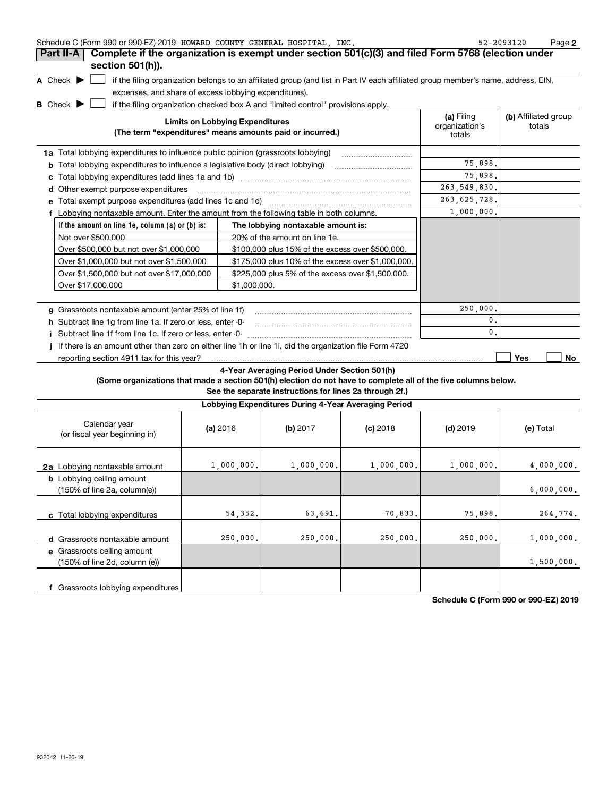| Schedule C (Form 990 or 990-EZ) 2019 HOWARD COUNTY GENERAL HOSPITAL INC. |  |  | 52-2093120 | Page |  |
|--------------------------------------------------------------------------|--|--|------------|------|--|
|                                                                          |  |  |            |      |  |

|   | Part II-A<br>section 501(h)).                                                                            | Complete if the organization is exempt under section 501(c)(3) and filed Form 5768 (election under                                                                                                                    |                                        |                                |
|---|----------------------------------------------------------------------------------------------------------|-----------------------------------------------------------------------------------------------------------------------------------------------------------------------------------------------------------------------|----------------------------------------|--------------------------------|
|   | A Check $\blacktriangleright$<br>expenses, and share of excess lobbying expenditures).<br><b>B</b> Check | if the filing organization belongs to an affiliated group (and list in Part IV each affiliated group member's name, address, EIN,<br>if the filing organization checked box A and "limited control" provisions apply. |                                        |                                |
|   |                                                                                                          | <b>Limits on Lobbying Expenditures</b><br>(The term "expenditures" means amounts paid or incurred.)                                                                                                                   | (a) Filing<br>organization's<br>totals | (b) Affiliated group<br>totals |
|   | 1a Total lobbying expenditures to influence public opinion (grassroots lobbying)                         |                                                                                                                                                                                                                       |                                        |                                |
| b |                                                                                                          |                                                                                                                                                                                                                       | 75,898.                                |                                |
|   |                                                                                                          |                                                                                                                                                                                                                       | 75,898.                                |                                |
| d | Other exempt purpose expenditures                                                                        |                                                                                                                                                                                                                       | 263, 549, 830.                         |                                |
|   |                                                                                                          |                                                                                                                                                                                                                       | 263, 625, 728.                         |                                |
|   | f Lobbying nontaxable amount. Enter the amount from the following table in both columns.                 |                                                                                                                                                                                                                       | 1,000,000.                             |                                |
|   | If the amount on line 1e, column (a) or (b) is:                                                          | The lobbying nontaxable amount is:                                                                                                                                                                                    |                                        |                                |
|   | Not over \$500,000                                                                                       | 20% of the amount on line 1e.                                                                                                                                                                                         |                                        |                                |
|   | Over \$500,000 but not over \$1,000,000                                                                  | \$100,000 plus 15% of the excess over \$500,000.                                                                                                                                                                      |                                        |                                |
|   | Over \$1,000,000 but not over \$1,500,000                                                                | \$175,000 plus 10% of the excess over \$1,000,000.                                                                                                                                                                    |                                        |                                |
|   | Over \$1,500,000 but not over \$17,000,000                                                               | \$225,000 plus 5% of the excess over \$1,500,000.                                                                                                                                                                     |                                        |                                |
|   | Over \$17,000,000                                                                                        | \$1,000,000.                                                                                                                                                                                                          |                                        |                                |
| a | Grassroots nontaxable amount (enter 25% of line 1f)                                                      |                                                                                                                                                                                                                       | 250,000.                               |                                |
|   | h Subtract line 1g from line 1a. If zero or less, enter -0-                                              |                                                                                                                                                                                                                       | $\mathbf{0}$ .                         |                                |
|   | Subtract line 1f from line 1c. If zero or less, enter -0-                                                |                                                                                                                                                                                                                       | $\mathbf{0}$ .                         |                                |
|   |                                                                                                          | If there is an amount other than zero on either line 1h or line 1i, did the organization file Form 4720                                                                                                               |                                        |                                |
|   | reporting section 4911 tax for this year?                                                                |                                                                                                                                                                                                                       |                                        | <b>Yes</b><br>No               |
|   |                                                                                                          | 4-Voor Averaging Period Under Section 501(b)                                                                                                                                                                          |                                        |                                |

#### **4-Year Averaging Period Under Section 501(h)**

**(Some organizations that made a section 501(h) election do not have to complete all of the five columns below.**

**See the separate instructions for lines 2a through 2f.)**

| Lobbying Expenditures During 4-Year Averaging Period                                 |            |            |            |            |            |  |  |  |
|--------------------------------------------------------------------------------------|------------|------------|------------|------------|------------|--|--|--|
| Calendar year<br>(or fiscal year beginning in)                                       | (a) 2016   | (b) 2017   | $(c)$ 2018 | $(d)$ 2019 | (e) Total  |  |  |  |
| 2a Lobbying nontaxable amount                                                        | 1,000,000. | 1,000,000. | 1,000,000. | 1,000,000. | 4,000,000. |  |  |  |
| <b>b</b> Lobbying ceiling amount<br>$(150\% \text{ of line } 2a, \text{ column}(e))$ |            |            |            |            | 6,000,000. |  |  |  |
| Total lobbying expenditures                                                          | 54,352.    | 63,691.    | 70,833.    | 75,898.    | 264,774.   |  |  |  |
| d Grassroots nontaxable amount                                                       | 250,000.   | 250,000.   | 250,000.   | 250,000.   | 1,000,000. |  |  |  |
| e Grassroots ceiling amount<br>$(150\% \text{ of line } 2d, \text{ column } (e))$    |            |            |            |            | 1,500,000. |  |  |  |
| Grassroots lobbying expenditures                                                     |            |            |            |            |            |  |  |  |

**Schedule C (Form 990 or 990-EZ) 2019**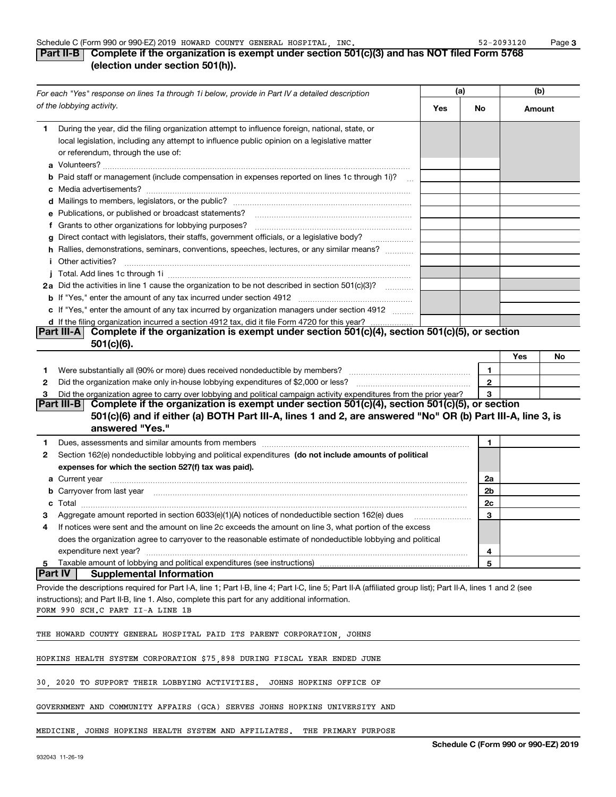#### **(a) (b)** *For each "Yes" response on lines 1a through 1i below, provide in Part IV a detailed description of the lobbying activity.*  **Yes No Amount**During the year, did the filing organization attempt to influence foreign, national, state, or **1**local legislation, including any attempt to influence public opinion on a legislative matter or referendum, through the use of: **a**Volunteers? ~~~~~~~~~~~~~~~~~~~~~~~~~~~~~~~~~~~~~~~~~~~ **b**Paid staff or management (include compensation in expenses reported on lines 1c through 1i)?  $\quad\ldots$ **c**Media advertisements? ~~~~~~~~~~~~~~~~~~~~~~~~~~~~~~~~~~~~~ **d**Mailings to members, legislators, or the public? ~~~~~~~~~~~~~~~~~~~~~~~~~ **e** Publications, or published or broadcast statements? **f**Grants to other organizations for lobbying purposes? ~~~~~~~~~~~~~~~~~~~~~~**g**Direct contact with legislators, their staffs, government officials, or a legislative body? ~~~~~~ **h** Rallies, demonstrations, seminars, conventions, speeches, lectures, or any similar means?  $\quad$ Other activities? j. ~~~~~~~~~~~~~~~~~~~~~~~~~~~~~~~~~~~~~~~~**ij**Total. Add lines 1c through 1i ~~~~~~~~~~~~~~~~~~~~~~~~~~~~~~~~~~**2a** Did the activities in line 1 cause the organization to be not described in section 501(c)(3)?  $\quad$  ........... **b** If "Yes," enter the amount of any tax incurred under section 4912 *\_\_\_\_\_\_\_\_\_\_\_\_\_\_\_\_\_\_\_\_\_\_\_\_\_\_\_\_\_* **c** If "Yes," enter the amount of any tax incurred by organization managers under section 4912  $\quad$ **d**If the filing organization incurred a section 4912 tax, did it file Form 4720 for this year? . . . . . . . . . . . . . . . . . . **Part III-A Complete if the organization is exempt under section 501(c)(4), section 501(c)(5), or section 501(c)(6).Yes No 11**Were substantially all (90% or more) dues received nondeductible by members? ~~~~~~~~~~~~~~~~~ Did the organization make only in-house lobbying expenditures of \$2,000 or less? **22**Did the organization agree to carry over lobbying and political campaign activity expenditures from the prior year? **33 Part III-B Complete if the organization is exempt under section 501(c)(4), section 501(c)(5), or section 501(c)(6) and if either (a) BOTH Part III-A, lines 1 and 2, are answered "No" OR (b) Part III-A, line 3, is answered "Yes." 1**Dues, assessments and similar amounts from members ~~~~~~~~~~~~~~~~~~~~~~~~~~~~~ **12**Section 162(e) nondeductible lobbying and political expenditures (do not include amounts of political **expenses for which the section 527(f) tax was paid). 2aa**Current year ~~~~~~~~~~~~~~~~~~~~~~~~~~~~~~~~~~~~~~~~~~~~~~~~~~**2bb**Carryover from last year ~~~~~~~~~~~~~~~~~~~~~~~~~~~~~~~~~~~~~~~~~~~~**2cc**Total ~~~~~~~~~~~~~~~~~~~~~~~~~~~~~~~~~~~~~~~~~~~~~~~~~~~~~~ Aggregate amount reported in section 6033(e)(1)(A) notices of nondeductible section 162(e) dues **33**If notices were sent and the amount on line 2c exceeds the amount on line 3, what portion of the excess **4**does the organization agree to carryover to the reasonable estimate of nondeductible lobbying and political expenditure next year? ~~~~~~~~~~~~~~~~~~~~~~~~~~~~~~~~~~~~~~~~~~~~~**4**Taxable amount of lobbying and political expenditures (see instructions) **55Part IV Supplemental Information** Provide the descriptions required for Part I-A, line 1; Part I-B, line 4; Part I-C, line 5; Part II-A (affiliated group list); Part II-A, lines 1 and 2 (see instructions); and Part II-B, line 1. Also, complete this part for any additional information. FORM 990 SCH.C PART II-A LINE 1B THE HOWARD COUNTY GENERAL HOSPITAL PAID ITS PARENT CORPORATION, JOHNS HOPKINS HEALTH SYSTEM CORPORATION \$75,898 DURING FISCAL YEAR ENDED JUNE 30, 2020 TO SUPPORT THEIR LOBBYING ACTIVITIES. JOHNS HOPKINS OFFICE OF

GOVERNMENT AND COMMUNITY AFFAIRS (GCA) SERVES JOHNS HOPKINS UNIVERSITY AND

#### MEDICINE, JOHNS HOPKINS HEALTH SYSTEM AND AFFILIATES. THE PRIMARY PURPOSE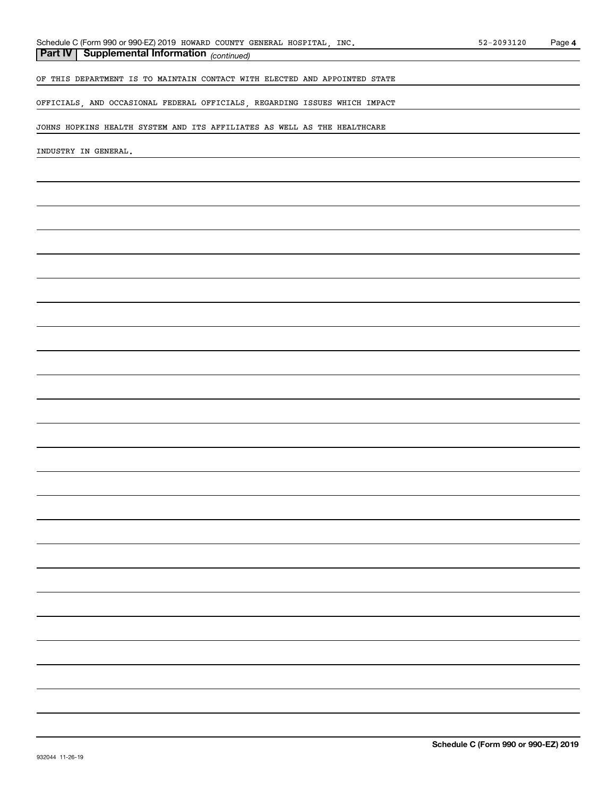#### *(continued)* **Part IV Supplemental Information**

OF THIS DEPARTMENT IS TO MAINTAIN CONTACT WITH ELECTED AND APPOINTED STATE

OFFICIALS, AND OCCASIONAL FEDERAL OFFICIALS, REGARDING ISSUES WHICH IMPACT

JOHNS HOPKINS HEALTH SYSTEM AND ITS AFFILIATES AS WELL AS THE HEALTHCARE

INDUSTRY IN GENERAL.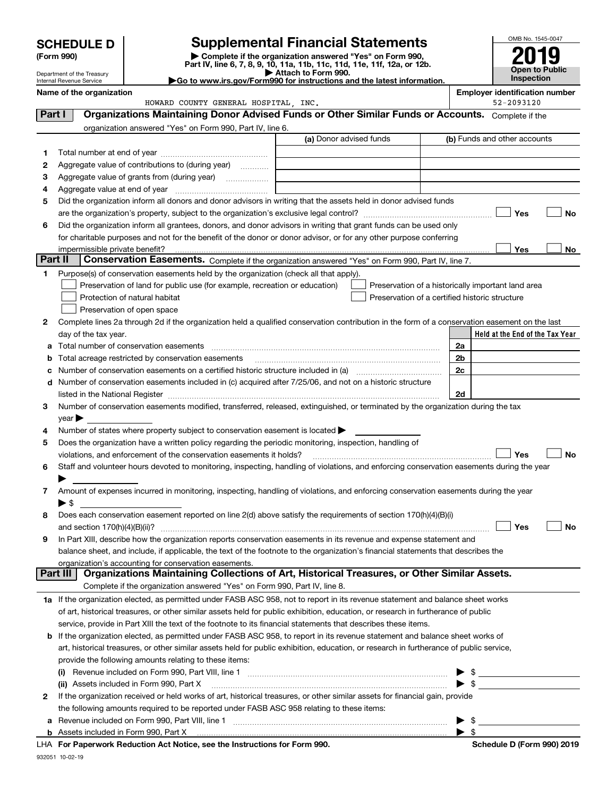|        |                                                        |                                                                                                                                                                                  |                         |                                                    |                          | OMB No. 1545-0047                                   |
|--------|--------------------------------------------------------|----------------------------------------------------------------------------------------------------------------------------------------------------------------------------------|-------------------------|----------------------------------------------------|--------------------------|-----------------------------------------------------|
|        | <b>SCHEDULE D</b><br>(Form 990)                        | <b>Supplemental Financial Statements</b><br>Complete if the organization answered "Yes" on Form 990,<br>Part IV, line 6, 7, 8, 9, 10, 11a, 11b, 11c, 11d, 11e, 11f, 12a, or 12b. |                         |                                                    |                          | <b>Open to Public</b>                               |
|        | Department of the Treasury<br>Internal Revenue Service | Go to www.irs.gov/Form990 for instructions and the latest information.                                                                                                           | Attach to Form 990.     |                                                    |                          | Inspection                                          |
|        | Name of the organization                               | HOWARD COUNTY GENERAL HOSPITAL, INC.                                                                                                                                             |                         |                                                    |                          | <b>Employer identification number</b><br>52-2093120 |
| Part I |                                                        | Organizations Maintaining Donor Advised Funds or Other Similar Funds or Accounts. Complete if the                                                                                |                         |                                                    |                          |                                                     |
|        |                                                        | organization answered "Yes" on Form 990, Part IV, line 6.                                                                                                                        |                         |                                                    |                          |                                                     |
|        |                                                        |                                                                                                                                                                                  | (a) Donor advised funds |                                                    |                          | (b) Funds and other accounts                        |
| 1      |                                                        |                                                                                                                                                                                  |                         |                                                    |                          |                                                     |
| 2      |                                                        | Aggregate value of contributions to (during year)                                                                                                                                |                         |                                                    |                          |                                                     |
| 3      |                                                        |                                                                                                                                                                                  |                         |                                                    |                          |                                                     |
| 4      |                                                        |                                                                                                                                                                                  |                         |                                                    |                          |                                                     |
| 5      |                                                        | Did the organization inform all donors and donor advisors in writing that the assets held in donor advised funds                                                                 |                         |                                                    |                          |                                                     |
|        |                                                        |                                                                                                                                                                                  |                         |                                                    |                          | Yes<br><b>No</b>                                    |
| 6      |                                                        | Did the organization inform all grantees, donors, and donor advisors in writing that grant funds can be used only                                                                |                         |                                                    |                          |                                                     |
|        |                                                        | for charitable purposes and not for the benefit of the donor or donor advisor, or for any other purpose conferring                                                               |                         |                                                    |                          |                                                     |
|        |                                                        |                                                                                                                                                                                  |                         |                                                    |                          | Yes<br>No                                           |
|        | Part II                                                | Conservation Easements. Complete if the organization answered "Yes" on Form 990, Part IV, line 7.                                                                                |                         |                                                    |                          |                                                     |
| 1      |                                                        | Purpose(s) of conservation easements held by the organization (check all that apply).                                                                                            |                         |                                                    |                          |                                                     |
|        |                                                        | Preservation of land for public use (for example, recreation or education)                                                                                                       |                         | Preservation of a historically important land area |                          |                                                     |
|        |                                                        | Protection of natural habitat                                                                                                                                                    |                         | Preservation of a certified historic structure     |                          |                                                     |
|        |                                                        | Preservation of open space                                                                                                                                                       |                         |                                                    |                          |                                                     |
| 2      |                                                        | Complete lines 2a through 2d if the organization held a qualified conservation contribution in the form of a conservation easement on the last                                   |                         |                                                    |                          |                                                     |
|        | day of the tax year.                                   |                                                                                                                                                                                  |                         |                                                    |                          | Held at the End of the Tax Year                     |
|        |                                                        | a Total number of conservation easements                                                                                                                                         |                         |                                                    | 2a                       |                                                     |
|        |                                                        |                                                                                                                                                                                  |                         |                                                    | 2 <sub>b</sub>           |                                                     |
|        |                                                        |                                                                                                                                                                                  |                         |                                                    | 2c                       |                                                     |
|        |                                                        | d Number of conservation easements included in (c) acquired after 7/25/06, and not on a historic structure                                                                       |                         |                                                    |                          |                                                     |
|        |                                                        |                                                                                                                                                                                  |                         |                                                    | 2d                       |                                                     |
| 3      |                                                        | Number of conservation easements modified, transferred, released, extinguished, or terminated by the organization during the tax                                                 |                         |                                                    |                          |                                                     |
| 4      | $\gamma$ ear                                           | Number of states where property subject to conservation easement is located $\blacktriangleright$                                                                                |                         |                                                    |                          |                                                     |
| 5      |                                                        | Does the organization have a written policy regarding the periodic monitoring, inspection, handling of                                                                           |                         |                                                    |                          |                                                     |
|        |                                                        | violations, and enforcement of the conservation easements it holds?                                                                                                              |                         |                                                    |                          | Yes<br><b>No</b>                                    |
| 6      |                                                        | Staff and volunteer hours devoted to monitoring, inspecting, handling of violations, and enforcing conservation easements during the year                                        |                         |                                                    |                          |                                                     |
|        |                                                        |                                                                                                                                                                                  |                         |                                                    |                          |                                                     |
| 7      |                                                        | Amount of expenses incurred in monitoring, inspecting, handling of violations, and enforcing conservation easements during the year                                              |                         |                                                    |                          |                                                     |
|        | $\blacktriangleright$ \$                               |                                                                                                                                                                                  |                         |                                                    |                          |                                                     |
| 8      |                                                        | Does each conservation easement reported on line 2(d) above satisfy the requirements of section 170(h)(4)(B)(i)                                                                  |                         |                                                    |                          |                                                     |
|        |                                                        |                                                                                                                                                                                  |                         |                                                    |                          | Yes<br>No                                           |
| 9      |                                                        | In Part XIII, describe how the organization reports conservation easements in its revenue and expense statement and                                                              |                         |                                                    |                          |                                                     |
|        |                                                        | balance sheet, and include, if applicable, the text of the footnote to the organization's financial statements that describes the                                                |                         |                                                    |                          |                                                     |
|        |                                                        | organization's accounting for conservation easements.                                                                                                                            |                         |                                                    |                          |                                                     |
|        | Part III                                               | Organizations Maintaining Collections of Art, Historical Treasures, or Other Similar Assets.                                                                                     |                         |                                                    |                          |                                                     |
|        |                                                        | Complete if the organization answered "Yes" on Form 990, Part IV, line 8.                                                                                                        |                         |                                                    |                          |                                                     |
|        |                                                        | 1a If the organization elected, as permitted under FASB ASC 958, not to report in its revenue statement and balance sheet works                                                  |                         |                                                    |                          |                                                     |
|        |                                                        | of art, historical treasures, or other similar assets held for public exhibition, education, or research in furtherance of public                                                |                         |                                                    |                          |                                                     |
|        |                                                        | service, provide in Part XIII the text of the footnote to its financial statements that describes these items.                                                                   |                         |                                                    |                          |                                                     |
|        |                                                        | <b>b</b> If the organization elected, as permitted under FASB ASC 958, to report in its revenue statement and balance sheet works of                                             |                         |                                                    |                          |                                                     |
|        |                                                        | art, historical treasures, or other similar assets held for public exhibition, education, or research in furtherance of public service,                                          |                         |                                                    |                          |                                                     |
|        |                                                        | provide the following amounts relating to these items:                                                                                                                           |                         |                                                    |                          |                                                     |
|        |                                                        |                                                                                                                                                                                  |                         |                                                    |                          |                                                     |
|        |                                                        | (ii) Assets included in Form 990, Part X                                                                                                                                         |                         |                                                    |                          | $\blacktriangleright$ \$                            |
| 2      |                                                        | If the organization received or held works of art, historical treasures, or other similar assets for financial gain, provide                                                     |                         |                                                    |                          |                                                     |
|        |                                                        | the following amounts required to be reported under FASB ASC 958 relating to these items:                                                                                        |                         |                                                    |                          |                                                     |
|        |                                                        |                                                                                                                                                                                  |                         |                                                    | $\blacktriangleright$ \$ |                                                     |

| <b>a</b> Revenue included on Form 990, Part VIII, line 1 | . |  |
|----------------------------------------------------------|---|--|
| <b>b</b> Assets included in Form 990, Part X             |   |  |

**For Paperwork Reduction Act Notice, see the Instructions for Form 990. Schedule D (Form 990) 2019** LHA

 $\blacktriangleright$  \$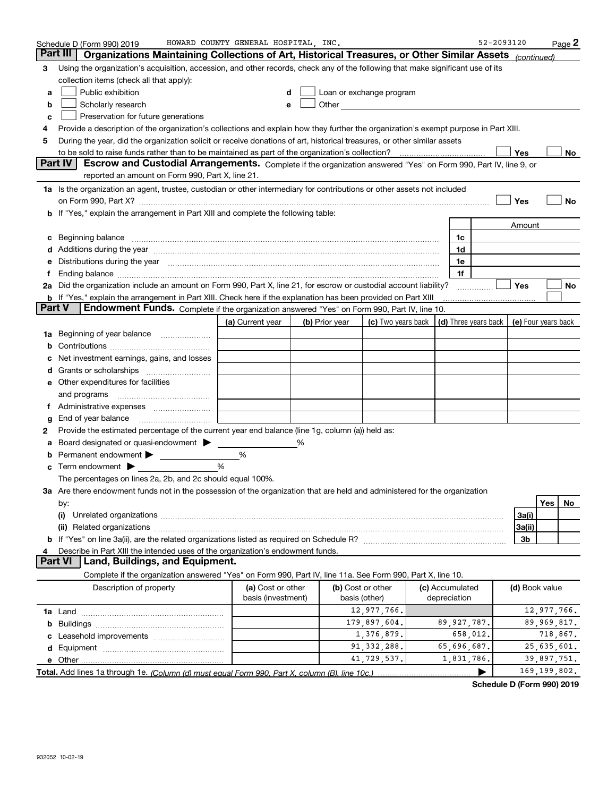|               | Schedule D (Form 990) 2019                                                                                                                                                                                                     | HOWARD COUNTY GENERAL HOSPITAL INC. |   |                |                                                                                                                                                                                                                               |                 | 52-2093120 |                |                | Page 2 |
|---------------|--------------------------------------------------------------------------------------------------------------------------------------------------------------------------------------------------------------------------------|-------------------------------------|---|----------------|-------------------------------------------------------------------------------------------------------------------------------------------------------------------------------------------------------------------------------|-----------------|------------|----------------|----------------|--------|
|               | Part III<br>Organizations Maintaining Collections of Art, Historical Treasures, or Other Similar Assets (continued)                                                                                                            |                                     |   |                |                                                                                                                                                                                                                               |                 |            |                |                |        |
| 3             | Using the organization's acquisition, accession, and other records, check any of the following that make significant use of its                                                                                                |                                     |   |                |                                                                                                                                                                                                                               |                 |            |                |                |        |
|               | collection items (check all that apply):                                                                                                                                                                                       |                                     |   |                |                                                                                                                                                                                                                               |                 |            |                |                |        |
| a             | Public exhibition                                                                                                                                                                                                              |                                     | d |                | Loan or exchange program                                                                                                                                                                                                      |                 |            |                |                |        |
| b             | Scholarly research                                                                                                                                                                                                             |                                     | e |                | Other and the contract of the contract of the contract of the contract of the contract of the contract of the contract of the contract of the contract of the contract of the contract of the contract of the contract of the |                 |            |                |                |        |
| c             | Preservation for future generations                                                                                                                                                                                            |                                     |   |                |                                                                                                                                                                                                                               |                 |            |                |                |        |
| 4             | Provide a description of the organization's collections and explain how they further the organization's exempt purpose in Part XIII.                                                                                           |                                     |   |                |                                                                                                                                                                                                                               |                 |            |                |                |        |
| 5             | During the year, did the organization solicit or receive donations of art, historical treasures, or other similar assets                                                                                                       |                                     |   |                |                                                                                                                                                                                                                               |                 |            |                |                |        |
|               |                                                                                                                                                                                                                                |                                     |   |                |                                                                                                                                                                                                                               |                 |            | Yes            |                | No     |
|               | <b>Part IV</b><br>Escrow and Custodial Arrangements. Complete if the organization answered "Yes" on Form 990, Part IV, line 9, or                                                                                              |                                     |   |                |                                                                                                                                                                                                                               |                 |            |                |                |        |
|               | reported an amount on Form 990, Part X, line 21.                                                                                                                                                                               |                                     |   |                |                                                                                                                                                                                                                               |                 |            |                |                |        |
|               | 1a Is the organization an agent, trustee, custodian or other intermediary for contributions or other assets not included                                                                                                       |                                     |   |                |                                                                                                                                                                                                                               |                 |            |                |                |        |
|               | on Form 990, Part X? [11] The Content of The Content of The Content of The Content of The Content of The Content of The Content of The Content of The Content of The Content of The Content of The Content of The Content of T |                                     |   |                |                                                                                                                                                                                                                               |                 |            | Yes            |                | No     |
|               | b If "Yes," explain the arrangement in Part XIII and complete the following table:                                                                                                                                             |                                     |   |                |                                                                                                                                                                                                                               |                 |            |                |                |        |
|               |                                                                                                                                                                                                                                |                                     |   |                |                                                                                                                                                                                                                               |                 |            | Amount         |                |        |
| c             | Beginning balance <u>www.maren.communication.communication.communication.communication.com</u>                                                                                                                                 |                                     |   |                |                                                                                                                                                                                                                               | 1c              |            |                |                |        |
|               |                                                                                                                                                                                                                                |                                     |   |                |                                                                                                                                                                                                                               | 1d              |            |                |                |        |
|               | e Distributions during the year manufactured and an intervention of the year manufactured by the state of the state of the state of the state of the state of the state of the state of the state of the state of the state of |                                     |   |                |                                                                                                                                                                                                                               | 1e<br>1f        |            |                |                |        |
|               | 2a Did the organization include an amount on Form 990, Part X, line 21, for escrow or custodial account liability?                                                                                                             |                                     |   |                |                                                                                                                                                                                                                               |                 |            | <b>Yes</b>     |                | No     |
|               | <b>b</b> If "Yes," explain the arrangement in Part XIII. Check here if the explanation has been provided on Part XIII                                                                                                          |                                     |   |                |                                                                                                                                                                                                                               |                 |            |                |                |        |
| <b>Part V</b> | Endowment Funds. Complete if the organization answered "Yes" on Form 990, Part IV, line 10.                                                                                                                                    |                                     |   |                |                                                                                                                                                                                                                               |                 |            |                |                |        |
|               |                                                                                                                                                                                                                                | (a) Current year                    |   | (b) Prior year | (c) Two years back $\vert$ (d) Three years back $\vert$ (e) Four years back                                                                                                                                                   |                 |            |                |                |        |
|               | <b>1a</b> Beginning of year balance                                                                                                                                                                                            |                                     |   |                |                                                                                                                                                                                                                               |                 |            |                |                |        |
| b             |                                                                                                                                                                                                                                |                                     |   |                |                                                                                                                                                                                                                               |                 |            |                |                |        |
| c             | Net investment earnings, gains, and losses                                                                                                                                                                                     |                                     |   |                |                                                                                                                                                                                                                               |                 |            |                |                |        |
|               |                                                                                                                                                                                                                                |                                     |   |                |                                                                                                                                                                                                                               |                 |            |                |                |        |
|               | <b>e</b> Other expenditures for facilities                                                                                                                                                                                     |                                     |   |                |                                                                                                                                                                                                                               |                 |            |                |                |        |
|               | and programs                                                                                                                                                                                                                   |                                     |   |                |                                                                                                                                                                                                                               |                 |            |                |                |        |
|               |                                                                                                                                                                                                                                |                                     |   |                |                                                                                                                                                                                                                               |                 |            |                |                |        |
| g             | End of year balance                                                                                                                                                                                                            |                                     |   |                |                                                                                                                                                                                                                               |                 |            |                |                |        |
| 2             | Provide the estimated percentage of the current year end balance (line 1g, column (a)) held as:                                                                                                                                |                                     |   |                |                                                                                                                                                                                                                               |                 |            |                |                |        |
|               | a Board designated or quasi-endowment >                                                                                                                                                                                        |                                     | ℅ |                |                                                                                                                                                                                                                               |                 |            |                |                |        |
| b             | Permanent endowment >                                                                                                                                                                                                          | %                                   |   |                |                                                                                                                                                                                                                               |                 |            |                |                |        |
|               | $\mathbf c$ Term endowment $\blacktriangleright$                                                                                                                                                                               | %                                   |   |                |                                                                                                                                                                                                                               |                 |            |                |                |        |
|               | The percentages on lines 2a, 2b, and 2c should equal 100%.                                                                                                                                                                     |                                     |   |                |                                                                                                                                                                                                                               |                 |            |                |                |        |
|               | 3a Are there endowment funds not in the possession of the organization that are held and administered for the organization                                                                                                     |                                     |   |                |                                                                                                                                                                                                                               |                 |            |                |                |        |
|               | by:                                                                                                                                                                                                                            |                                     |   |                |                                                                                                                                                                                                                               |                 |            |                | Yes            | No.    |
|               | (i)                                                                                                                                                                                                                            |                                     |   |                |                                                                                                                                                                                                                               |                 |            | 3a(i)          |                |        |
|               |                                                                                                                                                                                                                                |                                     |   |                |                                                                                                                                                                                                                               |                 |            | 3a(ii)         |                |        |
|               |                                                                                                                                                                                                                                |                                     |   |                |                                                                                                                                                                                                                               |                 |            | 3b             |                |        |
| 4             | Describe in Part XIII the intended uses of the organization's endowment funds.                                                                                                                                                 |                                     |   |                |                                                                                                                                                                                                                               |                 |            |                |                |        |
|               | Land, Buildings, and Equipment.<br><b>Part VI</b>                                                                                                                                                                              |                                     |   |                |                                                                                                                                                                                                                               |                 |            |                |                |        |
|               | Complete if the organization answered "Yes" on Form 990, Part IV, line 11a. See Form 990, Part X, line 10.                                                                                                                     |                                     |   |                |                                                                                                                                                                                                                               |                 |            |                |                |        |
|               | Description of property                                                                                                                                                                                                        | (a) Cost or other                   |   |                | (b) Cost or other                                                                                                                                                                                                             | (c) Accumulated |            | (d) Book value |                |        |
|               |                                                                                                                                                                                                                                | basis (investment)                  |   |                | basis (other)                                                                                                                                                                                                                 | depreciation    |            |                |                |        |
|               |                                                                                                                                                                                                                                |                                     |   |                | 12,977,766.                                                                                                                                                                                                                   |                 |            |                | 12,977,766.    |        |
|               |                                                                                                                                                                                                                                |                                     |   |                | 179,897,604.                                                                                                                                                                                                                  | 89, 927, 787.   |            |                | 89,969,817.    |        |
|               |                                                                                                                                                                                                                                |                                     |   |                | 1,376,879.                                                                                                                                                                                                                    | 658,012.        |            |                | 718,867.       |        |
|               |                                                                                                                                                                                                                                |                                     |   |                | 91, 332, 288.                                                                                                                                                                                                                 | 65,696,687.     |            |                | 25,635,601.    |        |
|               |                                                                                                                                                                                                                                |                                     |   |                | 41,729,537.                                                                                                                                                                                                                   | 1,831,786.      |            |                | 39,897,751.    |        |
|               |                                                                                                                                                                                                                                |                                     |   |                |                                                                                                                                                                                                                               |                 | ▶          |                | 169, 199, 802. |        |

**Schedule D (Form 990) 2019**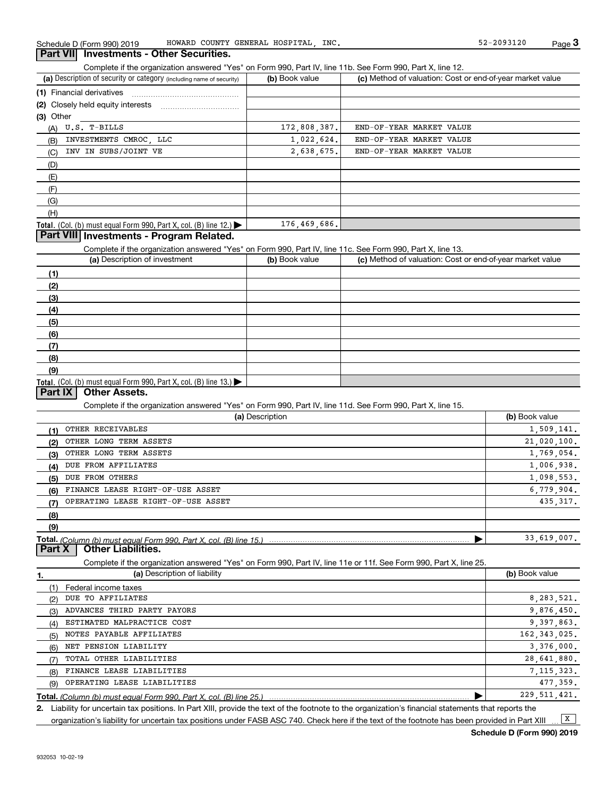Complete if the organization answered "Yes" on Form 990, Part IV, line 11b. See Form 990, Part X, line 12.

| (a) Description of security or category (including name of security)                   | (b) Book value | (c) Method of valuation: Cost or end-of-year market value |
|----------------------------------------------------------------------------------------|----------------|-----------------------------------------------------------|
| (1) Financial derivatives                                                              |                |                                                           |
| (2) Closely held equity interests                                                      |                |                                                           |
| (3) Other                                                                              |                |                                                           |
| U.S. T-BILLS<br>(A)                                                                    | 172,808,387.   | END-OF-YEAR MARKET VALUE                                  |
| INVESTMENTS CMROC, LLC<br>(B)                                                          | 1,022,624.     | END-OF-YEAR MARKET VALUE                                  |
| INV IN SUBS/JOINT VE<br>(C)                                                            | 2,638,675.     | END-OF-YEAR MARKET VALUE                                  |
| (D)                                                                                    |                |                                                           |
| (E)                                                                                    |                |                                                           |
| (F)                                                                                    |                |                                                           |
| (G)                                                                                    |                |                                                           |
| (H)                                                                                    |                |                                                           |
| Total. (Col. (b) must equal Form 990, Part X, col. (B) line 12.) $\blacktriangleright$ | 176,469,686.   |                                                           |

#### **Part VIII Investments - Program Related.**

Complete if the organization answered "Yes" on Form 990, Part IV, line 11c. See Form 990, Part X, line 13.

| (a) Description of investment                                       | (b) Book value | (c) Method of valuation: Cost or end-of-year market value |
|---------------------------------------------------------------------|----------------|-----------------------------------------------------------|
| (1)                                                                 |                |                                                           |
| (2)                                                                 |                |                                                           |
| (3)                                                                 |                |                                                           |
| (4)                                                                 |                |                                                           |
| (5)                                                                 |                |                                                           |
| (6)                                                                 |                |                                                           |
| (7)                                                                 |                |                                                           |
| (8)                                                                 |                |                                                           |
| (9)                                                                 |                |                                                           |
| Total. (Col. (b) must equal Form 990, Part X, col. (B) line $13$ .) |                |                                                           |

### **Part IX Other Assets.**

Complete if the organization answered "Yes" on Form 990, Part IV, line 11d. See Form 990, Part X, line 15.

|     | (a) Description                                                    | (b) Book value |
|-----|--------------------------------------------------------------------|----------------|
| (1) | OTHER RECEIVABLES                                                  | 1,509,141.     |
| (2) | OTHER LONG TERM ASSETS                                             | 21,020,100.    |
| (3) | OTHER LONG TERM ASSETS                                             | 1,769,054.     |
| (4) | DUE FROM AFFILIATES                                                | 1,006,938.     |
| (5) | DUE FROM OTHERS                                                    | 1,098,553.     |
| (6) | FINANCE LEASE RIGHT-OF-USE ASSET                                   | 6,779,904.     |
| (7) | OPERATING LEASE RIGHT-OF-USE ASSET                                 | 435, 317.      |
| (8) |                                                                    |                |
| (9) |                                                                    |                |
|     | Total. (Column (b) must equal Form 990, Part X, col. (B) line 15.) | 33,619,007.    |

**Part X Other Liabilities.**

Complete if the organization answered "Yes" on Form 990, Part IV, line 11e or 11f. See Form 990, Part X, line 25.

|     | (a) Description of liability | (b) Book value |
|-----|------------------------------|----------------|
|     | Federal income taxes         |                |
| (2) | DUE TO AFFILIATES            | 8, 283, 521.   |
| (3) | ADVANCES THIRD PARTY PAYORS  | 9,876,450.     |
| (4) | ESTIMATED MALPRACTICE COST   | 9.397.863.     |
| (5) | NOTES PAYABLE AFFILIATES     | 162, 343, 025. |
| (6) | NET PENSION LIABILITY        | 3,376,000.     |
| (7) | TOTAL OTHER LIABILITIES      | 28,641,880.    |
| (8) | FINANCE LEASE LIABILITIES    | 7, 115, 323.   |
| (9) | OPERATING LEASE LIABILITIES  | 477.359.       |
|     |                              | 229, 511, 421. |

*(Column (b) must equal Form 990, Part X, col. (B) line 25.)*

**2.**Liability for uncertain tax positions. In Part XIII, provide the text of the footnote to the organization's financial statements that reports the organization's liability for uncertain tax positions under FASB ASC 740. Check here if the text of the footnote has been provided in Part XIII  $\boxed{\mathbf{X}}$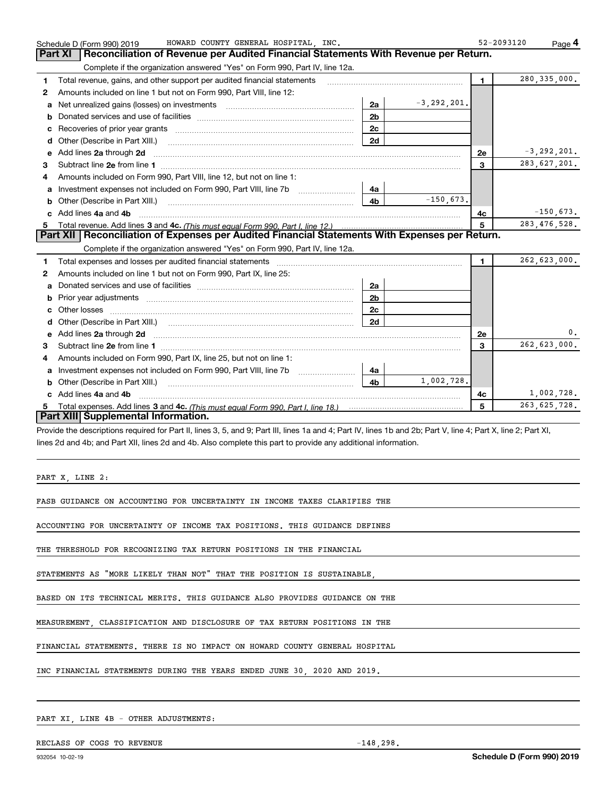|    | HOWARD COUNTY GENERAL HOSPITAL INC.<br>Schedule D (Form 990) 2019                                                                                                                                                                   |                |                 | 52-2093120   | Page 4          |
|----|-------------------------------------------------------------------------------------------------------------------------------------------------------------------------------------------------------------------------------------|----------------|-----------------|--------------|-----------------|
|    | Reconciliation of Revenue per Audited Financial Statements With Revenue per Return.<br>Part XI                                                                                                                                      |                |                 |              |                 |
|    | Complete if the organization answered "Yes" on Form 990, Part IV, line 12a.                                                                                                                                                         |                |                 |              |                 |
| 1  | Total revenue, gains, and other support per audited financial statements                                                                                                                                                            |                |                 | $\mathbf{1}$ | 280, 335, 000.  |
| 2  | Amounts included on line 1 but not on Form 990, Part VIII, line 12:                                                                                                                                                                 |                |                 |              |                 |
| a  |                                                                                                                                                                                                                                     | 2a             | $-3, 292, 201.$ |              |                 |
| b  |                                                                                                                                                                                                                                     | 2 <sub>b</sub> |                 |              |                 |
| c  |                                                                                                                                                                                                                                     | 2c             |                 |              |                 |
| d  | Other (Describe in Part XIII.) <b>Construction Contract Construction</b> Construction Construction Construction Construction Construction Construction Construction Construction Construction Construction Construction Constructio | 2d             |                 |              |                 |
| е  | Add lines 2a through 2d                                                                                                                                                                                                             |                |                 | <b>2e</b>    | $-3, 292, 201.$ |
| 3  |                                                                                                                                                                                                                                     |                |                 | 3            | 283,627,201.    |
| 4  | Amounts included on Form 990, Part VIII, line 12, but not on line 1:                                                                                                                                                                |                |                 |              |                 |
|    |                                                                                                                                                                                                                                     | 4a             |                 |              |                 |
| b  |                                                                                                                                                                                                                                     | 4 <sub>b</sub> | $-150.673.$     |              |                 |
| c. | Add lines 4a and 4b                                                                                                                                                                                                                 |                |                 | 4с           | $-150,673.$     |
|    |                                                                                                                                                                                                                                     |                |                 | 5            | 283, 476, 528.  |
|    | Part XII   Reconciliation of Expenses per Audited Financial Statements With Expenses per Return.                                                                                                                                    |                |                 |              |                 |
|    | Complete if the organization answered "Yes" on Form 990, Part IV, line 12a.                                                                                                                                                         |                |                 |              |                 |
| 1  |                                                                                                                                                                                                                                     |                |                 | $\mathbf{1}$ | 262,623,000.    |
| 2  | Amounts included on line 1 but not on Form 990, Part IX, line 25:                                                                                                                                                                   |                |                 |              |                 |
| a  |                                                                                                                                                                                                                                     | 2a             |                 |              |                 |
| b  |                                                                                                                                                                                                                                     | 2 <sub>b</sub> |                 |              |                 |
| c  |                                                                                                                                                                                                                                     | 2c             |                 |              |                 |
| d  |                                                                                                                                                                                                                                     | 2d             |                 |              |                 |
| е  | Add lines 2a through 2d <b>contained a contained a contained a contained a</b> contained a contained a contained a contained a contained a contained a contained a contained a contained a contained a contained a contained a cont |                |                 | <b>2e</b>    | 0.              |
| 3  |                                                                                                                                                                                                                                     |                |                 | $\mathbf{3}$ | 262,623,000.    |
| 4  | Amounts included on Form 990, Part IX, line 25, but not on line 1:                                                                                                                                                                  |                |                 |              |                 |
| a  |                                                                                                                                                                                                                                     | 4a             |                 |              |                 |
| b  | Other (Describe in Part XIII.)                                                                                                                                                                                                      | 4 <sub>b</sub> | 1,002,728.      |              |                 |
|    | c Add lines 4a and 4b                                                                                                                                                                                                               |                |                 | 4c           | 1,002,728.      |
|    |                                                                                                                                                                                                                                     |                |                 | 5            | 263, 625, 728.  |
|    | Part XIII Supplemental Information.                                                                                                                                                                                                 |                |                 |              |                 |

Provide the descriptions required for Part II, lines 3, 5, and 9; Part III, lines 1a and 4; Part IV, lines 1b and 2b; Part V, line 4; Part X, line 2; Part XI, lines 2d and 4b; and Part XII, lines 2d and 4b. Also complete this part to provide any additional information.

PART X, LINE 2:

FASB GUIDANCE ON ACCOUNTING FOR UNCERTAINTY IN INCOME TAXES CLARIFIES THE

ACCOUNTING FOR UNCERTAINTY OF INCOME TAX POSITIONS. THIS GUIDANCE DEFINES

THE THRESHOLD FOR RECOGNIZING TAX RETURN POSITIONS IN THE FINANCIAL

STATEMENTS AS "MORE LIKELY THAN NOT" THAT THE POSITION IS SUSTAINABLE,

BASED ON ITS TECHNICAL MERITS. THIS GUIDANCE ALSO PROVIDES GUIDANCE ON THE

MEASUREMENT, CLASSIFICATION AND DISCLOSURE OF TAX RETURN POSITIONS IN THE

FINANCIAL STATEMENTS. THERE IS NO IMPACT ON HOWARD COUNTY GENERAL HOSPITAL

INC FINANCIAL STATEMENTS DURING THE YEARS ENDED JUNE 30, 2020 AND 2019.

#### PART XI, LINE 4B - OTHER ADJUSTMENTS:

RECLASS OF COGS TO REVENUE  $-148,298$ .

**Schedule D (Form 990) 2019**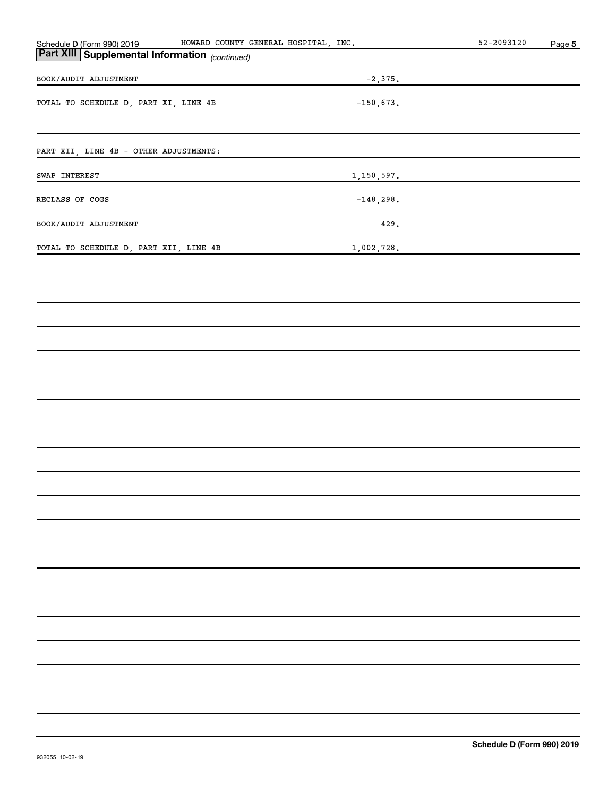| Schedule D (Form 990) 2019                     | HOWARD COUNTY GENERAL HOSPITAL, INC. |             |             | $52 - 2093120$ | Page 5 |
|------------------------------------------------|--------------------------------------|-------------|-------------|----------------|--------|
| Part XIII Supplemental Information (continued) |                                      |             |             |                |        |
| BOOK/AUDIT ADJUSTMENT                          |                                      |             | $-2,375.$   |                |        |
| TOTAL TO SCHEDULE D, PART XI, LINE 4B          |                                      | $-150,673.$ |             |                |        |
|                                                |                                      |             |             |                |        |
| PART XII, LINE 4B - OTHER ADJUSTMENTS:         |                                      |             |             |                |        |
| SWAP INTEREST                                  |                                      |             | 1,150,597.  |                |        |
| RECLASS OF COGS                                |                                      |             | $-148,298.$ |                |        |
| BOOK/AUDIT ADJUSTMENT                          |                                      |             | 429.        |                |        |
| TOTAL TO SCHEDULE D, PART XII, LINE 4B         |                                      | 1,002,728.  |             |                |        |
|                                                |                                      |             |             |                |        |
|                                                |                                      |             |             |                |        |
|                                                |                                      |             |             |                |        |
|                                                |                                      |             |             |                |        |
|                                                |                                      |             |             |                |        |
|                                                |                                      |             |             |                |        |
|                                                |                                      |             |             |                |        |
|                                                |                                      |             |             |                |        |
|                                                |                                      |             |             |                |        |
|                                                |                                      |             |             |                |        |
|                                                |                                      |             |             |                |        |
|                                                |                                      |             |             |                |        |
|                                                |                                      |             |             |                |        |
|                                                |                                      |             |             |                |        |
|                                                |                                      |             |             |                |        |
|                                                |                                      |             |             |                |        |
|                                                |                                      |             |             |                |        |
|                                                |                                      |             |             |                |        |
|                                                |                                      |             |             |                |        |
|                                                |                                      |             |             |                |        |
|                                                |                                      |             |             |                |        |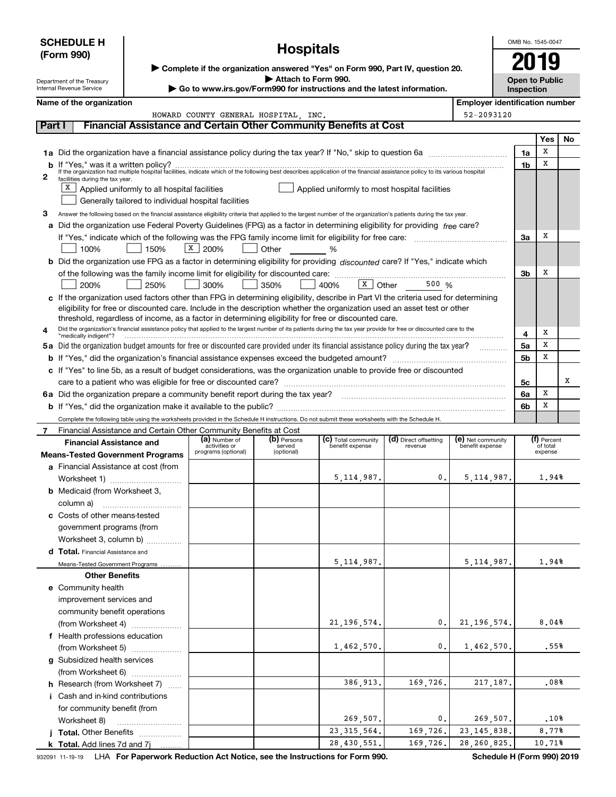| <b>SCHEDULE H</b> |                                                                   |                                                      |                                       |                      |                                                                                                                                                                                                                   |                       |                   | OMB No. 1545-0047                                   |                     |     |  |
|-------------------|-------------------------------------------------------------------|------------------------------------------------------|---------------------------------------|----------------------|-------------------------------------------------------------------------------------------------------------------------------------------------------------------------------------------------------------------|-----------------------|-------------------|-----------------------------------------------------|---------------------|-----|--|
|                   | (Form 990)                                                        |                                                      | <b>Hospitals</b>                      |                      |                                                                                                                                                                                                                   |                       |                   |                                                     |                     |     |  |
|                   |                                                                   |                                                      |                                       |                      | ▶ Complete if the organization answered "Yes" on Form 990, Part IV, question 20.                                                                                                                                  |                       |                   |                                                     |                     |     |  |
|                   | Department of the Treasury<br>Internal Revenue Service            |                                                      |                                       | Attach to Form 990.  | Go to www.irs.gov/Form990 for instructions and the latest information.                                                                                                                                            |                       |                   | <b>Open to Public</b>                               |                     |     |  |
|                   |                                                                   |                                                      |                                       |                      |                                                                                                                                                                                                                   |                       |                   | Inspection<br><b>Employer identification number</b> |                     |     |  |
|                   | Name of the organization                                          |                                                      | HOWARD COUNTY GENERAL HOSPITAL . INC. |                      |                                                                                                                                                                                                                   |                       | 52-2093120        |                                                     |                     |     |  |
| Part I            |                                                                   |                                                      |                                       |                      | <b>Financial Assistance and Certain Other Community Benefits at Cost</b>                                                                                                                                          |                       |                   |                                                     |                     |     |  |
|                   |                                                                   |                                                      |                                       |                      |                                                                                                                                                                                                                   |                       |                   |                                                     | Yes                 | No. |  |
|                   |                                                                   |                                                      |                                       |                      | 1a Did the organization have a financial assistance policy during the tax year? If "No," skip to question 6a                                                                                                      |                       |                   | 1a                                                  | х                   |     |  |
|                   |                                                                   |                                                      |                                       |                      | If "Yes," was it a written policy?<br>If the organization had multiple hospital facilities, indicate which of the following best describes application of the financial assistance policy to its various hospital |                       |                   | 1 <sub>b</sub>                                      | х                   |     |  |
| 2                 | facilities during the tax year.                                   |                                                      |                                       |                      |                                                                                                                                                                                                                   |                       |                   |                                                     |                     |     |  |
|                   |                                                                   | $X$ Applied uniformly to all hospital facilities     |                                       |                      | Applied uniformly to most hospital facilities                                                                                                                                                                     |                       |                   |                                                     |                     |     |  |
|                   |                                                                   | Generally tailored to individual hospital facilities |                                       |                      |                                                                                                                                                                                                                   |                       |                   |                                                     |                     |     |  |
| з                 |                                                                   |                                                      |                                       |                      | Answer the following based on the financial assistance eligibility criteria that applied to the largest number of the organization's patients during the tax year.                                                |                       |                   |                                                     |                     |     |  |
|                   |                                                                   |                                                      |                                       |                      | a Did the organization use Federal Poverty Guidelines (FPG) as a factor in determining eligibility for providing free care?                                                                                       |                       |                   |                                                     |                     |     |  |
|                   |                                                                   |                                                      |                                       |                      |                                                                                                                                                                                                                   |                       |                   | 3a                                                  | х                   |     |  |
|                   | 100%                                                              | 150%                                                 | X   200%                              | Other %              |                                                                                                                                                                                                                   |                       |                   |                                                     |                     |     |  |
|                   |                                                                   |                                                      |                                       |                      | b Did the organization use FPG as a factor in determining eligibility for providing discounted care? If "Yes," indicate which                                                                                     |                       |                   | 3b                                                  | х                   |     |  |
|                   | 200%                                                              | 250%                                                 | 300%                                  | 350%                 | 400%                                                                                                                                                                                                              | $X$ Other 500 %       |                   |                                                     |                     |     |  |
|                   |                                                                   |                                                      |                                       |                      | c If the organization used factors other than FPG in determining eligibility, describe in Part VI the criteria used for determining                                                                               |                       |                   |                                                     |                     |     |  |
|                   |                                                                   |                                                      |                                       |                      | eligibility for free or discounted care. Include in the description whether the organization used an asset test or other                                                                                          |                       |                   |                                                     |                     |     |  |
|                   |                                                                   |                                                      |                                       |                      | threshold, regardless of income, as a factor in determining eligibility for free or discounted care.                                                                                                              |                       |                   |                                                     |                     |     |  |
| 4                 | "medically indigent"?                                             |                                                      |                                       |                      | Did the organization's financial assistance policy that applied to the largest number of its patients during the tax year provide for free or discounted care to the                                              |                       |                   | 4                                                   | х                   |     |  |
|                   |                                                                   |                                                      |                                       |                      | 5a Did the organization budget amounts for free or discounted care provided under its financial assistance policy during the tax year?                                                                            |                       |                   | 5a                                                  | x                   |     |  |
|                   |                                                                   |                                                      |                                       |                      |                                                                                                                                                                                                                   |                       |                   | 5b                                                  | х                   |     |  |
|                   |                                                                   |                                                      |                                       |                      | c If "Yes" to line 5b, as a result of budget considerations, was the organization unable to provide free or discounted                                                                                            |                       |                   |                                                     |                     |     |  |
|                   |                                                                   |                                                      |                                       |                      |                                                                                                                                                                                                                   |                       |                   | 5c                                                  |                     | х   |  |
|                   |                                                                   |                                                      |                                       |                      |                                                                                                                                                                                                                   |                       |                   | 6a                                                  | х                   |     |  |
|                   |                                                                   |                                                      |                                       |                      |                                                                                                                                                                                                                   |                       |                   | 6b                                                  | х                   |     |  |
|                   | Financial Assistance and Certain Other Community Benefits at Cost |                                                      |                                       |                      | Complete the following table using the worksheets provided in the Schedule H instructions. Do not submit these worksheets with the Schedule H.                                                                    |                       |                   |                                                     |                     |     |  |
| 7                 | <b>Financial Assistance and</b>                                   |                                                      | (a) Number of                         | (b) Persons          | (c) Total community                                                                                                                                                                                               | (d) Direct offsetting | (e) Net community |                                                     | (f) Percent         |     |  |
|                   | <b>Means-Tested Government Programs</b>                           |                                                      | activities or<br>programs (optional)  | served<br>(optional) | benefit expense                                                                                                                                                                                                   | revenue               | benefit expense   |                                                     | of total<br>expense |     |  |
|                   | a Financial Assistance at cost (from                              |                                                      |                                       |                      |                                                                                                                                                                                                                   |                       |                   |                                                     |                     |     |  |
|                   | Worksheet 1)                                                      |                                                      |                                       |                      | 5, 114, 987.                                                                                                                                                                                                      | 0.                    | 5, 114, 987.      |                                                     | 1.94%               |     |  |
|                   | <b>b</b> Medicaid (from Worksheet 3,                              |                                                      |                                       |                      |                                                                                                                                                                                                                   |                       |                   |                                                     |                     |     |  |
|                   | column a)                                                         |                                                      |                                       |                      |                                                                                                                                                                                                                   |                       |                   |                                                     |                     |     |  |
|                   | c Costs of other means-tested                                     |                                                      |                                       |                      |                                                                                                                                                                                                                   |                       |                   |                                                     |                     |     |  |
|                   | government programs (from                                         |                                                      |                                       |                      |                                                                                                                                                                                                                   |                       |                   |                                                     |                     |     |  |
|                   | Worksheet 3, column b)                                            |                                                      |                                       |                      |                                                                                                                                                                                                                   |                       |                   |                                                     |                     |     |  |
|                   | d Total. Financial Assistance and                                 |                                                      |                                       |                      | 5,114,987.                                                                                                                                                                                                        |                       | 5, 114, 987.      |                                                     | 1,94%               |     |  |
|                   | Means-Tested Government Programs<br><b>Other Benefits</b>         |                                                      |                                       |                      |                                                                                                                                                                                                                   |                       |                   |                                                     |                     |     |  |
|                   | e Community health                                                |                                                      |                                       |                      |                                                                                                                                                                                                                   |                       |                   |                                                     |                     |     |  |
|                   | improvement services and                                          |                                                      |                                       |                      |                                                                                                                                                                                                                   |                       |                   |                                                     |                     |     |  |
|                   | community benefit operations                                      |                                                      |                                       |                      |                                                                                                                                                                                                                   |                       |                   |                                                     |                     |     |  |
|                   | (from Worksheet 4)                                                |                                                      |                                       |                      | 21, 196, 574.                                                                                                                                                                                                     | 0.                    | 21, 196, 574.     |                                                     | 8.04%               |     |  |
|                   | f Health professions education                                    |                                                      |                                       |                      |                                                                                                                                                                                                                   |                       |                   |                                                     |                     |     |  |
|                   | (from Worksheet 5)                                                |                                                      |                                       |                      | 1,462,570.                                                                                                                                                                                                        | 0.                    | 1,462,570.        |                                                     | .55%                |     |  |
|                   | g Subsidized health services                                      |                                                      |                                       |                      |                                                                                                                                                                                                                   |                       |                   |                                                     |                     |     |  |
|                   | (from Worksheet 6)                                                |                                                      |                                       |                      |                                                                                                                                                                                                                   |                       |                   |                                                     |                     |     |  |
|                   | <b>h</b> Research (from Worksheet 7)                              |                                                      |                                       |                      | 386,913.                                                                                                                                                                                                          | 169,726.              | 217, 187.         |                                                     | .08%                |     |  |
|                   | i Cash and in-kind contributions                                  |                                                      |                                       |                      |                                                                                                                                                                                                                   |                       |                   |                                                     |                     |     |  |
|                   | for community benefit (from                                       |                                                      |                                       |                      | 269,507.                                                                                                                                                                                                          | 0.                    | 269,507.          |                                                     | .10%                |     |  |
|                   | Worksheet 8)<br>j Total. Other Benefits                           |                                                      |                                       |                      | 23, 315, 564.                                                                                                                                                                                                     | 169,726.              | 23, 145, 838.     |                                                     | 8.77%               |     |  |
|                   | k Total. Add lines 7d and 7j                                      |                                                      |                                       |                      | 28,430,551.                                                                                                                                                                                                       | 169,726.              | 28, 260, 825.     |                                                     | 10.71%              |     |  |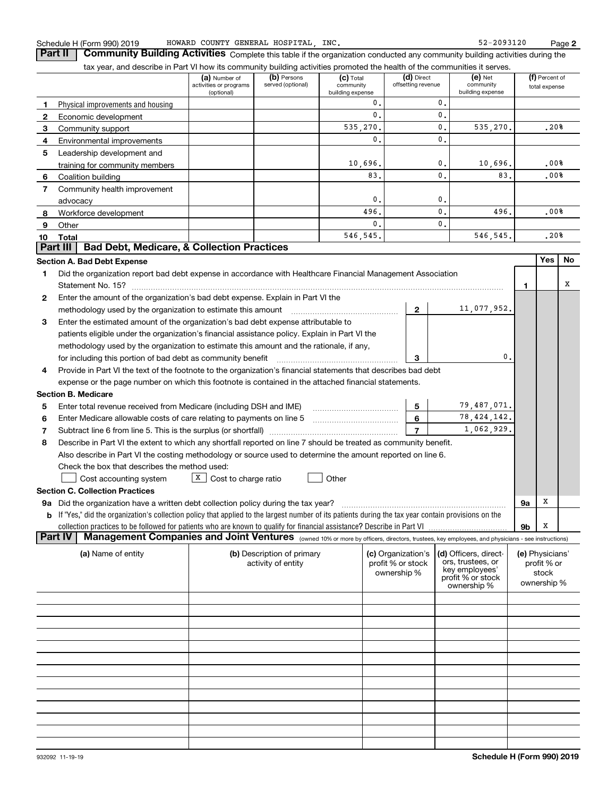| Schedule H (Form 990) 20 |  |  |
|--------------------------|--|--|
|                          |  |  |

**2**

**Part II** | Community Building Activities Complete this table if the organization conducted any community building activities during the

|    | tax year, and describe in Part VI how its community building activities promoted the health of the communities it serves.                                                                                                                          |                                                       |                                                  |                                              |                                         |                                  |                                            |    |                                 |    |
|----|----------------------------------------------------------------------------------------------------------------------------------------------------------------------------------------------------------------------------------------------------|-------------------------------------------------------|--------------------------------------------------|----------------------------------------------|-----------------------------------------|----------------------------------|--------------------------------------------|----|---------------------------------|----|
|    |                                                                                                                                                                                                                                                    | (a) Number of<br>activities or programs<br>(optional) | (b) Persons<br>served (optional)                 | $(c)$ Total<br>community<br>building expense |                                         | (d) Direct<br>offsetting revenue | $(e)$ Net<br>community<br>building expense |    | (f) Percent of<br>total expense |    |
| 1  | Physical improvements and housing                                                                                                                                                                                                                  |                                                       |                                                  |                                              | 0.                                      | 0.                               |                                            |    |                                 |    |
| 2  | Economic development                                                                                                                                                                                                                               |                                                       |                                                  |                                              | 0.                                      | 0.                               |                                            |    |                                 |    |
| 3  | Community support                                                                                                                                                                                                                                  |                                                       |                                                  | 535,270.                                     |                                         | 0.                               | 535,270.                                   |    | .20%                            |    |
| 4  | Environmental improvements                                                                                                                                                                                                                         |                                                       |                                                  |                                              | 0.                                      | 0.                               |                                            |    |                                 |    |
| 5  | Leadership development and                                                                                                                                                                                                                         |                                                       |                                                  |                                              |                                         |                                  |                                            |    |                                 |    |
|    | training for community members                                                                                                                                                                                                                     |                                                       |                                                  | 10,696.                                      |                                         | 0.                               | 10,696.                                    |    | .00%                            |    |
| 6  | Coalition building                                                                                                                                                                                                                                 |                                                       |                                                  |                                              | 83.                                     | 0.                               | 83.                                        |    | .00%                            |    |
| 7  | Community health improvement                                                                                                                                                                                                                       |                                                       |                                                  |                                              |                                         |                                  |                                            |    |                                 |    |
|    | advocacy                                                                                                                                                                                                                                           |                                                       |                                                  |                                              | 0.                                      | 0.                               |                                            |    |                                 |    |
| 8  | Workforce development                                                                                                                                                                                                                              |                                                       |                                                  | 496.                                         |                                         | 0.                               | 496.                                       |    | .00%                            |    |
| 9  | Other                                                                                                                                                                                                                                              |                                                       |                                                  |                                              | 0.                                      | 0.                               |                                            |    |                                 |    |
| 10 | Total                                                                                                                                                                                                                                              |                                                       |                                                  | 546,545.                                     |                                         |                                  | 546,545.                                   |    | .20%                            |    |
|    | <b>Bad Debt, Medicare, &amp; Collection Practices</b><br><b>Part III</b>                                                                                                                                                                           |                                                       |                                                  |                                              |                                         |                                  |                                            |    |                                 |    |
|    | <b>Section A. Bad Debt Expense</b>                                                                                                                                                                                                                 |                                                       |                                                  |                                              |                                         |                                  |                                            |    | Yes                             | No |
| 1  | Did the organization report bad debt expense in accordance with Healthcare Financial Management Association                                                                                                                                        |                                                       |                                                  |                                              |                                         |                                  |                                            |    |                                 |    |
|    |                                                                                                                                                                                                                                                    |                                                       |                                                  |                                              |                                         |                                  |                                            | 1  |                                 | x  |
| 2  | Enter the amount of the organization's bad debt expense. Explain in Part VI the                                                                                                                                                                    |                                                       |                                                  |                                              |                                         |                                  |                                            |    |                                 |    |
|    | methodology used by the organization to estimate this amount                                                                                                                                                                                       |                                                       |                                                  |                                              |                                         | $\mathbf{2}$                     | 11,077,952.                                |    |                                 |    |
| 3  | Enter the estimated amount of the organization's bad debt expense attributable to                                                                                                                                                                  |                                                       |                                                  |                                              |                                         |                                  |                                            |    |                                 |    |
|    | patients eligible under the organization's financial assistance policy. Explain in Part VI the                                                                                                                                                     |                                                       |                                                  |                                              |                                         |                                  |                                            |    |                                 |    |
|    | methodology used by the organization to estimate this amount and the rationale, if any,                                                                                                                                                            |                                                       |                                                  |                                              |                                         |                                  |                                            |    |                                 |    |
|    | for including this portion of bad debt as community benefit                                                                                                                                                                                        |                                                       |                                                  |                                              |                                         | 3                                | 0.                                         |    |                                 |    |
| 4  | Provide in Part VI the text of the footnote to the organization's financial statements that describes bad debt                                                                                                                                     |                                                       |                                                  |                                              |                                         |                                  |                                            |    |                                 |    |
|    | expense or the page number on which this footnote is contained in the attached financial statements.                                                                                                                                               |                                                       |                                                  |                                              |                                         |                                  |                                            |    |                                 |    |
|    | <b>Section B. Medicare</b>                                                                                                                                                                                                                         |                                                       |                                                  |                                              |                                         |                                  |                                            |    |                                 |    |
| 5  | Enter total revenue received from Medicare (including DSH and IME)                                                                                                                                                                                 |                                                       |                                                  |                                              |                                         | 5                                | 79,487,071.                                |    |                                 |    |
| 6  | Enter Medicare allowable costs of care relating to payments on line 5                                                                                                                                                                              |                                                       |                                                  |                                              |                                         | 6                                | 78, 424, 142.                              |    |                                 |    |
| 7  |                                                                                                                                                                                                                                                    |                                                       |                                                  |                                              |                                         | $\overline{7}$                   | 1,062,929.                                 |    |                                 |    |
| 8  | Describe in Part VI the extent to which any shortfall reported on line 7 should be treated as community benefit.                                                                                                                                   |                                                       |                                                  |                                              |                                         |                                  |                                            |    |                                 |    |
|    | Also describe in Part VI the costing methodology or source used to determine the amount reported on line 6.                                                                                                                                        |                                                       |                                                  |                                              |                                         |                                  |                                            |    |                                 |    |
|    | Check the box that describes the method used:                                                                                                                                                                                                      |                                                       |                                                  | Other                                        |                                         |                                  |                                            |    |                                 |    |
|    | Cost accounting system                                                                                                                                                                                                                             | $X$ Cost to charge ratio                              |                                                  |                                              |                                         |                                  |                                            |    |                                 |    |
|    | <b>Section C. Collection Practices</b>                                                                                                                                                                                                             |                                                       |                                                  |                                              |                                         |                                  |                                            |    | х                               |    |
|    | 9a Did the organization have a written debt collection policy during the tax year?<br><b>b</b> If "Yes," did the organization's collection policy that applied to the largest number of its patients during the tax year contain provisions on the |                                                       |                                                  |                                              |                                         |                                  |                                            | 9а |                                 |    |
|    |                                                                                                                                                                                                                                                    |                                                       |                                                  |                                              |                                         |                                  |                                            |    | х                               |    |
|    | Management Companies and Joint Ventures (owned 10% or more by officers, directors, trustees, key employees, and physicians - see instructions)<br><b>Part IV</b>                                                                                   |                                                       |                                                  |                                              |                                         |                                  |                                            | 9b |                                 |    |
|    |                                                                                                                                                                                                                                                    |                                                       |                                                  |                                              |                                         |                                  |                                            |    |                                 |    |
|    | (a) Name of entity                                                                                                                                                                                                                                 |                                                       | (b) Description of primary<br>activity of entity |                                              | (c) Organization's<br>profit % or stock |                                  | (d) Officers, direct-<br>ors, trustees, or |    | (e) Physicians'<br>profit % or  |    |
|    |                                                                                                                                                                                                                                                    |                                                       |                                                  |                                              | ownership %                             |                                  | key employees'                             |    | stock                           |    |
|    |                                                                                                                                                                                                                                                    |                                                       |                                                  |                                              |                                         |                                  | profit % or stock<br>ownership %           |    | ownership %                     |    |
|    |                                                                                                                                                                                                                                                    |                                                       |                                                  |                                              |                                         |                                  |                                            |    |                                 |    |
|    |                                                                                                                                                                                                                                                    |                                                       |                                                  |                                              |                                         |                                  |                                            |    |                                 |    |
|    |                                                                                                                                                                                                                                                    |                                                       |                                                  |                                              |                                         |                                  |                                            |    |                                 |    |
|    |                                                                                                                                                                                                                                                    |                                                       |                                                  |                                              |                                         |                                  |                                            |    |                                 |    |
|    |                                                                                                                                                                                                                                                    |                                                       |                                                  |                                              |                                         |                                  |                                            |    |                                 |    |
|    |                                                                                                                                                                                                                                                    |                                                       |                                                  |                                              |                                         |                                  |                                            |    |                                 |    |
|    |                                                                                                                                                                                                                                                    |                                                       |                                                  |                                              |                                         |                                  |                                            |    |                                 |    |
|    |                                                                                                                                                                                                                                                    |                                                       |                                                  |                                              |                                         |                                  |                                            |    |                                 |    |
|    |                                                                                                                                                                                                                                                    |                                                       |                                                  |                                              |                                         |                                  |                                            |    |                                 |    |
|    |                                                                                                                                                                                                                                                    |                                                       |                                                  |                                              |                                         |                                  |                                            |    |                                 |    |
|    |                                                                                                                                                                                                                                                    |                                                       |                                                  |                                              |                                         |                                  |                                            |    |                                 |    |
|    |                                                                                                                                                                                                                                                    |                                                       |                                                  |                                              |                                         |                                  |                                            |    |                                 |    |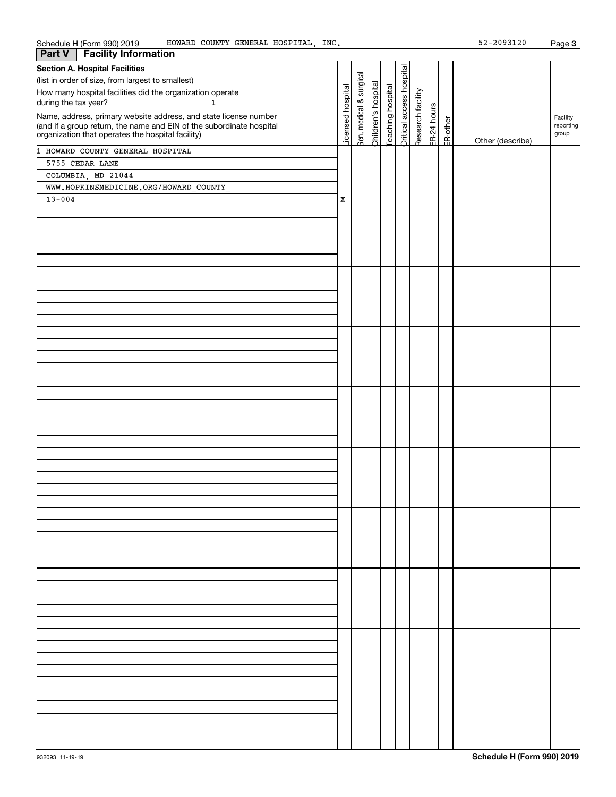| Schedule H (Form 990) 2019<br>HOWARD COUNTY GENERAL HOSPITAL, INC.                                                        |                  |               |                     |                  |                          |                   |             |          | 52-2093120       | Page 3             |
|---------------------------------------------------------------------------------------------------------------------------|------------------|---------------|---------------------|------------------|--------------------------|-------------------|-------------|----------|------------------|--------------------|
| <b>Facility Information</b><br><b>Part V</b>                                                                              |                  |               |                     |                  |                          |                   |             |          |                  |                    |
| <b>Section A. Hospital Facilities</b>                                                                                     |                  |               |                     |                  |                          |                   |             |          |                  |                    |
| (list in order of size, from largest to smallest)                                                                         |                  | surgical      |                     |                  | Critical access hospital |                   |             |          |                  |                    |
| How many hospital facilities did the organization operate                                                                 | icensed hospital |               | Children's hospital | eaching hospital |                          |                   |             |          |                  |                    |
| during the tax year?<br>$\mathbf{1}$                                                                                      |                  | $\infty$      |                     |                  |                          |                   |             |          |                  |                    |
|                                                                                                                           |                  | medical       |                     |                  |                          | Research facility | ER-24 hours |          |                  |                    |
| Name, address, primary website address, and state license number                                                          |                  |               |                     |                  |                          |                   |             |          |                  | Facility           |
| (and if a group return, the name and EIN of the subordinate hospital<br>organization that operates the hospital facility) |                  |               |                     |                  |                          |                   |             |          |                  | reporting<br>group |
|                                                                                                                           |                  | $\lambda$ en. |                     |                  |                          |                   |             | ER-other | Other (describe) |                    |
| 1 HOWARD COUNTY GENERAL HOSPITAL                                                                                          |                  |               |                     |                  |                          |                   |             |          |                  |                    |
| 5755 CEDAR LANE                                                                                                           |                  |               |                     |                  |                          |                   |             |          |                  |                    |
| COLUMBIA, MD 21044                                                                                                        |                  |               |                     |                  |                          |                   |             |          |                  |                    |
|                                                                                                                           |                  |               |                     |                  |                          |                   |             |          |                  |                    |
| WWW.HOPKINSMEDICINE.ORG/HOWARD COUNTY                                                                                     |                  |               |                     |                  |                          |                   |             |          |                  |                    |
| $13 - 004$                                                                                                                | $\mathbf X$      |               |                     |                  |                          |                   |             |          |                  |                    |
|                                                                                                                           |                  |               |                     |                  |                          |                   |             |          |                  |                    |
|                                                                                                                           |                  |               |                     |                  |                          |                   |             |          |                  |                    |
|                                                                                                                           |                  |               |                     |                  |                          |                   |             |          |                  |                    |
|                                                                                                                           |                  |               |                     |                  |                          |                   |             |          |                  |                    |
|                                                                                                                           |                  |               |                     |                  |                          |                   |             |          |                  |                    |
|                                                                                                                           |                  |               |                     |                  |                          |                   |             |          |                  |                    |
|                                                                                                                           |                  |               |                     |                  |                          |                   |             |          |                  |                    |
|                                                                                                                           |                  |               |                     |                  |                          |                   |             |          |                  |                    |
|                                                                                                                           |                  |               |                     |                  |                          |                   |             |          |                  |                    |
|                                                                                                                           |                  |               |                     |                  |                          |                   |             |          |                  |                    |
|                                                                                                                           |                  |               |                     |                  |                          |                   |             |          |                  |                    |
|                                                                                                                           |                  |               |                     |                  |                          |                   |             |          |                  |                    |
|                                                                                                                           |                  |               |                     |                  |                          |                   |             |          |                  |                    |
|                                                                                                                           |                  |               |                     |                  |                          |                   |             |          |                  |                    |
|                                                                                                                           |                  |               |                     |                  |                          |                   |             |          |                  |                    |
|                                                                                                                           |                  |               |                     |                  |                          |                   |             |          |                  |                    |
|                                                                                                                           |                  |               |                     |                  |                          |                   |             |          |                  |                    |
|                                                                                                                           |                  |               |                     |                  |                          |                   |             |          |                  |                    |
|                                                                                                                           |                  |               |                     |                  |                          |                   |             |          |                  |                    |
|                                                                                                                           |                  |               |                     |                  |                          |                   |             |          |                  |                    |
|                                                                                                                           |                  |               |                     |                  |                          |                   |             |          |                  |                    |
|                                                                                                                           |                  |               |                     |                  |                          |                   |             |          |                  |                    |
|                                                                                                                           |                  |               |                     |                  |                          |                   |             |          |                  |                    |
|                                                                                                                           |                  |               |                     |                  |                          |                   |             |          |                  |                    |
|                                                                                                                           |                  |               |                     |                  |                          |                   |             |          |                  |                    |
|                                                                                                                           |                  |               |                     |                  |                          |                   |             |          |                  |                    |
|                                                                                                                           |                  |               |                     |                  |                          |                   |             |          |                  |                    |
|                                                                                                                           |                  |               |                     |                  |                          |                   |             |          |                  |                    |
|                                                                                                                           |                  |               |                     |                  |                          |                   |             |          |                  |                    |
|                                                                                                                           |                  |               |                     |                  |                          |                   |             |          |                  |                    |
|                                                                                                                           |                  |               |                     |                  |                          |                   |             |          |                  |                    |
|                                                                                                                           |                  |               |                     |                  |                          |                   |             |          |                  |                    |
|                                                                                                                           |                  |               |                     |                  |                          |                   |             |          |                  |                    |
|                                                                                                                           |                  |               |                     |                  |                          |                   |             |          |                  |                    |
|                                                                                                                           |                  |               |                     |                  |                          |                   |             |          |                  |                    |
|                                                                                                                           |                  |               |                     |                  |                          |                   |             |          |                  |                    |
|                                                                                                                           |                  |               |                     |                  |                          |                   |             |          |                  |                    |
|                                                                                                                           |                  |               |                     |                  |                          |                   |             |          |                  |                    |
|                                                                                                                           |                  |               |                     |                  |                          |                   |             |          |                  |                    |
|                                                                                                                           |                  |               |                     |                  |                          |                   |             |          |                  |                    |
|                                                                                                                           |                  |               |                     |                  |                          |                   |             |          |                  |                    |
|                                                                                                                           |                  |               |                     |                  |                          |                   |             |          |                  |                    |
|                                                                                                                           |                  |               |                     |                  |                          |                   |             |          |                  |                    |
|                                                                                                                           |                  |               |                     |                  |                          |                   |             |          |                  |                    |
|                                                                                                                           |                  |               |                     |                  |                          |                   |             |          |                  |                    |
|                                                                                                                           |                  |               |                     |                  |                          |                   |             |          |                  |                    |
|                                                                                                                           |                  |               |                     |                  |                          |                   |             |          |                  |                    |
|                                                                                                                           |                  |               |                     |                  |                          |                   |             |          |                  |                    |
|                                                                                                                           |                  |               |                     |                  |                          |                   |             |          |                  |                    |
|                                                                                                                           |                  |               |                     |                  |                          |                   |             |          |                  |                    |
|                                                                                                                           |                  |               |                     |                  |                          |                   |             |          |                  |                    |
|                                                                                                                           |                  |               |                     |                  |                          |                   |             |          |                  |                    |
|                                                                                                                           |                  |               |                     |                  |                          |                   |             |          |                  |                    |
|                                                                                                                           |                  |               |                     |                  |                          |                   |             |          |                  |                    |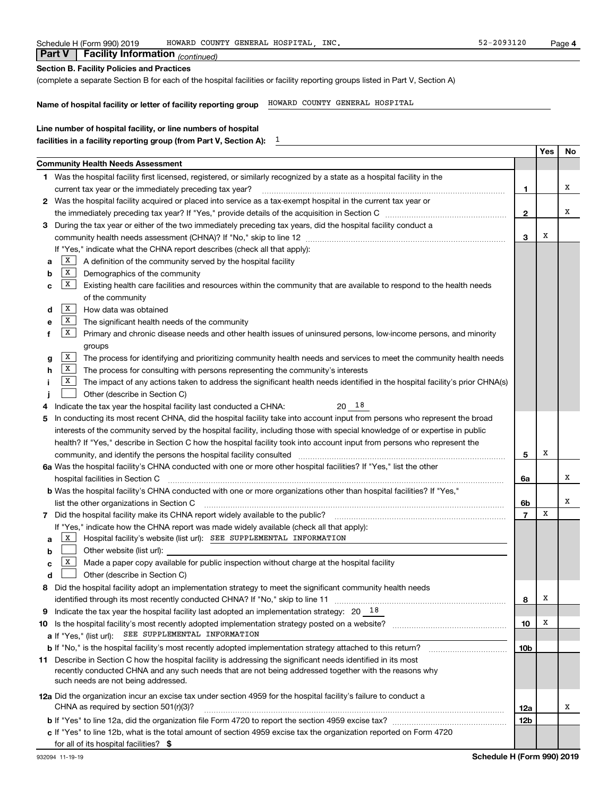|  | Schedule H (Form 990) 2019 | COUNTY<br>HOWARD C |  | GENERAL HOSPITAL | INC | $-2093120$<br>۰ ه.<br>. | Page |  |
|--|----------------------------|--------------------|--|------------------|-----|-------------------------|------|--|
|--|----------------------------|--------------------|--|------------------|-----|-------------------------|------|--|

|                                                   | <b>Part V</b>   Facility Information $_{(continued)}$ |  |  |  |  |  |
|---------------------------------------------------|-------------------------------------------------------|--|--|--|--|--|
| <b>Section B. Facility Policies and Practices</b> |                                                       |  |  |  |  |  |

(complete a separate Section B for each of the hospital facilities or facility reporting groups listed in Part V, Section A)

 $\overline{1}$ 

**Name of hospital facility or letter of facility reporting group** HOWARD COUNTY GENERAL HOSPITAL

| Line number of hospital facility, or line numbers of hospital      |
|--------------------------------------------------------------------|
| facilities in a facility reporting group (from Part V, Section A): |

|                                                                                                                 |                                                                                                                                                                                                                                |                 | Yes | No |
|-----------------------------------------------------------------------------------------------------------------|--------------------------------------------------------------------------------------------------------------------------------------------------------------------------------------------------------------------------------|-----------------|-----|----|
|                                                                                                                 | Community Health Needs Assessment                                                                                                                                                                                              |                 |     |    |
|                                                                                                                 | 1 Was the hospital facility first licensed, registered, or similarly recognized by a state as a hospital facility in the                                                                                                       |                 |     |    |
| current tax year or the immediately preceding tax year?                                                         |                                                                                                                                                                                                                                |                 |     |    |
| 2 Was the hospital facility acquired or placed into service as a tax-exempt hospital in the current tax year or |                                                                                                                                                                                                                                |                 |     |    |
|                                                                                                                 |                                                                                                                                                                                                                                |                 |     |    |
| З                                                                                                               | During the tax year or either of the two immediately preceding tax years, did the hospital facility conduct a                                                                                                                  | $\mathbf{2}$    |     |    |
|                                                                                                                 |                                                                                                                                                                                                                                | 3               | X   |    |
|                                                                                                                 | If "Yes," indicate what the CHNA report describes (check all that apply):                                                                                                                                                      |                 |     |    |
| a                                                                                                               | X<br>A definition of the community served by the hospital facility                                                                                                                                                             |                 |     |    |
| b                                                                                                               | X<br>Demographics of the community                                                                                                                                                                                             |                 |     |    |
|                                                                                                                 | $\mathbf{X}$<br>Existing health care facilities and resources within the community that are available to respond to the health needs                                                                                           |                 |     |    |
| c                                                                                                               |                                                                                                                                                                                                                                |                 |     |    |
|                                                                                                                 | of the community<br>  X                                                                                                                                                                                                        |                 |     |    |
| d                                                                                                               | How data was obtained                                                                                                                                                                                                          |                 |     |    |
| е                                                                                                               | X<br>The significant health needs of the community                                                                                                                                                                             |                 |     |    |
| f                                                                                                               | X<br>Primary and chronic disease needs and other health issues of uninsured persons, low-income persons, and minority                                                                                                          |                 |     |    |
|                                                                                                                 | groups                                                                                                                                                                                                                         |                 |     |    |
| g                                                                                                               | X<br>The process for identifying and prioritizing community health needs and services to meet the community health needs                                                                                                       |                 |     |    |
| h                                                                                                               | X<br>The process for consulting with persons representing the community's interests                                                                                                                                            |                 |     |    |
|                                                                                                                 | X<br>The impact of any actions taken to address the significant health needs identified in the hospital facility's prior CHNA(s)                                                                                               |                 |     |    |
|                                                                                                                 | Other (describe in Section C)                                                                                                                                                                                                  |                 |     |    |
| 4                                                                                                               | $20^{18}$<br>Indicate the tax year the hospital facility last conducted a CHNA:                                                                                                                                                |                 |     |    |
| 5                                                                                                               | In conducting its most recent CHNA, did the hospital facility take into account input from persons who represent the broad                                                                                                     |                 |     |    |
|                                                                                                                 | interests of the community served by the hospital facility, including those with special knowledge of or expertise in public                                                                                                   |                 |     |    |
|                                                                                                                 | health? If "Yes," describe in Section C how the hospital facility took into account input from persons who represent the                                                                                                       |                 |     |    |
|                                                                                                                 | community, and identify the persons the hospital facility consulted [11] consultion material community, and identify the persons the hospital facility consulted [11] material materials and the state of the state of the sta | 5               | X   |    |
|                                                                                                                 | 6a Was the hospital facility's CHNA conducted with one or more other hospital facilities? If "Yes," list the other                                                                                                             |                 |     |    |
|                                                                                                                 | hospital facilities in Section C                                                                                                                                                                                               | 6a              |     | x  |
|                                                                                                                 | b Was the hospital facility's CHNA conducted with one or more organizations other than hospital facilities? If "Yes,"                                                                                                          |                 |     |    |
|                                                                                                                 | list the other organizations in Section C                                                                                                                                                                                      | 6b              |     | х  |
|                                                                                                                 |                                                                                                                                                                                                                                | $\overline{7}$  | х   |    |
|                                                                                                                 | If "Yes," indicate how the CHNA report was made widely available (check all that apply):                                                                                                                                       |                 |     |    |
| a                                                                                                               | X<br>Hospital facility's website (list url): SEE SUPPLEMENTAL INFORMATION                                                                                                                                                      |                 |     |    |
| b                                                                                                               | Other website (list url):                                                                                                                                                                                                      |                 |     |    |
| c                                                                                                               | X  <br>Made a paper copy available for public inspection without charge at the hospital facility                                                                                                                               |                 |     |    |
| d                                                                                                               | Other (describe in Section C)                                                                                                                                                                                                  |                 |     |    |
| 8                                                                                                               | Did the hospital facility adopt an implementation strategy to meet the significant community health needs                                                                                                                      |                 |     |    |
|                                                                                                                 | identified through its most recently conducted CHNA? If "No," skip to line 11                                                                                                                                                  | 8               | X   |    |
|                                                                                                                 | 9 Indicate the tax year the hospital facility last adopted an implementation strategy: $20^{-18}$                                                                                                                              |                 |     |    |
|                                                                                                                 | 10 Is the hospital facility's most recently adopted implementation strategy posted on a website?                                                                                                                               | 10              | X   |    |
|                                                                                                                 | SEE SUPPLEMENTAL INFORMATION<br><b>a</b> If "Yes," (list url):                                                                                                                                                                 |                 |     |    |
|                                                                                                                 | <b>b</b> If "No," is the hospital facility's most recently adopted implementation strategy attached to this return?                                                                                                            | 10 <sub>b</sub> |     |    |
|                                                                                                                 | 11 Describe in Section C how the hospital facility is addressing the significant needs identified in its most                                                                                                                  |                 |     |    |
|                                                                                                                 | recently conducted CHNA and any such needs that are not being addressed together with the reasons why                                                                                                                          |                 |     |    |
|                                                                                                                 | such needs are not being addressed.                                                                                                                                                                                            |                 |     |    |
|                                                                                                                 | 12a Did the organization incur an excise tax under section 4959 for the hospital facility's failure to conduct a                                                                                                               |                 |     |    |
|                                                                                                                 | CHNA as required by section 501(r)(3)?                                                                                                                                                                                         | 12a             |     | x  |
|                                                                                                                 |                                                                                                                                                                                                                                | <b>12b</b>      |     |    |
|                                                                                                                 | c If "Yes" to line 12b, what is the total amount of section 4959 excise tax the organization reported on Form 4720                                                                                                             |                 |     |    |
|                                                                                                                 | for all of its hospital facilities? \$                                                                                                                                                                                         |                 |     |    |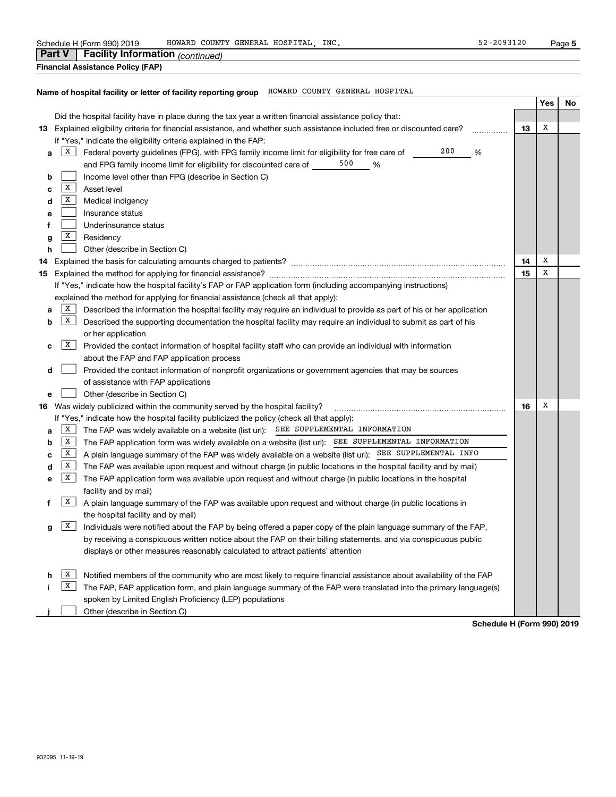| 52-2093120<br>HOWARD COUNTY GENERAL HOSPITAL, INC.<br>Schedule H (Form 990) 2019                                                                                                             |    |     | Page 5 |
|----------------------------------------------------------------------------------------------------------------------------------------------------------------------------------------------|----|-----|--------|
| Facility Information (continued)<br><b>Part V</b>                                                                                                                                            |    |     |        |
| <b>Financial Assistance Policy (FAP)</b>                                                                                                                                                     |    |     |        |
|                                                                                                                                                                                              |    |     |        |
| Name of hospital facility or letter of facility reporting group HOWARD COUNTY GENERAL HOSPITAL                                                                                               |    | Yes |        |
|                                                                                                                                                                                              |    |     | No     |
| Did the hospital facility have in place during the tax year a written financial assistance policy that:                                                                                      |    | Х   |        |
| 13 Explained eligibility criteria for financial assistance, and whether such assistance included free or discounted care?                                                                    | 13 |     |        |
| If "Yes," indicate the eligibility criteria explained in the FAP:<br>200<br> X <br>Federal poverty guidelines (FPG), with FPG family income limit for eligibility for free care of<br>%<br>а |    |     |        |
| and FPG family income limit for eligibility for discounted care of 500<br>%                                                                                                                  |    |     |        |
| Income level other than FPG (describe in Section C)<br>b                                                                                                                                     |    |     |        |
| X <br>Asset level<br>с                                                                                                                                                                       |    |     |        |
| X <br>Medical indigency<br>d                                                                                                                                                                 |    |     |        |
| Insurance status<br>е                                                                                                                                                                        |    |     |        |
| Underinsurance status<br>f                                                                                                                                                                   |    |     |        |
| $\mathbf{x}$<br>Residency<br>g                                                                                                                                                               |    |     |        |
| Other (describe in Section C)<br>h                                                                                                                                                           |    |     |        |
| 14                                                                                                                                                                                           | 14 | Х   |        |
| 15                                                                                                                                                                                           | 15 | х   |        |
| If "Yes," indicate how the hospital facility's FAP or FAP application form (including accompanying instructions)                                                                             |    |     |        |
| explained the method for applying for financial assistance (check all that apply):                                                                                                           |    |     |        |
| X  <br>Described the information the hospital facility may require an individual to provide as part of his or her application<br>а                                                           |    |     |        |
| $\mathbf{X}$<br>Described the supporting documentation the hospital facility may require an individual to submit as part of his<br>b                                                         |    |     |        |
| or her application                                                                                                                                                                           |    |     |        |
| X  <br>Provided the contact information of hospital facility staff who can provide an individual with information<br>c                                                                       |    |     |        |
| about the FAP and FAP application process                                                                                                                                                    |    |     |        |
| Provided the contact information of nonprofit organizations or government agencies that may be sources<br>d                                                                                  |    |     |        |
| of assistance with FAP applications                                                                                                                                                          |    |     |        |
| Other (describe in Section C)<br>е                                                                                                                                                           |    |     |        |
| 16 Was widely publicized within the community served by the hospital facility?                                                                                                               | 16 | х   |        |
| If "Yes," indicate how the hospital facility publicized the policy (check all that apply):                                                                                                   |    |     |        |
| $\mathbf{X}$<br>The FAP was widely available on a website (list url): SEE SUPPLEMENTAL INFORMATION<br>a                                                                                      |    |     |        |
| $\mathbf{X}$<br>The FAP application form was widely available on a website (list url): SEE_SUPPLEMENTAL INFORMATION<br>b                                                                     |    |     |        |
| A plain language summary of the FAP was widely available on a website (list url): SEE SUPPLEMENTAL INFO<br>$\mathbf{X}$<br>с                                                                 |    |     |        |
| $\mathbf{X}$<br>The FAP was available upon request and without charge (in public locations in the hospital facility and by mail)<br>d                                                        |    |     |        |
| $\boxed{\mathbf{X}}$<br>The FAP application form was available upon request and without charge (in public locations in the hospital<br>е                                                     |    |     |        |
| facility and by mail)                                                                                                                                                                        |    |     |        |
| x  <br>A plain language summary of the FAP was available upon request and without charge (in public locations in                                                                             |    |     |        |
| the hospital facility and by mail)                                                                                                                                                           |    |     |        |
| X  <br>Individuals were notified about the FAP by being offered a paper copy of the plain language summary of the FAP,<br>g                                                                  |    |     |        |
| by receiving a conspicuous written notice about the FAP on their billing statements, and via conspicuous public                                                                              |    |     |        |
| displays or other measures reasonably calculated to attract patients' attention                                                                                                              |    |     |        |
| $\vert$ X                                                                                                                                                                                    |    |     |        |
| Notified members of the community who are most likely to require financial assistance about availability of the FAP<br>h.                                                                    |    |     |        |

 $\overline{X}$  The FAP, FAP application form, and plain language summary of the FAP were translated into the primary language(s) i. spoken by Limited English Proficiency (LEP) populations

**j**Other (describe in Section C)  $\mathcal{L}^{\text{max}}$ 

**Schedule H (Form 990) 2019**

**i**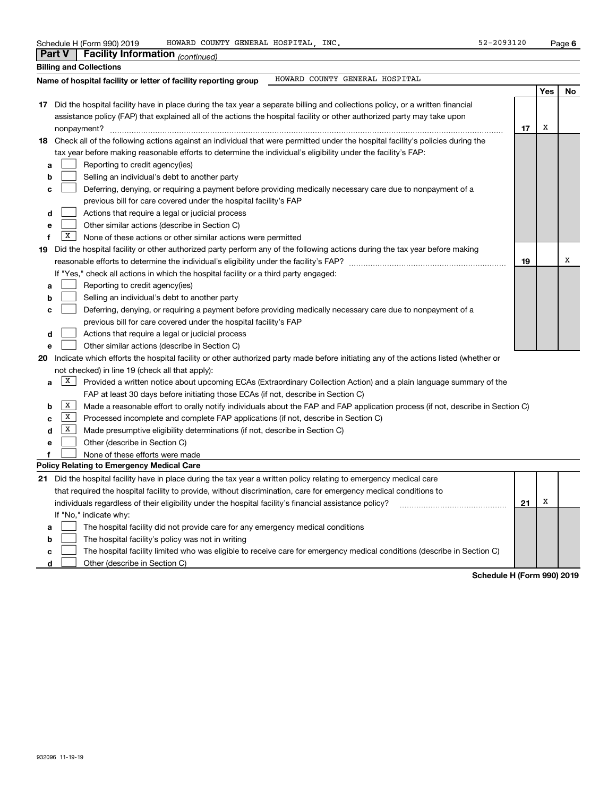| Schedule H (Form 990) 2019 |  |  |  |
|----------------------------|--|--|--|
|                            |  |  |  |

|    | <b>Part V</b> | Facility Information (continued)                                                                                                    |    |     |    |
|----|---------------|-------------------------------------------------------------------------------------------------------------------------------------|----|-----|----|
|    |               | <b>Billing and Collections</b>                                                                                                      |    |     |    |
|    |               | HOWARD COUNTY GENERAL HOSPITAL<br>Name of hospital facility or letter of facility reporting group                                   |    |     |    |
|    |               |                                                                                                                                     |    | Yes | No |
|    |               | 17 Did the hospital facility have in place during the tax year a separate billing and collections policy, or a written financial    |    |     |    |
|    |               | assistance policy (FAP) that explained all of the actions the hospital facility or other authorized party may take upon             |    |     |    |
|    |               | nonpayment?                                                                                                                         | 17 | X   |    |
| 18 |               | Check all of the following actions against an individual that were permitted under the hospital facility's policies during the      |    |     |    |
|    |               | tax year before making reasonable efforts to determine the individual's eligibility under the facility's FAP:                       |    |     |    |
| а  |               | Reporting to credit agency(ies)                                                                                                     |    |     |    |
| b  |               | Selling an individual's debt to another party                                                                                       |    |     |    |
| с  |               | Deferring, denying, or requiring a payment before providing medically necessary care due to nonpayment of a                         |    |     |    |
|    |               | previous bill for care covered under the hospital facility's FAP                                                                    |    |     |    |
| d  |               | Actions that require a legal or judicial process                                                                                    |    |     |    |
| е  |               | Other similar actions (describe in Section C)                                                                                       |    |     |    |
| f  | X             | None of these actions or other similar actions were permitted                                                                       |    |     |    |
| 19 |               | Did the hospital facility or other authorized party perform any of the following actions during the tax year before making          |    |     |    |
|    |               | reasonable efforts to determine the individual's eligibility under the facility's FAP?                                              | 19 |     | х  |
|    |               | If "Yes," check all actions in which the hospital facility or a third party engaged:                                                |    |     |    |
| а  |               | Reporting to credit agency(ies)                                                                                                     |    |     |    |
| b  |               | Selling an individual's debt to another party                                                                                       |    |     |    |
| c  |               | Deferring, denying, or requiring a payment before providing medically necessary care due to nonpayment of a                         |    |     |    |
|    |               | previous bill for care covered under the hospital facility's FAP                                                                    |    |     |    |
| d  |               | Actions that require a legal or judicial process                                                                                    |    |     |    |
| е  |               | Other similar actions (describe in Section C)                                                                                       |    |     |    |
| 20 |               | Indicate which efforts the hospital facility or other authorized party made before initiating any of the actions listed (whether or |    |     |    |
|    |               | not checked) in line 19 (check all that apply):                                                                                     |    |     |    |
| a  | X             | Provided a written notice about upcoming ECAs (Extraordinary Collection Action) and a plain language summary of the                 |    |     |    |
|    |               | FAP at least 30 days before initiating those ECAs (if not, describe in Section C)                                                   |    |     |    |
| b  | X             | Made a reasonable effort to orally notify individuals about the FAP and FAP application process (if not, describe in Section C)     |    |     |    |
| с  | X             | Processed incomplete and complete FAP applications (if not, describe in Section C)                                                  |    |     |    |
| d  | X             | Made presumptive eligibility determinations (if not, describe in Section C)                                                         |    |     |    |
| е  |               | Other (describe in Section C)                                                                                                       |    |     |    |
| f  |               | None of these efforts were made                                                                                                     |    |     |    |
|    |               | Policy Relating to Emergency Medical Care                                                                                           |    |     |    |
|    |               | 21 Did the hospital facility have in place during the tax year a written policy relating to emergency medical care                  |    |     |    |
|    |               | that required the hospital facility to provide, without discrimination, care for emergency medical conditions to                    |    |     |    |
|    |               | individuals regardless of their eligibility under the hospital facility's financial assistance policy?                              | 21 | Х   |    |
|    |               | If "No," indicate why:                                                                                                              |    |     |    |
| а  |               | The hospital facility did not provide care for any emergency medical conditions                                                     |    |     |    |
| b  |               | The hospital facility's policy was not in writing                                                                                   |    |     |    |
| c  |               | The hospital facility limited who was eligible to receive care for emergency medical conditions (describe in Section C)             |    |     |    |

**d**Other (describe in Section C)  $\mathcal{L}^{\text{max}}$ 

**Schedule H (Form 990) 2019**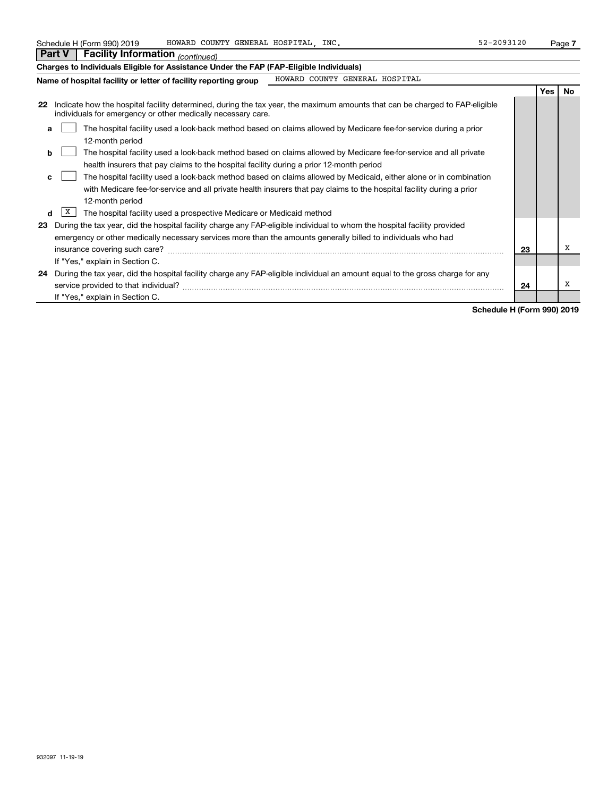| Schedule H (Form 990) 2019 | HOWARD COUNTY GENERAL HOSPITAL | INC | 22-2093120 | Page |
|----------------------------|--------------------------------|-----|------------|------|
|                            |                                |     |            |      |

| <b>Part V</b><br><b>Facility Information</b> (continued)                                                                                                                                                          |  |            |           |  |  |
|-------------------------------------------------------------------------------------------------------------------------------------------------------------------------------------------------------------------|--|------------|-----------|--|--|
| Charges to Individuals Eligible for Assistance Under the FAP (FAP-Eligible Individuals)                                                                                                                           |  |            |           |  |  |
| HOWARD COUNTY GENERAL HOSPITAL<br>Name of hospital facility or letter of facility reporting group                                                                                                                 |  |            |           |  |  |
|                                                                                                                                                                                                                   |  | <b>Yes</b> | <b>No</b> |  |  |
| Indicate how the hospital facility determined, during the tax year, the maximum amounts that can be charged to FAP-eligible<br>22<br>individuals for emergency or other medically necessary care.                 |  |            |           |  |  |
| The hospital facility used a look-back method based on claims allowed by Medicare fee-for-service during a prior<br>a<br>12-month period                                                                          |  |            |           |  |  |
| The hospital facility used a look-back method based on claims allowed by Medicare fee-for-service and all private<br>b<br>health insurers that pay claims to the hospital facility during a prior 12-month period |  |            |           |  |  |
| The hospital facility used a look-back method based on claims allowed by Medicaid, either alone or in combination<br>c.                                                                                           |  |            |           |  |  |
| with Medicare fee-for-service and all private health insurers that pay claims to the hospital facility during a prior<br>12-month period                                                                          |  |            |           |  |  |
| X<br>The hospital facility used a prospective Medicare or Medicaid method<br>d                                                                                                                                    |  |            |           |  |  |
| During the tax year, did the hospital facility charge any FAP-eligible individual to whom the hospital facility provided<br>23                                                                                    |  |            |           |  |  |
| emergency or other medically necessary services more than the amounts generally billed to individuals who had                                                                                                     |  |            |           |  |  |
| х<br>23<br>insurance covering such care?                                                                                                                                                                          |  |            |           |  |  |
| If "Yes," explain in Section C.                                                                                                                                                                                   |  |            |           |  |  |
| During the tax year, did the hospital facility charge any FAP-eligible individual an amount equal to the gross charge for any<br>24<br>х<br>service provided to that individual?<br>24                            |  |            |           |  |  |
| If "Yes," explain in Section C.                                                                                                                                                                                   |  |            |           |  |  |

**Schedule H (Form 990) 2019**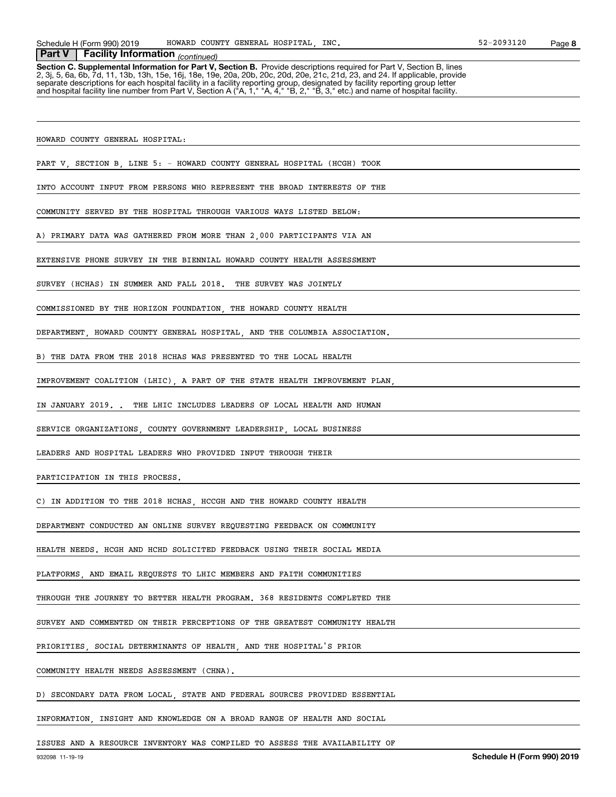Schedule H (Form 990) 2019 Page HOWARD COUNTY GENERAL HOSPITAL, INC. 52-2093120

## *(continued)* **Part V Facility Information**

**Section C. Supplemental Information for Part V, Section B.** Provide descriptions required for Part V, Section B, lines<br>2, 3j, 5, 6a, 6b, 7d, 11, 13b, 13h, 15e, 16j, 18e, 19e, 20a, 20b, 20c, 20d, 20e, 21c, 21d, 23, and 24. separate descriptions for each hospital facility in a facility reporting group, designated by facility reporting group letter<br>and hospital facility line number from Part V, Section A ("A, 1," "A, 4," "B, 2," "B, 3," etc.)

HOWARD COUNTY GENERAL HOSPITAL:

PART V, SECTION B, LINE 5: - HOWARD COUNTY GENERAL HOSPITAL (HCGH) TOOK

INTO ACCOUNT INPUT FROM PERSONS WHO REPRESENT THE BROAD INTERESTS OF THE

COMMUNITY SERVED BY THE HOSPITAL THROUGH VARIOUS WAYS LISTED BELOW:

A) PRIMARY DATA WAS GATHERED FROM MORE THAN 2,000 PARTICIPANTS VIA AN

EXTENSIVE PHONE SURVEY IN THE BIENNIAL HOWARD COUNTY HEALTH ASSESSMENT

SURVEY (HCHAS) IN SUMMER AND FALL 2018. THE SURVEY WAS JOINTLY

COMMISSIONED BY THE HORIZON FOUNDATION, THE HOWARD COUNTY HEALTH

DEPARTMENT, HOWARD COUNTY GENERAL HOSPITAL, AND THE COLUMBIA ASSOCIATION.

B) THE DATA FROM THE 2018 HCHAS WAS PRESENTED TO THE LOCAL HEALTH

IMPROVEMENT COALITION (LHIC), A PART OF THE STATE HEALTH IMPROVEMENT PLAN,

IN JANUARY 2019. . THE LHIC INCLUDES LEADERS OF LOCAL HEALTH AND HUMAN

SERVICE ORGANIZATIONS, COUNTY GOVERNMENT LEADERSHIP, LOCAL BUSINESS

LEADERS AND HOSPITAL LEADERS WHO PROVIDED INPUT THROUGH THEIR

PARTICIPATION IN THIS PROCESS.

C) IN ADDITION TO THE 2018 HCHAS, HCCGH AND THE HOWARD COUNTY HEALTH

DEPARTMENT CONDUCTED AN ONLINE SURVEY REQUESTING FEEDBACK ON COMMUNITY

HEALTH NEEDS. HCGH AND HCHD SOLICITED FEEDBACK USING THEIR SOCIAL MEDIA

PLATFORMS, AND EMAIL REQUESTS TO LHIC MEMBERS AND FAITH COMMUNITIES

THROUGH THE JOURNEY TO BETTER HEALTH PROGRAM. 368 RESIDENTS COMPLETED THE

SURVEY AND COMMENTED ON THEIR PERCEPTIONS OF THE GREATEST COMMUNITY HEALTH

PRIORITIES, SOCIAL DETERMINANTS OF HEALTH, AND THE HOSPITAL'S PRIOR

COMMUNITY HEALTH NEEDS ASSESSMENT (CHNA).

D) SECONDARY DATA FROM LOCAL, STATE AND FEDERAL SOURCES PROVIDED ESSENTIAL

INFORMATION, INSIGHT AND KNOWLEDGE ON A BROAD RANGE OF HEALTH AND SOCIAL

ISSUES AND A RESOURCE INVENTORY WAS COMPILED TO ASSESS THE AVAILABILITY OF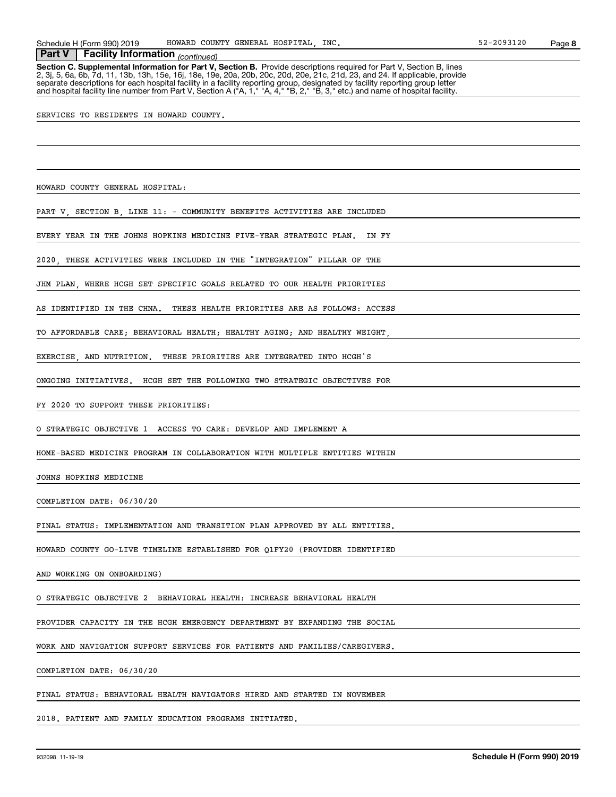Schedule H (Form 990) 2019 Page HOWARD COUNTY GENERAL HOSPITAL, INC. 52-2093120

## *(continued)* **Part V Facility Information**

**Section C. Supplemental Information for Part V, Section B.** Provide descriptions required for Part V, Section B, lines<br>2, 3j, 5, 6a, 6b, 7d, 11, 13b, 13h, 15e, 16j, 18e, 19e, 20a, 20b, 20c, 20d, 20e, 21c, 21d, 23, and 24. separate descriptions for each hospital facility in a facility reporting group, designated by facility reporting group letter<br>and hospital facility line number from Part V, Section A ("A, 1," "A, 4," "B, 2," "B, 3," etc.)

SERVICES TO RESIDENTS IN HOWARD COUNTY.

HOWARD COUNTY GENERAL HOSPITAL:

PART V, SECTION B, LINE 11: - COMMUNITY BENEFITS ACTIVITIES ARE INCLUDED

EVERY YEAR IN THE JOHNS HOPKINS MEDICINE FIVE-YEAR STRATEGIC PLAN. IN FY

2020, THESE ACTIVITIES WERE INCLUDED IN THE "INTEGRATION" PILLAR OF THE

JHM PLAN, WHERE HCGH SET SPECIFIC GOALS RELATED TO OUR HEALTH PRIORITIES

AS IDENTIFIED IN THE CHNA. THESE HEALTH PRIORITIES ARE AS FOLLOWS: ACCESS

TO AFFORDABLE CARE; BEHAVIORAL HEALTH; HEALTHY AGING; AND HEALTHY WEIGHT,

EXERCISE, AND NUTRITION. THESE PRIORITIES ARE INTEGRATED INTO HCGH'S

ONGOING INITIATIVES. HCGH SET THE FOLLOWING TWO STRATEGIC OBJECTIVES FOR

FY 2020 TO SUPPORT THESE PRIORITIES:

O STRATEGIC OBJECTIVE 1 ACCESS TO CARE: DEVELOP AND IMPLEMENT A

HOME-BASED MEDICINE PROGRAM IN COLLABORATION WITH MULTIPLE ENTITIES WITHIN

JOHNS HOPKINS MEDICINE

COMPLETION DATE: 06/30/20

FINAL STATUS: IMPLEMENTATION AND TRANSITION PLAN APPROVED BY ALL ENTITIES.

HOWARD COUNTY GO-LIVE TIMELINE ESTABLISHED FOR Q1FY20 (PROVIDER IDENTIFIED

AND WORKING ON ONBOARDING)

O STRATEGIC OBJECTIVE 2 BEHAVIORAL HEALTH: INCREASE BEHAVIORAL HEALTH

PROVIDER CAPACITY IN THE HCGH EMERGENCY DEPARTMENT BY EXPANDING THE SOCIAL

WORK AND NAVIGATION SUPPORT SERVICES FOR PATIENTS AND FAMILIES/CAREGIVERS.

COMPLETION DATE: 06/30/20

FINAL STATUS: BEHAVIORAL HEALTH NAVIGATORS HIRED AND STARTED IN NOVEMBER

2018. PATIENT AND FAMILY EDUCATION PROGRAMS INITIATED.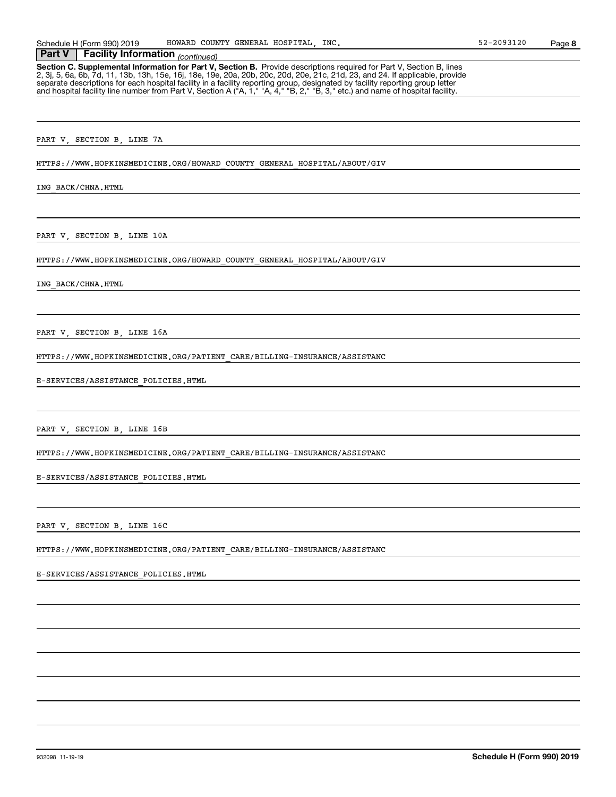Schedule H (Form 990) 2019 Page HOWARD COUNTY GENERAL HOSPITAL, INC. 52-2093120

## *(continued)* **Part V Facility Information**

**Section C. Supplemental Information for Part V, Section B.** Provide descriptions required for Part V, Section B, lines<br>2, 3j, 5, 6a, 6b, 7d, 11, 13b, 13h, 15e, 16j, 18e, 19e, 20a, 20b, 20c, 20d, 20e, 21c, 21d, 23, and 24. separate descriptions for each hospital facility in a facility reporting group, designated by facility reporting group letter<br>and hospital facility line number from Part V, Section A ("A, 1," "A, 4," "B, 2," "B, 3," etc.)

PART V, SECTION B, LINE 7A

HTTPS://WWW.HOPKINSMEDICINE.ORG/HOWARD\_COUNTY\_GENERAL\_HOSPITAL/ABOUT/GIV

ING\_BACK/CHNA.HTML

PART V, SECTION B, LINE 10A

HTTPS://WWW.HOPKINSMEDICINE.ORG/HOWARD\_COUNTY\_GENERAL\_HOSPITAL/ABOUT/GIV

ING\_BACK/CHNA.HTML

PART V, SECTION B, LINE 16A

HTTPS://WWW.HOPKINSMEDICINE.ORG/PATIENT\_CARE/BILLING-INSURANCE/ASSISTANC

E-SERVICES/ASSISTANCE\_POLICIES.HTML

PART V, SECTION B, LINE 16B

HTTPS://WWW.HOPKINSMEDICINE.ORG/PATIENT\_CARE/BILLING-INSURANCE/ASSISTANC

E-SERVICES/ASSISTANCE\_POLICIES.HTML

PART V, SECTION B, LINE 16C

HTTPS://WWW.HOPKINSMEDICINE.ORG/PATIENT\_CARE/BILLING-INSURANCE/ASSISTANC

E-SERVICES/ASSISTANCE\_POLICIES.HTML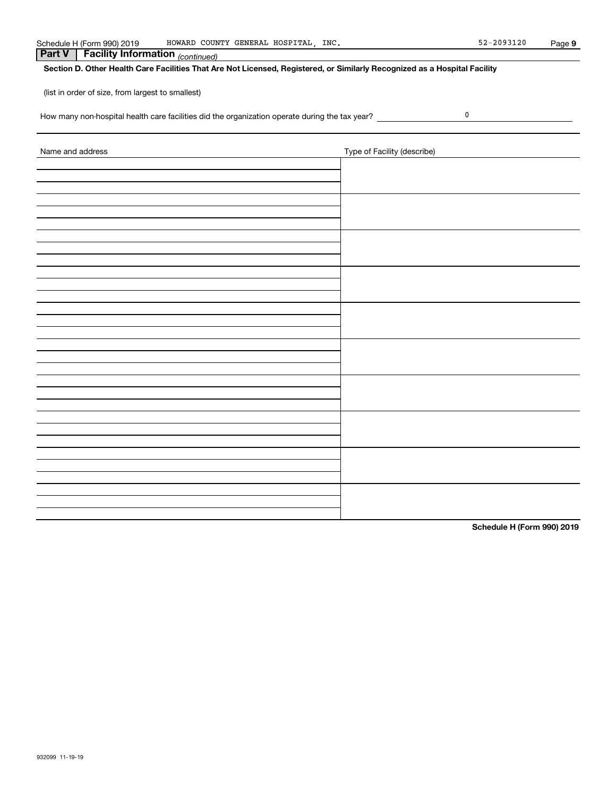| <b>Sched</b> | 990) 2019<br>nedule H (Form) | HOWARD<br>COUNTY           | HOSPITAL<br><b>GENERAL</b> | INC. | 2093120<br>$ \sim$<br>.<br>- 2 | Paɑe |
|--------------|------------------------------|----------------------------|----------------------------|------|--------------------------------|------|
| Part         | <br>Facility Information     | - -<br>$-1$<br>(continued) |                            |      |                                |      |

## **Section D. Other Health Care Facilities That Are Not Licensed, Registered, or Similarly Recognized as a Hospital Facility**

(list in order of size, from largest to smallest)

How many non-hospital health care facilities did the organization operate during the tax year? \_\_\_\_\_\_\_\_\_\_\_\_\_\_\_

| Name and address | Type of Facility (describe) |
|------------------|-----------------------------|
|                  |                             |
|                  |                             |
|                  |                             |
|                  |                             |
|                  |                             |
|                  |                             |
|                  |                             |
|                  |                             |
|                  |                             |
|                  |                             |
|                  |                             |
|                  |                             |
|                  |                             |
|                  |                             |
|                  |                             |
|                  |                             |
|                  |                             |
|                  |                             |
|                  |                             |
|                  |                             |
|                  |                             |

**Schedule H (Form 990) 2019**

 $\pmb{0}$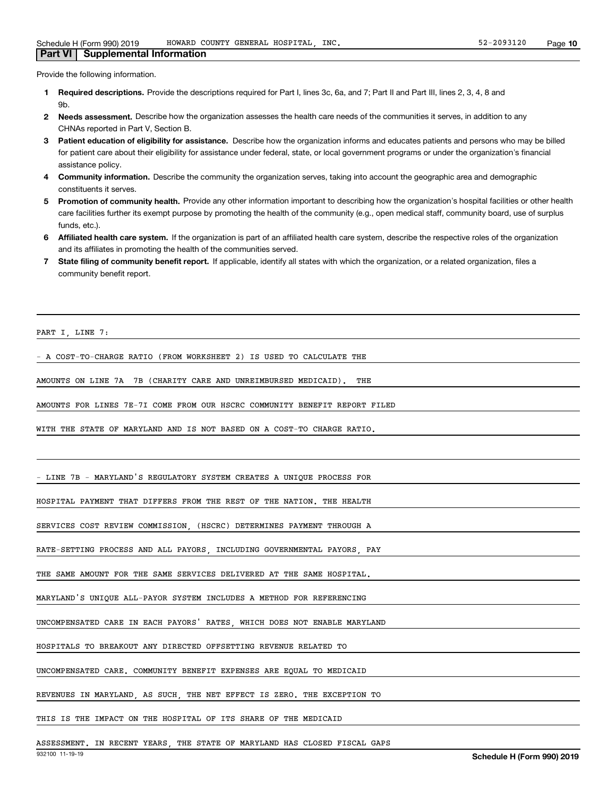#### Provide the following information.

**Part VI Supplemental Information**

- **1 Required descriptions.** Provide the descriptions required for Part I, lines 3c, 6a, and 7; Part II and Part III, lines 2, 3, 4, 8 and **Qh**
- **2Needs assessment.** Describe how the organization assesses the health care needs of the communities it serves, in addition to any CHNAs reported in Part V, Section B.
- **3** Patient education of eligibility for assistance. Describe how the organization informs and educates patients and persons who may be billed for patient care about their eligibility for assistance under federal, state, or local government programs or under the organization's financial assistance policy.
- **4 Community information.** Describe the community the organization serves, taking into account the geographic area and demographic constituents it serves.
- 5 Promotion of community health. Provide any other information important to describing how the organization's hospital facilities or other health care facilities further its exempt purpose by promoting the health of the community (e.g., open medical staff, community board, use of surplus funds, etc.).
- **6Affiliated health care system.** If the organization is part of an affiliated health care system, describe the respective roles of the organization and its affiliates in promoting the health of the communities served.
- **7** State filing of community benefit report. If applicable, identify all states with which the organization, or a related organization, files a community benefit report.

PART I, LINE 7:

- A COST-TO-CHARGE RATIO (FROM WORKSHEET 2) IS USED TO CALCULATE THE

AMOUNTS ON LINE 7A 7B (CHARITY CARE AND UNREIMBURSED MEDICAID). THE

AMOUNTS FOR LINES 7E-7I COME FROM OUR HSCRC COMMUNITY BENEFIT REPORT FILED

WITH THE STATE OF MARYLAND AND IS NOT BASED ON A COST-TO CHARGE RATIO.

- LINE 7B - MARYLAND'S REGULATORY SYSTEM CREATES A UNIQUE PROCESS FOR

HOSPITAL PAYMENT THAT DIFFERS FROM THE REST OF THE NATION. THE HEALTH

SERVICES COST REVIEW COMMISSION, (HSCRC) DETERMINES PAYMENT THROUGH A

RATE-SETTING PROCESS AND ALL PAYORS, INCLUDING GOVERNMENTAL PAYORS, PAY

THE SAME AMOUNT FOR THE SAME SERVICES DELIVERED AT THE SAME HOSPITAL.

MARYLAND'S UNIQUE ALL-PAYOR SYSTEM INCLUDES A METHOD FOR REFERENCING

UNCOMPENSATED CARE IN EACH PAYORS' RATES, WHICH DOES NOT ENABLE MARYLAND

HOSPITALS TO BREAKOUT ANY DIRECTED OFFSETTING REVENUE RELATED TO

UNCOMPENSATED CARE. COMMUNITY BENEFIT EXPENSES ARE EQUAL TO MEDICAID

REVENUES IN MARYLAND, AS SUCH, THE NET EFFECT IS ZERO. THE EXCEPTION TO

THIS IS THE IMPACT ON THE HOSPITAL OF ITS SHARE OF THE MEDICAID

ASSESSMENT. IN RECENT YEARS, THE STATE OF MARYLAND HAS CLOSED FISCAL GAPS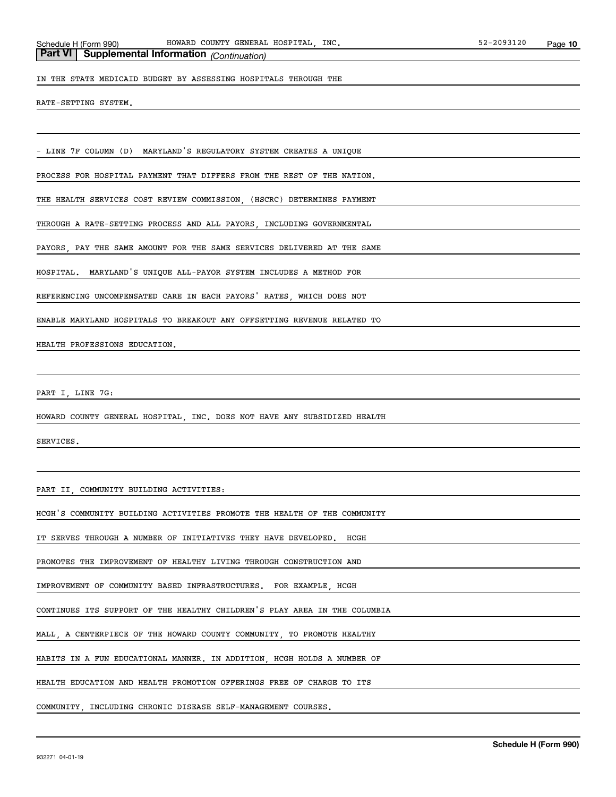# **Part VI Supplemental Information** *(Continuation)*

IN THE STATE MEDICAID BUDGET BY ASSESSING HOSPITALS THROUGH THE

RATE-SETTING SYSTEM.

- LINE 7F COLUMN (D) MARYLAND'S REGULATORY SYSTEM CREATES A UNIQUE

PROCESS FOR HOSPITAL PAYMENT THAT DIFFERS FROM THE REST OF THE NATION.

THE HEALTH SERVICES COST REVIEW COMMISSION, (HSCRC) DETERMINES PAYMENT

THROUGH A RATE-SETTING PROCESS AND ALL PAYORS, INCLUDING GOVERNMENTAL

PAYORS, PAY THE SAME AMOUNT FOR THE SAME SERVICES DELIVERED AT THE SAME

HOSPITAL. MARYLAND'S UNIQUE ALL-PAYOR SYSTEM INCLUDES A METHOD FOR

REFERENCING UNCOMPENSATED CARE IN EACH PAYORS' RATES, WHICH DOES NOT

ENABLE MARYLAND HOSPITALS TO BREAKOUT ANY OFFSETTING REVENUE RELATED TO

HEALTH PROFESSIONS EDUCATION.

PART I, LINE 7G:

HOWARD COUNTY GENERAL HOSPITAL, INC. DOES NOT HAVE ANY SUBSIDIZED HEALTH

SERVICES.

PART II, COMMUNITY BUILDING ACTIVITIES:

HCGH'S COMMUNITY BUILDING ACTIVITIES PROMOTE THE HEALTH OF THE COMMUNITY

IT SERVES THROUGH A NUMBER OF INITIATIVES THEY HAVE DEVELOPED. HCGH

PROMOTES THE IMPROVEMENT OF HEALTHY LIVING THROUGH CONSTRUCTION AND

IMPROVEMENT OF COMMUNITY BASED INFRASTRUCTURES. FOR EXAMPLE, HCGH

CONTINUES ITS SUPPORT OF THE HEALTHY CHILDREN'S PLAY AREA IN THE COLUMBIA

MALL, A CENTERPIECE OF THE HOWARD COUNTY COMMUNITY, TO PROMOTE HEALTHY

HABITS IN A FUN EDUCATIONAL MANNER. IN ADDITION, HCGH HOLDS A NUMBER OF

HEALTH EDUCATION AND HEALTH PROMOTION OFFERINGS FREE OF CHARGE TO ITS

COMMUNITY, INCLUDING CHRONIC DISEASE SELF-MANAGEMENT COURSES.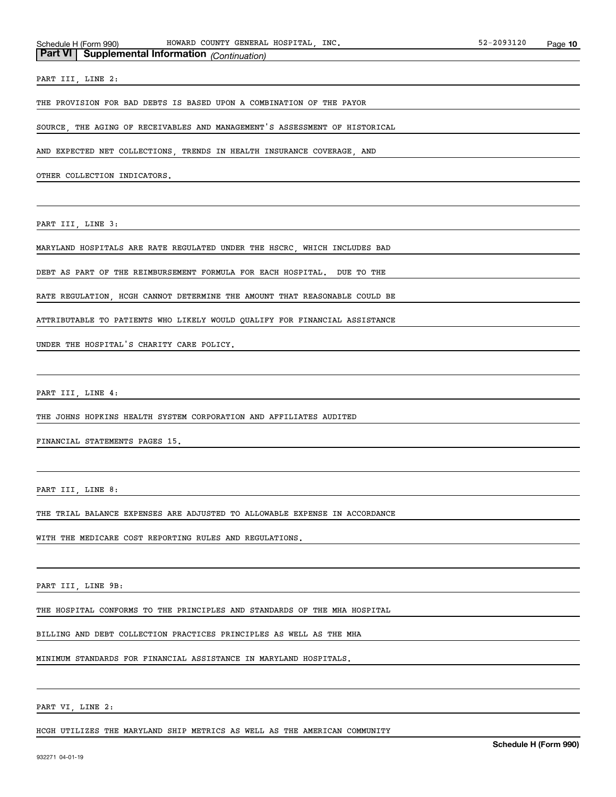# **Part VI Supplemental Information** *(Continuation)*

PART III, LINE 2:

THE PROVISION FOR BAD DEBTS IS BASED UPON A COMBINATION OF THE PAYOR

SOURCE, THE AGING OF RECEIVABLES AND MANAGEMENT'S ASSESSMENT OF HISTORICAL

AND EXPECTED NET COLLECTIONS, TRENDS IN HEALTH INSURANCE COVERAGE, AND

OTHER COLLECTION INDICATORS.

PART III, LINE 3:

MARYLAND HOSPITALS ARE RATE REGULATED UNDER THE HSCRC, WHICH INCLUDES BAD

DEBT AS PART OF THE REIMBURSEMENT FORMULA FOR EACH HOSPITAL. DUE TO THE

RATE REGULATION, HCGH CANNOT DETERMINE THE AMOUNT THAT REASONABLE COULD BE

ATTRIBUTABLE TO PATIENTS WHO LIKELY WOULD QUALIFY FOR FINANCIAL ASSISTANCE

UNDER THE HOSPITAL'S CHARITY CARE POLICY.

PART III, LINE 4:

THE JOHNS HOPKINS HEALTH SYSTEM CORPORATION AND AFFILIATES AUDITED

FINANCIAL STATEMENTS PAGES 15.

PART III, LINE 8:

THE TRIAL BALANCE EXPENSES ARE ADJUSTED TO ALLOWABLE EXPENSE IN ACCORDANCE

WITH THE MEDICARE COST REPORTING RULES AND REGULATIONS.

PART III, LINE 9B:

THE HOSPITAL CONFORMS TO THE PRINCIPLES AND STANDARDS OF THE MHA HOSPITAL

BILLING AND DEBT COLLECTION PRACTICES PRINCIPLES AS WELL AS THE MHA

MINIMUM STANDARDS FOR FINANCIAL ASSISTANCE IN MARYLAND HOSPITALS.

PART VI, LINE 2:

HCGH UTILIZES THE MARYLAND SHIP METRICS AS WELL AS THE AMERICAN COMMUNITY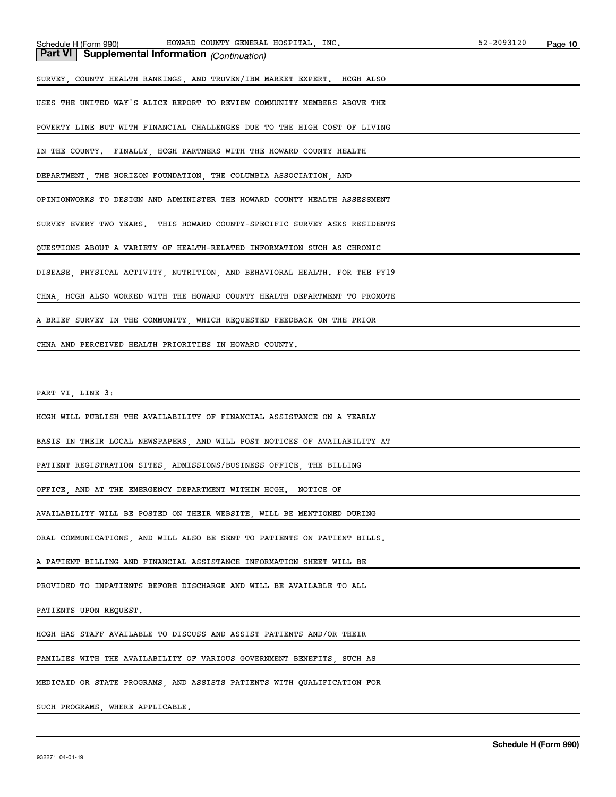| Schedule H (Form 99 |
|---------------------|
|---------------------|

**Part VI Supplemental Information** *(Continuation)* SURVEY, COUNTY HEALTH RANKINGS, AND TRUVEN/IBM MARKET EXPERT. HCGH ALSO USES THE UNITED WAY'S ALICE REPORT TO REVIEW COMMUNITY MEMBERS ABOVE THE POVERTY LINE BUT WITH FINANCIAL CHALLENGES DUE TO THE HIGH COST OF LIVING IN THE COUNTY. FINALLY, HCGH PARTNERS WITH THE HOWARD COUNTY HEALTH DEPARTMENT, THE HORIZON FOUNDATION, THE COLUMBIA ASSOCIATION, AND OPINIONWORKS TO DESIGN AND ADMINISTER THE HOWARD COUNTY HEALTH ASSESSMENT SURVEY EVERY TWO YEARS. THIS HOWARD COUNTY-SPECIFIC SURVEY ASKS RESIDENTS QUESTIONS ABOUT A VARIETY OF HEALTH-RELATED INFORMATION SUCH AS CHRONIC DISEASE, PHYSICAL ACTIVITY, NUTRITION, AND BEHAVIORAL HEALTH. FOR THE FY19 CHNA, HCGH ALSO WORKED WITH THE HOWARD COUNTY HEALTH DEPARTMENT TO PROMOTE A BRIEF SURVEY IN THE COMMUNITY, WHICH REQUESTED FEEDBACK ON THE PRIOR CHNA AND PERCEIVED HEALTH PRIORITIES IN HOWARD COUNTY.

PART VI, LINE 3:

HCGH WILL PUBLISH THE AVAILABILITY OF FINANCIAL ASSISTANCE ON A YEARLY

BASIS IN THEIR LOCAL NEWSPAPERS, AND WILL POST NOTICES OF AVAILABILITY AT

PATIENT REGISTRATION SITES, ADMISSIONS/BUSINESS OFFICE, THE BILLING

OFFICE, AND AT THE EMERGENCY DEPARTMENT WITHIN HCGH. NOTICE OF

AVAILABILITY WILL BE POSTED ON THEIR WEBSITE, WILL BE MENTIONED DURING

ORAL COMMUNICATIONS, AND WILL ALSO BE SENT TO PATIENTS ON PATIENT BILLS.

A PATIENT BILLING AND FINANCIAL ASSISTANCE INFORMATION SHEET WILL BE

PROVIDED TO INPATIENTS BEFORE DISCHARGE AND WILL BE AVAILABLE TO ALL

PATIENTS UPON REQUEST.

HCGH HAS STAFF AVAILABLE TO DISCUSS AND ASSIST PATIENTS AND/OR THEIR

FAMILIES WITH THE AVAILABILITY OF VARIOUS GOVERNMENT BENEFITS, SUCH AS

MEDICAID OR STATE PROGRAMS, AND ASSISTS PATIENTS WITH QUALIFICATION FOR

SUCH PROGRAMS, WHERE APPLICABLE.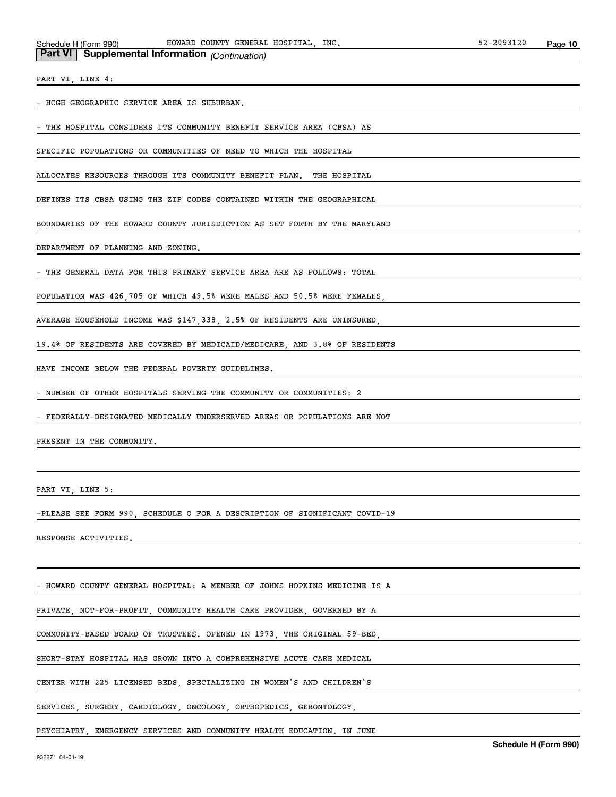| <b>Part VI</b> Supplemental Information (Continuation) |  |  |  |
|--------------------------------------------------------|--|--|--|
|--------------------------------------------------------|--|--|--|

PART VI, LINE 4:

- HCGH GEOGRAPHIC SERVICE AREA IS SUBURBAN.

THE HOSPITAL CONSIDERS ITS COMMUNITY BENEFIT SERVICE AREA (CBSA) AS

SPECIFIC POPULATIONS OR COMMUNITIES OF NEED TO WHICH THE HOSPITAL

ALLOCATES RESOURCES THROUGH ITS COMMUNITY BENEFIT PLAN. THE HOSPITAL

DEFINES ITS CBSA USING THE ZIP CODES CONTAINED WITHIN THE GEOGRAPHICAL

BOUNDARIES OF THE HOWARD COUNTY JURISDICTION AS SET FORTH BY THE MARYLAND

DEPARTMENT OF PLANNING AND ZONING.

THE GENERAL DATA FOR THIS PRIMARY SERVICE AREA ARE AS FOLLOWS: TOTAL

POPULATION WAS 426,705 OF WHICH 49.5% WERE MALES AND 50.5% WERE FEMALES,

AVERAGE HOUSEHOLD INCOME WAS \$147,338, 2.5% OF RESIDENTS ARE UNINSURED,

19.4% OF RESIDENTS ARE COVERED BY MEDICAID/MEDICARE, AND 3.8% OF RESIDENTS

HAVE INCOME BELOW THE FEDERAL POVERTY GUIDELINES.

- NUMBER OF OTHER HOSPITALS SERVING THE COMMUNITY OR COMMUNITIES: 2

- FEDERALLY-DESIGNATED MEDICALLY UNDERSERVED AREAS OR POPULATIONS ARE NOT

PRESENT IN THE COMMUNITY.

PART VI, LINE 5:

-PLEASE SEE FORM 990, SCHEDULE O FOR A DESCRIPTION OF SIGNIFICANT COVID-19

RESPONSE ACTIVITIES.

- HOWARD COUNTY GENERAL HOSPITAL: A MEMBER OF JOHNS HOPKINS MEDICINE IS A

PRIVATE, NOT-FOR-PROFIT, COMMUNITY HEALTH CARE PROVIDER, GOVERNED BY A

COMMUNITY-BASED BOARD OF TRUSTEES. OPENED IN 1973, THE ORIGINAL 59-BED,

SHORT-STAY HOSPITAL HAS GROWN INTO A COMPREHENSIVE ACUTE CARE MEDICAL

CENTER WITH 225 LICENSED BEDS, SPECIALIZING IN WOMEN'S AND CHILDREN'S

SERVICES, SURGERY, CARDIOLOGY, ONCOLOGY, ORTHOPEDICS, GERONTOLOGY,

PSYCHIATRY, EMERGENCY SERVICES AND COMMUNITY HEALTH EDUCATION. IN JUNE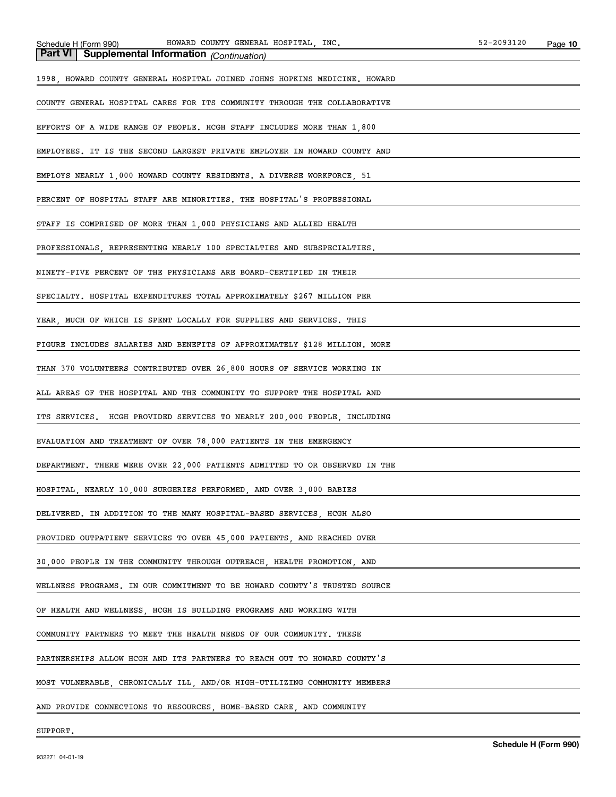| Supplemental Information (Continuation)<br>Part VI                         |
|----------------------------------------------------------------------------|
| 1998, HOWARD COUNTY GENERAL HOSPITAL JOINED JOHNS HOPKINS MEDICINE. HOWARD |
| COUNTY GENERAL HOSPITAL CARES FOR ITS COMMUNITY THROUGH THE COLLABORATIVE  |
| EFFORTS OF A WIDE RANGE OF PEOPLE. HCGH STAFF INCLUDES MORE THAN 1,800     |
| EMPLOYEES. IT IS THE SECOND LARGEST PRIVATE EMPLOYER IN HOWARD COUNTY AND  |
| EMPLOYS NEARLY 1,000 HOWARD COUNTY RESIDENTS. A DIVERSE WORKFORCE, 51      |
| PERCENT OF HOSPITAL STAFF ARE MINORITIES. THE HOSPITAL'S PROFESSIONAL      |
| STAFF IS COMPRISED OF MORE THAN 1,000 PHYSICIANS AND ALLIED HEALTH         |
| PROFESSIONALS, REPRESENTING NEARLY 100 SPECIALTIES AND SUBSPECIALTIES.     |
| NINETY-FIVE PERCENT OF THE PHYSICIANS ARE BOARD-CERTIFIED IN THEIR         |
| SPECIALTY. HOSPITAL EXPENDITURES TOTAL APPROXIMATELY \$267 MILLION PER     |
| YEAR, MUCH OF WHICH IS SPENT LOCALLY FOR SUPPLIES AND SERVICES. THIS       |
| FIGURE INCLUDES SALARIES AND BENEFITS OF APPROXIMATELY \$128 MILLION. MORE |
| THAN 370 VOLUNTEERS CONTRIBUTED OVER 26,800 HOURS OF SERVICE WORKING IN    |
| ALL AREAS OF THE HOSPITAL AND THE COMMUNITY TO SUPPORT THE HOSPITAL AND    |
| ITS SERVICES. HCGH PROVIDED SERVICES TO NEARLY 200,000 PEOPLE, INCLUDING   |
| EVALUATION AND TREATMENT OF OVER 78,000 PATIENTS IN THE EMERGENCY          |
| DEPARTMENT. THERE WERE OVER 22,000 PATIENTS ADMITTED TO OR OBSERVED IN THE |
| HOSPITAL, NEARLY 10,000 SURGERIES PERFORMED, AND OVER 3,000 BABIES         |
| DELIVERED. IN ADDITION TO THE MANY HOSPITAL-BASED SERVICES, HCGH ALSO      |
| PROVIDED OUTPATIENT SERVICES TO OVER 45,000 PATIENTS, AND REACHED OVER     |
| 30,000 PEOPLE IN THE COMMUNITY THROUGH OUTREACH, HEALTH PROMOTION, AND     |
| WELLNESS PROGRAMS. IN OUR COMMITMENT TO BE HOWARD COUNTY'S TRUSTED SOURCE  |
| OF HEALTH AND WELLNESS, HCGH IS BUILDING PROGRAMS AND WORKING WITH         |
| COMMUNITY PARTNERS TO MEET THE HEALTH NEEDS OF OUR COMMUNITY. THESE        |
| PARTNERSHIPS ALLOW HCGH AND ITS PARTNERS TO REACH OUT TO HOWARD COUNTY'S   |
| MOST VULNERABLE, CHRONICALLY ILL, AND/OR HIGH-UTILIZING COMMUNITY MEMBERS  |
| AND PROVIDE CONNECTIONS TO RESOURCES, HOME-BASED CARE, AND COMMUNITY       |

SUPPORT.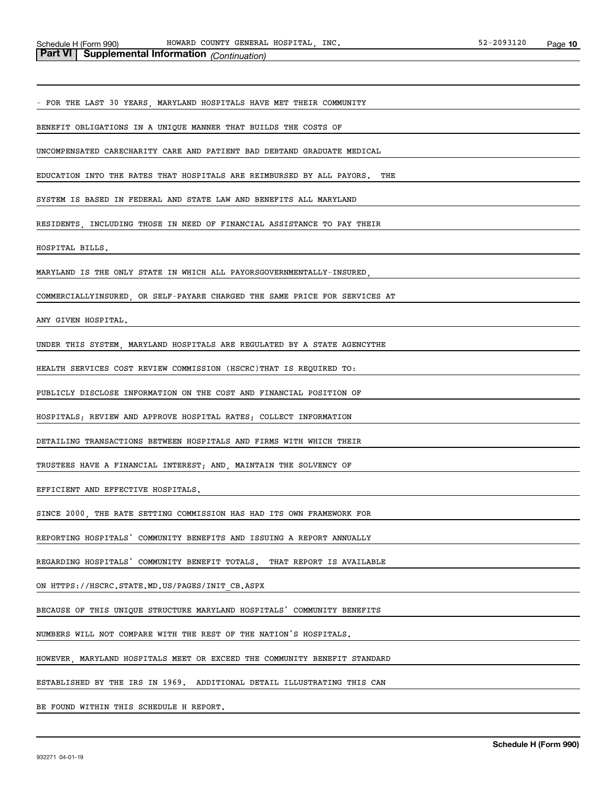FOR THE LAST 30 YEARS, MARYLAND HOSPITALS HAVE MET THEIR COMMUNITY

BENEFIT OBLIGATIONS IN A UNIQUE MANNER THAT BUILDS THE COSTS OF

UNCOMPENSATED CARECHARITY CARE AND PATIENT BAD DEBTAND GRADUATE MEDICAL

EDUCATION INTO THE RATES THAT HOSPITALS ARE REIMBURSED BY ALL PAYORS. THE

SYSTEM IS BASED IN FEDERAL AND STATE LAW AND BENEFITS ALL MARYLAND

RESIDENTS INCLUDING THOSE IN NEED OF FINANCIAL ASSISTANCE TO PAY THEIR

HOSPITAL BILLS.

MARYLAND IS THE ONLY STATE IN WHICH ALL PAYORSGOVERNMENTALLY-INSURED,

COMMERCIALLYINSURED, OR SELF-PAYARE CHARGED THE SAME PRICE FOR SERVICES AT

ANY GIVEN HOSPITAL.

UNDER THIS SYSTEM, MARYLAND HOSPITALS ARE REGULATED BY A STATE AGENCYTHE

HEALTH SERVICES COST REVIEW COMMISSION (HSCRC)THAT IS REQUIRED TO:

PUBLICLY DISCLOSE INFORMATION ON THE COST AND FINANCIAL POSITION OF

HOSPITALS; REVIEW AND APPROVE HOSPITAL RATES; COLLECT INFORMATION

DETAILING TRANSACTIONS BETWEEN HOSPITALS AND FIRMS WITH WHICH THEIR

TRUSTEES HAVE A FINANCIAL INTEREST; AND, MAINTAIN THE SOLVENCY OF

EFFICIENT AND EFFECTIVE HOSPITALS.

SINCE 2000, THE RATE SETTING COMMISSION HAS HAD ITS OWN FRAMEWORK FOR

REPORTING HOSPITALS' COMMUNITY BENEFITS AND ISSUING A REPORT ANNUALLY

REGARDING HOSPITALS' COMMUNITY BENEFIT TOTALS. THAT REPORT IS AVAILABLE

ON HTTPS://HSCRC.STATE.MD.US/PAGES/INIT\_CB.ASPX

BECAUSE OF THIS UNIQUE STRUCTURE MARYLAND HOSPITALS' COMMUNITY BENEFITS

NUMBERS WILL NOT COMPARE WITH THE REST OF THE NATION'S HOSPITALS.

HOWEVER, MARYLAND HOSPITALS MEET OR EXCEED THE COMMUNITY BENEFIT STANDARD

ESTABLISHED BY THE IRS IN 1969. ADDITIONAL DETAIL ILLUSTRATING THIS CAN

BE FOUND WITHIN THIS SCHEDULE H REPORT.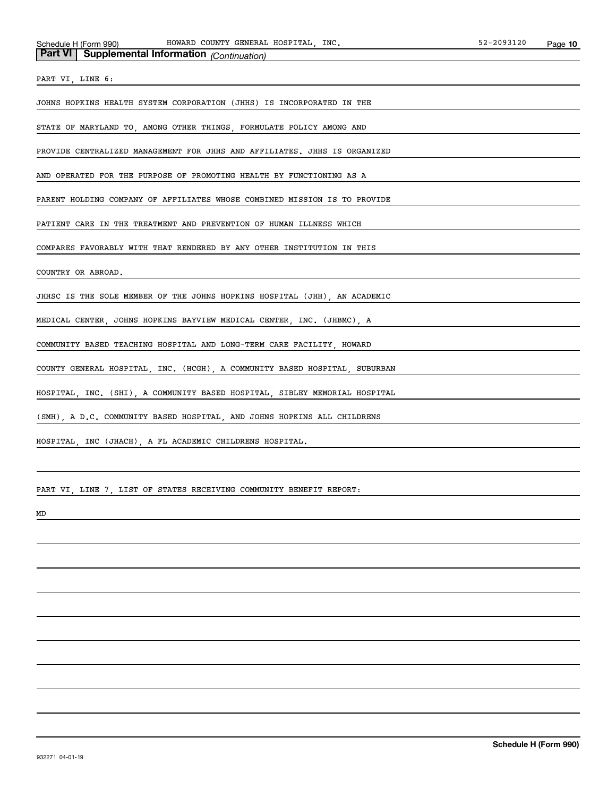|  |  | Part VI Supplemental Information (Continuation) |  |  |
|--|--|-------------------------------------------------|--|--|
|--|--|-------------------------------------------------|--|--|

PART VI, LINE 6:

JOHNS HOPKINS HEALTH SYSTEM CORPORATION (JHHS) IS INCORPORATED IN THE

STATE OF MARYLAND TO, AMONG OTHER THINGS, FORMULATE POLICY AMONG AND

PROVIDE CENTRALIZED MANAGEMENT FOR JHHS AND AFFILIATES. JHHS IS ORGANIZED

AND OPERATED FOR THE PURPOSE OF PROMOTING HEALTH BY FUNCTIONING AS A

PARENT HOLDING COMPANY OF AFFILIATES WHOSE COMBINED MISSION IS TO PROVIDE

PATIENT CARE IN THE TREATMENT AND PREVENTION OF HUMAN ILLNESS WHICH

COMPARES FAVORABLY WITH THAT RENDERED BY ANY OTHER INSTITUTION IN THIS

COUNTRY OR ABROAD.

JHHSC IS THE SOLE MEMBER OF THE JOHNS HOPKINS HOSPITAL (JHH), AN ACADEMIC

MEDICAL CENTER, JOHNS HOPKINS BAYVIEW MEDICAL CENTER, INC. (JHBMC), A

COMMUNITY BASED TEACHING HOSPITAL AND LONG-TERM CARE FACILITY, HOWARD

COUNTY GENERAL HOSPITAL, INC. (HCGH), A COMMUNITY BASED HOSPITAL, SUBURBAN

HOSPITAL, INC. (SHI), A COMMUNITY BASED HOSPITAL, SIBLEY MEMORIAL HOSPITAL

(SMH), A D.C. COMMUNITY BASED HOSPITAL, AND JOHNS HOPKINS ALL CHILDRENS

HOSPITAL, INC (JHACH), A FL ACADEMIC CHILDRENS HOSPITAL.

PART VI, LINE 7, LIST OF STATES RECEIVING COMMUNITY BENEFIT REPORT:

MD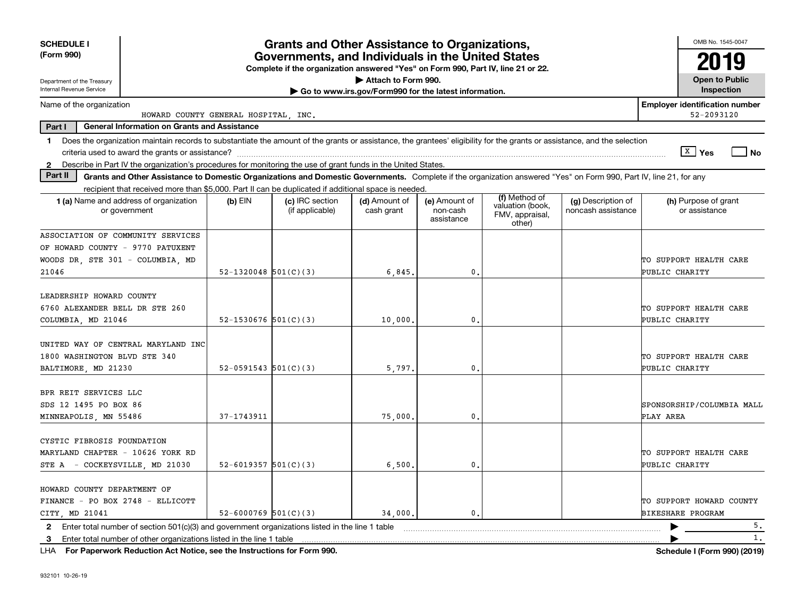| <b>SCHEDULE I</b><br>(Form 990)                                                                                                                                                |                          | <b>Grants and Other Assistance to Organizations,</b><br>Governments, and Individuals in the United States<br>Complete if the organization answered "Yes" on Form 990, Part IV, line 21 or 22. |                                                       |                                         |                                                                |                                          | OMB No. 1545-0047<br>19                              |
|--------------------------------------------------------------------------------------------------------------------------------------------------------------------------------|--------------------------|-----------------------------------------------------------------------------------------------------------------------------------------------------------------------------------------------|-------------------------------------------------------|-----------------------------------------|----------------------------------------------------------------|------------------------------------------|------------------------------------------------------|
| Department of the Treasury                                                                                                                                                     |                          |                                                                                                                                                                                               | Attach to Form 990.                                   |                                         |                                                                |                                          | <b>Open to Public</b>                                |
| Internal Revenue Service                                                                                                                                                       |                          |                                                                                                                                                                                               | Go to www.irs.gov/Form990 for the latest information. |                                         |                                                                |                                          | Inspection                                           |
| Name of the organization<br>HOWARD COUNTY GENERAL HOSPITAL, INC.                                                                                                               |                          |                                                                                                                                                                                               |                                                       |                                         |                                                                |                                          | <b>Employer identification number</b><br>52-2093120  |
| <b>General Information on Grants and Assistance</b><br>Part I                                                                                                                  |                          |                                                                                                                                                                                               |                                                       |                                         |                                                                |                                          |                                                      |
| Does the organization maintain records to substantiate the amount of the grants or assistance, the grantees' eligibility for the grants or assistance, and the selection<br>1. |                          |                                                                                                                                                                                               |                                                       |                                         |                                                                |                                          |                                                      |
|                                                                                                                                                                                |                          |                                                                                                                                                                                               |                                                       |                                         |                                                                |                                          | ∣ <sup>x</sup> ∣ Yes<br>N <sub>O</sub>               |
| Describe in Part IV the organization's procedures for monitoring the use of grant funds in the United States.<br>$\mathbf{2}$                                                  |                          |                                                                                                                                                                                               |                                                       |                                         |                                                                |                                          |                                                      |
| Part II<br>Grants and Other Assistance to Domestic Organizations and Domestic Governments. Complete if the organization answered "Yes" on Form 990, Part IV, line 21, for any  |                          |                                                                                                                                                                                               |                                                       |                                         |                                                                |                                          |                                                      |
| recipient that received more than \$5,000. Part II can be duplicated if additional space is needed.                                                                            |                          |                                                                                                                                                                                               |                                                       |                                         |                                                                |                                          |                                                      |
| 1 (a) Name and address of organization<br>or government                                                                                                                        | $(b)$ EIN                | (c) IRC section<br>(if applicable)                                                                                                                                                            | (d) Amount of<br>cash grant                           | (e) Amount of<br>non-cash<br>assistance | (f) Method of<br>valuation (book,<br>FMV, appraisal,<br>other) | (g) Description of<br>noncash assistance | (h) Purpose of grant<br>or assistance                |
| ASSOCIATION OF COMMUNITY SERVICES                                                                                                                                              |                          |                                                                                                                                                                                               |                                                       |                                         |                                                                |                                          |                                                      |
| OF HOWARD COUNTY - 9770 PATUXENT                                                                                                                                               |                          |                                                                                                                                                                                               |                                                       |                                         |                                                                |                                          |                                                      |
| WOODS DR. STE 301 - COLUMBIA. MD                                                                                                                                               |                          |                                                                                                                                                                                               |                                                       |                                         |                                                                |                                          | TO SUPPORT HEALTH CARE                               |
| 21046                                                                                                                                                                          | $52 - 1320048$ 501(C)(3) |                                                                                                                                                                                               | 6,845                                                 | 0.                                      |                                                                |                                          | PUBLIC CHARITY                                       |
| LEADERSHIP HOWARD COUNTY<br>6760 ALEXANDER BELL DR STE 260                                                                                                                     |                          |                                                                                                                                                                                               |                                                       |                                         |                                                                |                                          | TO SUPPORT HEALTH CARE                               |
| COLUMBIA, MD 21046                                                                                                                                                             | 52-1530676 $501(C)(3)$   |                                                                                                                                                                                               | 10,000                                                | 0.                                      |                                                                |                                          | PUBLIC CHARITY                                       |
| UNITED WAY OF CENTRAL MARYLAND INC<br>1800 WASHINGTON BLVD STE 340<br>BALTIMORE, MD 21230                                                                                      | $52-0591543$ $501(C)(3)$ |                                                                                                                                                                                               | 5,797                                                 | 0.                                      |                                                                |                                          | TO SUPPORT HEALTH CARE<br>PUBLIC CHARITY             |
| BPR REIT SERVICES LLC<br>SDS 12 1495 PO BOX 86<br>MINNEAPOLIS, MN 55486                                                                                                        | $37 - 1743911$           |                                                                                                                                                                                               | 75,000                                                | $\mathbf{0}$                            |                                                                |                                          | SPONSORSHIP/COLUMBIA MALL<br>PLAY AREA               |
| CYSTIC FIBROSIS FOUNDATION<br>MARYLAND CHAPTER - 10626 YORK RD<br>- COCKEYSVILLE, MD 21030<br>STE A                                                                            | 52-6019357 $501(C)(3)$   |                                                                                                                                                                                               | 6,500                                                 | 0.                                      |                                                                |                                          | TO SUPPORT HEALTH CARE<br>PUBLIC CHARITY             |
| HOWARD COUNTY DEPARTMENT OF<br>FINANCE - PO BOX 2748 - ELLICOTT<br>CITY MD 21041                                                                                               | 52-6000769 $501(C)(3)$   |                                                                                                                                                                                               | 34,000.                                               | 0.                                      |                                                                |                                          | TO SUPPORT HOWARD COUNTY<br><b>BIKESHARE PROGRAM</b> |
| 2 Enter total number of section 501(c)(3) and government organizations listed in the line 1 table                                                                              |                          |                                                                                                                                                                                               |                                                       |                                         |                                                                |                                          | 5 <sub>1</sub>                                       |
| Enter total number of other organizations listed in the line 1 table<br>3                                                                                                      |                          |                                                                                                                                                                                               |                                                       |                                         |                                                                |                                          | 1.                                                   |

**For Paperwork Reduction Act Notice, see the Instructions for Form 990. Schedule I (Form 990) (2019)** LHA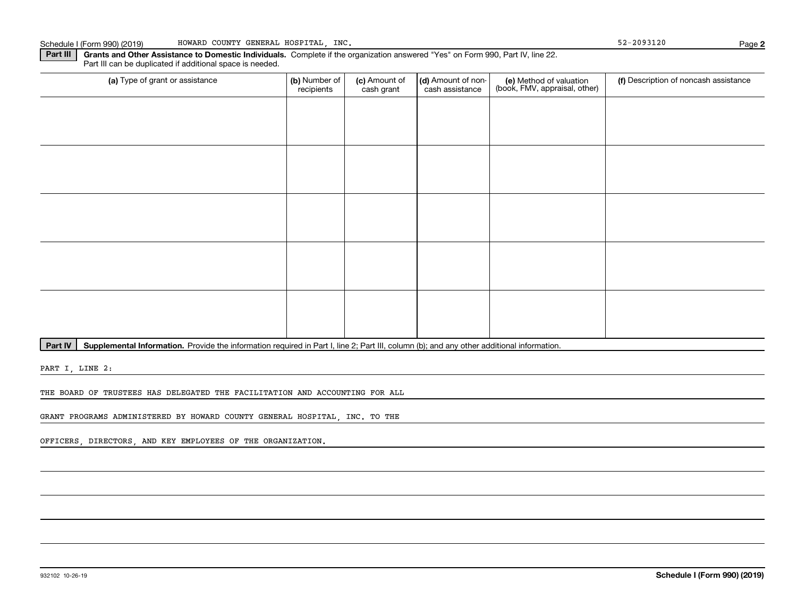**Part III | Grants and Other Assistance to Domestic Individuals. Complete if the organization answered "Yes" on Form 990, Part IV, line 22.** Part III can be duplicated if additional space is needed.

| (a) Type of grant or assistance | (b) Number of<br>recipients | (c) Amount of<br>cash grant | (d) Amount of non-<br>cash assistance | (e) Method of valuation<br>(book, FMV, appraisal, other) | (f) Description of noncash assistance |
|---------------------------------|-----------------------------|-----------------------------|---------------------------------------|----------------------------------------------------------|---------------------------------------|
|                                 |                             |                             |                                       |                                                          |                                       |
|                                 |                             |                             |                                       |                                                          |                                       |
|                                 |                             |                             |                                       |                                                          |                                       |
|                                 |                             |                             |                                       |                                                          |                                       |
|                                 |                             |                             |                                       |                                                          |                                       |
|                                 |                             |                             |                                       |                                                          |                                       |
|                                 |                             |                             |                                       |                                                          |                                       |
|                                 |                             |                             |                                       |                                                          |                                       |
|                                 |                             |                             |                                       |                                                          |                                       |
|                                 |                             |                             |                                       |                                                          |                                       |
|                                 |                             |                             |                                       |                                                          |                                       |
|                                 |                             |                             |                                       |                                                          |                                       |
|                                 |                             |                             |                                       |                                                          |                                       |
|                                 |                             |                             |                                       |                                                          |                                       |
|                                 |                             |                             |                                       |                                                          |                                       |

Part IV | Supplemental Information. Provide the information required in Part I, line 2; Part III, column (b); and any other additional information.

PART I, LINE 2:

THE BOARD OF TRUSTEES HAS DELEGATED THE FACILITATION AND ACCOUNTING FOR ALL

GRANT PROGRAMS ADMINISTERED BY HOWARD COUNTY GENERAL HOSPITAL, INC. TO THE

OFFICERS, DIRECTORS, AND KEY EMPLOYEES OF THE ORGANIZATION.

**2**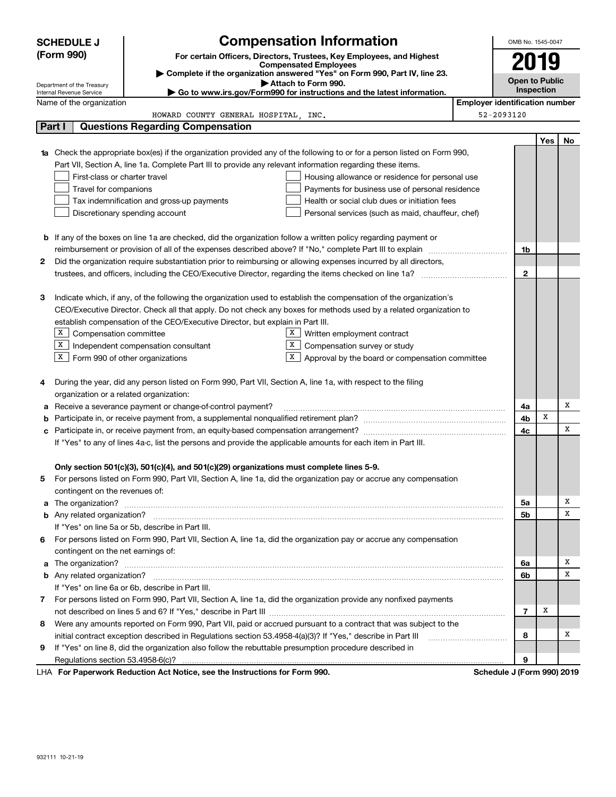|                                                                                | <b>SCHEDULE J</b>                                                                                                     | <b>Compensation Information</b>                                                                                        |                                                   |                                       | OMB No. 1545-0047 |     |    |  |
|--------------------------------------------------------------------------------|-----------------------------------------------------------------------------------------------------------------------|------------------------------------------------------------------------------------------------------------------------|---------------------------------------------------|---------------------------------------|-------------------|-----|----|--|
|                                                                                | (Form 990)                                                                                                            | For certain Officers, Directors, Trustees, Key Employees, and Highest                                                  |                                                   |                                       |                   |     |    |  |
|                                                                                |                                                                                                                       | <b>Compensated Employees</b>                                                                                           |                                                   |                                       | 2019              |     |    |  |
|                                                                                |                                                                                                                       | Complete if the organization answered "Yes" on Form 990, Part IV, line 23.<br>Attach to Form 990.                      |                                                   | <b>Open to Public</b>                 |                   |     |    |  |
|                                                                                | Department of the Treasury<br>Internal Revenue Service                                                                | Go to www.irs.gov/Form990 for instructions and the latest information.                                                 |                                                   |                                       | Inspection        |     |    |  |
|                                                                                | Name of the organization                                                                                              |                                                                                                                        |                                                   | <b>Employer identification number</b> |                   |     |    |  |
|                                                                                |                                                                                                                       | HOWARD COUNTY GENERAL HOSPITAL, INC.                                                                                   |                                                   | 52-2093120                            |                   |     |    |  |
|                                                                                | Part I                                                                                                                | <b>Questions Regarding Compensation</b>                                                                                |                                                   |                                       |                   |     |    |  |
|                                                                                |                                                                                                                       |                                                                                                                        |                                                   |                                       |                   | Yes | No |  |
|                                                                                |                                                                                                                       | Check the appropriate box(es) if the organization provided any of the following to or for a person listed on Form 990, |                                                   |                                       |                   |     |    |  |
|                                                                                |                                                                                                                       | Part VII, Section A, line 1a. Complete Part III to provide any relevant information regarding these items.             |                                                   |                                       |                   |     |    |  |
|                                                                                | First-class or charter travel                                                                                         |                                                                                                                        | Housing allowance or residence for personal use   |                                       |                   |     |    |  |
|                                                                                | Travel for companions                                                                                                 |                                                                                                                        | Payments for business use of personal residence   |                                       |                   |     |    |  |
|                                                                                |                                                                                                                       | Tax indemnification and gross-up payments                                                                              | Health or social club dues or initiation fees     |                                       |                   |     |    |  |
|                                                                                |                                                                                                                       | Discretionary spending account                                                                                         | Personal services (such as maid, chauffeur, chef) |                                       |                   |     |    |  |
|                                                                                |                                                                                                                       |                                                                                                                        |                                                   |                                       |                   |     |    |  |
|                                                                                |                                                                                                                       | <b>b</b> If any of the boxes on line 1a are checked, did the organization follow a written policy regarding payment or |                                                   |                                       |                   |     |    |  |
|                                                                                |                                                                                                                       |                                                                                                                        |                                                   |                                       | 1b                |     |    |  |
| 2                                                                              |                                                                                                                       | Did the organization require substantiation prior to reimbursing or allowing expenses incurred by all directors,       |                                                   |                                       |                   |     |    |  |
|                                                                                |                                                                                                                       |                                                                                                                        |                                                   |                                       | $\mathbf{2}$      |     |    |  |
|                                                                                |                                                                                                                       |                                                                                                                        |                                                   |                                       |                   |     |    |  |
| З                                                                              |                                                                                                                       | Indicate which, if any, of the following the organization used to establish the compensation of the organization's     |                                                   |                                       |                   |     |    |  |
|                                                                                |                                                                                                                       | CEO/Executive Director. Check all that apply. Do not check any boxes for methods used by a related organization to     |                                                   |                                       |                   |     |    |  |
| establish compensation of the CEO/Executive Director, but explain in Part III. |                                                                                                                       |                                                                                                                        |                                                   |                                       |                   |     |    |  |
|                                                                                | $X$ Compensation committee<br>X  <br>Written employment contract                                                      |                                                                                                                        |                                                   |                                       |                   |     |    |  |
|                                                                                | $X$ Independent compensation consultant<br>X  <br>Compensation survey or study<br>$X$ Form 990 of other organizations |                                                                                                                        |                                                   |                                       |                   |     |    |  |
|                                                                                |                                                                                                                       | X                                                                                                                      | Approval by the board or compensation committee   |                                       |                   |     |    |  |
| 4                                                                              |                                                                                                                       | During the year, did any person listed on Form 990, Part VII, Section A, line 1a, with respect to the filing           |                                                   |                                       |                   |     |    |  |
|                                                                                | organization or a related organization:                                                                               |                                                                                                                        |                                                   |                                       |                   |     |    |  |
|                                                                                |                                                                                                                       | Receive a severance payment or change-of-control payment?                                                              |                                                   |                                       | 4a                |     | х  |  |
|                                                                                |                                                                                                                       |                                                                                                                        |                                                   |                                       | 4b                | x   |    |  |
| с                                                                              |                                                                                                                       |                                                                                                                        |                                                   |                                       | 4c                |     | X  |  |
|                                                                                | If "Yes" to any of lines 4a-c, list the persons and provide the applicable amounts for each item in Part III.         |                                                                                                                        |                                                   |                                       |                   |     |    |  |
|                                                                                |                                                                                                                       |                                                                                                                        |                                                   |                                       |                   |     |    |  |
|                                                                                |                                                                                                                       | Only section 501(c)(3), 501(c)(4), and 501(c)(29) organizations must complete lines 5-9.                               |                                                   |                                       |                   |     |    |  |
|                                                                                |                                                                                                                       | For persons listed on Form 990, Part VII, Section A, line 1a, did the organization pay or accrue any compensation      |                                                   |                                       |                   |     |    |  |
|                                                                                | contingent on the revenues of:                                                                                        |                                                                                                                        |                                                   |                                       |                   |     |    |  |
|                                                                                |                                                                                                                       |                                                                                                                        |                                                   |                                       | 5a                |     | x  |  |
|                                                                                | a The organization? <b>Entitation</b> and the organization?                                                           |                                                                                                                        |                                                   |                                       |                   |     | х  |  |
|                                                                                |                                                                                                                       | If "Yes" on line 5a or 5b, describe in Part III.                                                                       |                                                   |                                       |                   |     |    |  |
| 6.                                                                             |                                                                                                                       | For persons listed on Form 990, Part VII, Section A, line 1a, did the organization pay or accrue any compensation      |                                                   |                                       |                   |     |    |  |
|                                                                                | contingent on the net earnings of:                                                                                    |                                                                                                                        |                                                   |                                       |                   |     |    |  |
|                                                                                |                                                                                                                       |                                                                                                                        |                                                   |                                       |                   |     | х  |  |
|                                                                                |                                                                                                                       |                                                                                                                        |                                                   |                                       | 6b                |     | х  |  |
|                                                                                |                                                                                                                       | If "Yes" on line 6a or 6b, describe in Part III.                                                                       |                                                   |                                       |                   |     |    |  |
|                                                                                |                                                                                                                       | 7 For persons listed on Form 990, Part VII, Section A, line 1a, did the organization provide any nonfixed payments     |                                                   |                                       |                   |     |    |  |
|                                                                                |                                                                                                                       |                                                                                                                        |                                                   |                                       | $\overline{7}$    | х   |    |  |
| 8                                                                              |                                                                                                                       | Were any amounts reported on Form 990, Part VII, paid or accrued pursuant to a contract that was subject to the        |                                                   |                                       |                   |     |    |  |
|                                                                                |                                                                                                                       | initial contract exception described in Regulations section 53.4958-4(a)(3)? If "Yes," describe in Part III            |                                                   |                                       | 8                 |     | x  |  |
| 9                                                                              |                                                                                                                       | If "Yes" on line 8, did the organization also follow the rebuttable presumption procedure described in                 |                                                   |                                       |                   |     |    |  |
|                                                                                |                                                                                                                       |                                                                                                                        |                                                   |                                       | 9                 |     |    |  |
|                                                                                |                                                                                                                       | LHA For Paperwork Reduction Act Notice, see the Instructions for Form 990.                                             |                                                   | Schedule J (Form 990) 2019            |                   |     |    |  |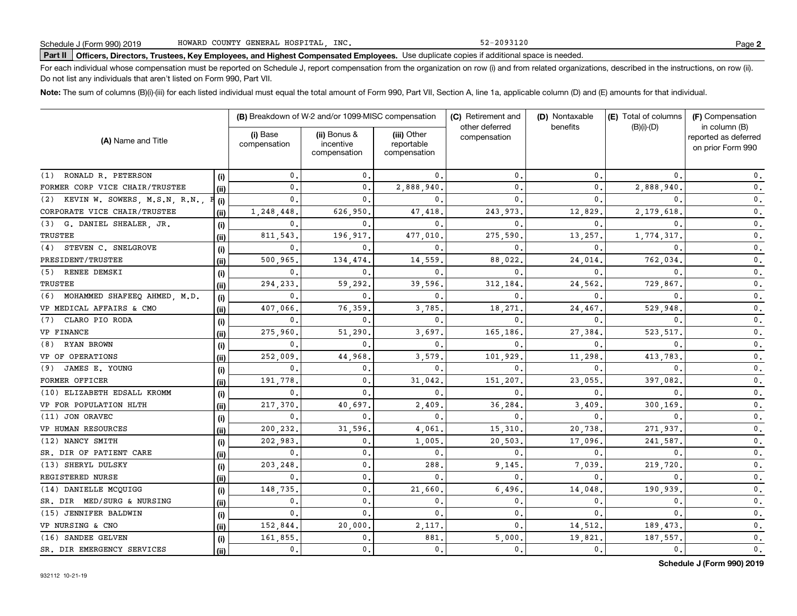52-2093120

# **Part II Officers, Directors, Trustees, Key Employees, and Highest Compensated Employees.**  Schedule J (Form 990) 2019 Page Use duplicate copies if additional space is needed.

For each individual whose compensation must be reported on Schedule J, report compensation from the organization on row (i) and from related organizations, described in the instructions, on row (ii). Do not list any individuals that aren't listed on Form 990, Part VII.

**Note:**  The sum of columns (B)(i)-(iii) for each listed individual must equal the total amount of Form 990, Part VII, Section A, line 1a, applicable column (D) and (E) amounts for that individual.

|                                     |       |                          | (B) Breakdown of W-2 and/or 1099-MISC compensation |                                           | (C) Retirement and             | (D) Nontaxable | (E) Total of columns | (F) Compensation<br>in column (B)         |  |
|-------------------------------------|-------|--------------------------|----------------------------------------------------|-------------------------------------------|--------------------------------|----------------|----------------------|-------------------------------------------|--|
| (A) Name and Title                  |       | (i) Base<br>compensation | (ii) Bonus &<br>incentive<br>compensation          | (iii) Other<br>reportable<br>compensation | other deferred<br>compensation | benefits       | $(B)(i)-(D)$         | reported as deferred<br>on prior Form 990 |  |
| RONALD R. PETERSON<br>(1)           | (i)   | $\mathbf{0}$ .           | $\mathbf{0}$                                       | $\mathbf{0}$ .                            | 0.                             | $\mathbf{0}$   | $\Omega$             | 0.                                        |  |
| FORMER CORP VICE CHAIR/TRUSTEE      | (i)   | 0.                       | $\mathbf{0}$                                       | 2,888,940.                                | 0.                             | $\mathbf{0}$   | 2,888,940            | 0.                                        |  |
| (2) KEVIN W. SOWERS, M.S.N, R.N.,   | (i)   | 0.                       | 0                                                  | $\Omega$                                  | $\mathbf{0}$                   | $\mathbf{0}$   |                      | 0.                                        |  |
| CORPORATE VICE CHAIR/TRUSTEE        | (ii)  | 1,248,448                | 626,950                                            | 47,418                                    | 243,973                        | 12,829         | 2,179,618            | 0.                                        |  |
| (3) G. DANIEL SHEALER, JR.          | (i)   | $\mathbf{0}$ .           | 0                                                  | $\Omega$                                  | 0                              | $\mathbf{0}$   | $\Omega$             | $\mathbf{0}$ .                            |  |
| TRUSTEE                             | (ii)  | 811,543                  | 196,917                                            | 477,010                                   | 275,590                        | 13,257         | 1,774,317            | 0.                                        |  |
| STEVEN C. SNELGROVE<br>(4)          | (i)   | 0.                       | 0                                                  | $\Omega$                                  | 0                              | $\mathbf{0}$   | $\Omega$             | 0.                                        |  |
| PRESIDENT/TRUSTEE                   | (ii)  | 500,965                  | 134,474                                            | 14,559                                    | 88,022                         | 24,014         | 762,034              | $\mathbf 0$ .                             |  |
| RENEE DEMSKI<br>(5)                 | (i)   | 0.                       | 0                                                  | $\mathbf{0}$ .                            | 0                              | $\mathbf{0}$   | $\Omega$             | 0.                                        |  |
| <b>TRUSTEE</b>                      | (ii)  | 294,233                  | 59,292                                             | 39,596.                                   | 312,184                        | 24,562         | 729,867              | 0.                                        |  |
| MOHAMMED SHAFEEQ AHMED, M.D.<br>(6) | (i)   | 0.                       | $\mathbf{0}$                                       | $\mathbf{0}$                              | 0                              | $\mathbf{0}$   | $\Omega$             | 0.                                        |  |
| VP MEDICAL AFFAIRS & CMO            | (i)   | 407,066                  | 76,359                                             | 3,785                                     | 18,271                         | 24,467         | 529,948              | 0.                                        |  |
| CLARO PIO RODA<br>(7)               | (i)   | 0.                       | 0                                                  | $\mathbf{0}$                              | 0                              | $\mathbf{0}$   | 0                    | 0.                                        |  |
| VP FINANCE                          | (ii)  | 275,960                  | 51,290                                             | 3,697.                                    | 165,186                        | 27,384         | 523,517              | 0.                                        |  |
| RYAN BROWN<br>(8)                   | (i)   | 0.                       | 0                                                  | $\mathbf{0}$                              | 0                              | $\mathbf{0}$   | 0                    | 0.                                        |  |
| VP OF OPERATIONS                    | (ii)  | 252,009                  | 44,968                                             | 3,579                                     | 101,929                        | 11,298         | 413,783              | 0.                                        |  |
| JAMES E. YOUNG<br>(9)               | (i)   | 0.                       | $\mathbf 0$                                        | 0.                                        | 0                              | $\mathbf{0}$   | 0                    | 0.                                        |  |
| FORMER OFFICER                      | (iii) | 191,778                  | 0                                                  | 31,042                                    | 151,207                        | 23,055         | 397,082              | 0.                                        |  |
| (10) ELIZABETH EDSALL KROMM         | (i)   | $\mathbf{0}$ .           | $\Omega$                                           | $\Omega$                                  | 0                              | 0              | $\Omega$             | $\mathbf 0$ .                             |  |
| VP FOR POPULATION HLTH              | (ii)  | 217,370                  | 40,697                                             | 2,409                                     | 36,284                         | 3,409          | 300,169              | $\mathbf 0$ .                             |  |
| (11) JON ORAVEC                     | (i)   | $\mathbf 0$ .            | $\mathbf{0}$                                       | $\mathbf{0}$                              | 0                              | 0              |                      | 0.                                        |  |
| VP HUMAN RESOURCES                  | (iii) | 200,232.                 | 31,596                                             | 4,061                                     | 15,310                         | 20,738         | 271,937              | $\mathbf{0}$ .                            |  |
| (12) NANCY SMITH                    | (i)   | 202,983,                 | 0.                                                 | 1,005                                     | 20,503                         | 17,096         | 241,587              | $\mathbf{0}$ .                            |  |
| SR. DIR OF PATIENT CARE             | (ii)  | $\mathbf{0}$ .           | $\mathbf 0$ .                                      | $\mathbf 0$ .                             | $\mathbf{0}$                   | $\mathbf{0}$   | $\mathbf{0}$         | $\mathbf 0$ .                             |  |
| (13) SHERYL DULSKY                  | (i)   | 203,248                  | $\mathbf 0$ .                                      | 288                                       | 9,145                          | 7,039          | 219,720              | $\mathbf 0$ .                             |  |
| REGISTERED NURSE                    | (ii)  | $\mathbf 0$ .            | $\mathbf 0$ .                                      | $\mathbf{0}$                              | $\mathbf{0}$                   | $\mathbf{0}$   | $\mathbf{0}$         | $\mathbf 0$ .                             |  |
| (14) DANIELLE MCQUIGG               | (i)   | 148,735.                 | $\mathbf 0$ .                                      | 21,660                                    | 6,496                          | 14,048         | 190,939              | $\mathbf 0$ .                             |  |
| SR. DIR MED/SURG & NURSING          | (ii)  | $\mathbf{0}$ .           | $\mathbf{0}$ .                                     | 0.                                        | 0.                             | $\mathbf 0$ .  | $\mathbf{0}$ .       | $\mathbf{0}$ .                            |  |
| (15) JENNIFER BALDWIN               | (i)   | $\mathbf{0}$ .           | $\mathbf{0}$                                       | $\mathbf{0}$                              | 0.                             | $\mathbf{0}$   | $\Omega$             | $\mathbf 0$ .                             |  |
| VP NURSING & CNO                    | (ii)  | 152,844.                 | 20,000                                             | 2,117.                                    | $\mathbf{0}$                   | 14,512.        | 189, 473.            | $\mathbf 0$ .                             |  |
| (16) SANDEE GELVEN                  | (i)   | 161,855.                 | 0.                                                 | 881                                       | 5,000                          | 19,821         | 187,557              | $\mathbf 0$ .                             |  |
| SR. DIR EMERGENCY SERVICES          | (ii)  | 0.                       | $\mathbf{0}$ .                                     | 0.                                        | 0.                             | 0.             | 0.                   | $\mathbf{0}$ .                            |  |

**Schedule J (Form 990) 2019**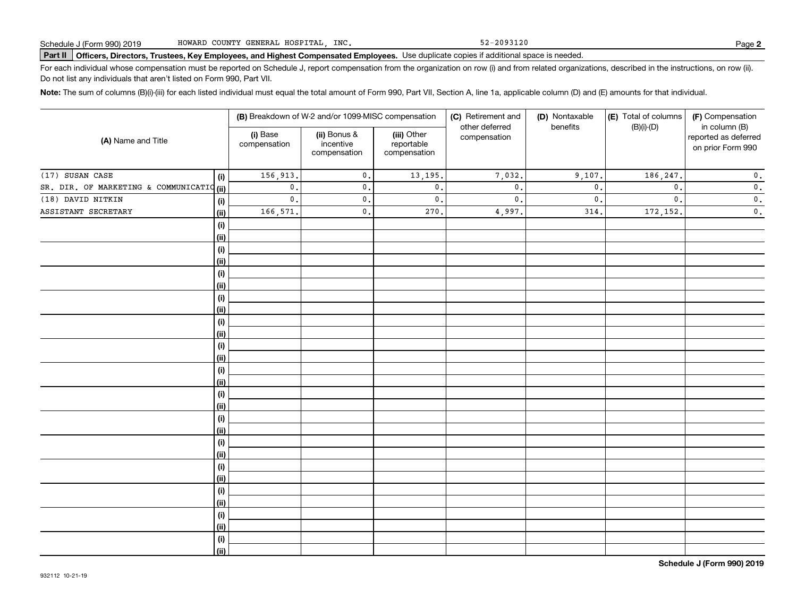52-2093120

# **Part II Officers, Directors, Trustees, Key Employees, and Highest Compensated Employees.**  Schedule J (Form 990) 2019 Page Use duplicate copies if additional space is needed.

For each individual whose compensation must be reported on Schedule J, report compensation from the organization on row (i) and from related organizations, described in the instructions, on row (ii). Do not list any individuals that aren't listed on Form 990, Part VII.

**Note:**  The sum of columns (B)(i)-(iii) for each listed individual must equal the total amount of Form 990, Part VII, Section A, line 1a, applicable column (D) and (E) amounts for that individual.

| (i) Base<br>(A) Name and Title<br>compensation |             | (B) Breakdown of W-2 and/or 1099-MISC compensation |                                           | (C) Retirement and                        | (D) Nontaxable                 | (E) Total of columns | (F) Compensation |                                                            |
|------------------------------------------------|-------------|----------------------------------------------------|-------------------------------------------|-------------------------------------------|--------------------------------|----------------------|------------------|------------------------------------------------------------|
|                                                |             |                                                    | (ii) Bonus &<br>incentive<br>compensation | (iii) Other<br>reportable<br>compensation | other deferred<br>compensation | benefits             | $(B)(i)-(D)$     | in column (B)<br>reported as deferred<br>on prior Form 990 |
| (17) SUSAN CASE                                | (i)         | 156,913.                                           | $\mathfrak o$ .                           | 13,195.                                   | 7,032.                         | 9,107.               | 186, 247.        | 0.                                                         |
| SR. DIR. OF MARKETING & COMMUNICATIO (ii)      |             | $\mathbf{0}$ .                                     | $\mathbf{0}$ .                            | $\mathbf 0$ .                             | $\mathsf{0}$ .                 | $\mathbf{0}$         | $\mathbf{0}$ .   | $\mathbf 0$ .                                              |
| (18) DAVID NITKIN                              | (i)         | $\mathfrak o$ .                                    | $\mathfrak o$ .                           | $\mathbf 0$ .                             | $\mathsf{0}$ .                 | $\mathbf{0}$         | $\mathbf{0}$ .   | $\mathbf 0$ .                                              |
| ASSISTANT SECRETARY                            | (ii)        | 166,571.                                           | $\mathfrak o$ .                           | 270.                                      | 4,997.                         | 314.                 | 172,152.         | $\mathbf 0$ .                                              |
|                                                | (i)         |                                                    |                                           |                                           |                                |                      |                  |                                                            |
|                                                | (ii)        |                                                    |                                           |                                           |                                |                      |                  |                                                            |
|                                                | (i)         |                                                    |                                           |                                           |                                |                      |                  |                                                            |
|                                                | (ii)        |                                                    |                                           |                                           |                                |                      |                  |                                                            |
|                                                | (i)         |                                                    |                                           |                                           |                                |                      |                  |                                                            |
|                                                | (ii)        |                                                    |                                           |                                           |                                |                      |                  |                                                            |
|                                                | (i)         |                                                    |                                           |                                           |                                |                      |                  |                                                            |
|                                                | (ii)        |                                                    |                                           |                                           |                                |                      |                  |                                                            |
|                                                | (i)         |                                                    |                                           |                                           |                                |                      |                  |                                                            |
|                                                | (ii)        |                                                    |                                           |                                           |                                |                      |                  |                                                            |
|                                                | (i)         |                                                    |                                           |                                           |                                |                      |                  |                                                            |
|                                                | (ii)        |                                                    |                                           |                                           |                                |                      |                  |                                                            |
|                                                | (i)         |                                                    |                                           |                                           |                                |                      |                  |                                                            |
|                                                | (ii)        |                                                    |                                           |                                           |                                |                      |                  |                                                            |
|                                                | (i)         |                                                    |                                           |                                           |                                |                      |                  |                                                            |
|                                                | (ii)        |                                                    |                                           |                                           |                                |                      |                  |                                                            |
|                                                | (i)         |                                                    |                                           |                                           |                                |                      |                  |                                                            |
|                                                | (ii)        |                                                    |                                           |                                           |                                |                      |                  |                                                            |
|                                                | (i)         |                                                    |                                           |                                           |                                |                      |                  |                                                            |
|                                                | (ii)        |                                                    |                                           |                                           |                                |                      |                  |                                                            |
|                                                | (i)         |                                                    |                                           |                                           |                                |                      |                  |                                                            |
|                                                | (ii)        |                                                    |                                           |                                           |                                |                      |                  |                                                            |
|                                                | (i)<br>(ii) |                                                    |                                           |                                           |                                |                      |                  |                                                            |
|                                                |             |                                                    |                                           |                                           |                                |                      |                  |                                                            |
|                                                | (i)<br>(ii) |                                                    |                                           |                                           |                                |                      |                  |                                                            |
|                                                | (i)         |                                                    |                                           |                                           |                                |                      |                  |                                                            |
|                                                | (ii)        |                                                    |                                           |                                           |                                |                      |                  |                                                            |
|                                                |             |                                                    |                                           |                                           |                                |                      |                  |                                                            |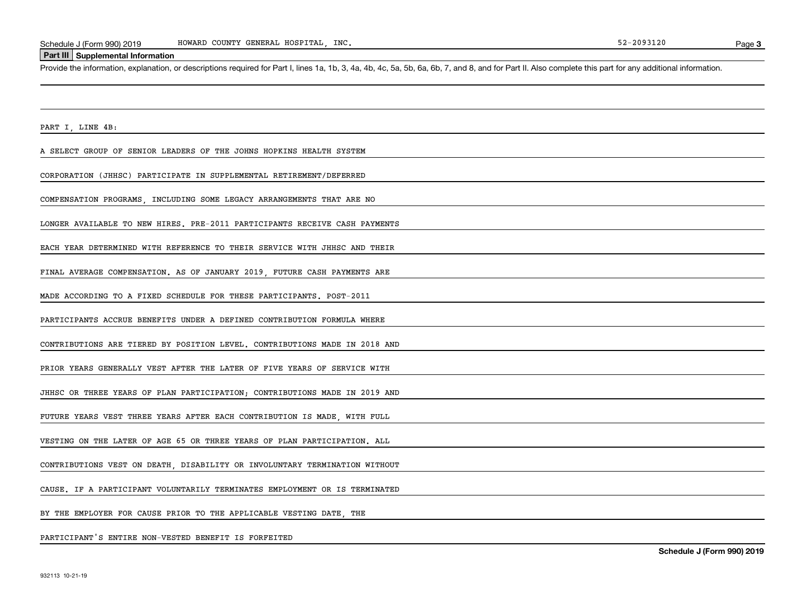#### **Part III Supplemental Information**

Schedule J (Form 990) 2019 HOWARD COUNTY GENERAL HOSPITAL, INC.<br>Part III Supplemental Information<br>Provide the information, explanation, or descriptions required for Part I, lines 1a, 1b, 3, 4a, 4b, 4c, 5a, 5b, 6a, 6b, 7, a

PART I, LINE 4B:

A SELECT GROUP OF SENIOR LEADERS OF THE JOHNS HOPKINS HEALTH SYSTEM

CORPORATION (JHHSC) PARTICIPATE IN SUPPLEMENTAL RETIREMENT/DEFERRED

COMPENSATION PROGRAMS, INCLUDING SOME LEGACY ARRANGEMENTS THAT ARE NO

LONGER AVAILABLE TO NEW HIRES. PRE-2011 PARTICIPANTS RECEIVE CASH PAYMENTS

EACH YEAR DETERMINED WITH REFERENCE TO THEIR SERVICE WITH JHHSC AND THEIR

FINAL AVERAGE COMPENSATION. AS OF JANUARY 2019, FUTURE CASH PAYMENTS ARE

MADE ACCORDING TO A FIXED SCHEDULE FOR THESE PARTICIPANTS. POST-2011

PARTICIPANTS ACCRUE BENEFITS UNDER A DEFINED CONTRIBUTION FORMULA WHERE

CONTRIBUTIONS ARE TIERED BY POSITION LEVEL. CONTRIBUTIONS MADE IN 2018 AND

PRIOR YEARS GENERALLY VEST AFTER THE LATER OF FIVE YEARS OF SERVICE WITH

JHHSC OR THREE YEARS OF PLAN PARTICIPATION; CONTRIBUTIONS MADE IN 2019 AND

FUTURE YEARS VEST THREE YEARS AFTER EACH CONTRIBUTION IS MADE, WITH FULL

VESTING ON THE LATER OF AGE 65 OR THREE YEARS OF PLAN PARTICIPATION. ALL

CONTRIBUTIONS VEST ON DEATH, DISABILITY OR INVOLUNTARY TERMINATION WITHOUT

CAUSE. IF A PARTICIPANT VOLUNTARILY TERMINATES EMPLOYMENT OR IS TERMINATED

BY THE EMPLOYER FOR CAUSE PRIOR TO THE APPLICABLE VESTING DATE THE

PARTICIPANT'S ENTIRE NON-VESTED BENEFIT IS FORFEITED

**Schedule J (Form 990) 2019**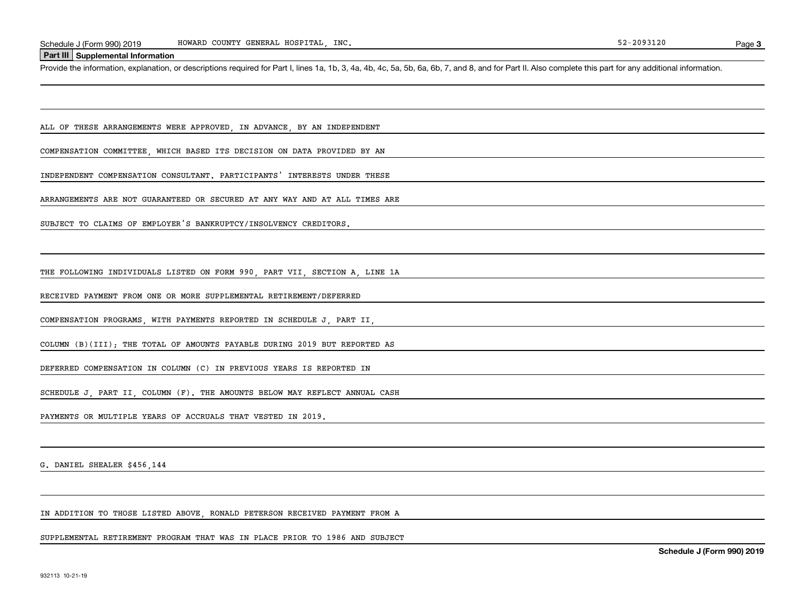SUPPLEMENTAL RETIREMENT PROGRAM THAT WAS IN PLACE PRIOR TO 1986 AND SUBJECT

IN ADDITION TO THOSE LISTED ABOVE, RONALD PETERSON RECEIVED PAYMENT FROM A

G. DANIEL SHEALER \$456,144

DEFERRED COMPENSATION IN COLUMN (C) IN PREVIOUS YEARS IS REPORTED IN

PAYMENTS OR MULTIPLE YEARS OF ACCRUALS THAT VESTED IN 2019.

SCHEDULE J, PART II, COLUMN (F). THE AMOUNTS BELOW MAY REFLECT ANNUAL CASH

COLUMN (B)(III); THE TOTAL OF AMOUNTS PAYABLE DURING 2019 BUT REPORTED AS

RECEIVED PAYMENT FROM ONE OR MORE SUPPLEMENTAL RETIREMENT/DEFERRED

SUBJECT TO CLAIMS OF EMPLOYER'S BANKRUPTCY/INSOLVENCY CREDITORS.

COMPENSATION PROGRAMS, WITH PAYMENTS REPORTED IN SCHEDULE J, PART II,

THE FOLLOWING INDIVIDUALS LISTED ON FORM 990, PART VII, SECTION A, LINE 1A

ARRANGEMENTS ARE NOT GUARANTEED OR SECURED AT ANY WAY AND AT ALL TIMES ARE

INDEPENDENT COMPENSATION CONSULTANT. PARTICIPANTS' INTERESTS UNDER THESE

COMPENSATION COMMITTEE, WHICH BASED ITS DECISION ON DATA PROVIDED BY AN

ALL OF THESE ARRANGEMENTS WERE APPROVED, IN ADVANCE, BY AN INDEPENDENT

HOWARD COUNTY GENERAL HOSPITAL, INC.

Schedule J (Form 990) 2019 HOWARD COUNTY GENERAL HOSPITAL, INC.<br>Part III Supplemental Information<br>Provide the information, explanation, or descriptions required for Part I, lines 1a, 1b, 3, 4a, 4b, 4c, 5a, 5b, 6a, 6b, 7, a

**Part III Supplemental Information**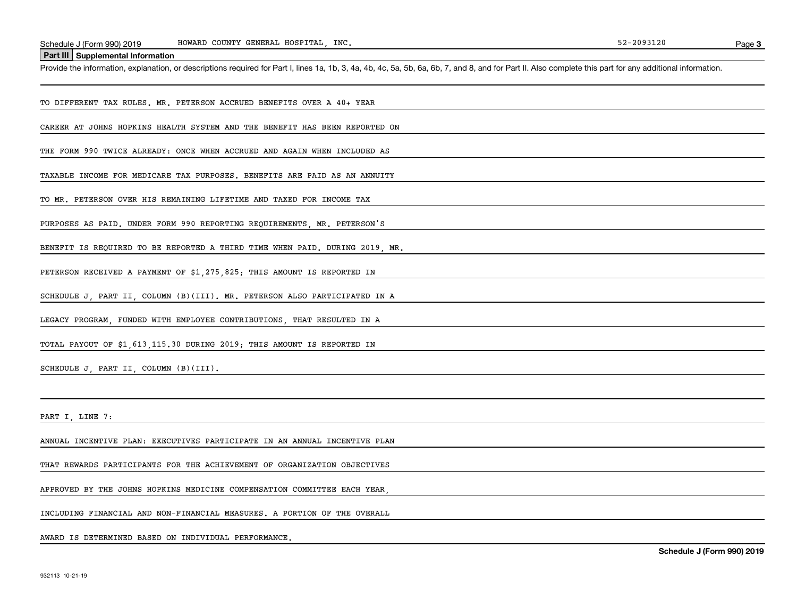HOWARD COUNTY GENERAL HOSPITAL, INC.

**Part III Supplemental Information**

Schedule J (Form 990) 2019 HOWARD COUNTY GENERAL HOSPITAL, INC.<br>Part III Supplemental Information<br>Provide the information, explanation, or descriptions required for Part I, lines 1a, 1b, 3, 4a, 4b, 4c, 5a, 5b, 6a, 6b, 7, a

TO DIFFERENT TAX RULES. MR. PETERSON ACCRUED BENEFITS OVER A 40+ YEAR

CAREER AT JOHNS HOPKINS HEALTH SYSTEM AND THE BENEFIT HAS BEEN REPORTED ON

THE FORM 990 TWICE ALREADY: ONCE WHEN ACCRUED AND AGAIN WHEN INCLUDED AS

TAXABLE INCOME FOR MEDICARE TAX PURPOSES. BENEFITS ARE PAID AS AN ANNUITY

TO MR. PETERSON OVER HIS REMAINING LIFETIME AND TAXED FOR INCOME TAX

PURPOSES AS PAID. UNDER FORM 990 REPORTING REQUIREMENTS, MR. PETERSON'S

BENEFIT IS REQUIRED TO BE REPORTED A THIRD TIME WHEN PAID. DURING 2019, MR.

PETERSON RECEIVED A PAYMENT OF \$1,275,825; THIS AMOUNT IS REPORTED IN

SCHEDULE J, PART II, COLUMN (B)(III). MR. PETERSON ALSO PARTICIPATED IN A

LEGACY PROGRAM, FUNDED WITH EMPLOYEE CONTRIBUTIONS, THAT RESULTED IN A

TOTAL PAYOUT OF \$1,613,115.30 DURING 2019; THIS AMOUNT IS REPORTED IN

SCHEDULE J, PART II, COLUMN (B)(III).

PART I LINE 7:

ANNUAL INCENTIVE PLAN: EXECUTIVES PARTICIPATE IN AN ANNUAL INCENTIVE PLAN

THAT REWARDS PARTICIPANTS FOR THE ACHIEVEMENT OF ORGANIZATION OBJECTIVES

APPROVED BY THE JOHNS HOPKINS MEDICINE COMPENSATION COMMITTEE EACH YEAR,

INCLUDING FINANCIAL AND NON-FINANCIAL MEASURES. A PORTION OF THE OVERALL

AWARD IS DETERMINED BASED ON INDIVIDUAL PERFORMANCE.

**Schedule J (Form 990) 2019**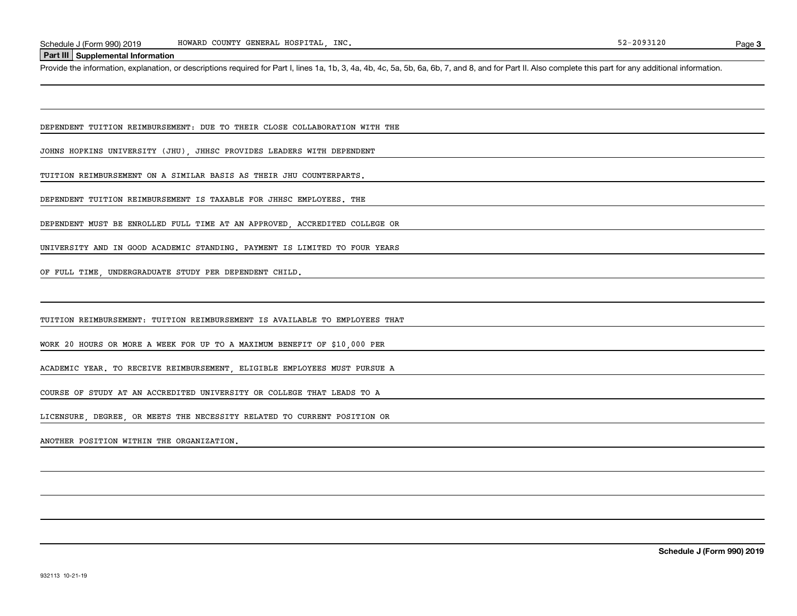### **Part III Supplemental Information**

Schedule J (Form 990) 2019 HOWARD COUNTY GENERAL HOSPITAL, INC.<br>Part III Supplemental Information<br>Provide the information, explanation, or descriptions required for Part I, lines 1a, 1b, 3, 4a, 4b, 4c, 5a, 5b, 6a, 6b, 7, a

DEPENDENT TUITION REIMBURSEMENT: DUE TO THEIR CLOSE COLLABORATION WITH THE

JOHNS HOPKINS UNIVERSITY (JHU), JHHSC PROVIDES LEADERS WITH DEPENDENT

TUITION REIMBURSEMENT ON A SIMILAR BASIS AS THEIR JHU COUNTERPARTS.

DEPENDENT TUITION REIMBURSEMENT IS TAXABLE FOR JHHSC EMPLOYEES. THE

DEPENDENT MUST BE ENROLLED FULL TIME AT AN APPROVED, ACCREDITED COLLEGE OR

UNIVERSITY AND IN GOOD ACADEMIC STANDING. PAYMENT IS LIMITED TO FOUR YEARS

OF FULL TIME, UNDERGRADUATE STUDY PER DEPENDENT CHILD.

TUITION REIMBURSEMENT: TUITION REIMBURSEMENT IS AVAILABLE TO EMPLOYEES THAT

WORK 20 HOURS OR MORE A WEEK FOR UP TO A MAXIMUM BENEFIT OF \$10,000 PER

ACADEMIC YEAR. TO RECEIVE REIMBURSEMENT, ELIGIBLE EMPLOYEES MUST PURSUE A

COURSE OF STUDY AT AN ACCREDITED UNIVERSITY OR COLLEGE THAT LEADS TO A

LICENSURE, DEGREE, OR MEETS THE NECESSITY RELATED TO CURRENT POSITION OR

ANOTHER POSITION WITHIN THE ORGANIZATION.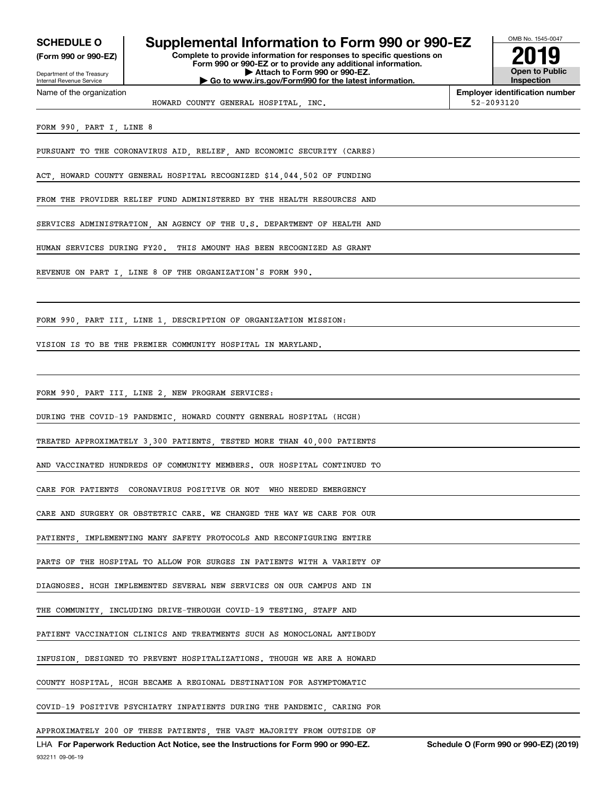Internal Revenue Service

Department of the Treasury **(Form 990 or 990-EZ)**

Name of the organization

## **SCHEDULE O Supplemental Information to Form 990 or 990-EZ**

**Complete to provide information for responses to specific questions on Form 990 or 990-EZ or to provide any additional information. | Attach to Form 990 or 990-EZ. | Go to www.irs.gov/Form990 for the latest information.**



HOWARD COUNTY GENERAL HOSPITAL, INC. 52-2093120

**Employer identification number**

FORM 990, PART I, LINE 8

PURSUANT TO THE CORONAVIRUS AID, RELIEF, AND ECONOMIC SECURITY (CARES)

ACT, HOWARD COUNTY GENERAL HOSPITAL RECOGNIZED \$14,044,502 OF FUNDING

FROM THE PROVIDER RELIEF FUND ADMINISTERED BY THE HEALTH RESOURCES AND

SERVICES ADMINISTRATION, AN AGENCY OF THE U.S. DEPARTMENT OF HEALTH AND

HUMAN SERVICES DURING FY20. THIS AMOUNT HAS BEEN RECOGNIZED AS GRANT

REVENUE ON PART I, LINE 8 OF THE ORGANIZATION'S FORM 990.

FORM 990, PART III, LINE 1, DESCRIPTION OF ORGANIZATION MISSION:

VISION IS TO BE THE PREMIER COMMUNITY HOSPITAL IN MARYLAND.

FORM 990, PART III, LINE 2, NEW PROGRAM SERVICES:

DURING THE COVID-19 PANDEMIC, HOWARD COUNTY GENERAL HOSPITAL (HCGH)

TREATED APPROXIMATELY 3,300 PATIENTS, TESTED MORE THAN 40,000 PATIENTS

AND VACCINATED HUNDREDS OF COMMUNITY MEMBERS. OUR HOSPITAL CONTINUED TO

CARE FOR PATIENTS CORONAVIRUS POSITIVE OR NOT WHO NEEDED EMERGENCY

CARE AND SURGERY OR OBSTETRIC CARE. WE CHANGED THE WAY WE CARE FOR OUR

PATIENTS, IMPLEMENTING MANY SAFETY PROTOCOLS AND RECONFIGURING ENTIRE

PARTS OF THE HOSPITAL TO ALLOW FOR SURGES IN PATIENTS WITH A VARIETY OF

DIAGNOSES. HCGH IMPLEMENTED SEVERAL NEW SERVICES ON OUR CAMPUS AND IN

THE COMMUNITY, INCLUDING DRIVE-THROUGH COVID-19 TESTING, STAFF AND

PATIENT VACCINATION CLINICS AND TREATMENTS SUCH AS MONOCLONAL ANTIBODY

INFUSION, DESIGNED TO PREVENT HOSPITALIZATIONS. THOUGH WE ARE A HOWARD

COUNTY HOSPITAL, HCGH BECAME A REGIONAL DESTINATION FOR ASYMPTOMATIC

COVID-19 POSITIVE PSYCHIATRY INPATIENTS DURING THE PANDEMIC, CARING FOR

APPROXIMATELY 200 OF THESE PATIENTS, THE VAST MAJORITY FROM OUTSIDE OF

932211 09-06-19 LHA For Paperwork Reduction Act Notice, see the Instructions for Form 990 or 990-EZ. Schedule O (Form 990 or 990-EZ) (2019)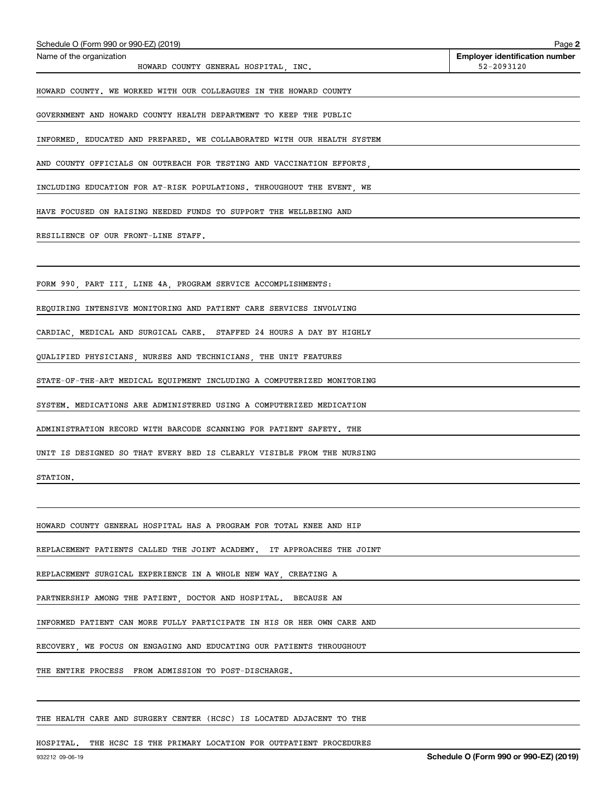| Schedule O (Form 990 or 990-EZ) (2019)                                  | Page 2                                              |
|-------------------------------------------------------------------------|-----------------------------------------------------|
| Name of the organization<br>HOWARD COUNTY GENERAL HOSPITAL, INC.        | <b>Employer identification number</b><br>52-2093120 |
| HOWARD COUNTY. WE WORKED WITH OUR COLLEAGUES IN THE HOWARD COUNTY       |                                                     |
| GOVERNMENT AND HOWARD COUNTY HEALTH DEPARTMENT TO KEEP THE PUBLIC       |                                                     |
| INFORMED, EDUCATED AND PREPARED. WE COLLABORATED WITH OUR HEALTH SYSTEM |                                                     |
| AND COUNTY OFFICIALS ON OUTREACH FOR TESTING AND VACCINATION EFFORTS,   |                                                     |
| INCLUDING EDUCATION FOR AT-RISK POPULATIONS. THROUGHOUT THE EVENT, WE   |                                                     |
| HAVE FOCUSED ON RAISING NEEDED FUNDS TO SUPPORT THE WELLBEING AND       |                                                     |
| RESILIENCE OF OUR FRONT-LINE STAFF.                                     |                                                     |
|                                                                         |                                                     |
| FORM 990, PART III, LINE 4A, PROGRAM SERVICE ACCOMPLISHMENTS:           |                                                     |
| REQUIRING INTENSIVE MONITORING AND PATIENT CARE SERVICES INVOLVING      |                                                     |
| CARDIAC, MEDICAL AND SURGICAL CARE. STAFFED 24 HOURS A DAY BY HIGHLY    |                                                     |
| QUALIFIED PHYSICIANS, NURSES AND TECHNICIANS, THE UNIT FEATURES         |                                                     |
| STATE-OF-THE-ART MEDICAL EQUIPMENT INCLUDING A COMPUTERIZED MONITORING  |                                                     |
| SYSTEM. MEDICATIONS ARE ADMINISTERED USING A COMPUTERIZED MEDICATION    |                                                     |
| ADMINISTRATION RECORD WITH BARCODE SCANNING FOR PATIENT SAFETY. THE     |                                                     |
| UNIT IS DESIGNED SO THAT EVERY BED IS CLEARLY VISIBLE FROM THE NURSING  |                                                     |
| STATION.                                                                |                                                     |
|                                                                         |                                                     |
| HOWARD COUNTY GENERAL HOSPITAL HAS A PROGRAM FOR TOTAL KNEE AND HIP     |                                                     |
| REPLACEMENT PATIENTS CALLED THE JOINT ACADEMY. IT APPROACHES THE JOINT  |                                                     |
| REPLACEMENT SURGICAL EXPERIENCE IN A WHOLE NEW WAY, CREATING A          |                                                     |
| PARTNERSHIP AMONG THE PATIENT, DOCTOR AND HOSPITAL. BECAUSE AN          |                                                     |
| INFORMED PATIENT CAN MORE FULLY PARTICIPATE IN HIS OR HER OWN CARE AND  |                                                     |
| RECOVERY, WE FOCUS ON ENGAGING AND EDUCATING OUR PATIENTS THROUGHOUT    |                                                     |
| THE ENTIRE PROCESS FROM ADMISSION TO POST-DISCHARGE.                    |                                                     |
|                                                                         |                                                     |
| THE HEALTH CARE AND SURGERY CENTER (HCSC) IS LOCATED ADJACENT TO THE    |                                                     |

HOSPITAL. THE HCSC IS THE PRIMARY LOCATION FOR OUTPATIENT PROCEDURES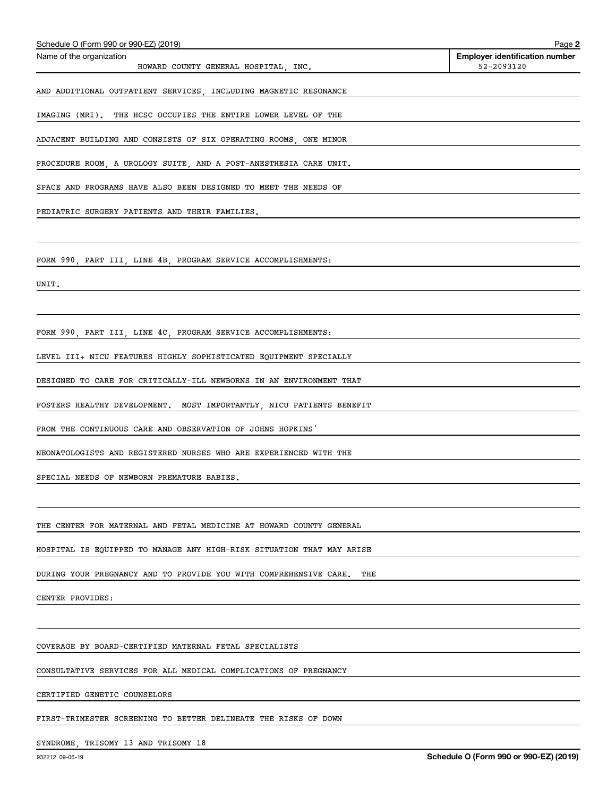| Schedule O (Form 990 or 990-EZ) (2019)                                   | Page 2                                              |
|--------------------------------------------------------------------------|-----------------------------------------------------|
| Name of the organization<br>HOWARD COUNTY GENERAL HOSPITAL, INC.         | <b>Employer identification number</b><br>52-2093120 |
| AND ADDITIONAL OUTPATIENT SERVICES, INCLUDING MAGNETIC RESONANCE         |                                                     |
| IMAGING (MRI). THE HCSC OCCUPIES THE ENTIRE LOWER LEVEL OF THE           |                                                     |
| ADJACENT BUILDING AND CONSISTS OF SIX OPERATING ROOMS, ONE MINOR         |                                                     |
| PROCEDURE ROOM, A UROLOGY SUITE, AND A POST-ANESTHESIA CARE UNIT.        |                                                     |
| SPACE AND PROGRAMS HAVE ALSO BEEN DESIGNED TO MEET THE NEEDS OF          |                                                     |
| PEDIATRIC SURGERY PATIENTS AND THEIR FAMILIES.                           |                                                     |
|                                                                          |                                                     |
| FORM 990, PART III, LINE 4B, PROGRAM SERVICE ACCOMPLISHMENTS:            |                                                     |
| UNIT.                                                                    |                                                     |
|                                                                          |                                                     |
| FORM 990, PART III, LINE 4C, PROGRAM SERVICE ACCOMPLISHMENTS:            |                                                     |
| LEVEL III+ NICU FEATURES HIGHLY SOPHISTICATED EQUIPMENT SPECIALLY        |                                                     |
| DESIGNED TO CARE FOR CRITICALLY-ILL NEWBORNS IN AN ENVIRONMENT THAT      |                                                     |
| FOSTERS HEALTHY DEVELOPMENT. MOST IMPORTANTLY, NICU PATIENTS BENEFIT     |                                                     |
| FROM THE CONTINUOUS CARE AND OBSERVATION OF JOHNS HOPKINS'               |                                                     |
| NEONATOLOGISTS AND REGISTERED NURSES WHO ARE EXPERIENCED WITH THE        |                                                     |
| SPECIAL NEEDS OF NEWBORN PREMATURE BABIES.                               |                                                     |
|                                                                          |                                                     |
| THE CENTER FOR MATERNAL AND FETAL MEDICINE AT HOWARD COUNTY GENERAL      |                                                     |
| HOSPITAL IS EQUIPPED TO MANAGE ANY HIGH-RISK SITUATION THAT MAY ARISE    |                                                     |
| DURING YOUR PREGNANCY AND TO PROVIDE YOU WITH COMPREHENSIVE CARE.<br>THE |                                                     |
| CENTER PROVIDES:                                                         |                                                     |
|                                                                          |                                                     |
| COVERAGE BY BOARD-CERTIFIED MATERNAL FETAL SPECIALISTS                   |                                                     |
| CONSULTATIVE SERVICES FOR ALL MEDICAL COMPLICATIONS OF PREGNANCY         |                                                     |
| CERTIFIED GENETIC COUNSELORS                                             |                                                     |
| FIRST-TRIMESTER SCREENING TO BETTER DELINEATE THE RISKS OF DOWN          |                                                     |
|                                                                          |                                                     |

SYNDROME, TRISOMY 13 AND TRISOMY 18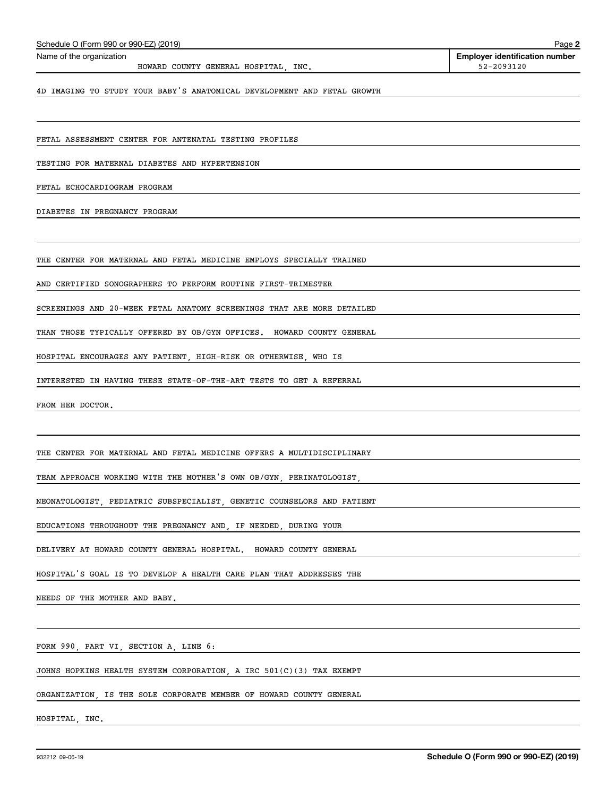| Schedule O (Form 990 or 990-EZ) (2019)                                  | Page 2                                              |
|-------------------------------------------------------------------------|-----------------------------------------------------|
| Name of the organization<br>HOWARD COUNTY GENERAL HOSPITAL, INC.        | <b>Employer identification number</b><br>52-2093120 |
| 4D IMAGING TO STUDY YOUR BABY'S ANATOMICAL DEVELOPMENT AND FETAL GROWTH |                                                     |
|                                                                         |                                                     |
| FETAL ASSESSMENT CENTER FOR ANTENATAL TESTING PROFILES                  |                                                     |
| TESTING FOR MATERNAL DIABETES AND HYPERTENSION                          |                                                     |
| FETAL ECHOCARDIOGRAM PROGRAM                                            |                                                     |
| DIABETES IN PREGNANCY PROGRAM                                           |                                                     |
|                                                                         |                                                     |
| THE CENTER FOR MATERNAL AND FETAL MEDICINE EMPLOYS SPECIALLY TRAINED    |                                                     |
| AND CERTIFIED SONOGRAPHERS TO PERFORM ROUTINE FIRST-TRIMESTER           |                                                     |
| SCREENINGS AND 20-WEEK FETAL ANATOMY SCREENINGS THAT ARE MORE DETAILED  |                                                     |
| THAN THOSE TYPICALLY OFFERED BY OB/GYN OFFICES. HOWARD COUNTY GENERAL   |                                                     |
| HOSPITAL ENCOURAGES ANY PATIENT, HIGH-RISK OR OTHERWISE, WHO IS         |                                                     |
| INTERESTED IN HAVING THESE STATE-OF-THE-ART TESTS TO GET A REFERRAL     |                                                     |
| FROM HER DOCTOR.                                                        |                                                     |
|                                                                         |                                                     |
| THE CENTER FOR MATERNAL AND FETAL MEDICINE OFFERS A MULTIDISCIPLINARY   |                                                     |
| TEAM APPROACH WORKING WITH THE MOTHER'S OWN OB/GYN, PERINATOLOGIST,     |                                                     |
| NEONATOLOGIST, PEDIATRIC SUBSPECIALIST, GENETIC COUNSELORS AND PATIENT  |                                                     |
| EDUCATIONS THROUGHOUT THE PREGNANCY AND, IF NEEDED, DURING YOUR         |                                                     |
| DELIVERY AT HOWARD COUNTY GENERAL HOSPITAL. HOWARD COUNTY GENERAL       |                                                     |
| HOSPITAL'S GOAL IS TO DEVELOP A HEALTH CARE PLAN THAT ADDRESSES THE     |                                                     |
| NEEDS OF THE MOTHER AND BABY.                                           |                                                     |
|                                                                         |                                                     |
| FORM 990, PART VI, SECTION A, LINE 6:                                   |                                                     |
| JOHNS HOPKINS HEALTH SYSTEM CORPORATION, A IRC $501(C)(3)$ TAX EXEMPT   |                                                     |
| ORGANIZATION, IS THE SOLE CORPORATE MEMBER OF HOWARD COUNTY GENERAL     |                                                     |
| HOSPITAL, INC.                                                          |                                                     |
|                                                                         |                                                     |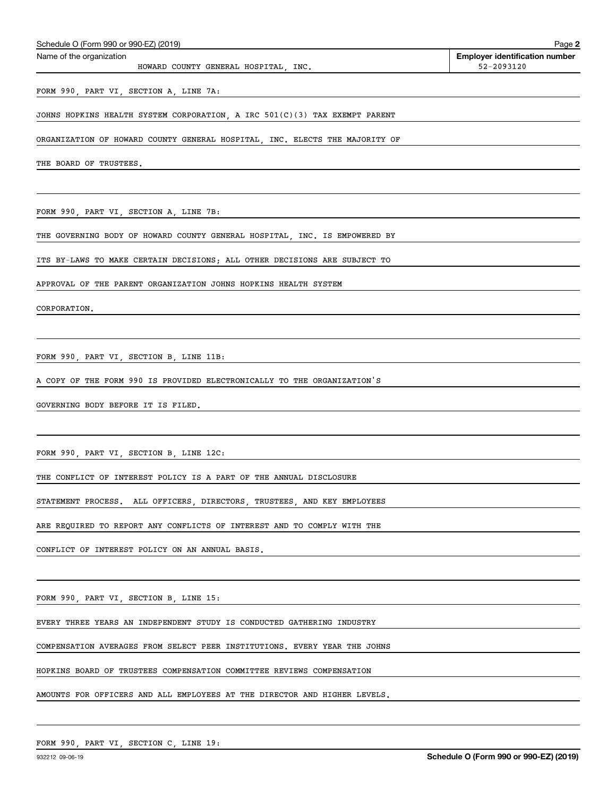| Schedule O (Form 990 or 990-EZ) (2019)                                     | Page 2                                |
|----------------------------------------------------------------------------|---------------------------------------|
| Name of the organization                                                   | <b>Employer identification number</b> |
| HOWARD COUNTY GENERAL HOSPITAL, INC.                                       | 52-2093120                            |
| FORM 990, PART VI, SECTION A, LINE 7A:                                     |                                       |
| JOHNS HOPKINS HEALTH SYSTEM CORPORATION, A IRC 501(C)(3) TAX EXEMPT PARENT |                                       |
| ORGANIZATION OF HOWARD COUNTY GENERAL HOSPITAL INC. ELECTS THE MAJORITY OF |                                       |
| THE BOARD OF TRUSTEES.                                                     |                                       |
|                                                                            |                                       |
| FORM 990, PART VI, SECTION A, LINE 7B:                                     |                                       |
|                                                                            |                                       |

THE GOVERNING BODY OF HOWARD COUNTY GENERAL HOSPITAL, INC. IS EMPOWERED BY

ITS BY-LAWS TO MAKE CERTAIN DECISIONS; ALL OTHER DECISIONS ARE SUBJECT TO

APPROVAL OF THE PARENT ORGANIZATION JOHNS HOPKINS HEALTH SYSTEM

CORPORATION.

FORM 990, PART VI, SECTION B, LINE 11B:

A COPY OF THE FORM 990 IS PROVIDED ELECTRONICALLY TO THE ORGANIZATION'S

GOVERNING BODY BEFORE IT IS FILED.

FORM 990, PART VI, SECTION B, LINE 12C:

THE CONFLICT OF INTEREST POLICY IS A PART OF THE ANNUAL DISCLOSURE

STATEMENT PROCESS. ALL OFFICERS, DIRECTORS, TRUSTEES, AND KEY EMPLOYEES

ARE REQUIRED TO REPORT ANY CONFLICTS OF INTEREST AND TO COMPLY WITH THE

CONFLICT OF INTEREST POLICY ON AN ANNUAL BASIS.

FORM 990, PART VI, SECTION B, LINE 15:

EVERY THREE YEARS AN INDEPENDENT STUDY IS CONDUCTED GATHERING INDUSTRY

COMPENSATION AVERAGES FROM SELECT PEER INSTITUTIONS. EVERY YEAR THE JOHNS

HOPKINS BOARD OF TRUSTEES COMPENSATION COMMITTEE REVIEWS COMPENSATION

AMOUNTS FOR OFFICERS AND ALL EMPLOYEES AT THE DIRECTOR AND HIGHER LEVELS.

FORM 990, PART VI, SECTION C, LINE 19: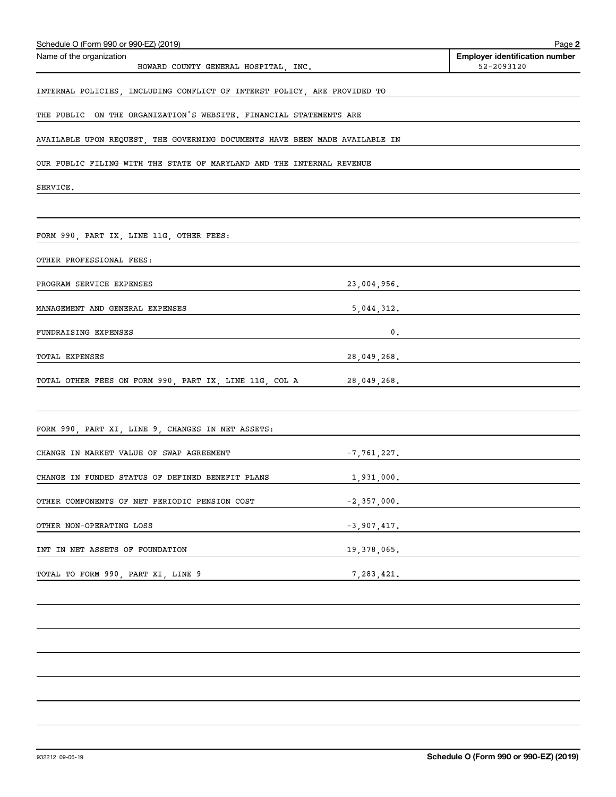| Schedule O (Form 990 or 990-EZ) (2019)                                      |                 | Page 2                                              |
|-----------------------------------------------------------------------------|-----------------|-----------------------------------------------------|
| Name of the organization<br>HOWARD COUNTY GENERAL HOSPITAL, INC.            |                 | <b>Employer identification number</b><br>52-2093120 |
| INTERNAL POLICIES, INCLUDING CONFLICT OF INTERST POLICY, ARE PROVIDED TO    |                 |                                                     |
| THE PUBLIC ON THE ORGANIZATION'S WEBSITE. FINANCIAL STATEMENTS ARE          |                 |                                                     |
| AVAILABLE UPON REQUEST, THE GOVERNING DOCUMENTS HAVE BEEN MADE AVAILABLE IN |                 |                                                     |
| OUR PUBLIC FILING WITH THE STATE OF MARYLAND AND THE INTERNAL REVENUE       |                 |                                                     |
| SERVICE.                                                                    |                 |                                                     |
|                                                                             |                 |                                                     |
| FORM 990, PART IX, LINE 11G, OTHER FEES:                                    |                 |                                                     |
| OTHER PROFESSIONAL FEES:                                                    |                 |                                                     |
| PROGRAM SERVICE EXPENSES                                                    | 23,004,956.     |                                                     |
| MANAGEMENT AND GENERAL EXPENSES                                             |                 | 5,044,312.                                          |
| FUNDRAISING EXPENSES                                                        | 0.              |                                                     |
| TOTAL EXPENSES                                                              | 28,049,268.     |                                                     |
| TOTAL OTHER FEES ON FORM 990, PART IX, LINE 11G, COL A 28,049,268.          |                 |                                                     |
|                                                                             |                 |                                                     |
| FORM 990, PART XI, LINE 9, CHANGES IN NET ASSETS:                           |                 |                                                     |
| CHANGE IN MARKET VALUE OF SWAP AGREEMENT                                    | $-7, 761, 227.$ |                                                     |
| CHANGE IN FUNDED STATUS OF DEFINED BENEFIT PLANS                            | 1,931,000.      |                                                     |
| OTHER COMPONENTS OF NET PERIODIC PENSION COST                               | $-2,357,000.$   |                                                     |
| OTHER NON-OPERATING LOSS                                                    | $-3,907,417.$   |                                                     |
| INT IN NET ASSETS OF FOUNDATION                                             | 19,378,065.     |                                                     |
| TOTAL TO FORM 990, PART XI, LINE 9                                          | 7, 283, 421.    |                                                     |
|                                                                             |                 |                                                     |
|                                                                             |                 |                                                     |
|                                                                             |                 |                                                     |
|                                                                             |                 |                                                     |
|                                                                             |                 |                                                     |
|                                                                             |                 |                                                     |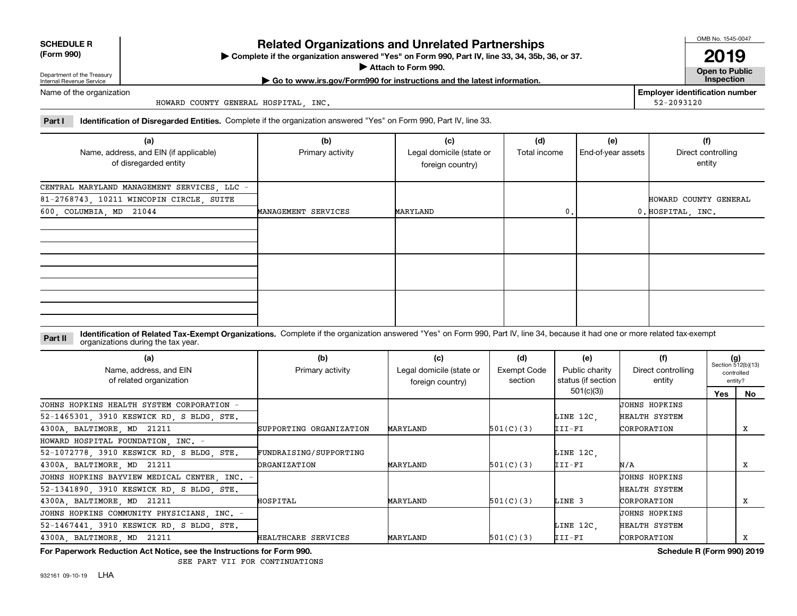| <b>SCHEDULE R</b> |  |
|-------------------|--|
| AA                |  |

**(Form 990)**

## **Related Organizations and Unrelated Partnerships**

**Complete if the organization answered "Yes" on Form 990, Part IV, line 33, 34, 35b, 36, or 37.** |

**Attach to Form 990.**  |

OMB No. 1545-0047

**Open to Public | Go to www.irs.gov/Form990 for instructions and the latest information. Inspection 2019**

**Employer identification number**

52-2093120

Department of the Treasury Internal Revenue Service Name of the organization

HOWARD COUNTY GENERAL HOSPITAL, INC.

**Part I Identification of Disregarded Entities.**  Complete if the organization answered "Yes" on Form 990, Part IV, line 33.

| (a)<br>Name, address, and EIN (if applicable)<br>of disregarded entity | (b)<br>Primary activity | (c)<br>Legal domicile (state or<br>foreign country) | (d)<br>Total income | (e)<br>End-of-year assets | (f)<br>Direct controlling<br>entity |
|------------------------------------------------------------------------|-------------------------|-----------------------------------------------------|---------------------|---------------------------|-------------------------------------|
| CENTRAL MARYLAND MANAGEMENT SERVICES, LLC -                            |                         |                                                     |                     |                           |                                     |
| 81-2768743, 10211 WINCOPIN CIRCLE, SUITE                               |                         |                                                     |                     |                           | HOWARD COUNTY GENERAL               |
| 600, COLUMBIA, MD 21044                                                | MANAGEMENT SERVICES     | MARYLAND                                            | 0.                  |                           | 0. HOSPITAL, INC.                   |
|                                                                        |                         |                                                     |                     |                           |                                     |
|                                                                        |                         |                                                     |                     |                           |                                     |
|                                                                        |                         |                                                     |                     |                           |                                     |

**Identification of Related Tax-Exempt Organizations.** Complete if the organization answered "Yes" on Form 990, Part IV, line 34, because it had one or more related tax-exempt **Part II** organizations during the tax year.

| (a)<br>Name, address, and EIN<br>of related organization | (b)<br>Primary activity | (c)<br>Legal domicile (state or<br>foreign country) | (d)<br>Exempt Code<br>section | (e)<br>Public charity<br>status (if section | (f)<br>Direct controlling<br>entity | $(g)$<br>Section 512(b)(13) | controlled<br>entity? |
|----------------------------------------------------------|-------------------------|-----------------------------------------------------|-------------------------------|---------------------------------------------|-------------------------------------|-----------------------------|-----------------------|
|                                                          |                         |                                                     |                               | 501(c)(3)                                   |                                     | Yes                         | No                    |
| JOHNS HOPKINS HEALTH SYSTEM CORPORATION -                |                         |                                                     |                               |                                             | UOHNS HOPKINS                       |                             |                       |
| 52-1465301, 3910 KESWICK RD, S BLDG, STE.                |                         |                                                     |                               | LINE 12C.                                   | HEALTH SYSTEM                       |                             |                       |
| 4300A, BALTIMORE, MD 21211                               | SUPPORTING ORGANIZATION | MARYLAND                                            | 501(C)(3)                     | $III-FI$                                    | CORPORATION                         |                             | х                     |
| HOWARD HOSPITAL FOUNDATION, INC. -                       |                         |                                                     |                               |                                             |                                     |                             |                       |
| 52-1072778, 3910 KESWICK RD, S BLDG, STE.                | FUNDRAISING/SUPPORTING  |                                                     |                               | LINE 12C,                                   |                                     |                             |                       |
| 4300A, BALTIMORE, MD 21211                               | <b>ORGANIZATION</b>     | MARYLAND                                            | 501(C)(3)                     | III-FI                                      | N/A                                 |                             | x                     |
| JOHNS HOPKINS BAYVIEW MEDICAL CENTER, INC. -             |                         |                                                     |                               |                                             | UOHNS HOPKINS                       |                             |                       |
| 52-1341890, 3910 KESWICK RD, S BLDG, STE.                |                         |                                                     |                               |                                             | HEALTH SYSTEM                       |                             |                       |
| 4300A, BALTIMORE, MD 21211                               | HOSPITAL                | MARYLAND                                            | 501(C)(3)                     | LINE 3                                      | CORPORATION                         |                             | x                     |
| JOHNS HOPKINS COMMUNITY PHYSICIANS, INC. -               |                         |                                                     |                               |                                             | UOHNS HOPKINS                       |                             |                       |
| 52-1467441, 3910 KESWICK RD, S BLDG, STE.                |                         |                                                     |                               | LINE 12C,                                   | HEALTH SYSTEM                       |                             |                       |
| 4300A, BALTIMORE, MD 21211                               | HEALTHCARE SERVICES     | MARYLAND                                            | 501(C)(3)                     | III-FI                                      | CORPORATION                         |                             | x                     |

**For Paperwork Reduction Act Notice, see the Instructions for Form 990. Schedule R (Form 990) 2019**

SEE PART VII FOR CONTINUATIONS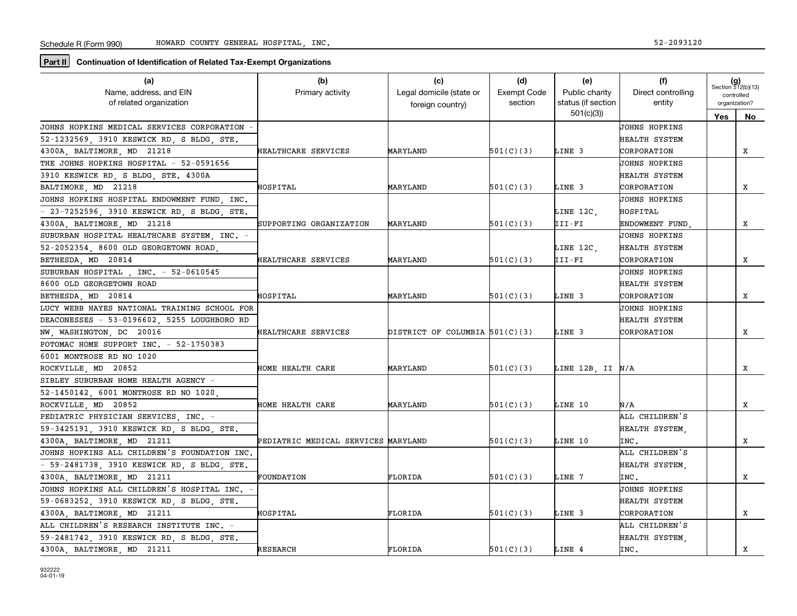**Part II** Continuation of Identification of Related Tax-Exempt Organizations

| (a)                                          | (b)                                 | (c)                              | (d)                | (e)                | (f)                  |            | $(g)$<br>Section 512(b)(13) |
|----------------------------------------------|-------------------------------------|----------------------------------|--------------------|--------------------|----------------------|------------|-----------------------------|
| Name, address, and EIN                       | Primary activity                    | Legal domicile (state or         | <b>Exempt Code</b> | Public charity     | Direct controlling   |            | controlled                  |
| of related organization                      |                                     | foreign country)                 | section            | status (if section | entity               |            | organization?               |
|                                              |                                     |                                  |                    | 501(c)(3)          |                      | <b>Yes</b> | No                          |
| JOHNS HOPKINS MEDICAL SERVICES CORPORATION   |                                     |                                  |                    |                    | JOHNS HOPKINS        |            |                             |
| 52-1232569, 3910 KESWICK RD, S BLDG, STE.    |                                     |                                  |                    |                    | HEALTH SYSTEM        |            |                             |
| 4300A BALTIMORE MD 21218                     | HEALTHCARE SERVICES                 | MARYLAND                         | 501(C)(3)          | LINE 3             | CORPORATION          |            | x                           |
| THE JOHNS HOPKINS HOSPITAL - 52-0591656      |                                     |                                  |                    |                    | JOHNS HOPKINS        |            |                             |
| 3910 KESWICK RD, S BLDG, STE. 4300A          |                                     |                                  |                    |                    | HEALTH SYSTEM        |            |                             |
| BALTIMORE, MD 21218                          | HOSPITAL                            | MARYLAND                         | 501(C)(3)          | LINE 3             | CORPORATION          |            | х                           |
| JOHNS HOPKINS HOSPITAL ENDOWMENT FUND, INC.  |                                     |                                  |                    |                    | UOHNS HOPKINS        |            |                             |
| - 23-7252596, 3910 KESWICK RD, S BLDG, STE.  |                                     |                                  |                    | LINE 12C.          | HOSPITAL             |            |                             |
| 4300A, BALTIMORE, MD 21218                   | SUPPORTING ORGANIZATION             | MARYLAND                         | 501(C)(3)          | III-FI             | ENDOWMENT FUND       |            | x                           |
| SUBURBAN HOSPITAL HEALTHCARE SYSTEM, INC. -  |                                     |                                  |                    |                    | JOHNS HOPKINS        |            |                             |
| 52-2052354, 8600 OLD GEORGETOWN ROAD         |                                     |                                  |                    | LINE 12C,          | HEALTH SYSTEM        |            |                             |
| BETHESDA, MD 20814                           | HEALTHCARE SERVICES                 | MARYLAND                         | 501(C)(3)          | III-FI             | CORPORATION          |            | x                           |
| SUBURBAN HOSPITAL . INC. - 52-0610545        |                                     |                                  |                    |                    | JOHNS HOPKINS        |            |                             |
| 8600 OLD GEORGETOWN ROAD                     |                                     |                                  |                    |                    | HEALTH SYSTEM        |            |                             |
| BETHESDA MD 20814                            | HOSPITAL                            | MARYLAND                         | 501(C)(3)          | LINE 3             | CORPORATION          |            | x                           |
| LUCY WEBB HAYES NATIONAL TRAINING SCHOOL FOR |                                     |                                  |                    |                    | <b>JOHNS HOPKINS</b> |            |                             |
| DEACONESSES - 53-0196602, 5255 LOUGHBORO RD  |                                     |                                  |                    |                    | HEALTH SYSTEM        |            |                             |
| NW, WASHINGTON, DC 20016                     | HEALTHCARE SERVICES                 | DISTRICT OF COLUMBIA $501(C)(3)$ |                    | LINE 3             | CORPORATION          |            | х                           |
| POTOMAC HOME SUPPORT INC. - 52-1750383       |                                     |                                  |                    |                    |                      |            |                             |
| 6001 MONTROSE RD NO 1020                     |                                     |                                  |                    |                    |                      |            |                             |
| ROCKVILLE MD 20852                           | HOME HEALTH CARE                    | MARYLAND                         | 501(C)(3)          | LINE 12B, II N/A   |                      |            | х                           |
| SIBLEY SUBURBAN HOME HEALTH AGENCY -         |                                     |                                  |                    |                    |                      |            |                             |
| 52-1450142, 6001 MONTROSE RD NO 1020,        |                                     |                                  |                    |                    |                      |            |                             |
| ROCKVILLE, MD 20852                          | HOME HEALTH CARE                    | MARYLAND                         | 501(C)(3)          | LINE 10            | N/A                  |            | x                           |
| PEDIATRIC PHYSICIAN SERVICES, INC. -         |                                     |                                  |                    |                    | ALL CHILDREN'S       |            |                             |
| 59-3425191, 3910 KESWICK RD, S BLDG, STE.    |                                     |                                  |                    |                    | HEALTH SYSTEM        |            |                             |
| 4300A BALTIMORE MD 21211                     | PEDIATRIC MEDICAL SERVICES MARYLAND |                                  | 501(C)(3)          | LINE 10            | INC.                 |            | x                           |
| JOHNS HOPKINS ALL CHILDREN'S FOUNDATION INC, |                                     |                                  |                    |                    | ALL CHILDREN'S       |            |                             |
| - 59-2481738, 3910 KESWICK RD, S BLDG, STE.  |                                     |                                  |                    |                    | HEALTH SYSTEM.       |            |                             |
| 4300A, BALTIMORE, MD 21211                   | FOUNDATION                          | FLORIDA                          | 501(C)(3)          | LINE 7             | INC.                 |            | X                           |
| JOHNS HOPKINS ALL CHILDREN'S HOSPITAL INC. - |                                     |                                  |                    |                    | <b>JOHNS HOPKINS</b> |            |                             |
| 59-0683252, 3910 KESWICK RD, S BLDG, STE.    |                                     |                                  |                    |                    | HEALTH SYSTEM        |            |                             |
| 4300A, BALTIMORE, MD 21211                   | HOSPITAL                            | FLORIDA                          | 501(C)(3)          | LINE 3             | CORPORATION          |            | x                           |
| ALL CHILDREN'S RESEARCH INSTITUTE INC. -     |                                     |                                  |                    |                    | ALL CHILDREN'S       |            |                             |
| 59-2481742, 3910 KESWICK RD, S BLDG, STE.    |                                     |                                  |                    |                    | HEALTH SYSTEM.       |            |                             |
| 4300A, BALTIMORE, MD 21211                   | <b>RESEARCH</b>                     | FLORIDA                          | 501(C)(3)          | LINE 4             | INC.                 |            | x                           |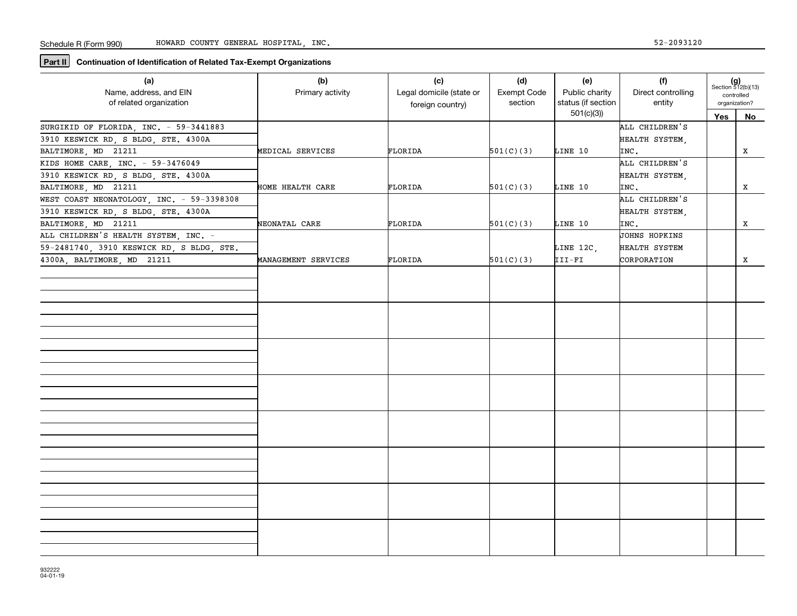**Part II** Continuation of Identification of Related Tax-Exempt Organizations

| (a)                                       | (b)                 | (c)                      | (d)         | (e)                | (f)                |     | $(g)$<br>Section 512(b)(13) |
|-------------------------------------------|---------------------|--------------------------|-------------|--------------------|--------------------|-----|-----------------------------|
| Name, address, and EIN                    | Primary activity    | Legal domicile (state or | Exempt Code | Public charity     | Direct controlling |     | controlled                  |
| of related organization                   |                     | foreign country)         | section     | status (if section | entity             |     | organization?               |
|                                           |                     |                          |             | 501(c)(3)          |                    | Yes | No                          |
| SURGIKID OF FLORIDA, INC. - 59-3441883    |                     |                          |             |                    | ALL CHILDREN'S     |     |                             |
| 3910 KESWICK RD, S BLDG, STE. 4300A       |                     |                          |             |                    | HEALTH SYSTEM,     |     |                             |
| BALTIMORE, MD 21211                       | MEDICAL SERVICES    | FLORIDA                  | 501(C)(3)   | LINE 10            | INC.               |     | X                           |
| KIDS HOME CARE, INC. - 59-3476049         |                     |                          |             |                    | ALL CHILDREN'S     |     |                             |
| 3910 KESWICK RD, S BLDG, STE. 4300A       |                     |                          |             |                    | HEALTH SYSTEM,     |     |                             |
| BALTIMORE, MD 21211                       | HOME HEALTH CARE    | FLORIDA                  | 501(C)(3)   | LINE 10            | INC.               |     | x                           |
| WEST COAST NEONATOLOGY, INC. - 59-3398308 |                     |                          |             |                    | ALL CHILDREN'S     |     |                             |
| 3910 KESWICK RD, S BLDG, STE. 4300A       |                     |                          |             |                    | HEALTH SYSTEM,     |     |                             |
| BALTIMORE, MD 21211                       | NEONATAL CARE       | FLORIDA                  | 501(C)(3)   | LINE 10            | INC.               |     | X                           |
| ALL CHILDREN'S HEALTH SYSTEM, INC. -      |                     |                          |             |                    | JOHNS HOPKINS      |     |                             |
| 59-2481740, 3910 KESWICK RD, S BLDG, STE. |                     |                          |             | LINE 12C,          | HEALTH SYSTEM      |     |                             |
| 4300A, BALTIMORE, MD 21211                | MANAGEMENT SERVICES | FLORIDA                  | 501(C)(3)   | III-FI             | CORPORATION        |     | x                           |
|                                           |                     |                          |             |                    |                    |     |                             |
|                                           |                     |                          |             |                    |                    |     |                             |
|                                           |                     |                          |             |                    |                    |     |                             |
|                                           |                     |                          |             |                    |                    |     |                             |
|                                           |                     |                          |             |                    |                    |     |                             |
|                                           |                     |                          |             |                    |                    |     |                             |
|                                           |                     |                          |             |                    |                    |     |                             |
|                                           |                     |                          |             |                    |                    |     |                             |
|                                           |                     |                          |             |                    |                    |     |                             |
|                                           |                     |                          |             |                    |                    |     |                             |
|                                           |                     |                          |             |                    |                    |     |                             |
|                                           |                     |                          |             |                    |                    |     |                             |
|                                           |                     |                          |             |                    |                    |     |                             |
|                                           |                     |                          |             |                    |                    |     |                             |
|                                           |                     |                          |             |                    |                    |     |                             |
|                                           |                     |                          |             |                    |                    |     |                             |
|                                           |                     |                          |             |                    |                    |     |                             |
|                                           |                     |                          |             |                    |                    |     |                             |
|                                           |                     |                          |             |                    |                    |     |                             |
|                                           |                     |                          |             |                    |                    |     |                             |
|                                           |                     |                          |             |                    |                    |     |                             |
|                                           |                     |                          |             |                    |                    |     |                             |
|                                           |                     |                          |             |                    |                    |     |                             |
|                                           |                     |                          |             |                    |                    |     |                             |
|                                           |                     |                          |             |                    |                    |     |                             |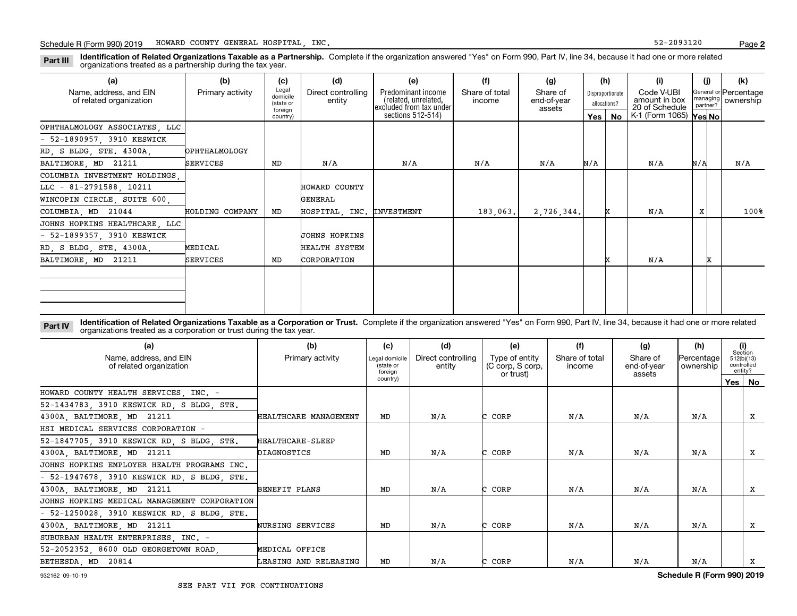**Identification of Related Organizations Taxable as a Partnership.** Complete if the organization answered "Yes" on Form 990, Part IV, line 34, because it had one or more related **Part III** organizations treated as a partnership during the tax year.

| (a)                                               | (b)              | (c)                                       | (d)                          | (e)                                                                   | (f)                      | (g)                               |       | (h)                              | (i)                                                       |          |   | (k)                                           |
|---------------------------------------------------|------------------|-------------------------------------------|------------------------------|-----------------------------------------------------------------------|--------------------------|-----------------------------------|-------|----------------------------------|-----------------------------------------------------------|----------|---|-----------------------------------------------|
| Name, address, and EIN<br>of related organization | Primary activity | Legal<br>domicile<br>(state or<br>foreign | Direct controlling<br>entity | Predominant income<br>(related, unrelated,<br>excluded from tax under | Share of total<br>income | Share of<br>end-of-year<br>assets |       | Disproportionate<br>allocations? | Code V-UBI<br>amount in box<br>20 of Schedule             | partner? |   | General or Percentage<br>managing   ownership |
|                                                   |                  | country)                                  |                              | sections 512-514)                                                     |                          |                                   | Yes I | No                               | $\overline{K}$ -1 (Form 1065) $\textsf{Yes} \textsf{No} $ |          |   |                                               |
| OPHTHALMOLOGY ASSOCIATES, LLC                     |                  |                                           |                              |                                                                       |                          |                                   |       |                                  |                                                           |          |   |                                               |
| $-52-1890957$ , 3910 KESWICK                      |                  |                                           |                              |                                                                       |                          |                                   |       |                                  |                                                           |          |   |                                               |
| RD, S BLDG, STE. 4300A,                           | OPHTHALMOLOGY    |                                           |                              |                                                                       |                          |                                   |       |                                  |                                                           |          |   |                                               |
| BALTIMORE, MD 21211                               | <b>SERVICES</b>  | MD                                        | N/A                          | N/A                                                                   | N/A                      | N/A                               | N/A   |                                  | N/A                                                       | N/A      |   | N/A                                           |
| COLUMBIA INVESTMENT HOLDINGS.                     |                  |                                           |                              |                                                                       |                          |                                   |       |                                  |                                                           |          |   |                                               |
| LLC - 81-2791588, 10211                           |                  |                                           | HOWARD COUNTY                |                                                                       |                          |                                   |       |                                  |                                                           |          |   |                                               |
| WINCOPIN CIRCLE, SUITE 600,                       |                  |                                           | GENERAL                      |                                                                       |                          |                                   |       |                                  |                                                           |          |   |                                               |
| COLUMBIA, MD 21044                                | HOLDING COMPANY  | MD                                        | HOSPITAL INC. INVESTMENT     |                                                                       | 183.063.                 | 2,726,344.                        |       |                                  | N/A                                                       | X        |   | 100%                                          |
| JOHNS HOPKINS HEALTHCARE, LLC                     |                  |                                           |                              |                                                                       |                          |                                   |       |                                  |                                                           |          |   |                                               |
| $-52-1899357$ , 3910 KESWICK                      |                  |                                           | <b>JOHNS HOPKINS</b>         |                                                                       |                          |                                   |       |                                  |                                                           |          |   |                                               |
| RD, S BLDG, STE. 4300A,                           | MEDICAL          |                                           | HEALTH SYSTEM                |                                                                       |                          |                                   |       |                                  |                                                           |          |   |                                               |
| BALTIMORE, MD 21211                               | <b>SERVICES</b>  | MD                                        | CORPORATION                  |                                                                       |                          |                                   |       |                                  | N/A                                                       |          | x |                                               |
|                                                   |                  |                                           |                              |                                                                       |                          |                                   |       |                                  |                                                           |          |   |                                               |
|                                                   |                  |                                           |                              |                                                                       |                          |                                   |       |                                  |                                                           |          |   |                                               |
|                                                   |                  |                                           |                              |                                                                       |                          |                                   |       |                                  |                                                           |          |   |                                               |
|                                                   |                  |                                           |                              |                                                                       |                          |                                   |       |                                  |                                                           |          |   |                                               |

**Identification of Related Organizations Taxable as a Corporation or Trust.** Complete if the organization answered "Yes" on Form 990, Part IV, line 34, because it had one or more related **Part IV** organizations treated as a corporation or trust during the tax year.

| (a)<br>Name, address, and EIN<br>of related organization | (b)<br>Primary activity | (c)<br>Legal domicile<br>(state or<br>foreian | (d)<br>Direct controlling<br>entity | (e)<br>Type of entity<br>(C corp, S corp,<br>or trust) | (f)<br>Share of total<br>income | (g)<br>Share of<br>end-of-year<br>assets | (h)<br> Percentage <br>ownership | (i)<br>Section<br>512(b)(13)<br>controlled<br>entity? |
|----------------------------------------------------------|-------------------------|-----------------------------------------------|-------------------------------------|--------------------------------------------------------|---------------------------------|------------------------------------------|----------------------------------|-------------------------------------------------------|
|                                                          |                         | country)                                      |                                     |                                                        |                                 |                                          |                                  | Yes   No                                              |
| HOWARD COUNTY HEALTH SERVICES, INC. -                    |                         |                                               |                                     |                                                        |                                 |                                          |                                  |                                                       |
| 52-1434783, 3910 KESWICK RD, S BLDG, STE.                |                         |                                               |                                     |                                                        |                                 |                                          |                                  |                                                       |
| 4300A, BALTIMORE, MD 21211                               | HEALTHCARE MANAGEMENT   | MD                                            | N/A                                 | CORP                                                   | N/A                             | N/A                                      | N/A                              | х                                                     |
| HSI MEDICAL SERVICES CORPORATION -                       |                         |                                               |                                     |                                                        |                                 |                                          |                                  |                                                       |
| 52-1847705, 3910 KESWICK RD, S BLDG, STE.                | HEALTHCARE-SLEEP        |                                               |                                     |                                                        |                                 |                                          |                                  |                                                       |
| 4300A, BALTIMORE, MD 21211                               | DIAGNOSTICS             | MD                                            | N/A                                 | CORP                                                   | N/A                             | N/A                                      | N/A                              | x                                                     |
| JOHNS HOPKINS EMPLOYER HEALTH PROGRAMS INC.              |                         |                                               |                                     |                                                        |                                 |                                          |                                  |                                                       |
| $-52-1947678$ , 3910 KESWICK RD, S BLDG, STE.            |                         |                                               |                                     |                                                        |                                 |                                          |                                  |                                                       |
| 4300A, BALTIMORE, MD 21211                               | BENEFIT PLANS           | MD                                            | N/A                                 | CORP                                                   | N/A                             | N/A                                      | N/A                              | х                                                     |
| JOHNS HOPKINS MEDICAL MANAGEMENT CORPORATION             |                         |                                               |                                     |                                                        |                                 |                                          |                                  |                                                       |
| $-52-1250028$ , 3910 KESWICK RD, S BLDG, STE.            |                         |                                               |                                     |                                                        |                                 |                                          |                                  |                                                       |
| 4300A, BALTIMORE, MD 21211                               | NURSING SERVICES        | MD                                            | N/A                                 | CORP                                                   | N/A                             | N/A                                      | N/A                              | x                                                     |
| SUBURBAN HEALTH ENTERPRISES, INC. -                      |                         |                                               |                                     |                                                        |                                 |                                          |                                  |                                                       |
| 52-2052352, 8600 OLD GEORGETOWN ROAD.                    | MEDICAL OFFICE          |                                               |                                     |                                                        |                                 |                                          |                                  |                                                       |
| BETHESDA, MD 20814                                       | LEASING AND RELEASING   | MD                                            | N/A                                 | CORP                                                   | N/A                             | N/A                                      | N/A                              | х                                                     |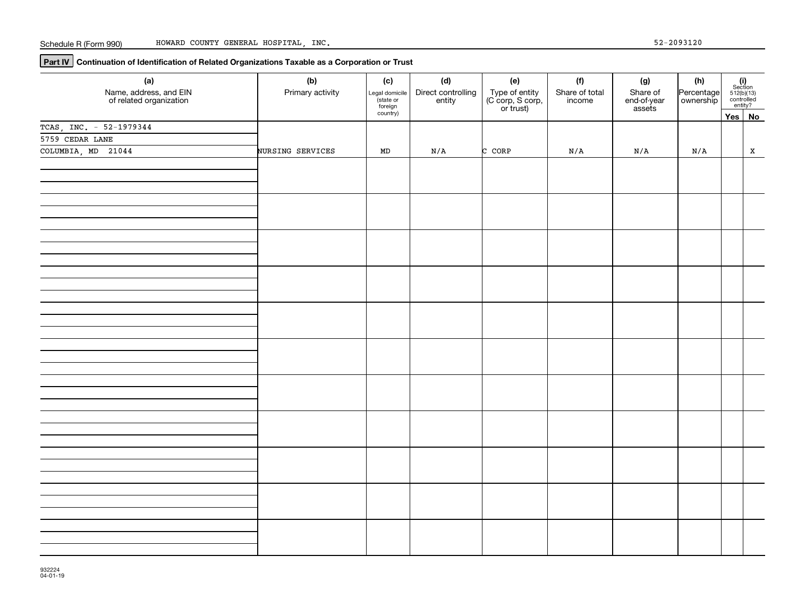**Part IV Continuation of Identification of Related Organizations Taxable as a Corporation or Trust**

| (a)                                               | (b)                     | (c)                                    | (d)                          | (e)                                             | (f)                      | (g)                               | (h)        |                                                                                                                                 |
|---------------------------------------------------|-------------------------|----------------------------------------|------------------------------|-------------------------------------------------|--------------------------|-----------------------------------|------------|---------------------------------------------------------------------------------------------------------------------------------|
| Name, address, and EIN<br>of related organization | Primary activity        | Legal domicile<br>(state or<br>foreign | Direct controlling<br>entity | Type of entity<br>(C corp, S corp,<br>or trust) | Share of total<br>income | Share of<br>end-of-year<br>assets | Percentage | $\begin{array}{c} \textbf{(i)}\\ \text{Section}\\ 512 \text{(b)} \text{(13)}\\ \text{controlled} \\ \text{entity?} \end{array}$ |
|                                                   |                         | country)                               |                              |                                                 |                          |                                   |            | Yes No                                                                                                                          |
| TCAS, INC. - 52-1979344                           |                         |                                        |                              |                                                 |                          |                                   |            |                                                                                                                                 |
| 5759 CEDAR LANE                                   |                         |                                        |                              |                                                 |                          |                                   |            |                                                                                                                                 |
| COLUMBIA, MD 21044                                | <b>NURSING SERVICES</b> | MD                                     | N/A                          | C CORP                                          | N/A                      | N/A                               | N/A        | $\mathbf x$                                                                                                                     |
|                                                   |                         |                                        |                              |                                                 |                          |                                   |            |                                                                                                                                 |
|                                                   |                         |                                        |                              |                                                 |                          |                                   |            |                                                                                                                                 |
|                                                   |                         |                                        |                              |                                                 |                          |                                   |            |                                                                                                                                 |
|                                                   |                         |                                        |                              |                                                 |                          |                                   |            |                                                                                                                                 |
|                                                   |                         |                                        |                              |                                                 |                          |                                   |            |                                                                                                                                 |
|                                                   |                         |                                        |                              |                                                 |                          |                                   |            |                                                                                                                                 |
|                                                   |                         |                                        |                              |                                                 |                          |                                   |            |                                                                                                                                 |
|                                                   |                         |                                        |                              |                                                 |                          |                                   |            |                                                                                                                                 |
|                                                   |                         |                                        |                              |                                                 |                          |                                   |            |                                                                                                                                 |
|                                                   |                         |                                        |                              |                                                 |                          |                                   |            |                                                                                                                                 |
|                                                   |                         |                                        |                              |                                                 |                          |                                   |            |                                                                                                                                 |
|                                                   |                         |                                        |                              |                                                 |                          |                                   |            |                                                                                                                                 |
|                                                   |                         |                                        |                              |                                                 |                          |                                   |            |                                                                                                                                 |
|                                                   |                         |                                        |                              |                                                 |                          |                                   |            |                                                                                                                                 |
|                                                   |                         |                                        |                              |                                                 |                          |                                   |            |                                                                                                                                 |
|                                                   |                         |                                        |                              |                                                 |                          |                                   |            |                                                                                                                                 |
|                                                   |                         |                                        |                              |                                                 |                          |                                   |            |                                                                                                                                 |
|                                                   |                         |                                        |                              |                                                 |                          |                                   |            |                                                                                                                                 |
|                                                   |                         |                                        |                              |                                                 |                          |                                   |            |                                                                                                                                 |
|                                                   |                         |                                        |                              |                                                 |                          |                                   |            |                                                                                                                                 |
|                                                   |                         |                                        |                              |                                                 |                          |                                   |            |                                                                                                                                 |
|                                                   |                         |                                        |                              |                                                 |                          |                                   |            |                                                                                                                                 |
|                                                   |                         |                                        |                              |                                                 |                          |                                   |            |                                                                                                                                 |
|                                                   |                         |                                        |                              |                                                 |                          |                                   |            |                                                                                                                                 |
|                                                   |                         |                                        |                              |                                                 |                          |                                   |            |                                                                                                                                 |
|                                                   |                         |                                        |                              |                                                 |                          |                                   |            |                                                                                                                                 |
|                                                   |                         |                                        |                              |                                                 |                          |                                   |            |                                                                                                                                 |
|                                                   |                         |                                        |                              |                                                 |                          |                                   |            |                                                                                                                                 |
|                                                   |                         |                                        |                              |                                                 |                          |                                   |            |                                                                                                                                 |
|                                                   |                         |                                        |                              |                                                 |                          |                                   |            |                                                                                                                                 |
|                                                   |                         |                                        |                              |                                                 |                          |                                   |            |                                                                                                                                 |
|                                                   |                         |                                        |                              |                                                 |                          |                                   |            |                                                                                                                                 |
|                                                   |                         |                                        |                              |                                                 |                          |                                   |            |                                                                                                                                 |
|                                                   |                         |                                        |                              |                                                 |                          |                                   |            |                                                                                                                                 |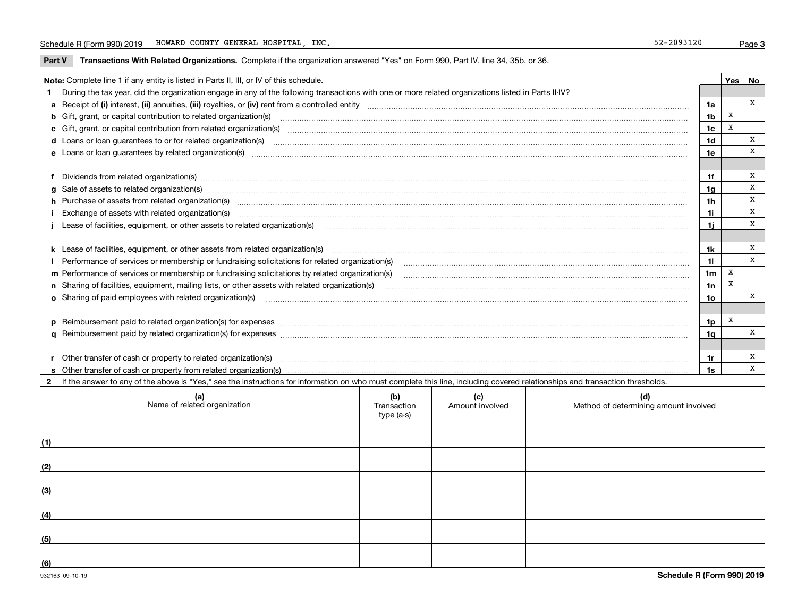**Part V** T**ransactions With Related Organizations.** Complete if the organization answered "Yes" on Form 990, Part IV, line 34, 35b, or 36.

|                                                                                                                                                                                                                                                                                                                                                                                                                                                                                                                                                                                                                                                                                                                                                                                                                                                                                                                                                                                                                                                                                                                                                                                                                                                                                                                                                                                                                                                                                                                                                                                                                                                                                                                                                                                                                                                                                                                                                                                                                                                                                                                                                                                                                                                                                                                                                                                        |                                                                                                                                                                                |                | Yes   No |   |  |
|----------------------------------------------------------------------------------------------------------------------------------------------------------------------------------------------------------------------------------------------------------------------------------------------------------------------------------------------------------------------------------------------------------------------------------------------------------------------------------------------------------------------------------------------------------------------------------------------------------------------------------------------------------------------------------------------------------------------------------------------------------------------------------------------------------------------------------------------------------------------------------------------------------------------------------------------------------------------------------------------------------------------------------------------------------------------------------------------------------------------------------------------------------------------------------------------------------------------------------------------------------------------------------------------------------------------------------------------------------------------------------------------------------------------------------------------------------------------------------------------------------------------------------------------------------------------------------------------------------------------------------------------------------------------------------------------------------------------------------------------------------------------------------------------------------------------------------------------------------------------------------------------------------------------------------------------------------------------------------------------------------------------------------------------------------------------------------------------------------------------------------------------------------------------------------------------------------------------------------------------------------------------------------------------------------------------------------------------------------------------------------------|--------------------------------------------------------------------------------------------------------------------------------------------------------------------------------|----------------|----------|---|--|
|                                                                                                                                                                                                                                                                                                                                                                                                                                                                                                                                                                                                                                                                                                                                                                                                                                                                                                                                                                                                                                                                                                                                                                                                                                                                                                                                                                                                                                                                                                                                                                                                                                                                                                                                                                                                                                                                                                                                                                                                                                                                                                                                                                                                                                                                                                                                                                                        |                                                                                                                                                                                |                |          |   |  |
|                                                                                                                                                                                                                                                                                                                                                                                                                                                                                                                                                                                                                                                                                                                                                                                                                                                                                                                                                                                                                                                                                                                                                                                                                                                                                                                                                                                                                                                                                                                                                                                                                                                                                                                                                                                                                                                                                                                                                                                                                                                                                                                                                                                                                                                                                                                                                                                        |                                                                                                                                                                                | 1a             |          | x |  |
|                                                                                                                                                                                                                                                                                                                                                                                                                                                                                                                                                                                                                                                                                                                                                                                                                                                                                                                                                                                                                                                                                                                                                                                                                                                                                                                                                                                                                                                                                                                                                                                                                                                                                                                                                                                                                                                                                                                                                                                                                                                                                                                                                                                                                                                                                                                                                                                        |                                                                                                                                                                                |                |          |   |  |
|                                                                                                                                                                                                                                                                                                                                                                                                                                                                                                                                                                                                                                                                                                                                                                                                                                                                                                                                                                                                                                                                                                                                                                                                                                                                                                                                                                                                                                                                                                                                                                                                                                                                                                                                                                                                                                                                                                                                                                                                                                                                                                                                                                                                                                                                                                                                                                                        |                                                                                                                                                                                | 1c             | X        |   |  |
|                                                                                                                                                                                                                                                                                                                                                                                                                                                                                                                                                                                                                                                                                                                                                                                                                                                                                                                                                                                                                                                                                                                                                                                                                                                                                                                                                                                                                                                                                                                                                                                                                                                                                                                                                                                                                                                                                                                                                                                                                                                                                                                                                                                                                                                                                                                                                                                        |                                                                                                                                                                                |                |          |   |  |
|                                                                                                                                                                                                                                                                                                                                                                                                                                                                                                                                                                                                                                                                                                                                                                                                                                                                                                                                                                                                                                                                                                                                                                                                                                                                                                                                                                                                                                                                                                                                                                                                                                                                                                                                                                                                                                                                                                                                                                                                                                                                                                                                                                                                                                                                                                                                                                                        |                                                                                                                                                                                |                |          |   |  |
|                                                                                                                                                                                                                                                                                                                                                                                                                                                                                                                                                                                                                                                                                                                                                                                                                                                                                                                                                                                                                                                                                                                                                                                                                                                                                                                                                                                                                                                                                                                                                                                                                                                                                                                                                                                                                                                                                                                                                                                                                                                                                                                                                                                                                                                                                                                                                                                        |                                                                                                                                                                                |                |          |   |  |
| Note: Complete line 1 if any entity is listed in Parts II, III, or IV of this schedule.<br>1 During the tax year, did the organization engage in any of the following transactions with one or more related organizations listed in Parts II-IV?<br>1 <sub>b</sub><br>b Gift, grant, or capital contribution to related organization(s) manufactured contains and contribution to related organization(s)<br>c Gift, grant, or capital contribution from related organization(s) material contents and contribution from related organization(s) material contents and content of the content of the content of content of content of conte<br>1 <sub>d</sub><br>1e<br>f Dividends from related organization(s) manufactured contains and contained a state of the contact of the contact of the contact of the contact of the contact of the contact of the contact of the contact of the contact of<br>1f<br>g Sale of assets to related organization(s) www.assettion.com/www.assettion.com/www.assettion.com/www.assettion.com/www.assettion.com/www.assettion.com/www.assettion.com/www.assettion.com/www.assettion.com/www.assettion.co<br>h Purchase of assets from related organization(s) manufactured and content and content and content and content and content and content and content and content and content and content and content and content and content and<br>1i.<br>Lease of facilities, equipment, or other assets to related organization(s) communication controlled and a set of facilities, equipment, or other assets to related organization(s) communication controlled and a set of the s<br>1i.<br>11<br>1 <sub>m</sub><br>m Performance of services or membership or fundraising solicitations by related organization(s)<br>1n<br><b>o</b> Sharing of paid employees with related organization(s)<br>p Reimbursement paid to related organization(s) for expenses [11111] [12] reasonal content of the separation (s) for expenses [11111] [12] reasonal content content of the separation (s) for expenses [1111] [12] reasonal co<br>r Other transfer of cash or property to related organization(s)<br>1r<br>r Other transfer of cash or property to related organization(s) www.communities.communities content transfer of cash or property from related organization(s) www.communities.communities content transfer of cash or property<br>1s |                                                                                                                                                                                |                |          | X |  |
|                                                                                                                                                                                                                                                                                                                                                                                                                                                                                                                                                                                                                                                                                                                                                                                                                                                                                                                                                                                                                                                                                                                                                                                                                                                                                                                                                                                                                                                                                                                                                                                                                                                                                                                                                                                                                                                                                                                                                                                                                                                                                                                                                                                                                                                                                                                                                                                        |                                                                                                                                                                                | 1a             |          | X |  |
|                                                                                                                                                                                                                                                                                                                                                                                                                                                                                                                                                                                                                                                                                                                                                                                                                                                                                                                                                                                                                                                                                                                                                                                                                                                                                                                                                                                                                                                                                                                                                                                                                                                                                                                                                                                                                                                                                                                                                                                                                                                                                                                                                                                                                                                                                                                                                                                        |                                                                                                                                                                                | 1 <sub>h</sub> |          | X |  |
|                                                                                                                                                                                                                                                                                                                                                                                                                                                                                                                                                                                                                                                                                                                                                                                                                                                                                                                                                                                                                                                                                                                                                                                                                                                                                                                                                                                                                                                                                                                                                                                                                                                                                                                                                                                                                                                                                                                                                                                                                                                                                                                                                                                                                                                                                                                                                                                        |                                                                                                                                                                                |                |          | X |  |
|                                                                                                                                                                                                                                                                                                                                                                                                                                                                                                                                                                                                                                                                                                                                                                                                                                                                                                                                                                                                                                                                                                                                                                                                                                                                                                                                                                                                                                                                                                                                                                                                                                                                                                                                                                                                                                                                                                                                                                                                                                                                                                                                                                                                                                                                                                                                                                                        |                                                                                                                                                                                |                |          |   |  |
|                                                                                                                                                                                                                                                                                                                                                                                                                                                                                                                                                                                                                                                                                                                                                                                                                                                                                                                                                                                                                                                                                                                                                                                                                                                                                                                                                                                                                                                                                                                                                                                                                                                                                                                                                                                                                                                                                                                                                                                                                                                                                                                                                                                                                                                                                                                                                                                        |                                                                                                                                                                                |                |          |   |  |
|                                                                                                                                                                                                                                                                                                                                                                                                                                                                                                                                                                                                                                                                                                                                                                                                                                                                                                                                                                                                                                                                                                                                                                                                                                                                                                                                                                                                                                                                                                                                                                                                                                                                                                                                                                                                                                                                                                                                                                                                                                                                                                                                                                                                                                                                                                                                                                                        |                                                                                                                                                                                | 1k             |          | Х |  |
|                                                                                                                                                                                                                                                                                                                                                                                                                                                                                                                                                                                                                                                                                                                                                                                                                                                                                                                                                                                                                                                                                                                                                                                                                                                                                                                                                                                                                                                                                                                                                                                                                                                                                                                                                                                                                                                                                                                                                                                                                                                                                                                                                                                                                                                                                                                                                                                        |                                                                                                                                                                                |                |          | X |  |
|                                                                                                                                                                                                                                                                                                                                                                                                                                                                                                                                                                                                                                                                                                                                                                                                                                                                                                                                                                                                                                                                                                                                                                                                                                                                                                                                                                                                                                                                                                                                                                                                                                                                                                                                                                                                                                                                                                                                                                                                                                                                                                                                                                                                                                                                                                                                                                                        |                                                                                                                                                                                |                |          |   |  |
|                                                                                                                                                                                                                                                                                                                                                                                                                                                                                                                                                                                                                                                                                                                                                                                                                                                                                                                                                                                                                                                                                                                                                                                                                                                                                                                                                                                                                                                                                                                                                                                                                                                                                                                                                                                                                                                                                                                                                                                                                                                                                                                                                                                                                                                                                                                                                                                        |                                                                                                                                                                                |                |          |   |  |
|                                                                                                                                                                                                                                                                                                                                                                                                                                                                                                                                                                                                                                                                                                                                                                                                                                                                                                                                                                                                                                                                                                                                                                                                                                                                                                                                                                                                                                                                                                                                                                                                                                                                                                                                                                                                                                                                                                                                                                                                                                                                                                                                                                                                                                                                                                                                                                                        |                                                                                                                                                                                | 1o             |          | x |  |
|                                                                                                                                                                                                                                                                                                                                                                                                                                                                                                                                                                                                                                                                                                                                                                                                                                                                                                                                                                                                                                                                                                                                                                                                                                                                                                                                                                                                                                                                                                                                                                                                                                                                                                                                                                                                                                                                                                                                                                                                                                                                                                                                                                                                                                                                                                                                                                                        |                                                                                                                                                                                |                |          |   |  |
|                                                                                                                                                                                                                                                                                                                                                                                                                                                                                                                                                                                                                                                                                                                                                                                                                                                                                                                                                                                                                                                                                                                                                                                                                                                                                                                                                                                                                                                                                                                                                                                                                                                                                                                                                                                                                                                                                                                                                                                                                                                                                                                                                                                                                                                                                                                                                                                        |                                                                                                                                                                                | 1p             | х        |   |  |
|                                                                                                                                                                                                                                                                                                                                                                                                                                                                                                                                                                                                                                                                                                                                                                                                                                                                                                                                                                                                                                                                                                                                                                                                                                                                                                                                                                                                                                                                                                                                                                                                                                                                                                                                                                                                                                                                                                                                                                                                                                                                                                                                                                                                                                                                                                                                                                                        |                                                                                                                                                                                | 1q             |          | x |  |
|                                                                                                                                                                                                                                                                                                                                                                                                                                                                                                                                                                                                                                                                                                                                                                                                                                                                                                                                                                                                                                                                                                                                                                                                                                                                                                                                                                                                                                                                                                                                                                                                                                                                                                                                                                                                                                                                                                                                                                                                                                                                                                                                                                                                                                                                                                                                                                                        |                                                                                                                                                                                |                |          |   |  |
|                                                                                                                                                                                                                                                                                                                                                                                                                                                                                                                                                                                                                                                                                                                                                                                                                                                                                                                                                                                                                                                                                                                                                                                                                                                                                                                                                                                                                                                                                                                                                                                                                                                                                                                                                                                                                                                                                                                                                                                                                                                                                                                                                                                                                                                                                                                                                                                        |                                                                                                                                                                                |                |          | х |  |
|                                                                                                                                                                                                                                                                                                                                                                                                                                                                                                                                                                                                                                                                                                                                                                                                                                                                                                                                                                                                                                                                                                                                                                                                                                                                                                                                                                                                                                                                                                                                                                                                                                                                                                                                                                                                                                                                                                                                                                                                                                                                                                                                                                                                                                                                                                                                                                                        |                                                                                                                                                                                |                |          | X |  |
|                                                                                                                                                                                                                                                                                                                                                                                                                                                                                                                                                                                                                                                                                                                                                                                                                                                                                                                                                                                                                                                                                                                                                                                                                                                                                                                                                                                                                                                                                                                                                                                                                                                                                                                                                                                                                                                                                                                                                                                                                                                                                                                                                                                                                                                                                                                                                                                        | 2 If the answer to any of the above is "Yes," see the instructions for information on who must complete this line, including covered relationships and transaction thresholds. |                |          |   |  |

| (a)<br>Name of related organization | (b)<br>Transaction<br>type (a-s) | (c)<br>Amount involved | (d)<br>Method of determining amount involved |
|-------------------------------------|----------------------------------|------------------------|----------------------------------------------|
| (1)                                 |                                  |                        |                                              |
| (2)                                 |                                  |                        |                                              |
| (3)                                 |                                  |                        |                                              |
| (4)                                 |                                  |                        |                                              |
| (5)                                 |                                  |                        |                                              |
| (6)                                 |                                  |                        |                                              |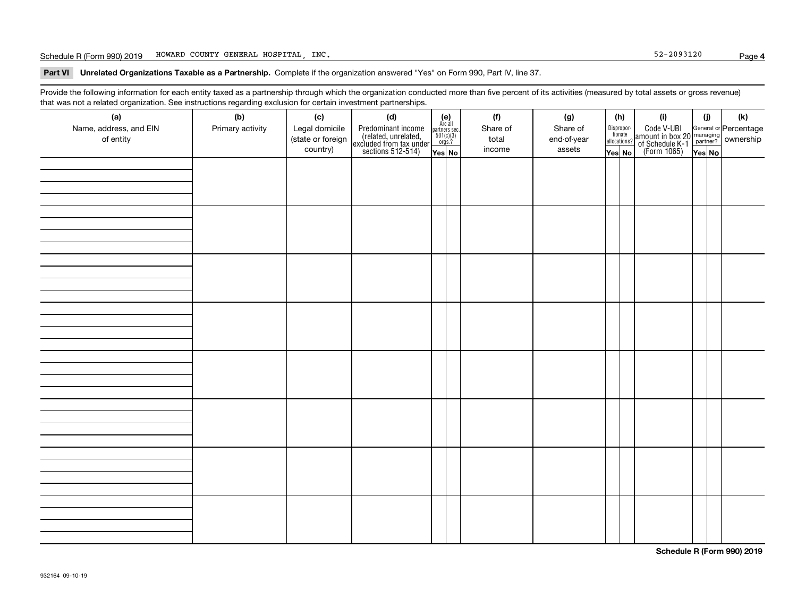Schedule R (Form 990) 2019 Page HOWARD COUNTY GENERAL HOSPITAL, INC. 52-2093120

**Part VI Unrelated Organizations Taxable as a Partnership. Complete if the organization answered "Yes" on Form 990, Part IV, line 37.** 

Provide the following information for each entity taxed as a partnership through which the organization conducted more than five percent of its activities (measured by total assets or gross revenue) that was not a related organization. See instructions regarding exclusion for certain investment partnerships.

| (a)<br>Name, address, and EIN<br>of entity | ----- <del>-</del> --------<br>(b)<br>Primary activity | (c)<br>Legal domicile<br>(state or foreign<br>country) | (d)<br>Predominant income<br>(related, unrelated,<br>excluded from tax under<br>sections 512-514) | (e)<br>Are all<br>partners sec.<br>$501(c)(3)$<br>orgs.?<br>Yes No | (f)<br>Share of<br>total<br>income | (g)<br>Share of<br>end-of-year<br>assets | (h)<br>Dispropor-<br>tionate<br>allocations?<br>Yes No | (i)<br>Code V-UBI<br>  amount in box 20 managing<br>  of Schedule K-1 partner? ownership<br>  of Schedule K-1 partner? ownership<br>  Yes No | (i)<br>Yes No | (k) |
|--------------------------------------------|--------------------------------------------------------|--------------------------------------------------------|---------------------------------------------------------------------------------------------------|--------------------------------------------------------------------|------------------------------------|------------------------------------------|--------------------------------------------------------|----------------------------------------------------------------------------------------------------------------------------------------------|---------------|-----|
|                                            |                                                        |                                                        |                                                                                                   |                                                                    |                                    |                                          |                                                        |                                                                                                                                              |               |     |
|                                            |                                                        |                                                        |                                                                                                   |                                                                    |                                    |                                          |                                                        |                                                                                                                                              |               |     |
|                                            |                                                        |                                                        |                                                                                                   |                                                                    |                                    |                                          |                                                        |                                                                                                                                              |               |     |
|                                            |                                                        |                                                        |                                                                                                   |                                                                    |                                    |                                          |                                                        |                                                                                                                                              |               |     |
|                                            |                                                        |                                                        |                                                                                                   |                                                                    |                                    |                                          |                                                        |                                                                                                                                              |               |     |
|                                            |                                                        |                                                        |                                                                                                   |                                                                    |                                    |                                          |                                                        |                                                                                                                                              |               |     |
|                                            |                                                        |                                                        |                                                                                                   |                                                                    |                                    |                                          |                                                        |                                                                                                                                              |               |     |
|                                            |                                                        |                                                        |                                                                                                   |                                                                    |                                    |                                          |                                                        |                                                                                                                                              |               |     |

**Schedule R (Form 990) 2019**